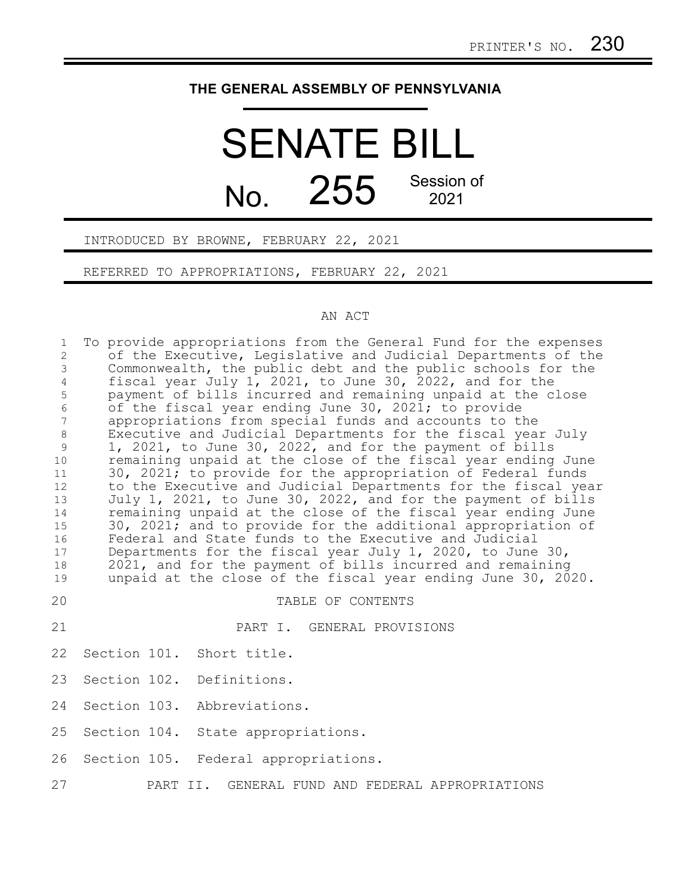## **THE GENERAL ASSEMBLY OF PENNSYLVANIA**

## SENATE BILL No. 255 Session of

INTRODUCED BY BROWNE, FEBRUARY 22, 2021

REFERRED TO APPROPRIATIONS, FEBRUARY 22, 2021

## AN ACT

| $\mathbf 1$<br>$\mathbf{2}$<br>$\mathfrak{Z}$<br>$\overline{4}$<br>$\mathsf S$<br>$\epsilon$<br>$\overline{7}$<br>$\,8\,$<br>9<br>10<br>11<br>12 | To provide appropriations from the General Fund for the expenses<br>of the Executive, Legislative and Judicial Departments of the<br>Commonwealth, the public debt and the public schools for the<br>fiscal year July 1, 2021, to June 30, 2022, and for the<br>payment of bills incurred and remaining unpaid at the close<br>of the fiscal year ending June 30, 2021; to provide<br>appropriations from special funds and accounts to the<br>Executive and Judicial Departments for the fiscal year July<br>1, 2021, to June 30, 2022, and for the payment of bills<br>remaining unpaid at the close of the fiscal year ending June<br>30, 2021; to provide for the appropriation of Federal funds<br>to the Executive and Judicial Departments for the fiscal year |
|--------------------------------------------------------------------------------------------------------------------------------------------------|-----------------------------------------------------------------------------------------------------------------------------------------------------------------------------------------------------------------------------------------------------------------------------------------------------------------------------------------------------------------------------------------------------------------------------------------------------------------------------------------------------------------------------------------------------------------------------------------------------------------------------------------------------------------------------------------------------------------------------------------------------------------------|
| 13<br>14<br>15<br>16<br>17<br>18<br>19                                                                                                           | July 1, 2021, to June 30, 2022, and for the payment of bills<br>remaining unpaid at the close of the fiscal year ending June<br>30, 2021; and to provide for the additional appropriation of<br>Federal and State funds to the Executive and Judicial<br>Departments for the fiscal year July 1, 2020, to June 30,<br>2021, and for the payment of bills incurred and remaining<br>unpaid at the close of the fiscal year ending June 30, 2020.                                                                                                                                                                                                                                                                                                                       |
| 20                                                                                                                                               | TABLE OF CONTENTS                                                                                                                                                                                                                                                                                                                                                                                                                                                                                                                                                                                                                                                                                                                                                     |
| 21                                                                                                                                               | PART I. GENERAL PROVISIONS                                                                                                                                                                                                                                                                                                                                                                                                                                                                                                                                                                                                                                                                                                                                            |
| 22                                                                                                                                               | Section 101. Short title.                                                                                                                                                                                                                                                                                                                                                                                                                                                                                                                                                                                                                                                                                                                                             |
| 23                                                                                                                                               | Section 102. Definitions.                                                                                                                                                                                                                                                                                                                                                                                                                                                                                                                                                                                                                                                                                                                                             |
| 24                                                                                                                                               | Section 103. Abbreviations.                                                                                                                                                                                                                                                                                                                                                                                                                                                                                                                                                                                                                                                                                                                                           |
| 25                                                                                                                                               | Section 104. State appropriations.                                                                                                                                                                                                                                                                                                                                                                                                                                                                                                                                                                                                                                                                                                                                    |
| 26                                                                                                                                               | Section 105. Federal appropriations.                                                                                                                                                                                                                                                                                                                                                                                                                                                                                                                                                                                                                                                                                                                                  |
| 27                                                                                                                                               | GENERAL FUND AND FEDERAL APPROPRIATIONS<br>PART II.                                                                                                                                                                                                                                                                                                                                                                                                                                                                                                                                                                                                                                                                                                                   |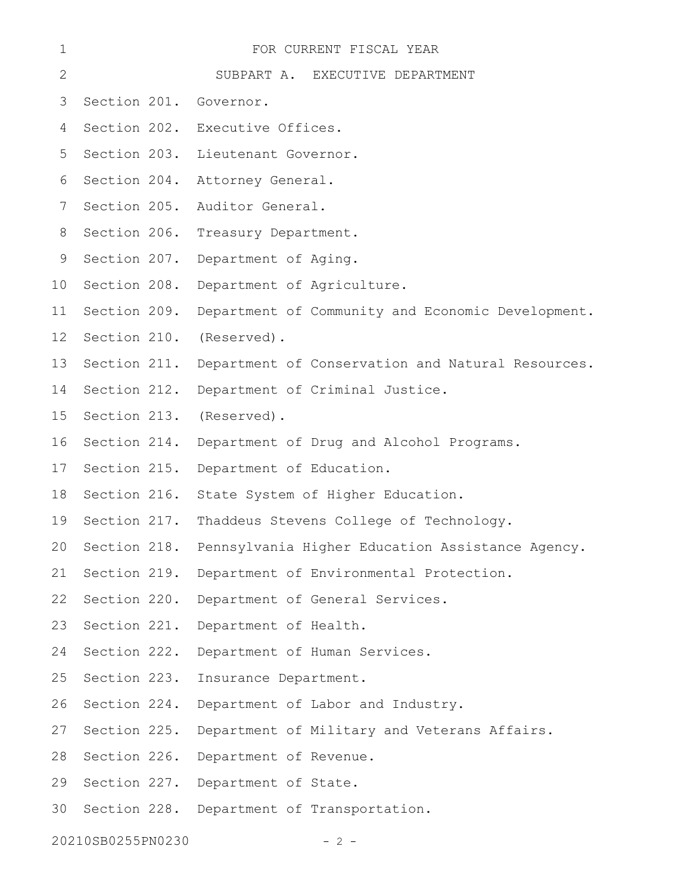| 1                 | FOR CURRENT FISCAL YEAR |                                                                  |  |
|-------------------|-------------------------|------------------------------------------------------------------|--|
| $\mathbf{2}$      |                         | SUBPART A. EXECUTIVE DEPARTMENT                                  |  |
| 3                 | Section 201. Governor.  |                                                                  |  |
| 4                 |                         | Section 202. Executive Offices.                                  |  |
| 5                 | Section 203.            | Lieutenant Governor.                                             |  |
| 6                 | Section 204.            | Attorney General.                                                |  |
| 7                 | Section 205.            | Auditor General.                                                 |  |
| 8                 | Section 206.            | Treasury Department.                                             |  |
| 9                 | Section 207.            | Department of Aging.                                             |  |
| 10                | Section 208.            | Department of Agriculture.                                       |  |
| 11                | Section 209.            | Department of Community and Economic Development.                |  |
| 12                | Section 210.            | (Reserved).                                                      |  |
| 13                | Section 211.            | Department of Conservation and Natural Resources.                |  |
| 14                | Section 212.            | Department of Criminal Justice.                                  |  |
| 15                | Section 213.            | (Reserved).                                                      |  |
| 16                | Section 214.            | Department of Drug and Alcohol Programs.                         |  |
| 17                | Section 215.            | Department of Education.                                         |  |
| 18                | Section 216.            | State System of Higher Education.                                |  |
| 19                |                         | Section 217. Thaddeus Stevens College of Technology.             |  |
|                   |                         | 20 Section 218. Pennsylvania Higher Education Assistance Agency. |  |
| 21                | Section 219.            | Department of Environmental Protection.                          |  |
| 22                | Section 220.            | Department of General Services.                                  |  |
| 23                | Section 221.            | Department of Health.                                            |  |
| 24                | Section 222.            | Department of Human Services.                                    |  |
| 25                | Section 223.            | Insurance Department.                                            |  |
| 26                | Section 224.            | Department of Labor and Industry.                                |  |
| 27                | Section 225.            | Department of Military and Veterans Affairs.                     |  |
| 28                | Section 226.            | Department of Revenue.                                           |  |
| 29                | Section 227.            | Department of State.                                             |  |
| 30                |                         | Section 228. Department of Transportation.                       |  |
| 20210SB0255PN0230 |                         | $-2 -$                                                           |  |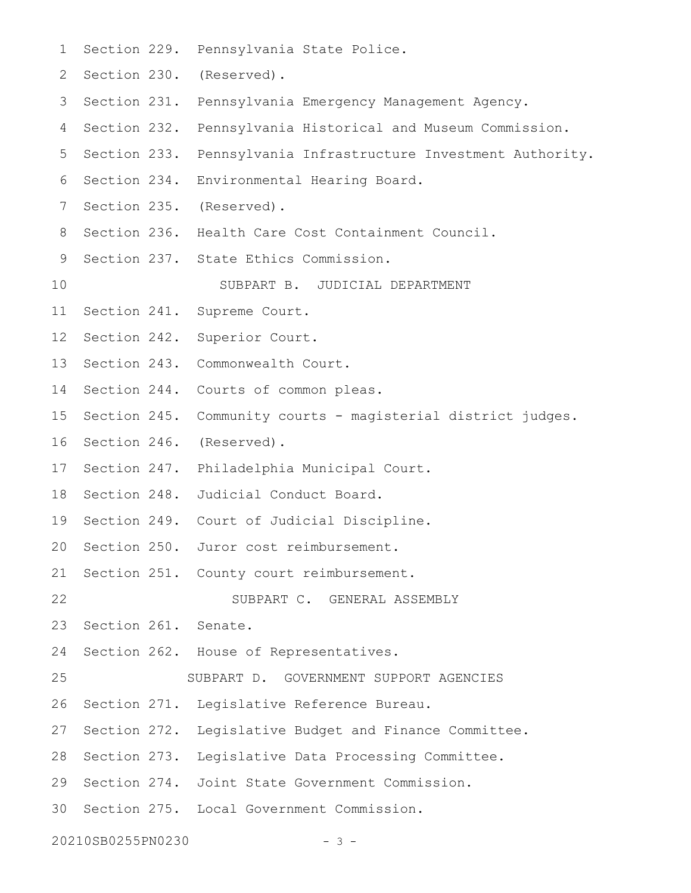| 1               |                      | Section 229. Pennsylvania State Police.                     |
|-----------------|----------------------|-------------------------------------------------------------|
| 2               |                      | Section 230. (Reserved).                                    |
| 3               |                      | Section 231. Pennsylvania Emergency Management Agency.      |
| 4               |                      | Section 232. Pennsylvania Historical and Museum Commission. |
| 5               | Section 233.         | Pennsylvania Infrastructure Investment Authority.           |
| 6               | Section 234.         | Environmental Hearing Board.                                |
| 7               | Section 235.         | (Reserved).                                                 |
| 8               |                      | Section 236. Health Care Cost Containment Council.          |
| 9               |                      | Section 237. State Ethics Commission.                       |
| 10              |                      | SUBPART B. JUDICIAL DEPARTMENT                              |
| 11              | Section 241.         | Supreme Court.                                              |
| 12 <sup>°</sup> | Section 242.         | Superior Court.                                             |
| 13              |                      | Section 243. Commonwealth Court.                            |
| 14              |                      | Section 244. Courts of common pleas.                        |
| 15              | Section 245.         | Community courts - magisterial district judges.             |
| 16              | Section 246.         | (Reserved).                                                 |
| 17              | Section 247.         | Philadelphia Municipal Court.                               |
| 18              | Section 248.         | Judicial Conduct Board.                                     |
| 19              |                      | Section 249. Court of Judicial Discipline.                  |
|                 |                      | 20 Section 250. Juror cost reimbursement.                   |
| 21              |                      | Section 251. County court reimbursement.                    |
| 22              |                      | SUBPART C. GENERAL ASSEMBLY                                 |
| 23              | Section 261. Senate. |                                                             |
| 24              |                      | Section 262. House of Representatives.                      |
| 25              |                      | SUBPART D. GOVERNMENT SUPPORT AGENCIES                      |
| 26              |                      | Section 271. Legislative Reference Bureau.                  |
| 27              |                      | Section 272. Legislative Budget and Finance Committee.      |
| 28              |                      | Section 273. Legislative Data Processing Committee.         |
| 29              |                      | Section 274. Joint State Government Commission.             |
| 30              |                      | Section 275. Local Government Commission.                   |
|                 | 20210SB0255PN0230    | $-3 -$                                                      |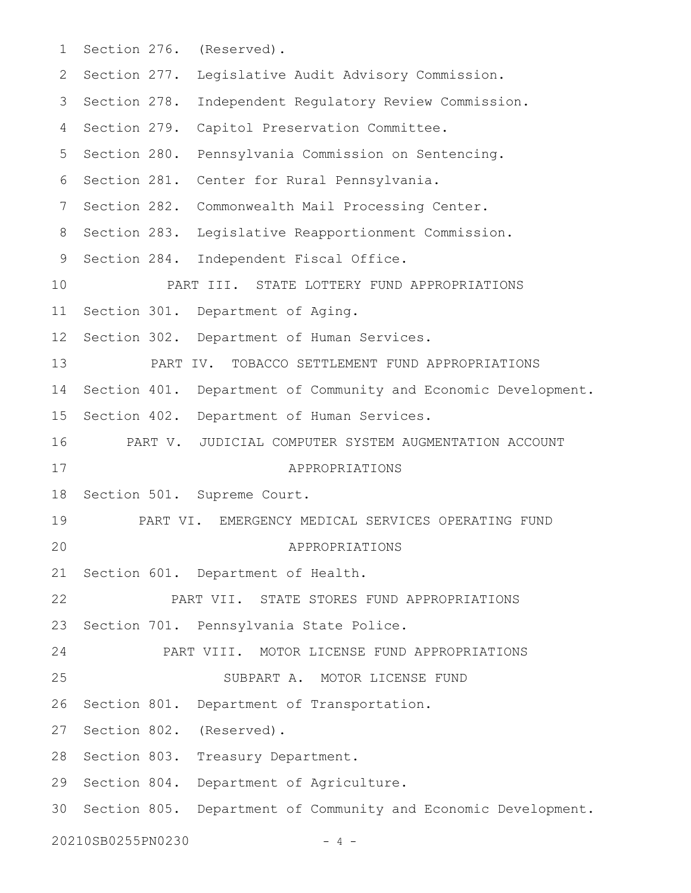| 1       |                   | Section 276. (Reserved).                                       |
|---------|-------------------|----------------------------------------------------------------|
| 2       | Section 277.      | Legislative Audit Advisory Commission.                         |
| 3       | Section 278.      | Independent Regulatory Review Commission.                      |
| 4       | Section 279.      | Capitol Preservation Committee.                                |
| 5       | Section 280.      | Pennsylvania Commission on Sentencing.                         |
| 6       | Section 281.      | Center for Rural Pennsylvania.                                 |
| 7       | Section 282.      | Commonwealth Mail Processing Center.                           |
| 8       | Section 283.      | Legislative Reapportionment Commission.                        |
| 9       |                   | Section 284. Independent Fiscal Office.                        |
| 10      |                   | PART III. STATE LOTTERY FUND APPROPRIATIONS                    |
| 11      |                   | Section 301. Department of Aging.                              |
| $12 \,$ |                   | Section 302. Department of Human Services.                     |
| 13      |                   | PART IV. TOBACCO SETTLEMENT FUND APPROPRIATIONS                |
| 14      |                   | Section 401. Department of Community and Economic Development. |
| 15      |                   | Section 402. Department of Human Services.                     |
| 16      |                   | PART V. JUDICIAL COMPUTER SYSTEM AUGMENTATION ACCOUNT          |
| 17      |                   | APPROPRIATIONS                                                 |
| 18      |                   | Section 501. Supreme Court.                                    |
| 19      |                   | PART VI. EMERGENCY MEDICAL SERVICES OPERATING FUND             |
| 20      |                   | APPROPRIATIONS                                                 |
| 21      |                   | Section 601. Department of Health.                             |
| 22      |                   | PART VII. STATE STORES FUND APPROPRIATIONS                     |
| 23      |                   | Section 701. Pennsylvania State Police.                        |
| 24      |                   | PART VIII. MOTOR LICENSE FUND APPROPRIATIONS                   |
| 25      |                   | SUBPART A. MOTOR LICENSE FUND                                  |
| 26      |                   | Section 801. Department of Transportation.                     |
| 27      |                   | Section 802. (Reserved).                                       |
| 28      |                   | Section 803. Treasury Department.                              |
| 29      |                   | Section 804. Department of Agriculture.                        |
| 30      |                   | Section 805. Department of Community and Economic Development. |
|         | 20210SB0255PN0230 | 4 –                                                            |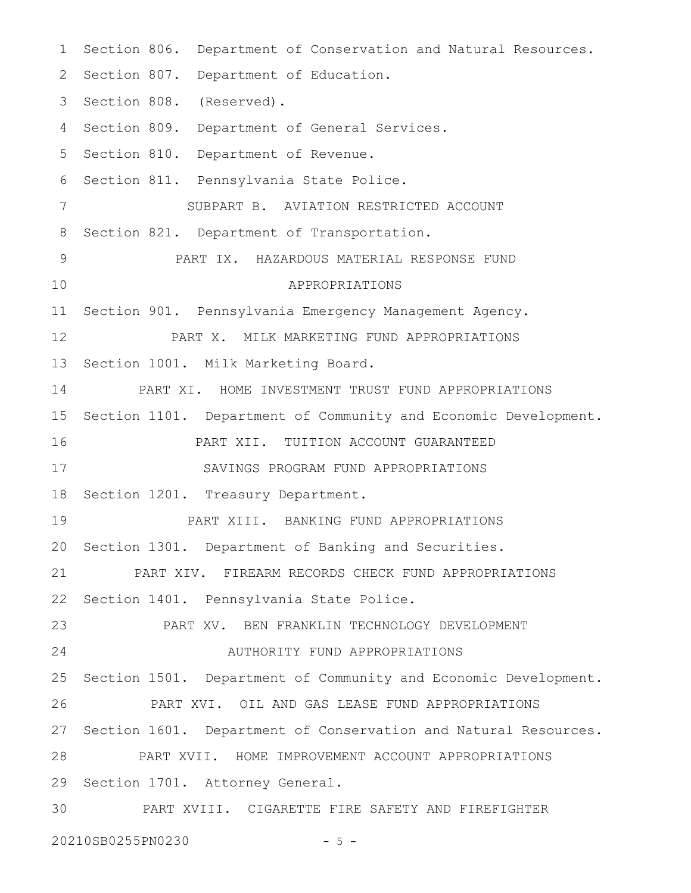1 Section 806. Department of Conservation and Natural Resources. 2 Section 807. Department of Education. 3 Section 808. (Reserved). 4 Section 809. Department of General Services. 5 Section 810. Department of Revenue. 6 Section 811. Pennsylvania State Police. SUBPART B. AVIATION RESTRICTED ACCOUNT 8 Section 821. Department of Transportation. PART IX. HAZARDOUS MATERIAL RESPONSE FUND APPROPRIATIONS Section 901. Pennsylvania Emergency Management Agency. PART X. MILK MARKETING FUND APPROPRIATIONS 13 Section 1001. Milk Marketing Board. PART XI. HOME INVESTMENT TRUST FUND APPROPRIATIONS 15 Section 1101. Department of Community and Economic Development. PART XII. TUITION ACCOUNT GUARANTEED SAVINGS PROGRAM FUND APPROPRIATIONS 18 Section 1201. Treasury Department. PART XIII. BANKING FUND APPROPRIATIONS 20 Section 1301. Department of Banking and Securities. PART XIV. FIREARM RECORDS CHECK FUND APPROPRIATIONS Section 1401. Pennsylvania State Police. PART XV. BEN FRANKLIN TECHNOLOGY DEVELOPMENT AUTHORITY FUND APPROPRIATIONS 25 Section 1501. Department of Community and Economic Development. PART XVI. OIL AND GAS LEASE FUND APPROPRIATIONS 27 Section 1601. Department of Conservation and Natural Resources. PART XVII. HOME IMPROVEMENT ACCOUNT APPROPRIATIONS 29 Section 1701. Attorney General. PART XVIII. CIGARETTE FIRE SAFETY AND FIREFIGHTER 20210SB0255PN0230 - 5 - 7 9 10 11 12 14 16 17 19 21 22 23 24 26 28 30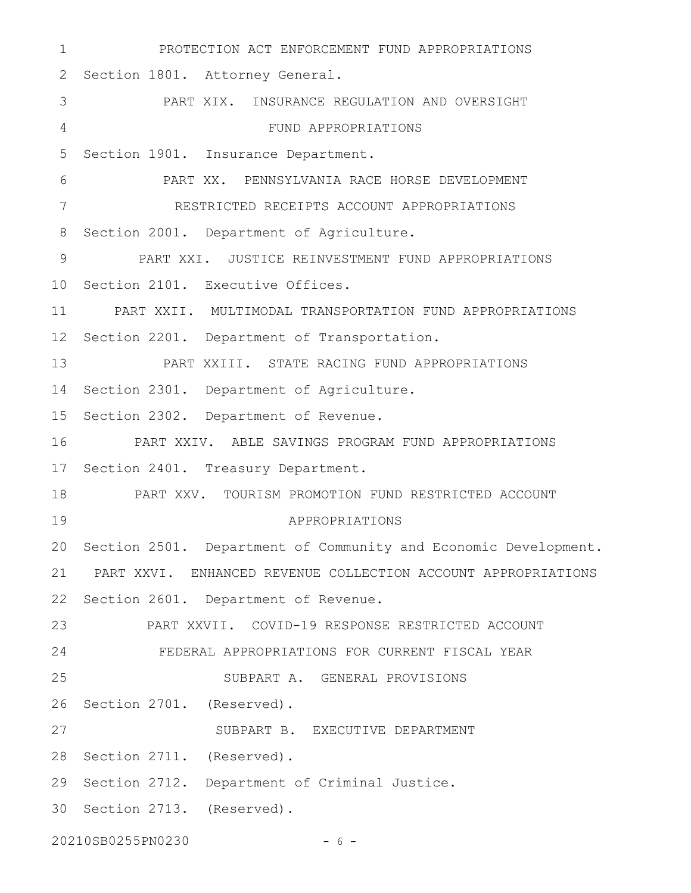PROTECTION ACT ENFORCEMENT FUND APPROPRIATIONS 2 Section 1801. Attorney General. PART XIX. INSURANCE REGULATION AND OVERSIGHT FUND APPROPRIATIONS 5 Section 1901. Insurance Department. PART XX. PENNSYLVANIA RACE HORSE DEVELOPMENT RESTRICTED RECEIPTS ACCOUNT APPROPRIATIONS 8 Section 2001. Department of Agriculture. PART XXI. JUSTICE REINVESTMENT FUND APPROPRIATIONS 10 Section 2101. Executive Offices. PART XXII. MULTIMODAL TRANSPORTATION FUND APPROPRIATIONS 12 Section 2201. Department of Transportation. PART XXIII. STATE RACING FUND APPROPRIATIONS 14 Section 2301. Department of Agriculture. 15 Section 2302. Department of Revenue. PART XXIV. ABLE SAVINGS PROGRAM FUND APPROPRIATIONS 17 Section 2401. Treasury Department. PART XXV. TOURISM PROMOTION FUND RESTRICTED ACCOUNT APPROPRIATIONS 20 Section 2501. Department of Community and Economic Development. PART XXVI. ENHANCED REVENUE COLLECTION ACCOUNT APPROPRIATIONS 21 22 Section 2601. Department of Revenue. PART XXVII. COVID-19 RESPONSE RESTRICTED ACCOUNT FEDERAL APPROPRIATIONS FOR CURRENT FISCAL YEAR SUBPART A. GENERAL PROVISIONS 26 Section 2701. (Reserved). SUBPART B. EXECUTIVE DEPARTMENT 28 Section 2711. (Reserved). 29 Section 2712. Department of Criminal Justice. 30 Section 2713. (Reserved). 20210SB0255PN0230 - 6 - 1 3 4 6 7 9 11 13 16 18 19 23 24 25 27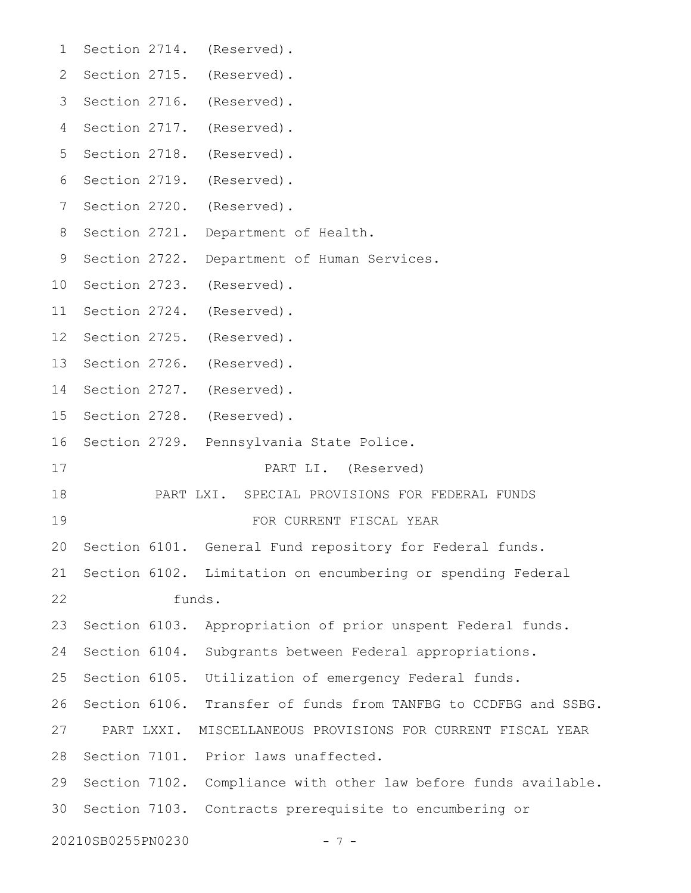| 1               |                   |            | Section 2714. (Reserved).                                       |
|-----------------|-------------------|------------|-----------------------------------------------------------------|
| 2               |                   |            | Section 2715. (Reserved).                                       |
| 3               |                   |            | Section 2716. (Reserved).                                       |
| 4               |                   |            | Section 2717. (Reserved).                                       |
| 5               |                   |            | Section 2718. (Reserved).                                       |
| 6               |                   |            | Section 2719. (Reserved).                                       |
| 7               |                   |            | Section 2720. (Reserved).                                       |
| 8               |                   |            | Section 2721. Department of Health.                             |
| 9               |                   |            | Section 2722. Department of Human Services.                     |
| 10              |                   |            | Section 2723. (Reserved).                                       |
| 11              |                   |            | Section 2724. (Reserved).                                       |
| 12 <sup>°</sup> |                   |            | Section 2725. (Reserved).                                       |
| 13              |                   |            | Section 2726. (Reserved).                                       |
| 14              |                   |            | Section 2727. (Reserved).                                       |
| 15              |                   |            | Section 2728. (Reserved).                                       |
| 16              |                   |            | Section 2729. Pennsylvania State Police.                        |
| 17              |                   |            | PART LI. (Reserved)                                             |
| 18              |                   |            | PART LXI. SPECIAL PROVISIONS FOR FEDERAL FUNDS                  |
| 19              |                   |            | FOR CURRENT FISCAL YEAR                                         |
|                 |                   |            | 20 Section 6101. General Fund repository for Federal funds.     |
| 21              |                   |            | Section 6102. Limitation on encumbering or spending Federal     |
| 22              |                   |            | funds.                                                          |
| 23              |                   |            | Section 6103. Appropriation of prior unspent Federal funds.     |
| 24              |                   |            | Section 6104. Subgrants between Federal appropriations.         |
| 25              |                   |            | Section 6105. Utilization of emergency Federal funds.           |
| 26              |                   |            | Section 6106. Transfer of funds from TANFBG to CCDFBG and SSBG. |
| 27              |                   | PART LXXI. | MISCELLANEOUS PROVISIONS FOR CURRENT FISCAL YEAR                |
| 28              |                   |            | Section 7101. Prior laws unaffected.                            |
| 29              |                   |            | Section 7102. Compliance with other law before funds available. |
| 30              |                   |            | Section 7103. Contracts prerequisite to encumbering or          |
|                 | 20210SB0255PN0230 |            | $-7-$                                                           |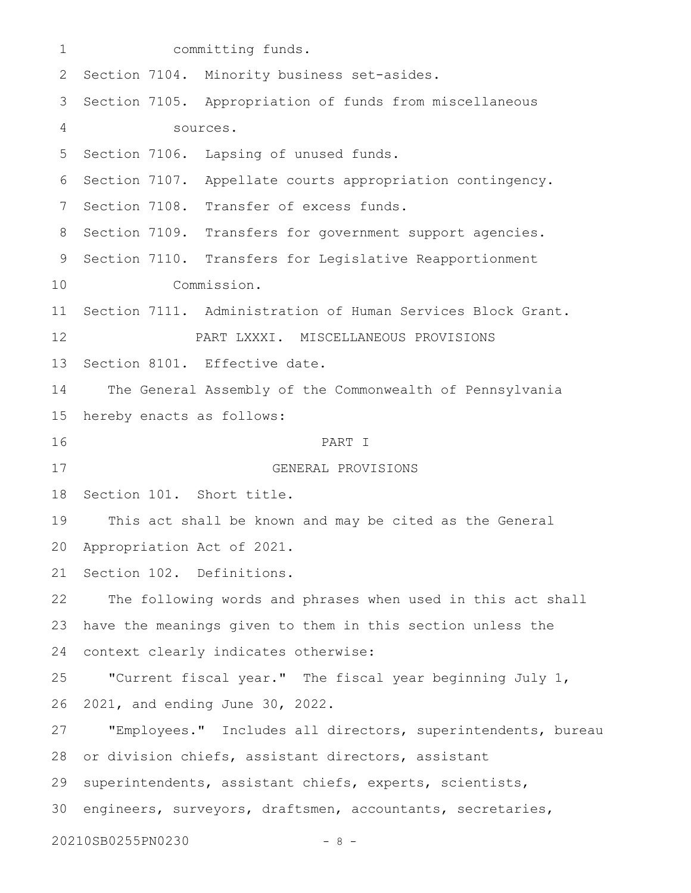| $\mathbf 1$ |                               | committing funds.                                            |
|-------------|-------------------------------|--------------------------------------------------------------|
| 2           |                               | Section 7104. Minority business set-asides.                  |
| 3           |                               | Section 7105. Appropriation of funds from miscellaneous      |
| 4           |                               | sources.                                                     |
| 5           |                               | Section 7106. Lapsing of unused funds.                       |
| 6           |                               | Section 7107. Appellate courts appropriation contingency.    |
| 7           |                               | Section 7108. Transfer of excess funds.                      |
| 8           |                               | Section 7109. Transfers for government support agencies.     |
| 9           |                               | Section 7110. Transfers for Legislative Reapportionment      |
| 10          |                               | Commission.                                                  |
| 11          |                               | Section 7111. Administration of Human Services Block Grant.  |
| 12          |                               | PART LXXXI. MISCELLANEOUS PROVISIONS                         |
| 13          |                               | Section 8101. Effective date.                                |
| 14          |                               | The General Assembly of the Commonwealth of Pennsylvania     |
| 15          | hereby enacts as follows:     |                                                              |
| 16          |                               | PART I                                                       |
| 17          |                               | GENERAL PROVISIONS                                           |
| 18          | Section 101. Short title.     |                                                              |
| 19          |                               | This act shall be known and may be cited as the General      |
|             | 20 Appropriation Act of 2021. |                                                              |
| 21          | Section 102. Definitions.     |                                                              |
| 22          |                               | The following words and phrases when used in this act shall  |
| 23          |                               | have the meanings given to them in this section unless the   |
| 24          |                               | context clearly indicates otherwise:                         |
| 25          |                               | "Current fiscal year." The fiscal year beginning July 1,     |
| 26          |                               | 2021, and ending June 30, 2022.                              |
| 27          |                               | "Employees." Includes all directors, superintendents, bureau |
| 28          |                               | or division chiefs, assistant directors, assistant           |
| 29          |                               | superintendents, assistant chiefs, experts, scientists,      |
| 30          |                               | engineers, surveyors, draftsmen, accountants, secretaries,   |
|             | 20210SB0255PN0230             | - 8                                                          |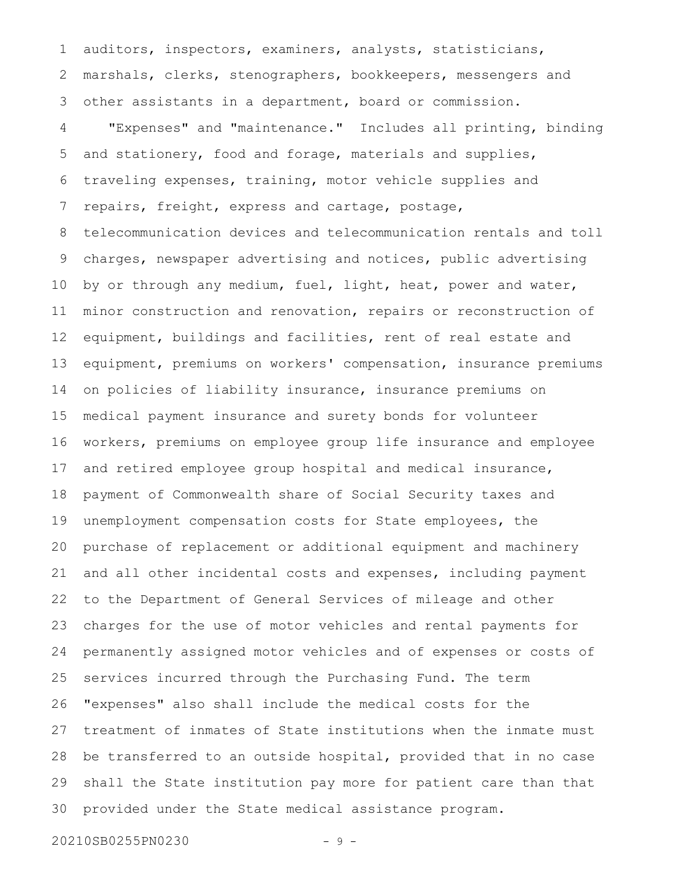auditors, inspectors, examiners, analysts, statisticians, marshals, clerks, stenographers, bookkeepers, messengers and other assistants in a department, board or commission. "Expenses" and "maintenance." Includes all printing, binding and stationery, food and forage, materials and supplies, traveling expenses, training, motor vehicle supplies and repairs, freight, express and cartage, postage, telecommunication devices and telecommunication rentals and toll charges, newspaper advertising and notices, public advertising by or through any medium, fuel, light, heat, power and water, minor construction and renovation, repairs or reconstruction of equipment, buildings and facilities, rent of real estate and equipment, premiums on workers' compensation, insurance premiums on policies of liability insurance, insurance premiums on medical payment insurance and surety bonds for volunteer workers, premiums on employee group life insurance and employee and retired employee group hospital and medical insurance, payment of Commonwealth share of Social Security taxes and unemployment compensation costs for State employees, the purchase of replacement or additional equipment and machinery and all other incidental costs and expenses, including payment to the Department of General Services of mileage and other charges for the use of motor vehicles and rental payments for permanently assigned motor vehicles and of expenses or costs of services incurred through the Purchasing Fund. The term "expenses" also shall include the medical costs for the treatment of inmates of State institutions when the inmate must be transferred to an outside hospital, provided that in no case shall the State institution pay more for patient care than that provided under the State medical assistance program. 1 2 3 4 5 6 7 8 9 10 11 12 13 14 15 16 17 18 19 20 21 22 23 24 25 26 27 28 29 30

20210SB0255PN0230 - 9 -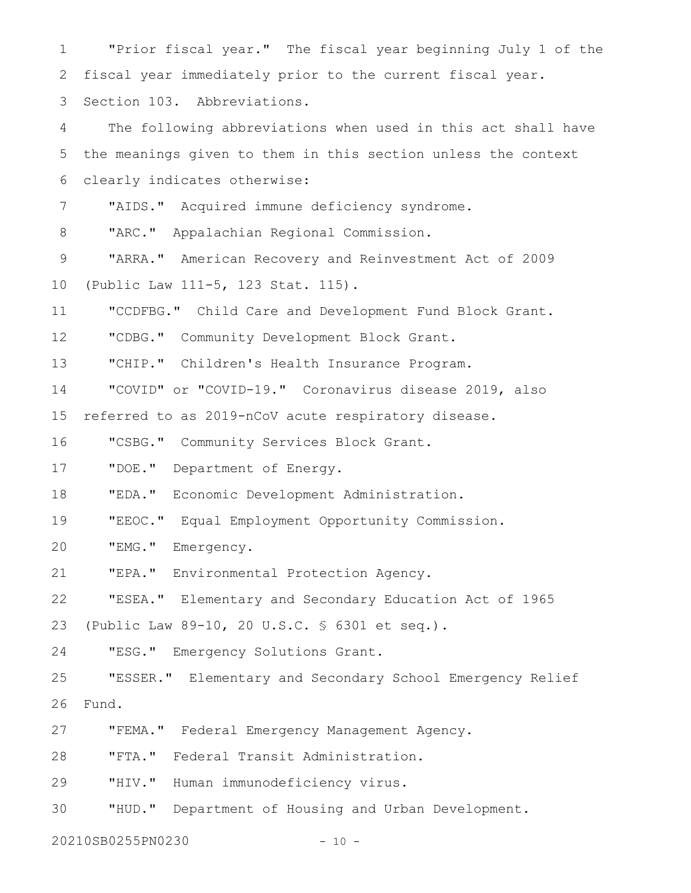"Prior fiscal year." The fiscal year beginning July 1 of the fiscal year immediately prior to the current fiscal year. Section 103. Abbreviations. The following abbreviations when used in this act shall have the meanings given to them in this section unless the context clearly indicates otherwise: "AIDS." Acquired immune deficiency syndrome. "ARC." Appalachian Regional Commission. "ARRA." American Recovery and Reinvestment Act of 2009 (Public Law 111-5, 123 Stat. 115). "CCDFBG." Child Care and Development Fund Block Grant. "CDBG." Community Development Block Grant. "CHIP." Children's Health Insurance Program. "COVID" or "COVID-19." Coronavirus disease 2019, also referred to as 2019-nCoV acute respiratory disease. "CSBG." Community Services Block Grant. "DOE." Department of Energy. "EDA." Economic Development Administration. "EEOC." Equal Employment Opportunity Commission. "EMG." Emergency. "EPA." Environmental Protection Agency. "ESEA." Elementary and Secondary Education Act of 1965 (Public Law 89-10, 20 U.S.C. § 6301 et seq.). "ESG." Emergency Solutions Grant. "ESSER." Elementary and Secondary School Emergency Relief Fund. "FEMA." Federal Emergency Management Agency. "FTA." Federal Transit Administration. "HIV." Human immunodeficiency virus. "HUD." Department of Housing and Urban Development. 1 2 3 4 5 6 7 8 9 10 11 12 13 14 15 16 17 18 19 20 21 22 23 24 25 26 27 28 29 30

20210SB0255PN0230 - 10 -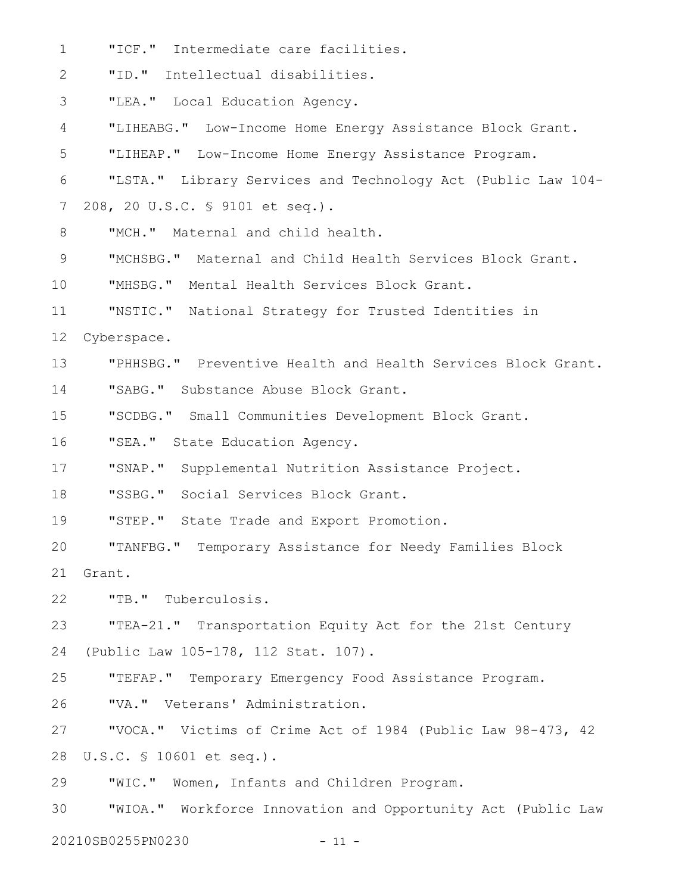"ICF." Intermediate care facilities. "ID." Intellectual disabilities. "LEA." Local Education Agency. "LIHEABG." Low-Income Home Energy Assistance Block Grant. "LIHEAP." Low-Income Home Energy Assistance Program. "LSTA." Library Services and Technology Act (Public Law 104- 208, 20 U.S.C. § 9101 et seq.). "MCH." Maternal and child health. "MCHSBG." Maternal and Child Health Services Block Grant. "MHSBG." Mental Health Services Block Grant. "NSTIC." National Strategy for Trusted Identities in Cyberspace. "PHHSBG." Preventive Health and Health Services Block Grant. "SABG." Substance Abuse Block Grant. "SCDBG." Small Communities Development Block Grant. "SEA." State Education Agency. "SNAP." Supplemental Nutrition Assistance Project. "SSBG." Social Services Block Grant. "STEP." State Trade and Export Promotion. "TANFBG." Temporary Assistance for Needy Families Block Grant. "TB." Tuberculosis. "TEA-21." Transportation Equity Act for the 21st Century (Public Law 105-178, 112 Stat. 107). "TEFAP." Temporary Emergency Food Assistance Program. "VA." Veterans' Administration. "VOCA." Victims of Crime Act of 1984 (Public Law 98-473, 42 U.S.C. § 10601 et seq.). "WIC." Women, Infants and Children Program. "WIOA." Workforce Innovation and Opportunity Act (Public Law 1 2 3 4 5 6 7 8 9 10 11 12 13 14 15 16 17 18 19 20 21 22 23 24 25 26 27 28 29 30

20210SB0255PN0230 - 11 -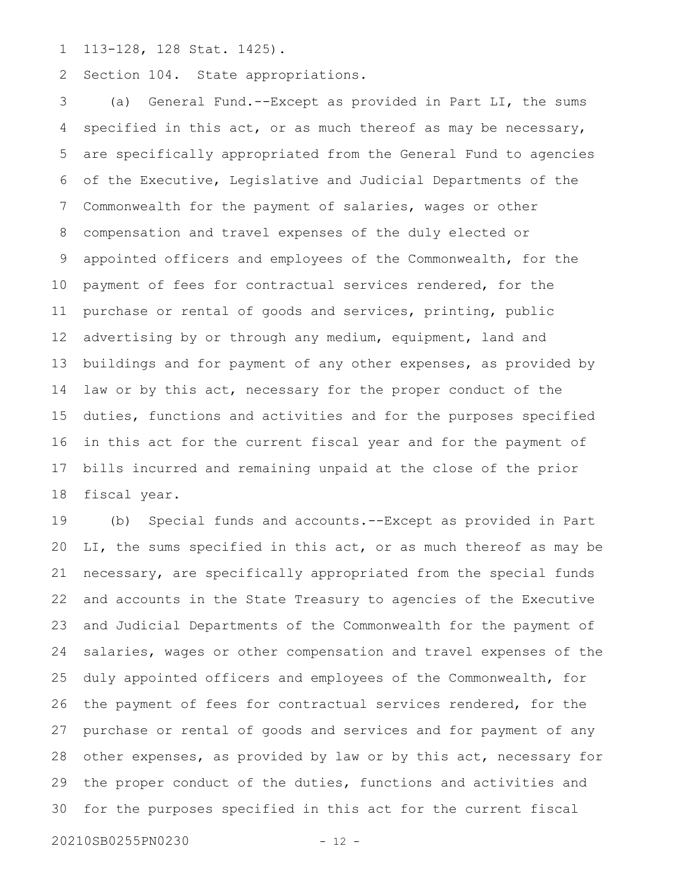113-128, 128 Stat. 1425). 1

Section 104. State appropriations. 2

(a) General Fund.--Except as provided in Part LI, the sums specified in this act, or as much thereof as may be necessary, are specifically appropriated from the General Fund to agencies of the Executive, Legislative and Judicial Departments of the Commonwealth for the payment of salaries, wages or other compensation and travel expenses of the duly elected or appointed officers and employees of the Commonwealth, for the payment of fees for contractual services rendered, for the purchase or rental of goods and services, printing, public advertising by or through any medium, equipment, land and buildings and for payment of any other expenses, as provided by law or by this act, necessary for the proper conduct of the duties, functions and activities and for the purposes specified in this act for the current fiscal year and for the payment of bills incurred and remaining unpaid at the close of the prior fiscal year. 3 4 5 6 7 8 9 10 11 12 13 14 15 16 17 18

(b) Special funds and accounts.--Except as provided in Part LI, the sums specified in this act, or as much thereof as may be necessary, are specifically appropriated from the special funds and accounts in the State Treasury to agencies of the Executive and Judicial Departments of the Commonwealth for the payment of salaries, wages or other compensation and travel expenses of the duly appointed officers and employees of the Commonwealth, for the payment of fees for contractual services rendered, for the purchase or rental of goods and services and for payment of any other expenses, as provided by law or by this act, necessary for the proper conduct of the duties, functions and activities and for the purposes specified in this act for the current fiscal 19 20 21 22 23 24 25 26 27 28 29 30

20210SB0255PN0230 - 12 -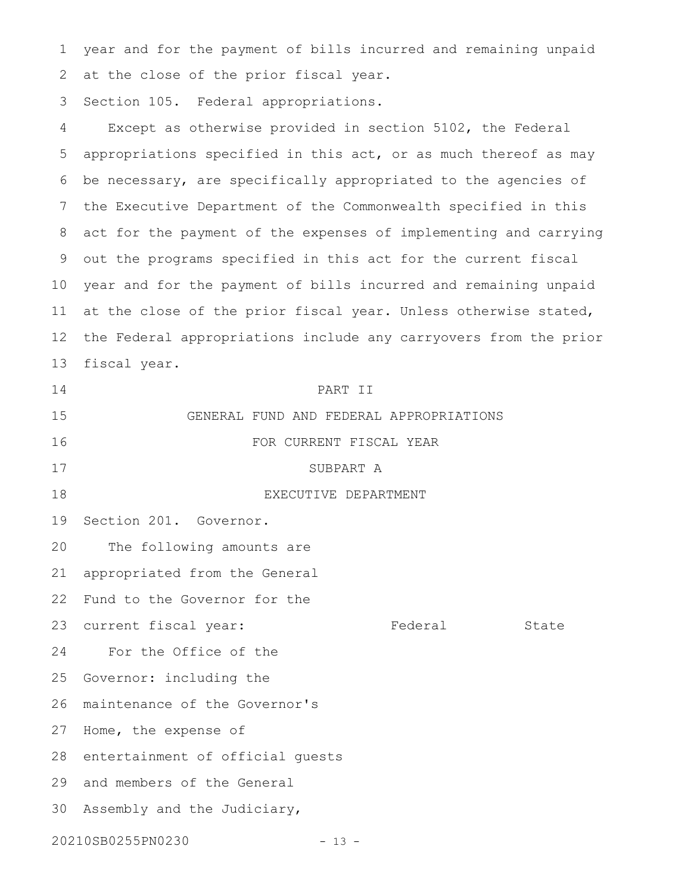year and for the payment of bills incurred and remaining unpaid 2 at the close of the prior fiscal year. 1

Section 105. Federal appropriations. 3

Except as otherwise provided in section 5102, the Federal appropriations specified in this act, or as much thereof as may be necessary, are specifically appropriated to the agencies of the Executive Department of the Commonwealth specified in this act for the payment of the expenses of implementing and carrying out the programs specified in this act for the current fiscal year and for the payment of bills incurred and remaining unpaid at the close of the prior fiscal year. Unless otherwise stated, the Federal appropriations include any carryovers from the prior fiscal year. PART II GENERAL FUND AND FEDERAL APPROPRIATIONS FOR CURRENT FISCAL YEAR SUBPART A EXECUTIVE DEPARTMENT Section 201. Governor. The following amounts are appropriated from the General Fund to the Governor for the current fiscal year: Federal State For the Office of the Governor: including the maintenance of the Governor's 27 Home, the expense of 28 entertainment of official guests 29 and members of the General 30 Assembly and the Judiciary, 20210SB0255PN0230 - 13 -4 5 6 7 8 9 10 11 12 13 14 15 16 17 18 19 20 21 22 23 24 25 26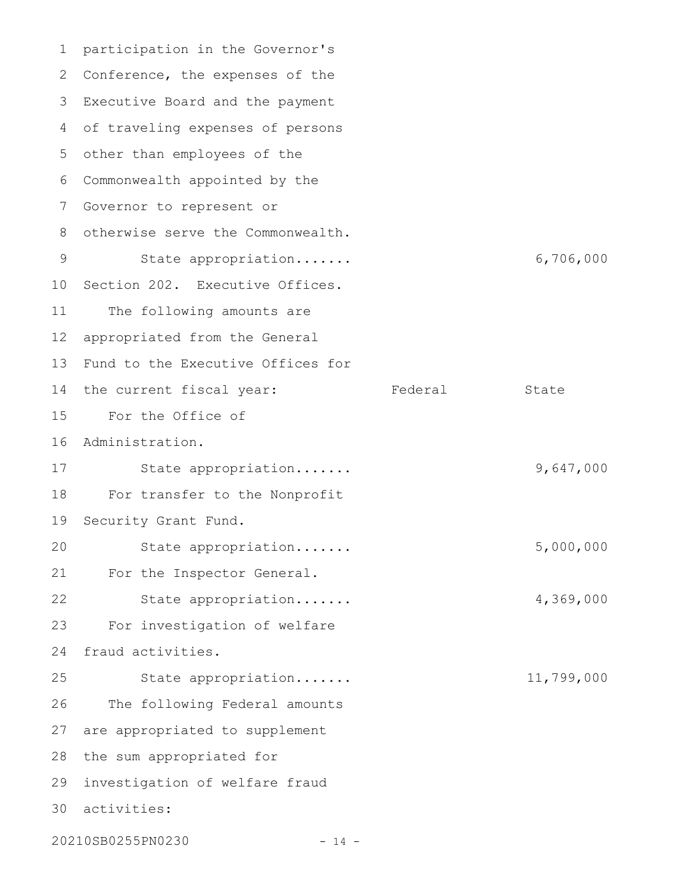participation in the Governor's 1 2 Conference, the expenses of the Executive Board and the payment 3 of traveling expenses of persons 4 other than employees of the 5 Commonwealth appointed by the 6 7 Governor to represent or 8 otherwise serve the Commonwealth. State appropriation....... 6,706,000 10 Section 202. Executive Offices. The following amounts are appropriated from the General 13 Fund to the Executive Offices for 14 the current fiscal year: Tederal State For the Office of 15 16 Administration. State appropriation....... 9,647,000 For transfer to the Nonprofit 19 Security Grant Fund. State appropriation....... 5,000,000 For the Inspector General. State appropriation....... 4,369,000 For investigation of welfare fraud activities. State appropriation....... 11,799,000 The following Federal amounts 27 are appropriated to supplement 28 the sum appropriated for investigation of welfare fraud 29 activities: 3020210SB0255PN0230 - 14 - 9 11 12 17 18 20 21 22 23 24 25 26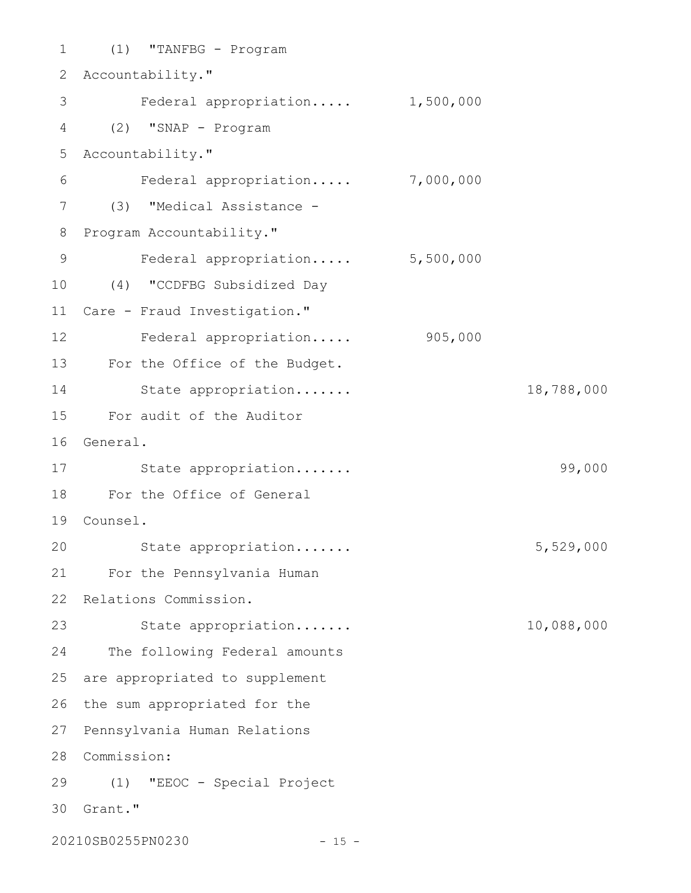(1) "TANFBG - Program 1 2 Accountability." Federal appropriation..... 1,500,000 (2) "SNAP - Program 4 Accountability." 5 Federal appropriation..... 7,000,000 (3) "Medical Assistance - 7 8 Program Accountability." Federal appropriation..... 5,500,000 (4) "CCDFBG Subsidized Day 10 11 Care - Fraud Investigation." 12 Federal appropriation..... 905,000 13 For the Office of the Budget. State appropriation....... 18,788,000 For audit of the Auditor 15 16 General. 17 State appropriation...... Subsetted by the State appropriation..... For the Office of General 18 Counsel. 19 State appropriation....... 5,529,000 For the Pennsylvania Human 21 22 Relations Commission. State appropriation....... 10,088,000 24 The following Federal amounts 25 are appropriated to supplement 26 the sum appropriated for the 27 Pennsylvania Human Relations 28 Commission: (1) "EEOC - Special Project 29 30 Grant." 20210SB0255PN0230 - 15 -3 6 9 14 20 23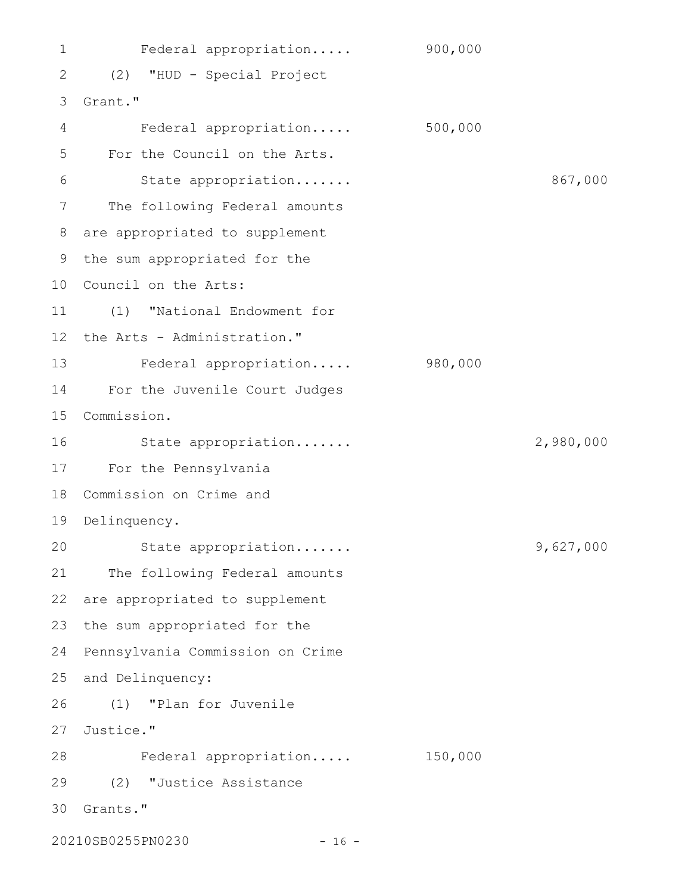Federal appropriation..... 900,000 (2) "HUD - Special Project 2 Grant." 3 Federal appropriation..... 500,000 For the Council on the Arts. State appropriation....... 867,000 7 The following Federal amounts are appropriated to supplement 8 9 the sum appropriated for the 10 Council on the Arts: (1) "National Endowment for 11 12 the Arts - Administration." 13 Federal appropriation..... 980,000 For the Juvenile Court Judges 14 Commission. 15 State appropriation....... 2,980,000 For the Pennsylvania 17 18 Commission on Crime and 19 Delinquency. State appropriation....... 9,627,000 21 The following Federal amounts 22 are appropriated to supplement 23 the sum appropriated for the 24 Pennsylvania Commission on Crime 25 and Delinquency: (1) "Plan for Juvenile 26 27 Justice." Federal appropriation..... 150,000 28 (2) "Justice Assistance 29 Grants." 301 4 5 6 16 20

20210SB0255PN0230 - 16 -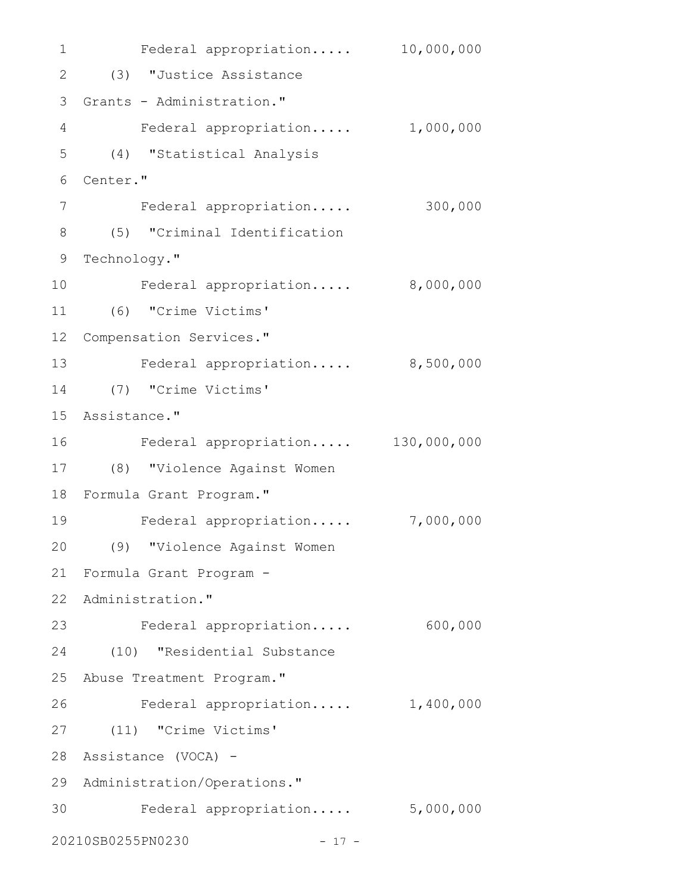1 Federal appropriation..... 10,000,000 (3) "Justice Assistance 2 3 Grants - Administration." Federal appropriation..... 1,000,000 (4) "Statistical Analysis 5 6 Center." Federal appropriation..... 300,000 (5) "Criminal Identification 8 9 Technology." Federal appropriation..... 8,000,000 (6) "Crime Victims' 11 12 Compensation Services." 13 Federal appropriation..... 8,500,000 (7) "Crime Victims' 14 15 Assistance." Federal appropriation..... 130,000,000 (8) "Violence Against Women 17 18 Formula Grant Program." Federal appropriation..... 7,000,000 (9) "Violence Against Women 20 Formula Grant Program - 21 22 Administration." Federal appropriation..... 600,000 23 (10) "Residential Substance 24 25 Abuse Treatment Program." Federal appropriation..... 1,400,000 (11) "Crime Victims' 27 Assistance (VOCA) - 28 29 Administration/Operations." Federal appropriation..... 5,000,000 3020210SB0255PN0230 - 17 - 4 7 10 16 19 26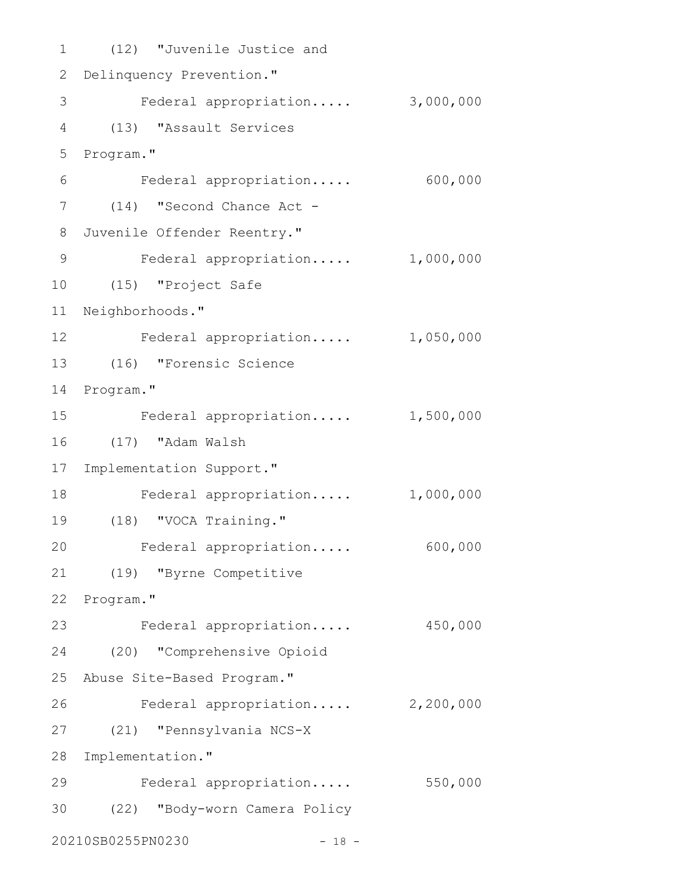(12) "Juvenile Justice and 1 2 Delinquency Prevention." 3 Federal appropriation..... 3,000,000 (13) "Assault Services 4 5 Program." Federal appropriation..... 600,000 (14) "Second Chance Act - 7 Juvenile Offender Reentry." 8 Federal appropriation..... 1,000,000 (15) "Project Safe 10 11 Neighborhoods." 12 Federal appropriation..... 1,050,000 (16) "Forensic Science 13 14 Program." Federal appropriation..... 1,500,000 (17) "Adam Walsh 16 17 Implementation Support." Federal appropriation..... 1,000,000 (18) "VOCA Training." 19 Federal appropriation..... 600,000 (19) "Byrne Competitive 21 22 Program." Federal appropriation..... 450,000 (20) "Comprehensive Opioid 24 25 Abuse Site-Based Program." Federal appropriation..... 2,200,000 (21) "Pennsylvania NCS-X 27 28 Implementation." Federal appropriation..... 550,000 (22) "Body-worn Camera Policy 3020210SB0255PN0230 - 18 - 6 9 15 18 20 23 26 29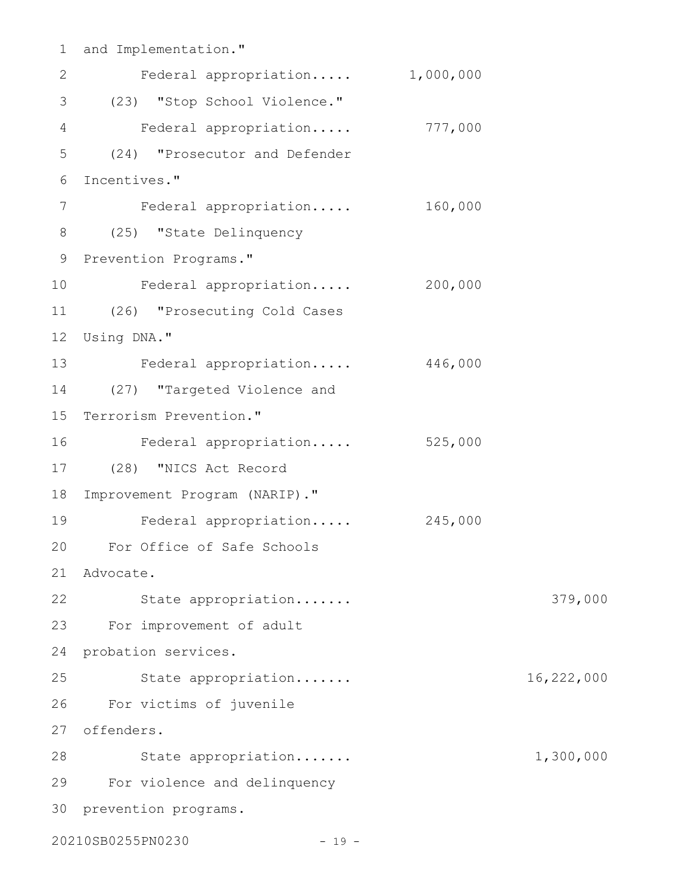and Implementation." 1 Federal appropriation..... 1,000,000 (23) "Stop School Violence." 3 4 Federal appropriation..... 777,000 (24) "Prosecutor and Defender Incentives." 6 Federal appropriation..... 160,000 (25) "State Delinquency 8 9 Prevention Programs." Federal appropriation..... 200,000 (26) "Prosecuting Cold Cases 11 12 Using DNA." 13 Federal appropriation..... 446,000 (27) "Targeted Violence and 14 15 Terrorism Prevention." Federal appropriation..... 525,000 (28) "NICS Act Record 17 18 Improvement Program (NARIP)." Federal appropriation..... 245,000 For Office of Safe Schools 20 Advocate. 21 22 State appropriation...... State appropriation..... For improvement of adult 23 24 probation services. State appropriation....... 16,222,000 For victims of juvenile 26 offenders. 27 28 State appropriation...... 1,300,000 For violence and delinquency 29 30 prevention programs. 20210SB0255PN0230 - 19 -2 5 7 10 16 19 25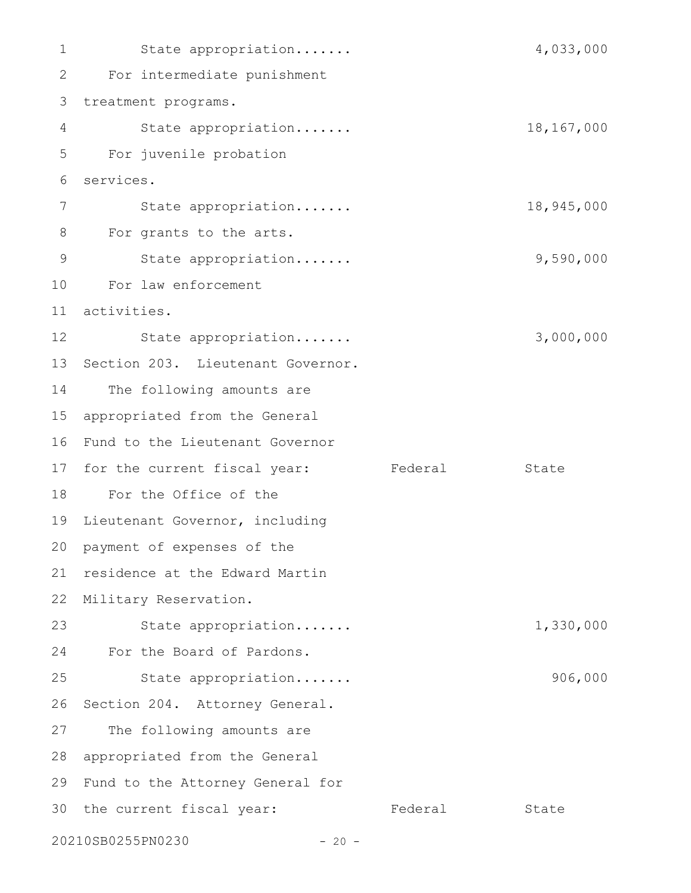State appropriation....... 4,033,000 For intermediate punishment 2 3 treatment programs. State appropriation....... 18,167,000 For juvenile probation services. State appropriation....... 18,945,000 For grants to the arts. State appropriation....... 9,590,000 For law enforcement activities. 11 State appropriation....... 3,000,000 13 Section 203. Lieutenant Governor. The following amounts are appropriated from the General 15 16 Fund to the Lieutenant Governor 17 for the current fiscal year: Federal State For the Office of the 18 19 Lieutenant Governor, including 20 payment of expenses of the 21 residence at the Edward Martin 22 Military Reservation. State appropriation....... 1,330,000 For the Board of Pardons. 24 State appropriation....... 906,000 26 Section 204. Attorney General. 27 The following amounts are 28 appropriated from the General 29 Fund to the Attorney General for 30 the current fiscal year: Tederal State 20210SB0255PN0230 - 20 - 1 4 5 6 7 8 9 10 12 14 23 25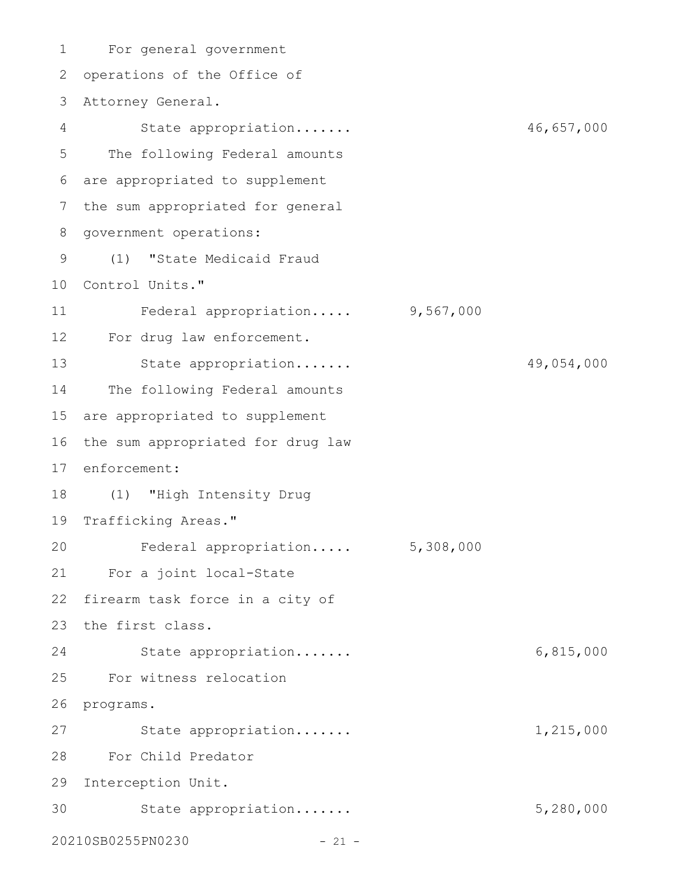For general government 1 2 operations of the Office of Attorney General. 3 State appropriation....... 46,657,000 The following Federal amounts are appropriated to supplement 6 7 the sum appropriated for general 8 government operations: (1) "State Medicaid Fraud 9 10 Control Units." Federal appropriation..... 9,567,000 For drug law enforcement. 12 State appropriation....... 49,054,000 The following Federal amounts 15 are appropriated to supplement 16 the sum appropriated for drug law 17 enforcement: (1) "High Intensity Drug 18 19 Trafficking Areas." Federal appropriation..... 5,308,000 For a joint local-State 21 22 firearm task force in a city of 23 the first class. State appropriation....... 6,815,000 For witness relocation 25 26 programs. State appropriation....... 1,215,000 For Child Predator 28 29 Interception Unit. 30 State appropriation...... 5,280,000 20210SB0255PN0230 - 21 - 4 5 11 13 14 20 24 27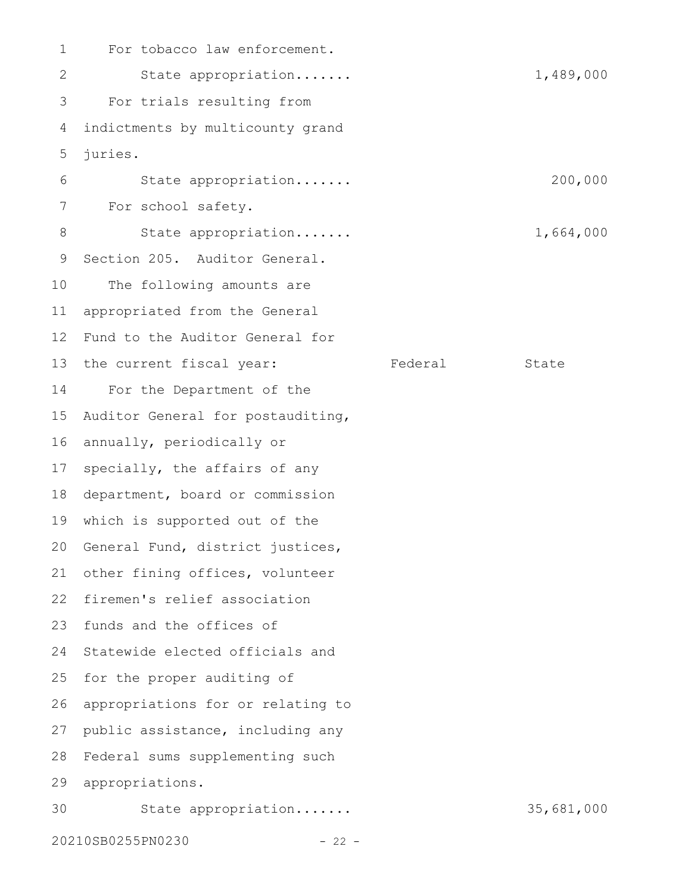For tobacco law enforcement. State appropriation....... 1,489,000 For trials resulting from indictments by multicounty grand juries. State appropriation....... 200,000 For school safety. State appropriation....... 1,664,000 Section 205. Auditor General. The following amounts are appropriated from the General Fund to the Auditor General for 13 the current fiscal year: Tederal State For the Department of the Auditor General for postauditing, annually, periodically or specially, the affairs of any 18 department, board or commission which is supported out of the 19 20 General Fund, district justices, other fining offices, volunteer 22 firemen's relief association 23 funds and the offices of 24 Statewide elected officials and for the proper auditing of appropriations for or relating to public assistance, including any 28 Federal sums supplementing such appropriations. 29 State appropriation....... 35,681,000 20210SB0255PN0230 - 22 - 1 2 3 4 5 6 7 8 9 10 11 12 14 15 16 17 21 25 26 27 30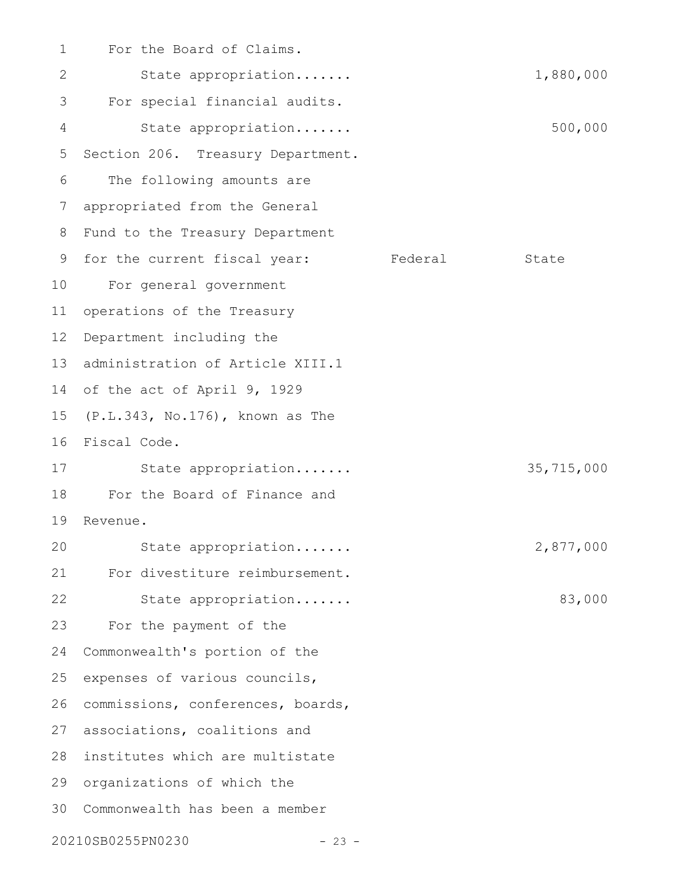| 1  | For the Board of Claims.          |         |            |
|----|-----------------------------------|---------|------------|
| 2  | State appropriation               |         | 1,880,000  |
| 3  | For special financial audits.     |         |            |
| 4  | State appropriation               |         | 500,000    |
| 5  | Section 206. Treasury Department. |         |            |
| 6  | The following amounts are         |         |            |
| 7  | appropriated from the General     |         |            |
| 8  | Fund to the Treasury Department   |         |            |
| 9  | for the current fiscal year:      | Federal | State      |
| 10 | For general government            |         |            |
| 11 | operations of the Treasury        |         |            |
| 12 | Department including the          |         |            |
| 13 | administration of Article XIII.1  |         |            |
| 14 | of the act of April 9, 1929       |         |            |
| 15 | (P.L.343, No.176), known as The   |         |            |
| 16 | Fiscal Code.                      |         |            |
| 17 | State appropriation               |         | 35,715,000 |
| 18 | For the Board of Finance and      |         |            |
| 19 | Revenue.                          |         |            |
| 20 | State appropriation               |         | 2,877,000  |
| 21 | For divestiture reimbursement.    |         |            |
| 22 | State appropriation               |         | 83,000     |
| 23 | For the payment of the            |         |            |
| 24 | Commonwealth's portion of the     |         |            |
| 25 | expenses of various councils,     |         |            |
| 26 | commissions, conferences, boards, |         |            |
| 27 | associations, coalitions and      |         |            |
| 28 | institutes which are multistate   |         |            |
| 29 | organizations of which the        |         |            |
| 30 | Commonwealth has been a member    |         |            |
|    | 20210SB0255PN0230<br>$-23 -$      |         |            |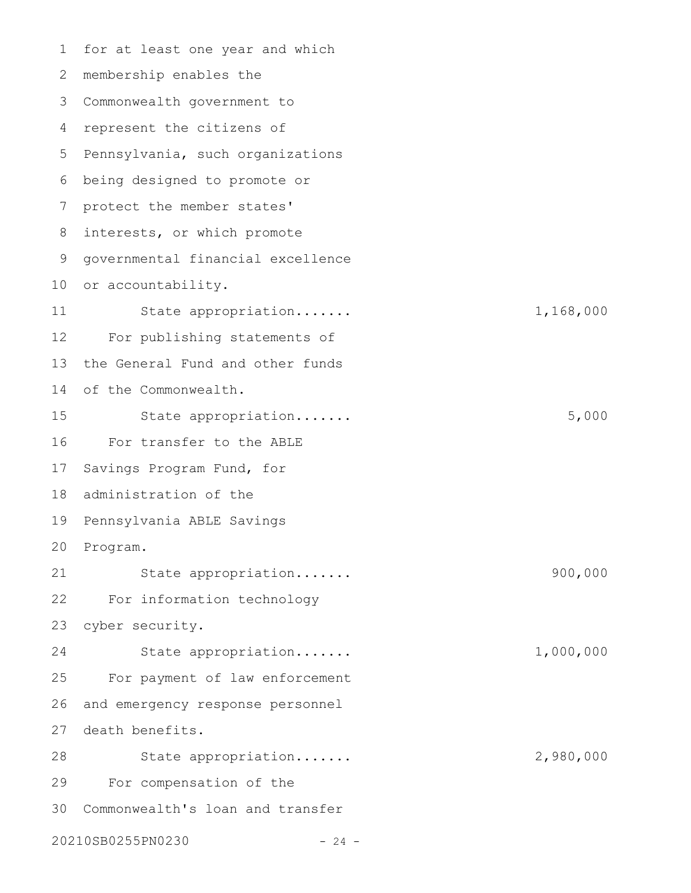for at least one year and which membership enables the 2 Commonwealth government to 3 4 represent the citizens of 5 Pennsylvania, such organizations 6 being designed to promote or protect the member states' interests, or which promote governmental financial excellence 10 or accountability. State appropriation....... 1,168,000 For publishing statements of the General Fund and other funds of the Commonwealth. State appropriation....... 5,000 For transfer to the ABLE 17 Savings Program Fund, for 18 administration of the 19 Pennsylvania ABLE Savings 20 Program. State appropriation....... 900,000 For information technology cyber security. State appropriation....... 1,000,000 For payment of law enforcement and emergency response personnel 27 death benefits. State appropriation....... 2,980,000 For compensation of the Commonwealth's loan and transfer 20210SB0255PN0230 - 24 - 1 7 8 9 11 12 13 14 15 16 21 22 23 24 25 26 28 29 30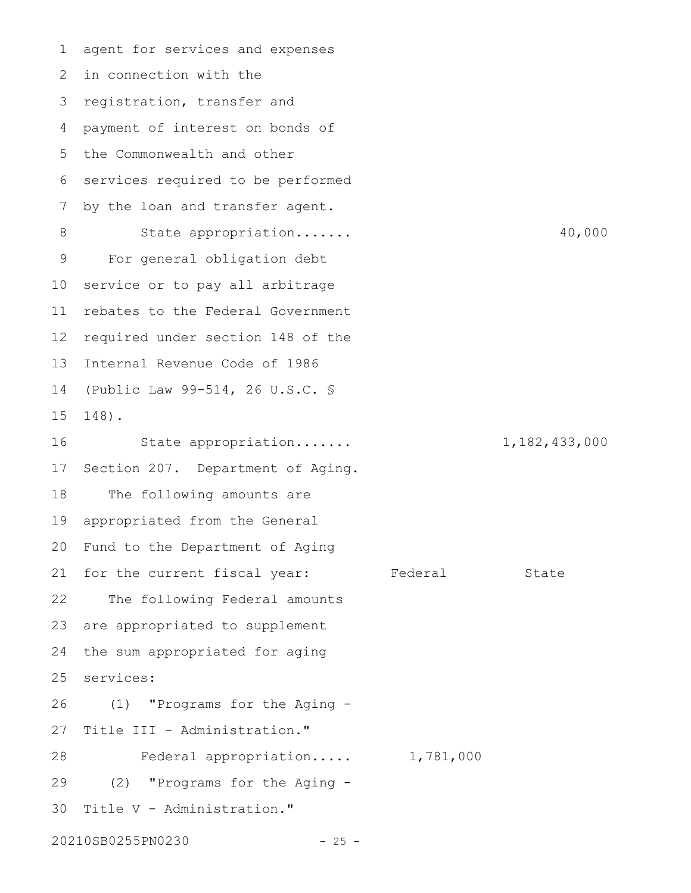agent for services and expenses 2 in connection with the 3 registration, transfer and payment of interest on bonds of 5 the Commonwealth and other 6 services required to be performed by the loan and transfer agent. State appropriation....... 40,000 For general obligation debt service or to pay all arbitrage rebates to the Federal Government required under section 148 of the Internal Revenue Code of 1986 (Public Law 99-514, 26 U.S.C. § 148). State appropriation....... 1,182,433,000 Section 207. Department of Aging. The following amounts are appropriated from the General Fund to the Department of Aging for the current fiscal year: Federal State The following Federal amounts are appropriated to supplement the sum appropriated for aging services: (1) "Programs for the Aging - Title III - Administration." Federal appropriation..... 1,781,000 (2) "Programs for the Aging - 30 Title V - Administration." 20210SB0255PN0230 - 25 -1 4 7 8 9 10 11 12 13 14 15 16 17 18 19 20 21 22 23 24 25 26 27 28 29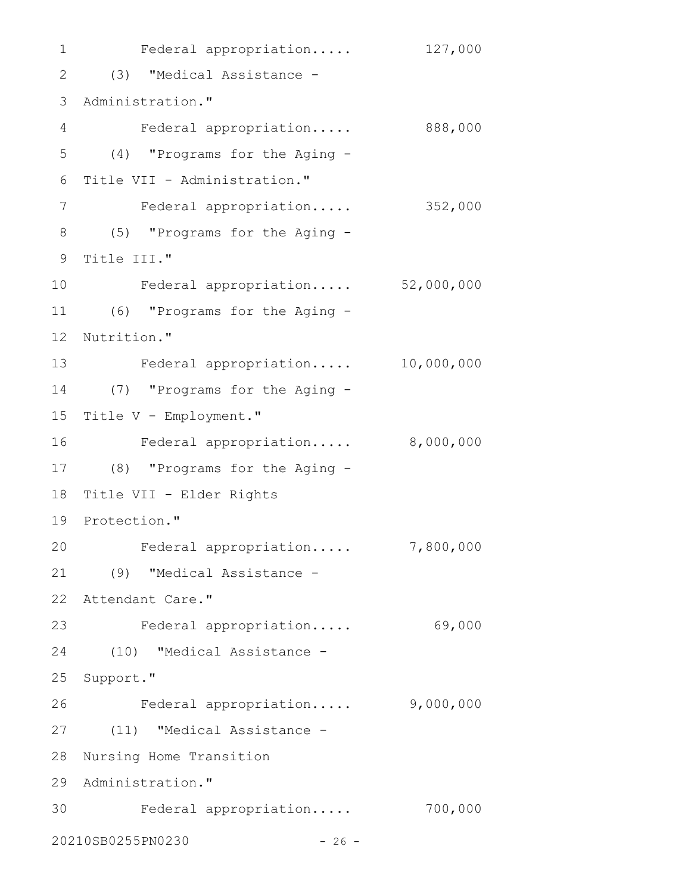1 Federal appropriation..... 127,000 (3) "Medical Assistance - 2 3 Administration." Federal appropriation..... 888,000 (4) "Programs for the Aging - 5 6 Title VII - Administration." Federal appropriation..... 352,000 (5) "Programs for the Aging - 8 9 Title III." Federal appropriation..... 52,000,000 (6) "Programs for the Aging - 11 12 Nutrition." Federal appropriation..... 10,000,000 13 (7) "Programs for the Aging - 14 15 Title V - Employment." Federal appropriation..... 8,000,000 (8) "Programs for the Aging - 17 18 Title VII - Elder Rights 19 Protection." Federal appropriation..... 7,800,000 (9) "Medical Assistance - 21 22 Attendant Care." 23 Federal appropriation..... 69,000 (10) "Medical Assistance - 24 25 Support." Federal appropriation..... 9,000,000 (11) "Medical Assistance - 27 28 Nursing Home Transition 29 Administration." Federal appropriation..... 700,000 3020210SB0255PN0230 - 26 - 4 7 10 16 20 26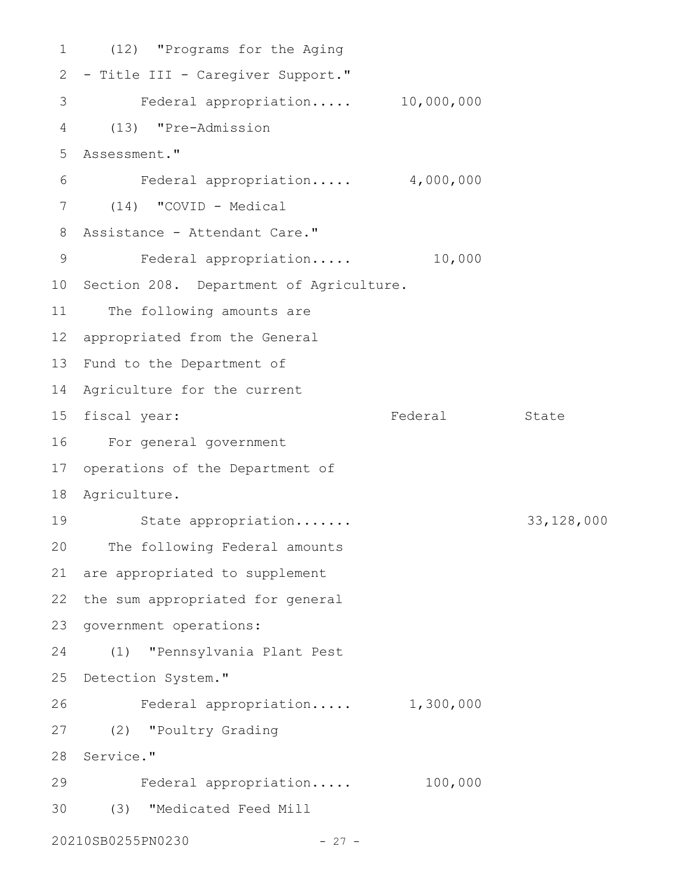(12) "Programs for the Aging 1 2 - Title III - Caregiver Support." Federal appropriation..... 10,000,000 3 (13) "Pre-Admission 4 Assessment." 5 Federal appropriation..... 4,000,000 (14) "COVID - Medical 7 Assistance - Attendant Care." 8 Federal appropriation..... 10,000 10 Section 208. Department of Agriculture. 11 The following amounts are appropriated from the General 12 13 Fund to the Department of 14 Agriculture for the current 15 fiscal year: The Federal State For general government 16 17 operations of the Department of 18 Agriculture. State appropriation....... 33,128,000 20 The following Federal amounts 21 are appropriated to supplement 22 the sum appropriated for general 23 government operations: (1) "Pennsylvania Plant Pest 24 25 Detection System." Federal appropriation..... 1,300,000 (2) "Poultry Grading 27 28 Service." Federal appropriation..... 100,000 (3) "Medicated Feed Mill 3020210SB0255PN0230 - 27 - 6 9 19 26 29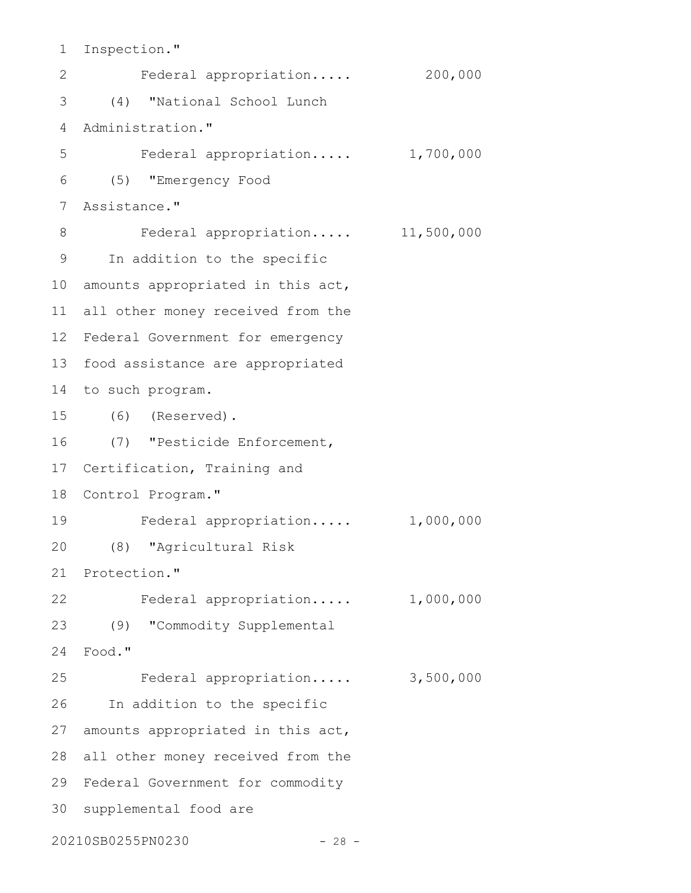Inspection." 1

Federal appropriation..... 200,000 (4) "National School Lunch 3 4 Administration." Federal appropriation..... 1,700,000 (5) "Emergency Food 6 Assistance." 7 Federal appropriation..... 11,500,000 9 In addition to the specific 10 amounts appropriated in this act, all other money received from the 11 12 Federal Government for emergency 13 food assistance are appropriated 14 to such program. (6) (Reserved). 15 (7) "Pesticide Enforcement, 16 17 Certification, Training and 18 Control Program." Federal appropriation..... 1,000,000 (8) "Agricultural Risk 20 21 Protection." 22 Federal appropriation..... 1,000,000 (9) "Commodity Supplemental 23 Food." 24 Federal appropriation..... 3,500,000 26 In addition to the specific 27 amounts appropriated in this act, 28 all other money received from the 29 Federal Government for commodity 30 supplemental food are 20210SB0255PN0230 - 28 - 2 5 8 19 25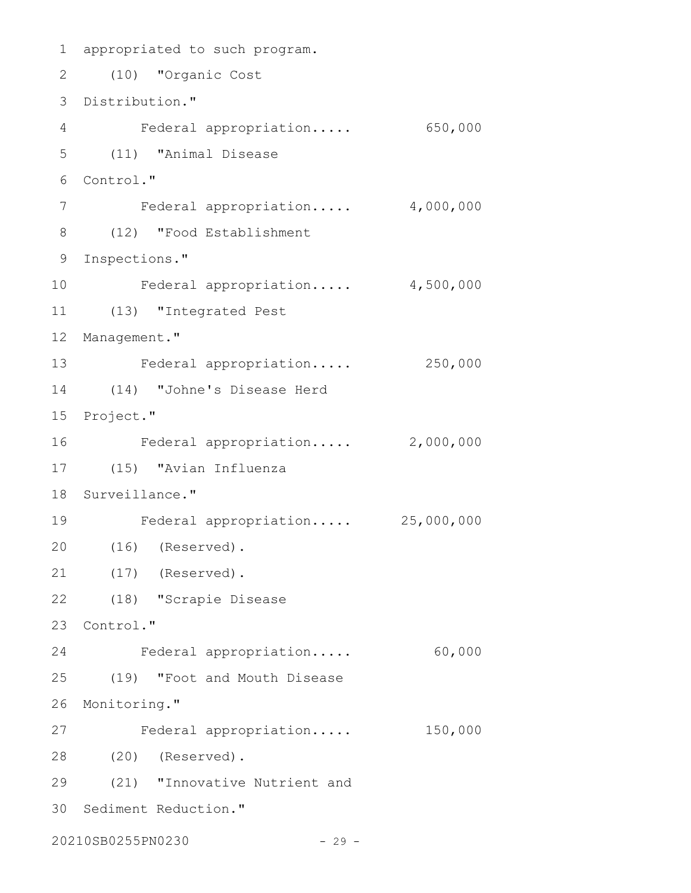```
1 appropriated to such program.
 (10) "Organic Cost
2
 3 Distribution."
 Federal appropriation..... 650,000
4
 (11) "Animal Disease
5
 Control."
6
     Federal appropriation..... 4,000,000
 (12) "Food Establishment
8
 9 Inspections."
    Federal appropriation..... 4,500,000
(13) "Integrated Pest
11
12 Management."
13 Federal appropriation..... 250,000
(14) "Johne's Disease Herd
14
15 Project."
   Federal appropriation..... 2,000,000
(15) "Avian Influenza
17
18 Surveillance."
    Federal appropriation..... 25,000,000
(16) (Reserved).
20
(17) (Reserved).
21
(18) "Scrapie Disease
22
23 Control."
   Federal appropriation..... 60,000
(19) "Foot and Mouth Disease
25
26 Monitoring."
27 Federal appropriation..... 150,000
(20) (Reserved).
28
(21) "Innovative Nutrient and
29
30 Sediment Reduction."
20210SB0255PN0230 - 29 -
7
10
16
19
24
```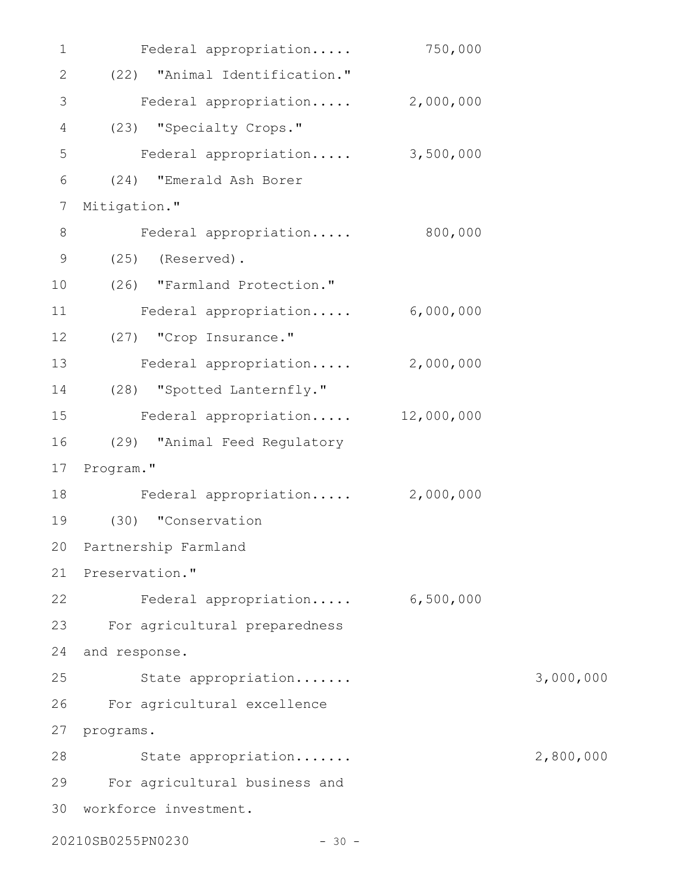| 1            | Federal appropriation            | 750,000   |           |
|--------------|----------------------------------|-----------|-----------|
| $\mathbf{2}$ | (22) "Animal Identification."    |           |           |
| 3            | Federal appropriation            | 2,000,000 |           |
| 4            | (23) "Specialty Crops."          |           |           |
| 5            | Federal appropriation 3,500,000  |           |           |
| 6            | (24) "Emerald Ash Borer          |           |           |
| 7            | Mitigation."                     |           |           |
| 8            | Federal appropriation 800,000    |           |           |
| $\mathsf 9$  | $(25)$ (Reserved).               |           |           |
| 10           | (26) "Farmland Protection."      |           |           |
| 11           | Federal appropriation            | 6,000,000 |           |
| 12           | (27) "Crop Insurance."           |           |           |
| 13           | Federal appropriation            | 2,000,000 |           |
| 14           | (28) "Spotted Lanternfly."       |           |           |
| 15           | Federal appropriation 12,000,000 |           |           |
| 16           | (29) "Animal Feed Regulatory     |           |           |
| 17           | Program."                        |           |           |
| 18           | Federal appropriation 2,000,000  |           |           |
| 19           | (30) "Conservation               |           |           |
|              | 20 Partnership Farmland          |           |           |
| 21           | Preservation."                   |           |           |
| 22           | Federal appropriation            | 6,500,000 |           |
| 23           | For agricultural preparedness    |           |           |
| 24           | and response.                    |           |           |
| 25           | State appropriation              |           | 3,000,000 |
| 26           | For agricultural excellence      |           |           |
| 27           | programs.                        |           |           |
| 28           | State appropriation              |           | 2,800,000 |
| 29           | For agricultural business and    |           |           |
| 30           | workforce investment.            |           |           |
|              | 20210SB0255PN0230<br>$-30 -$     |           |           |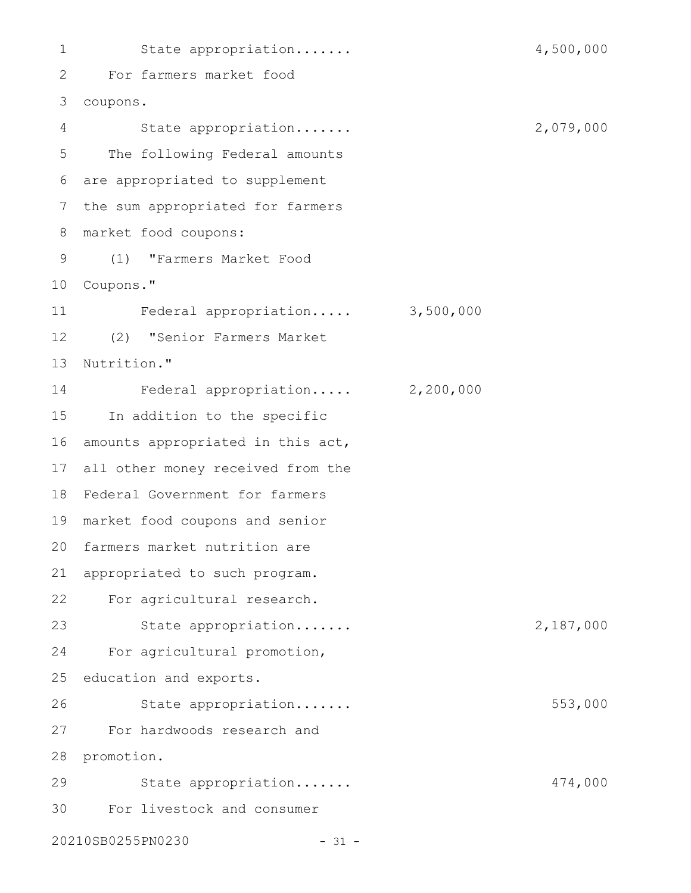State appropriation....... 4,500,000 For farmers market food 2 coupons. 3 State appropriation....... 2,079,000 The following Federal amounts are appropriated to supplement 6 7 the sum appropriated for farmers market food coupons: (1) "Farmers Market Food 9 10 Coupons." Federal appropriation..... 3,500,000 (2) "Senior Farmers Market 12 13 Nutrition." Federal appropriation..... 2,200,000 15 In addition to the specific 16 amounts appropriated in this act, all other money received from the 17 Federal Government for farmers 18 market food coupons and senior 19 20 farmers market nutrition are 21 appropriated to such program. For agricultural research. 22 State appropriation....... 2,187,000 For agricultural promotion, 25 education and exports. State appropriation....... 553,000 For hardwoods research and 27 28 promotion. State appropriation....... 474,000 For livestock and consumer 3020210SB0255PN0230 - 31 - 1 4 5 8 11 14 23 24 26 29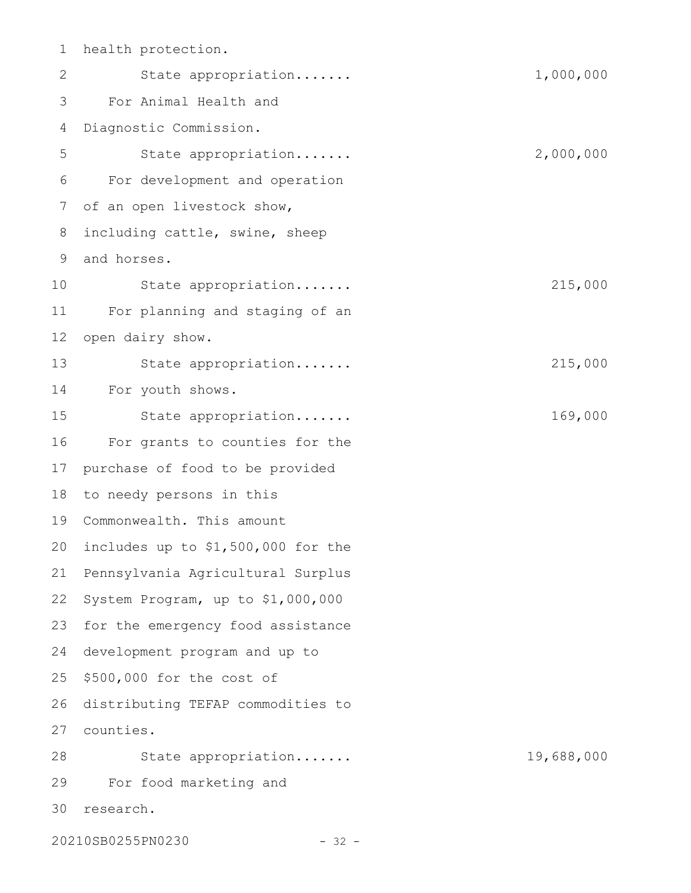health protection. State appropriation....... 1,000,000 For Animal Health and Diagnostic Commission. State appropriation....... 2,000,000 For development and operation of an open livestock show, including cattle, swine, sheep and horses. State appropriation....... 215,000 For planning and staging of an open dairy show. State appropriation....... 215,000 For youth shows. State appropriation....... 169,000 For grants to counties for the purchase of food to be provided to needy persons in this Commonwealth. This amount includes up to \$1,500,000 for the Pennsylvania Agricultural Surplus System Program, up to \$1,000,000 for the emergency food assistance development program and up to \$500,000 for the cost of distributing TEFAP commodities to counties. 27 State appropriation....... 19,688,000 For food marketing and 30 research. 1 2 3 4 5 6 7 8 9 10 11 12 13 14 15 16 17 18 19 20 21 22 23 24 25 26 28 29

20210SB0255PN0230 - 32 -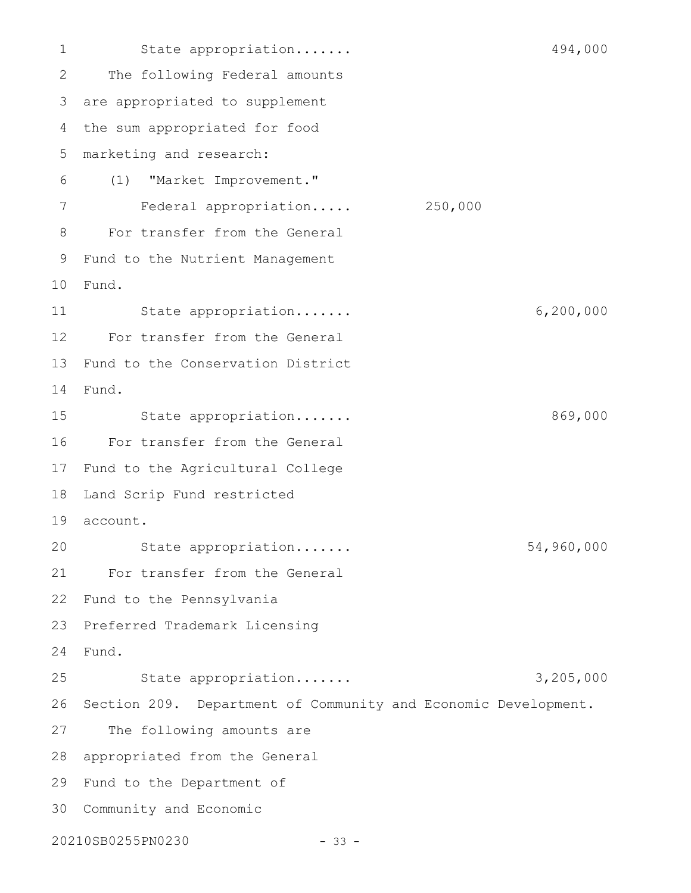State appropriation....... 494,000 The following Federal amounts are appropriated to supplement 3 the sum appropriated for food marketing and research: (1) "Market Improvement." Federal appropriation..... 250,000 For transfer from the General Fund to the Nutrient Management 9 Fund. 10 State appropriation....... 6,200,000 For transfer from the General 12 Fund to the Conservation District Fund. State appropriation....... 869,000 For transfer from the General 17 Fund to the Agricultural College Land Scrip Fund restricted 19 account. State appropriation....... 54,960,000 For transfer from the General 22 Fund to the Pennsylvania Preferred Trademark Licensing Fund. 24 State appropriation....... 3,205,000 26 Section 209. Department of Community and Economic Development. The following amounts are 28 appropriated from the General 29 Fund to the Department of 30 Community and Economic 20210SB0255PN0230 - 33 - 1 2 4 5 6 7 8 11 13 14 15 16 18 20 21 23 25 27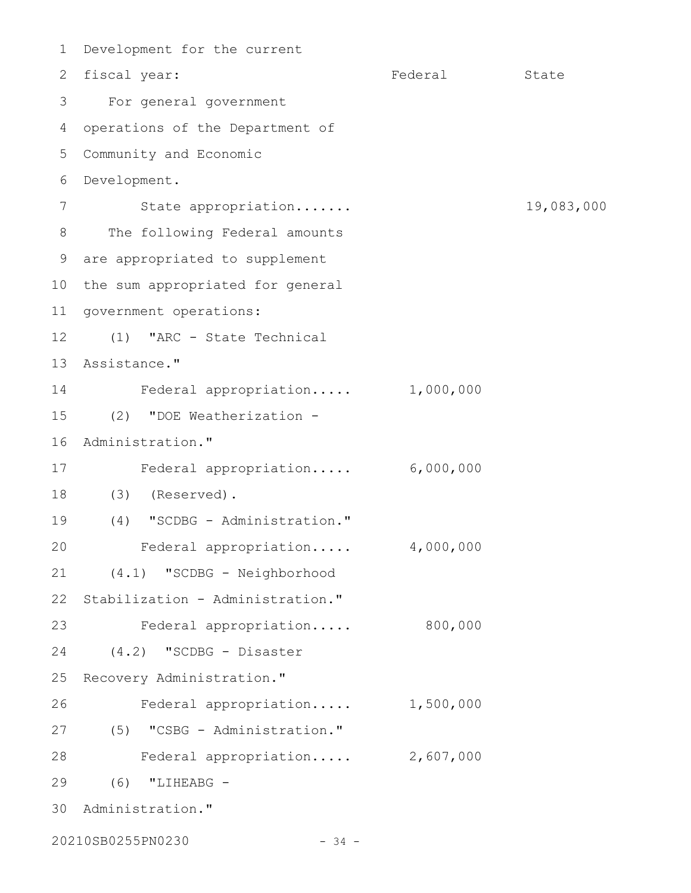Development for the current 1 Federal State For general government 3 4 operations of the Department of Community and Economic 5 Development. 6 State appropriation....... 19,083,000 The following Federal amounts are appropriated to supplement 9 10 the sum appropriated for general 11 government operations: (1) "ARC - State Technical 13 Assistance." Federal appropriation..... 1,000,000 (2) "DOE Weatherization - 16 Administration." Federal appropriation..... 6,000,000 17 (3) (Reserved). 18 (4) "SCDBG - Administration." 19 Federal appropriation..... 4,000,000 (4.1) "SCDBG - Neighborhood Stabilization - Administration." Federal appropriation..... 800,000 (4.2) "SCDBG - Disaster 25 Recovery Administration." Federal appropriation..... 1,500,000 (5) "CSBG - Administration." 27 Federal appropriation..... 2,607,000 28 (6) "LIHEABG - 29 30 Administration." 2 fiscal year: 7 8 12 14 15 20 21 22 23 24 26

20210SB0255PN0230 - 34 -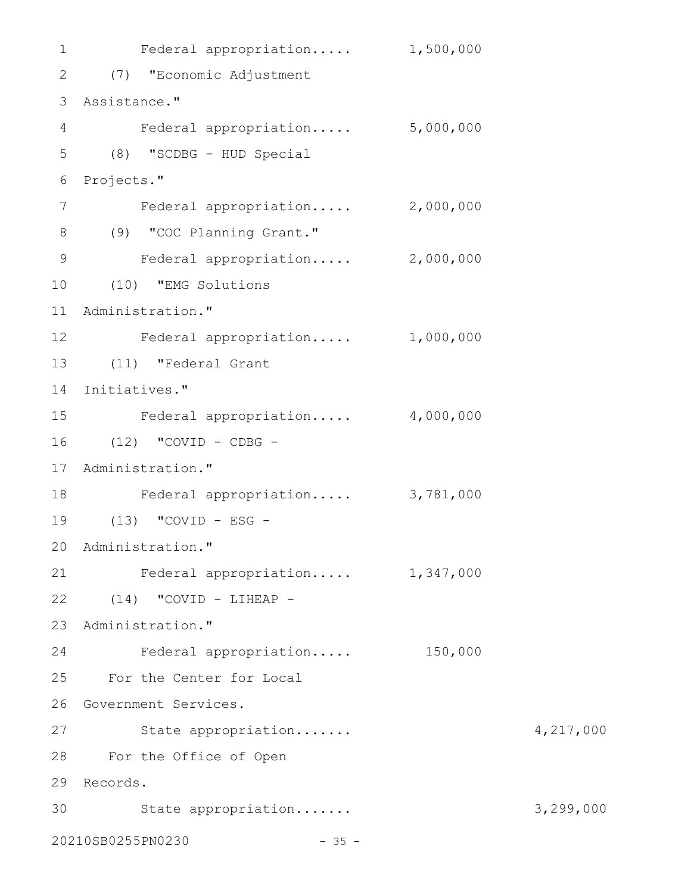```
1 Federal appropriation..... 1,500,000
(7) "Economic Adjustment
2
Assistance."
3
   Federal appropriation..... 5,000,000
(8) "SCDBG - HUD Special
5
6 Projects."
      Federal appropriation..... 2,000,000
(9) "COC Planning Grant."
8
   Federal appropriation..... 2,000,000
   (10) "EMG Solutions
11 Administration."
12 Federal appropriation..... 1,000,000
(11) "Federal Grant
13
14 Initiatives."
   Federal appropriation..... 4,000,000
16 (12) "COVID - CDBG -
17 Administration."
18 Federal appropriation..... 3,781,000
(13) "COVID - ESG -
19
20 Administration."
21 Federal appropriation..... 1,347,000
(14) "COVID - LIHEAP -
22
23 Administration."
   Federal appropriation..... 150,000
For the Center for Local
25
26 Government Services.
27 State appropriation....... 4,217,000
For the Office of Open
28
Records.
29
30 State appropriation....... 3,299,000
20210SB0255PN0230 - 35 -
4
7
9
10
15
24
```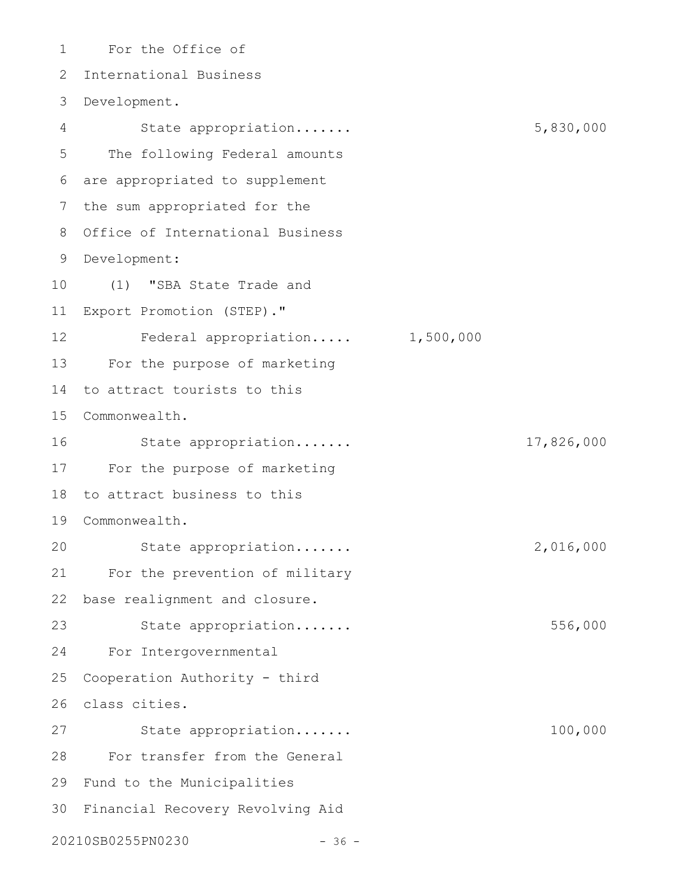For the Office of International Business Development. 3 State appropriation....... 5,830,000 The following Federal amounts are appropriated to supplement the sum appropriated for the 8 Office of International Business Development: 9 (1) "SBA State Trade and Export Promotion (STEP)." Federal appropriation..... 1,500,000 For the purpose of marketing 13 to attract tourists to this Commonwealth. 15 State appropriation....... 17,826,000 For the purpose of marketing 17 18 to attract business to this Commonwealth. 19 State appropriation....... 2,016,000 For the prevention of military base realignment and closure. State appropriation....... 556,000 For Intergovernmental Cooperation Authority - third class cities. 26 State appropriation....... 100,000 For transfer from the General 29 Fund to the Municipalities 30 Financial Recovery Revolving Aid 20210SB0255PN0230 - 36 -1 2 4 5 6 7 10 11 12 14 16 20 21 22 23 24 25 27 28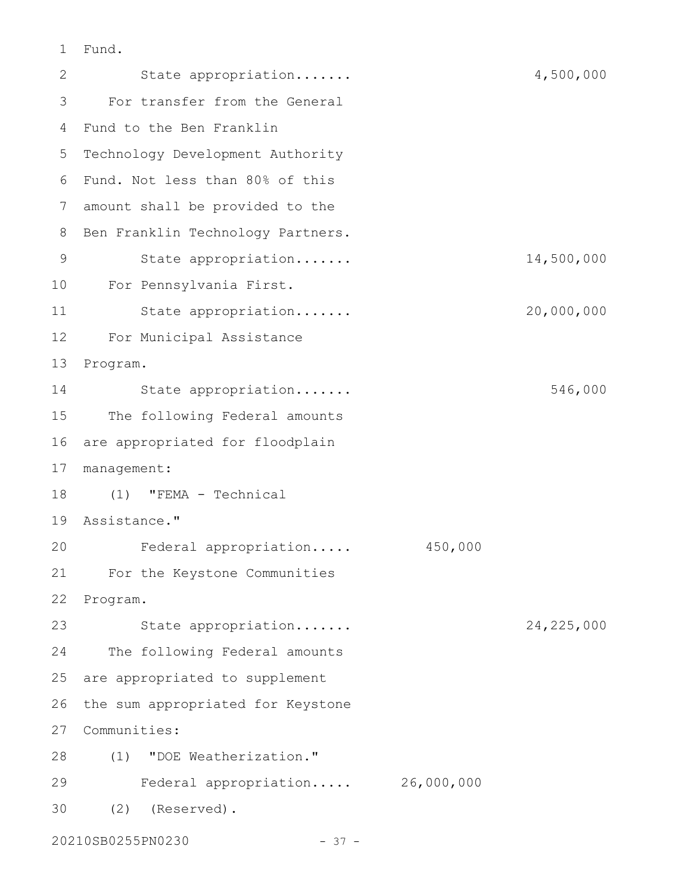Fund. 1

State appropriation....... 4,500,000 For transfer from the General Fund to the Ben Franklin 4 5 Technology Development Authority Fund. Not less than 80% of this 6 amount shall be provided to the 7 8 Ben Franklin Technology Partners. State appropriation....... 14,500,000 For Pennsylvania First. 10 State appropriation....... 20,000,000 For Municipal Assistance 12 13 Program. State appropriation....... 546,000 The following Federal amounts are appropriated for floodplain 17 management: (1) "FEMA - Technical 18 Assistance." 19 Federal appropriation..... 450,000 For the Keystone Communities 21 22 Program. State appropriation....... 24,225,000 The following Federal amounts are appropriated to supplement 26 the sum appropriated for Keystone 27 Communities: (1) "DOE Weatherization." 28 Federal appropriation..... 26,000,000 (2) (Reserved). 3020210SB0255PN0230 - 37 - 2 3 9 11 14 15 16 20 23 24 25 29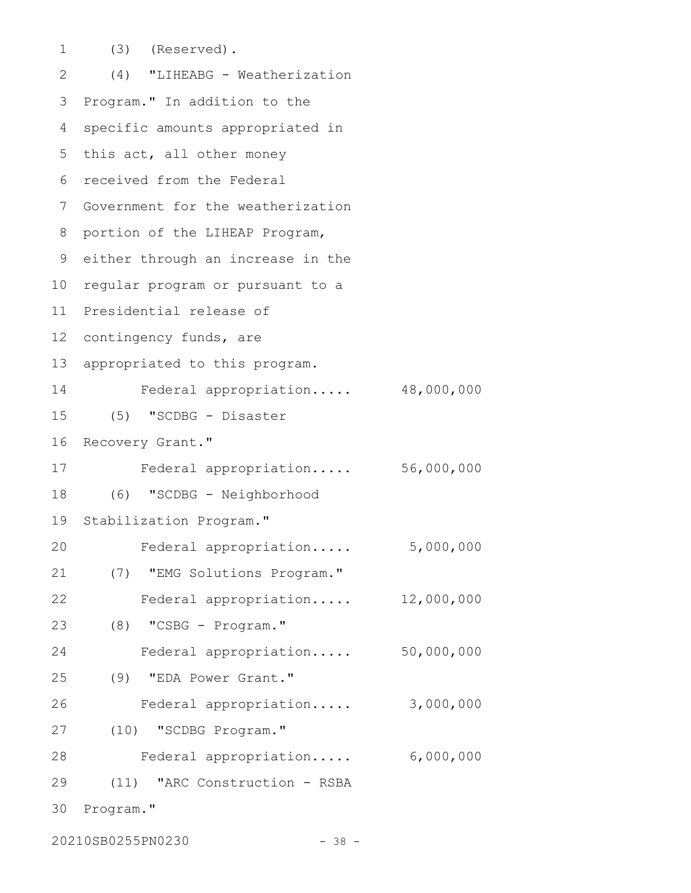(3) (Reserved). (4) "LIHEABG - Weatherization Program." In addition to the specific amounts appropriated in 5 this act, all other money received from the Federal 6 7 Government for the weatherization 8 portion of the LIHEAP Program, 9 either through an increase in the 10 regular program or pursuant to a 11 Presidential release of 12 contingency funds, are appropriated to this program. Federal appropriation..... 48,000,000 (5) "SCDBG - Disaster Recovery Grant." Federal appropriation..... 56,000,000 (6) "SCDBG - Neighborhood Stabilization Program." Federal appropriation..... 5,000,000 (7) "EMG Solutions Program." Federal appropriation..... 12,000,000 (8) "CSBG - Program." Federal appropriation..... 50,000,000 (9) "EDA Power Grant." Federal appropriation..... 3,000,000 (10) "SCDBG Program." 27 Federal appropriation..... 6,000,000 (11) "ARC Construction - RSBA 30 Program." 1 2 3 4 13 14 15 16 17 18 19 20 21 22 23 24 25 26 28 29

20210SB0255PN0230 - 38 -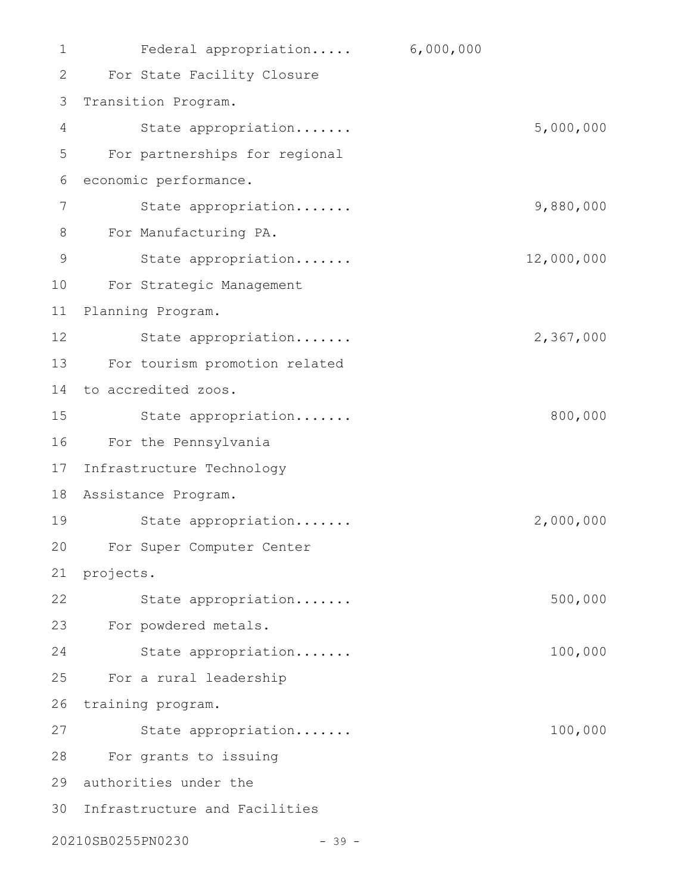| 1  | Federal appropriation         | 6,000,000  |
|----|-------------------------------|------------|
| 2  | For State Facility Closure    |            |
| 3  | Transition Program.           |            |
| 4  | State appropriation           | 5,000,000  |
| 5  | For partnerships for regional |            |
| 6  | economic performance.         |            |
| 7  | State appropriation           | 9,880,000  |
| 8  | For Manufacturing PA.         |            |
| 9  | State appropriation           | 12,000,000 |
| 10 | For Strategic Management      |            |
| 11 | Planning Program.             |            |
| 12 | State appropriation           | 2,367,000  |
| 13 | For tourism promotion related |            |
| 14 | to accredited zoos.           |            |
| 15 | State appropriation           | 800,000    |
| 16 | For the Pennsylvania          |            |
| 17 | Infrastructure Technology     |            |
| 18 | Assistance Program.           |            |
| 19 | State appropriation           | 2,000,000  |
| 20 | For Super Computer Center     |            |
| 21 | projects.                     |            |
| 22 | State appropriation           | 500,000    |
| 23 | For powdered metals.          |            |
| 24 | State appropriation           | 100,000    |
| 25 | For a rural leadership        |            |
| 26 | training program.             |            |
| 27 | State appropriation           | 100,000    |
| 28 | For grants to issuing         |            |
| 29 | authorities under the         |            |
| 30 | Infrastructure and Facilities |            |
|    | 20210SB0255PN0230<br>$-39 -$  |            |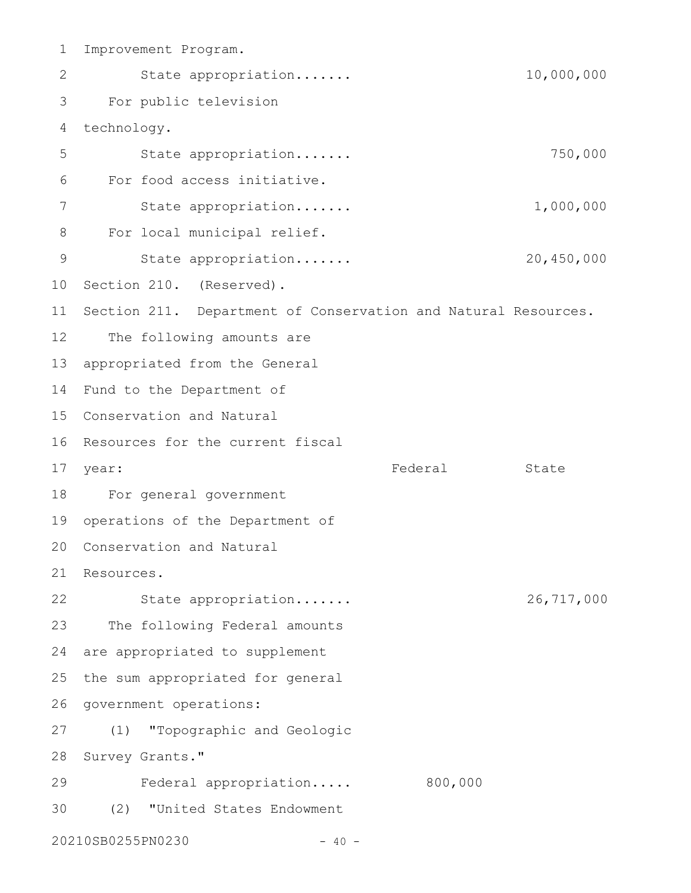Improvement Program. State appropriation....... 10,000,000 For public television technology. State appropriation....... 750,000 For food access initiative. State appropriation....... 1,000,000 For local municipal relief. State appropriation....... 20,450,000 10 Section 210. (Reserved). 11 Section 211. Department of Conservation and Natural Resources. The following amounts are 13 appropriated from the General 14 Fund to the Department of 15 Conservation and Natural 16 Resources for the current fiscal Federal State For general government 18 19 operations of the Department of 20 Conservation and Natural 21 Resources. State appropriation....... 26,717,000 The following Federal amounts 24 are appropriated to supplement the sum appropriated for general 26 government operations: (1) "Topographic and Geologic 28 Survey Grants." Federal appropriation..... 800,000 (2) "United States Endowment 20210SB0255PN0230 - 40 - 1 2 3 4 5 6 7 8 9 12 17 year: 22 23 25 27 29 30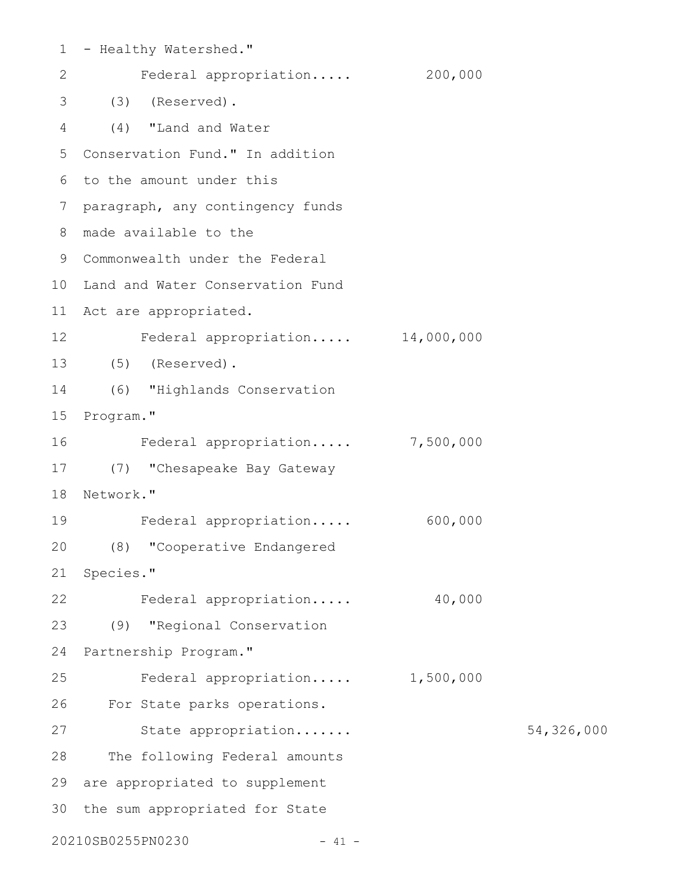| $\mathbf 1$     | - Healthy Watershed."            |           |            |
|-----------------|----------------------------------|-----------|------------|
| 2               | Federal appropriation            | 200,000   |            |
| 3               | (3)<br>(Reserved).               |           |            |
| 4               | (4)<br>"Land and Water           |           |            |
| 5               | Conservation Fund." In addition  |           |            |
| 6               | to the amount under this         |           |            |
| 7               | paragraph, any contingency funds |           |            |
| 8               | made available to the            |           |            |
| 9               | Commonwealth under the Federal   |           |            |
| 10 <sub>o</sub> | Land and Water Conservation Fund |           |            |
| 11              | Act are appropriated.            |           |            |
| 12              | Federal appropriation 14,000,000 |           |            |
| 13              | $(5)$ (Reserved).                |           |            |
| 14              | (6) "Highlands Conservation      |           |            |
| 15              | Program."                        |           |            |
| 16              | Federal appropriation 7,500,000  |           |            |
| 17              | (7) "Chesapeake Bay Gateway      |           |            |
| 18              | Network."                        |           |            |
| 19              | Federal appropriation            | 600,000   |            |
| 20              | (8) "Cooperative Endangered      |           |            |
| 21              | Species."                        |           |            |
| 22              | Federal appropriation            | 40,000    |            |
| 23              | (9) "Regional Conservation       |           |            |
| 24              | Partnership Program."            |           |            |
| 25              | Federal appropriation            | 1,500,000 |            |
| 26              | For State parks operations.      |           |            |
| 27              | State appropriation              |           | 54,326,000 |
| 28              | The following Federal amounts    |           |            |
| 29              | are appropriated to supplement   |           |            |
| 30              | the sum appropriated for State   |           |            |
|                 | 20210SB0255PN0230<br>$-41 -$     |           |            |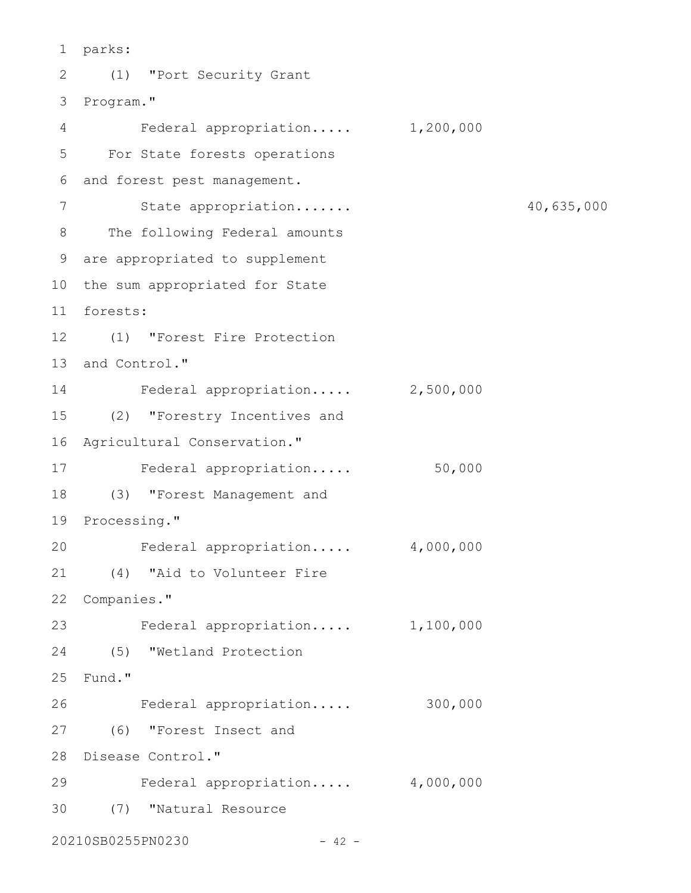parks: 1 (1) "Port Security Grant 2 3 Program." Federal appropriation..... 1,200,000 For State forests operations 5 and forest pest management. 6 State appropriation....... 40,635,000 8 The following Federal amounts are appropriated to supplement 9 10 the sum appropriated for State forests: 11 (1) "Forest Fire Protection 12 13 and Control." 14 Federal appropriation..... 2,500,000 (2) "Forestry Incentives and 15 16 Agricultural Conservation." 17 Federal appropriation..... 50,000 (3) "Forest Management and 18 19 Processing." Federal appropriation..... 4,000,000 (4) "Aid to Volunteer Fire 21 22 Companies." 23 Federal appropriation..... 1,100,000 (5) "Wetland Protection 24 25 Fund." Federal appropriation..... 300,000 (6) "Forest Insect and 27 28 Disease Control." Federal appropriation..... 4,000,000 (7) "Natural Resource 3020210SB0255PN0230 - 42 - 4 7 20 26 29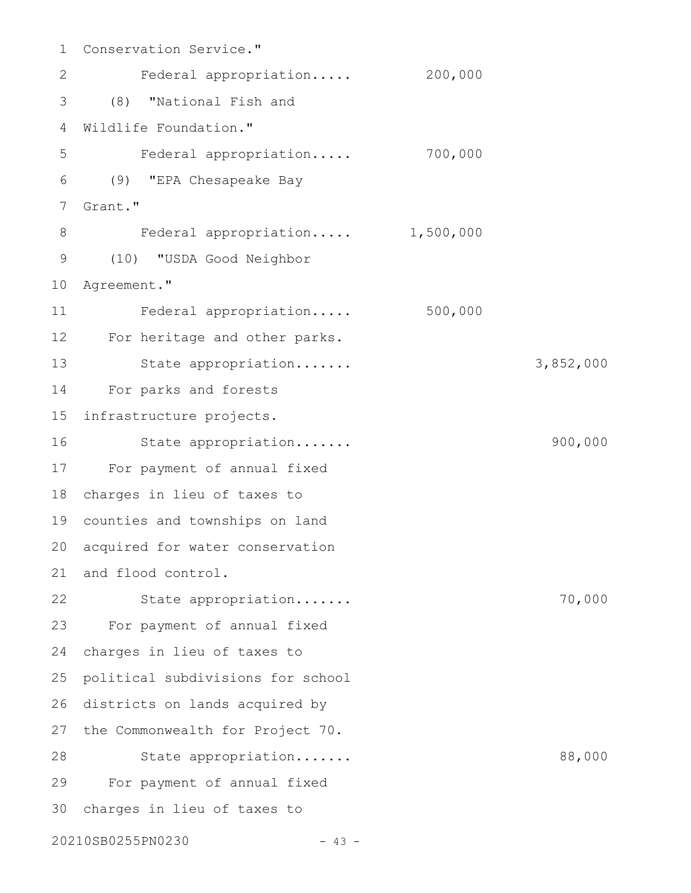Conservation Service." Federal appropriation..... 200,000 (8) "National Fish and Wildlife Foundation." Federal appropriation..... 700,000 (9) "EPA Chesapeake Bay Grant." Federal appropriation..... 1,500,000 (10) "USDA Good Neighbor 10 Agreement." Federal appropriation..... 500,000 12 For heritage and other parks. State appropriation....... 3,852,000 For parks and forests infrastructure projects. State appropriation....... 900,000 17 For payment of annual fixed charges in lieu of taxes to 18 counties and townships on land 19 20 acquired for water conservation 21 and flood control. State appropriation....... 70,000 For payment of annual fixed 23 charges in lieu of taxes to political subdivisions for school 26 districts on lands acquired by 27 the Commonwealth for Project 70. State appropriation....... 88,000 For payment of annual fixed 29 charges in lieu of taxes to 3020210SB0255PN0230 - 43 - 1 2 3 4 5 6 7 8 9 11 13 14 15 16 22 24 25 28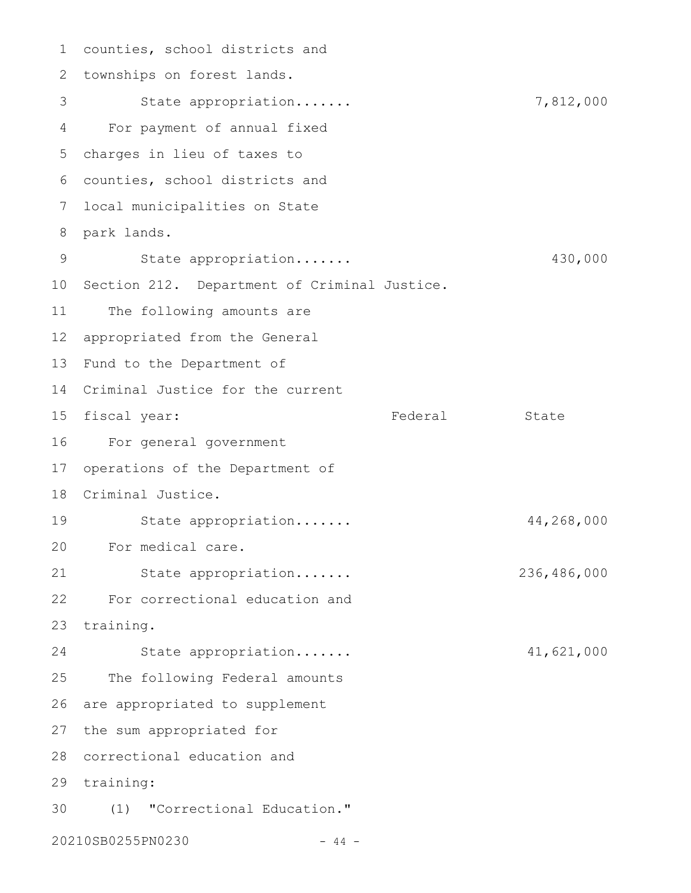counties, school districts and 1 2 townships on forest lands. State appropriation....... 7,812,000 For payment of annual fixed charges in lieu of taxes to 5 counties, school districts and 6 local municipalities on State 7 park lands. 8 State appropriation....... 430,000 10 Section 212. Department of Criminal Justice. The following amounts are appropriated from the General 12 13 Fund to the Department of Criminal Justice for the current 14 15 fiscal year: Tederal State For general government 16 17 operations of the Department of 18 Criminal Justice. State appropriation....... 44,268,000 For medical care. 20 State appropriation....... 236,486,000 For correctional education and 22 23 training. State appropriation....... 41,621,000 The following Federal amounts 26 are appropriated to supplement 27 the sum appropriated for 28 correctional education and 29 training: (1) "Correctional Education." 3020210SB0255PN0230 - 44 - 3 4 9 11 19 21 24 25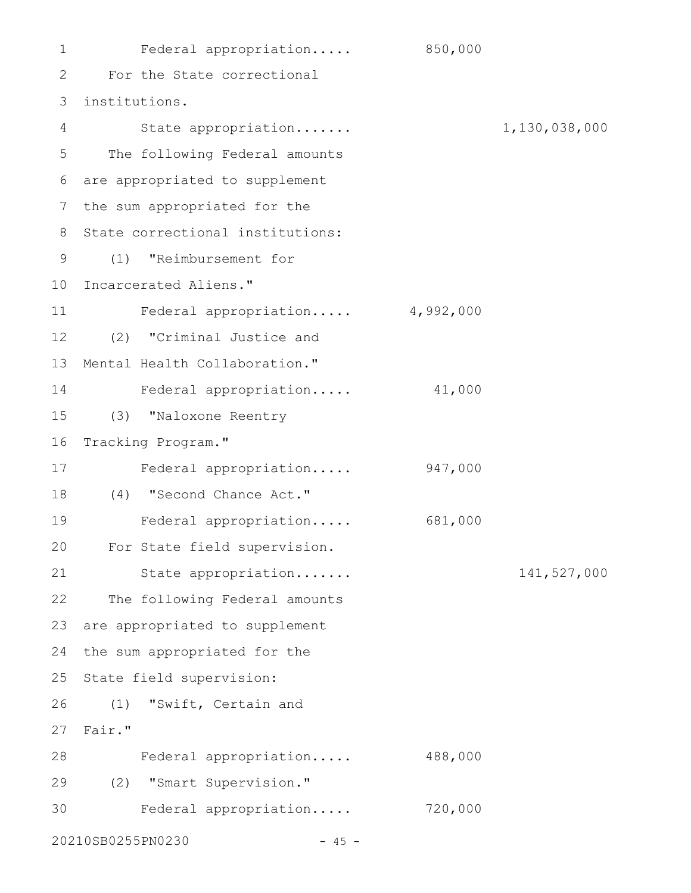Federal appropriation..... 850,000 For the State correctional 2 institutions. 3 State appropriation....... 1,130,038,000 The following Federal amounts are appropriated to supplement 6 7 the sum appropriated for the 8 State correctional institutions: (1) "Reimbursement for 9 10 Incarcerated Aliens." Federal appropriation..... 4,992,000 (2) "Criminal Justice and 12 13 Mental Health Collaboration." Federal appropriation..... 41,000 (3) "Naloxone Reentry 16 Tracking Program." Federal appropriation..... 947,000 (4) "Second Chance Act." 18 Federal appropriation..... 681,000 For State field supervision. 20 State appropriation....... 141,527,000 22 The following Federal amounts 23 are appropriated to supplement 24 the sum appropriated for the 25 State field supervision: (1) "Swift, Certain and Fair." 27 Federal appropriation..... 488,000 28 (2) "Smart Supervision." 29 Federal appropriation..... 720,000 3020210SB0255PN0230 - 45 -1 4 5 11 14 15 17 19 21 26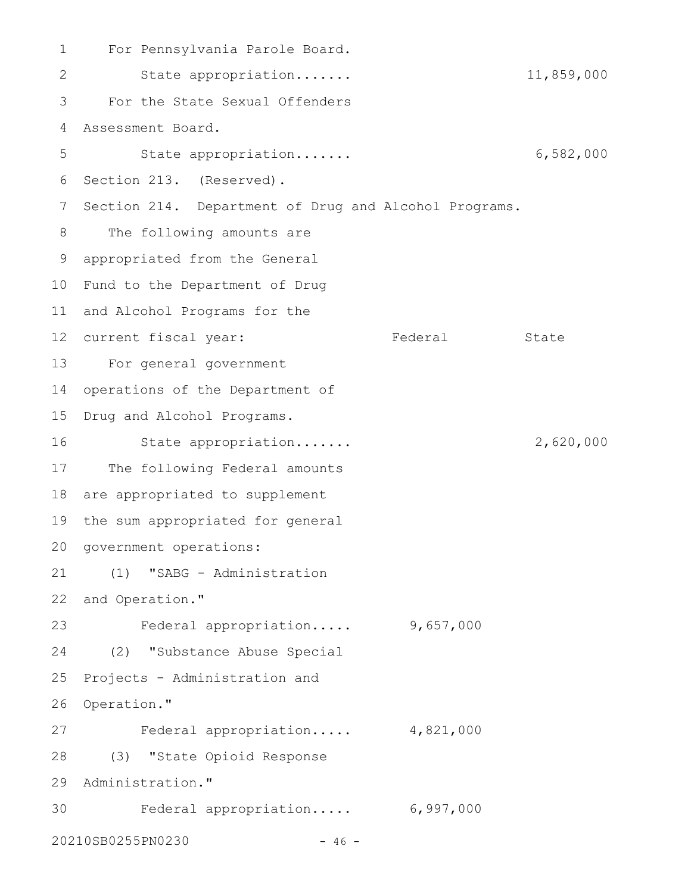For Pennsylvania Parole Board. State appropriation....... 11,859,000 For the State Sexual Offenders Assessment Board. State appropriation....... 6,582,000 6 Section 213. (Reserved). 7 Section 214. Department of Drug and Alcohol Programs. The following amounts are appropriated from the General 9 10 Fund to the Department of Drug 11 and Alcohol Programs for the 12 current fiscal year: Tederal State For general government 13 14 operations of the Department of 15 Drug and Alcohol Programs. State appropriation....... 2,620,000 17 The following Federal amounts 18 are appropriated to supplement 19 the sum appropriated for general 20 government operations: (1) "SABG - Administration 22 and Operation." Federal appropriation..... 9,657,000 (2) "Substance Abuse Special 25 Projects - Administration and 26 Operation." Federal appropriation..... 4,821,000 (3) "State Opioid Response 28 29 Administration." Federal appropriation..... 6,997,000 3020210SB0255PN0230 - 46 - 1 2 3 4 5 8 16 21 23 24 27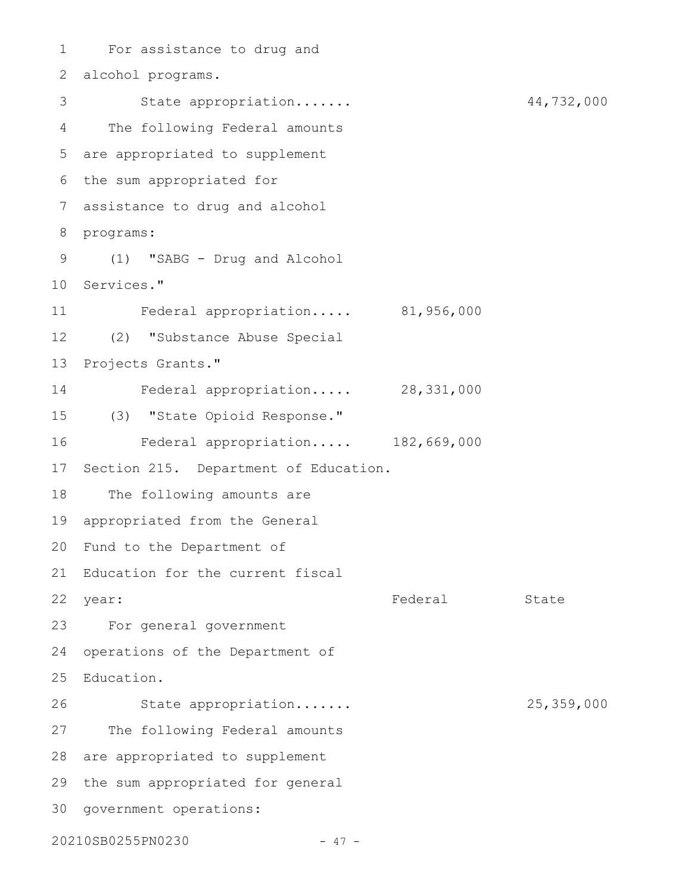For assistance to drug and 1 alcohol programs. 2 State appropriation....... 44,732,000 The following Federal amounts are appropriated to supplement 5 6 the sum appropriated for assistance to drug and alcohol 7 8 programs: (1) "SABG - Drug and Alcohol 9 10 Services." Federal appropriation..... 81,956,000 (2) "Substance Abuse Special 12 13 Projects Grants." Federal appropriation..... 28,331,000 (3) "State Opioid Response." 15 Federal appropriation..... 182,669,000 17 Section 215. Department of Education. The following amounts are appropriated from the General 19 20 Fund to the Department of 21 Education for the current fiscal Federal State For general government 23 24 operations of the Department of 25 Education. State appropriation....... 25,359,000 27 The following Federal amounts 28 are appropriated to supplement 29 the sum appropriated for general 30 government operations: 20210SB0255PN0230 - 47 - 3 4 11 14 16 18 22 year: 26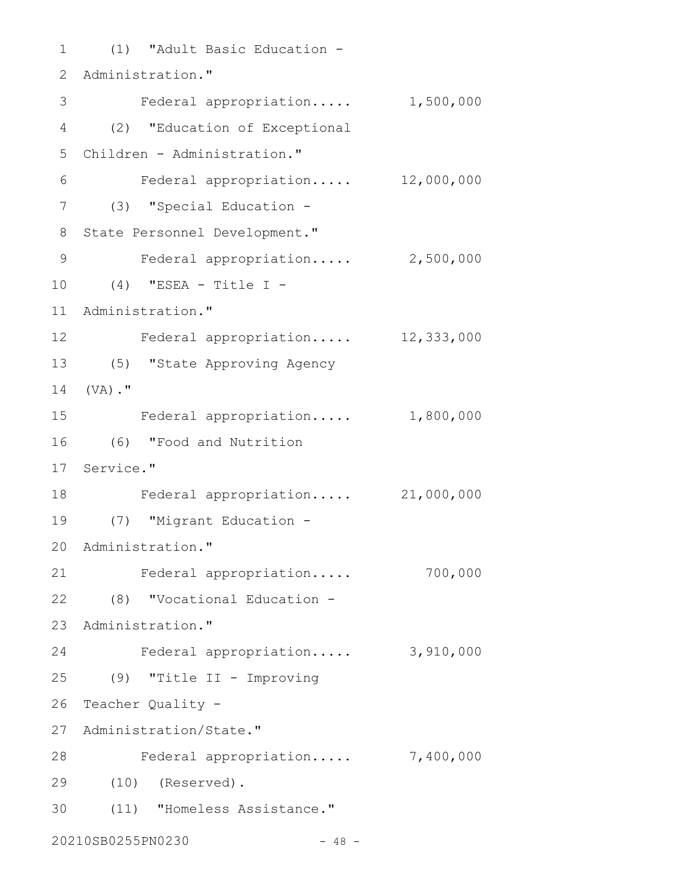(1) "Adult Basic Education - 1 2 Administration." 3 Federal appropriation..... 1,500,000 (2) "Education of Exceptional 4 Children - Administration." 5 Federal appropriation..... 12,000,000 (3) "Special Education - 7 8 State Personnel Development." Federal appropriation..... 2,500,000 (4) "ESEA - Title I - 10 11 Administration." Federal appropriation..... 12,333,000 12 (5) "State Approving Agency 13 14 (VA)." Federal appropriation..... 1,800,000 (6) "Food and Nutrition 16 17 Service." Federal appropriation..... 21,000,000 18 (7) "Migrant Education - 19 20 Administration." Federal appropriation..... 700,000 (8) "Vocational Education - 22 23 Administration." Federal appropriation..... 3,910,000 (9) "Title II - Improving 25 26 Teacher Quality -27 Administration/State." 28 Federal appropriation..... 7,400,000 (10) (Reserved). 29 (11) "Homeless Assistance." 3020210SB0255PN0230 - 48 - 6 9 15 21 24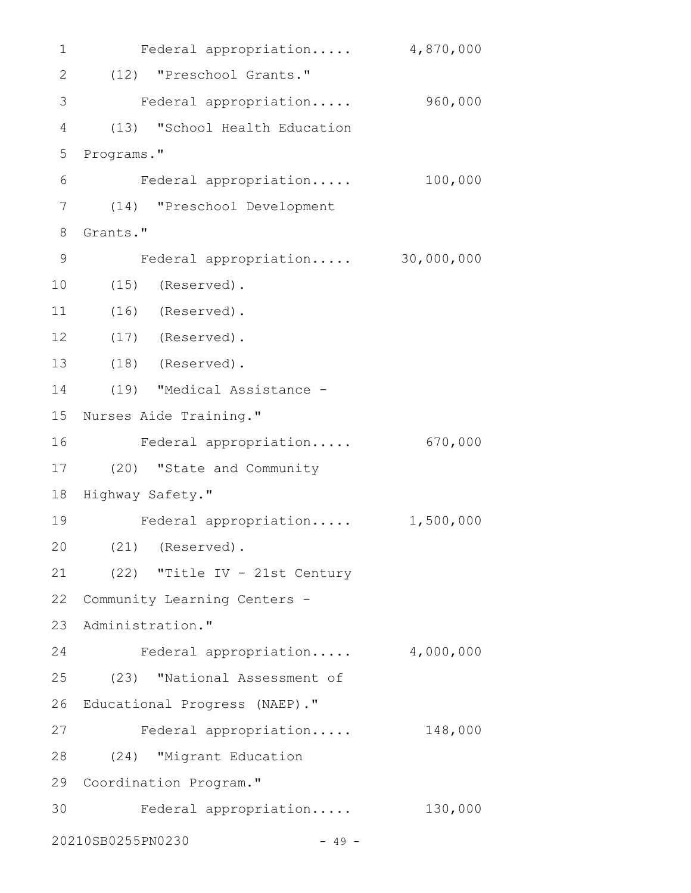Federal appropriation..... 4,870,000 (12) "Preschool Grants." 2 Federal appropriation..... 960,000 (13) "School Health Education Programs." Federal appropriation..... 100,000 (14) "Preschool Development 7 8 Grants." Federal appropriation..... 30,000,000 (15) (Reserved). (16) (Reserved). (17) (Reserved). 12 (18) (Reserved). 13 (19) "Medical Assistance - 15 Nurses Aide Training." Federal appropriation..... 670,000 16 (20) "State and Community 17 18 Highway Safety." Federal appropriation..... 1,500,000 (21) (Reserved). 20 (22) "Title IV - 21st Century 22 Community Learning Centers -23 Administration." Federal appropriation..... 4,000,000 (23) "National Assessment of 26 Educational Progress (NAEP)." Federal appropriation..... 148,000 (24) "Migrant Education 28 29 Coordination Program." Federal appropriation..... 130,000 3020210SB0255PN0230 - 49 - 1 3 4 5 6 9 10 11 14 19 21 24 25 27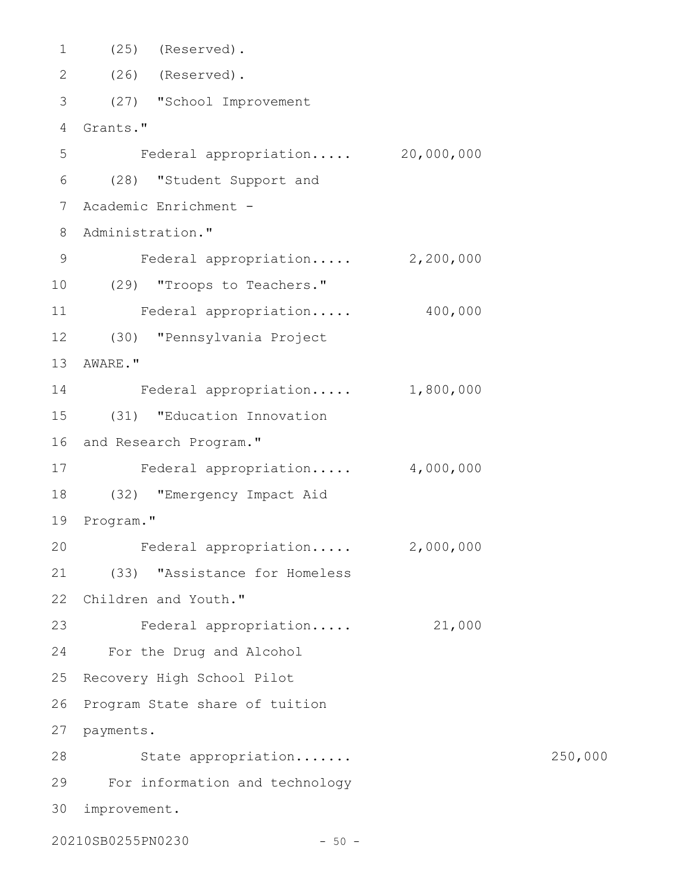(25) (Reserved). (26) (Reserved). 2 (27) "School Improvement 3 Grants." 4 Federal appropriation..... 20,000,000 (28) "Student Support and 6 Academic Enrichment - 7 Administration." 8 Federal appropriation..... 2,200,000 (29) "Troops to Teachers." 10 Federal appropriation..... 400,000 (30) "Pennsylvania Project 12 13 AWARE." Federal appropriation..... 1,800,000 14 (31) "Education Innovation 15 16 and Research Program." Federal appropriation..... 4,000,000 17 (32) "Emergency Impact Aid 18 19 Program." Federal appropriation..... 2,000,000 (33) "Assistance for Homeless 21 22 Children and Youth." 23 Federal appropriation..... 21,000 For the Drug and Alcohol 24 25 Recovery High School Pilot 26 Program State share of tuition 27 payments. 28 State appropriation...... 250,000 For information and technology 29 improvement. 301 5 9 11 20

20210SB0255PN0230 - 50 -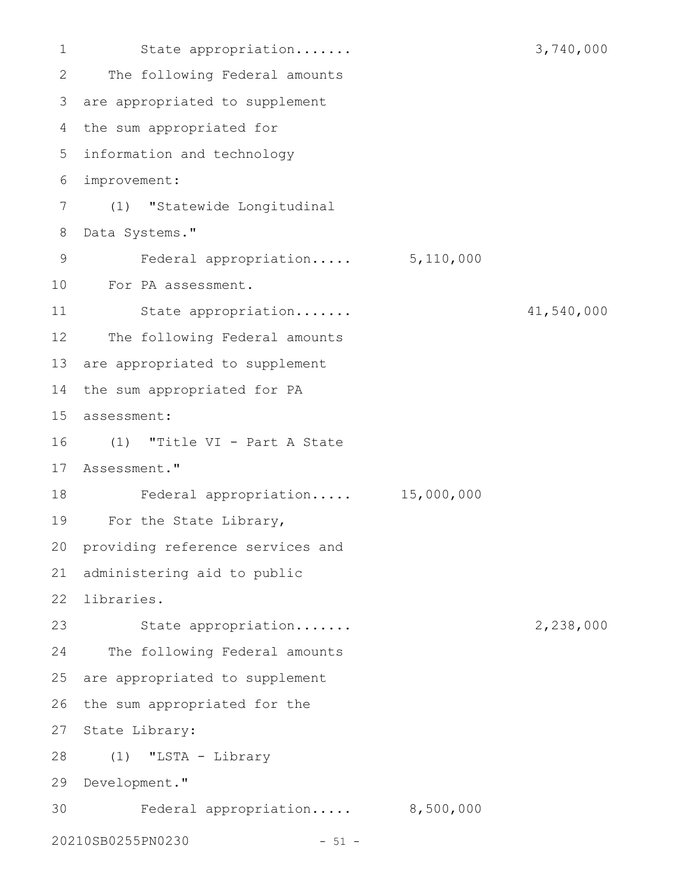State appropriation....... 3,740,000 The following Federal amounts are appropriated to supplement 3 4 the sum appropriated for information and technology 5 improvement: 6 (1) "Statewide Longitudinal Data Systems." Federal appropriation..... 5,110,000 For PA assessment. 10 State appropriation....... 41,540,000 The following Federal amounts 13 are appropriated to supplement 14 the sum appropriated for PA assessment: 15 (1) "Title VI - Part A State 16 17 Assessment." Federal appropriation..... 15,000,000 For the State Library, 20 providing reference services and administering aid to public 21 22 libraries. State appropriation....... 2,238,000 The following Federal amounts are appropriated to supplement 26 the sum appropriated for the 27 State Library: (1) "LSTA - Library 28 29 Development." Federal appropriation..... 8,500,000 20210SB0255PN0230 - 51 - 1 2 7 8 9 11 12 18 19 23 24 25 30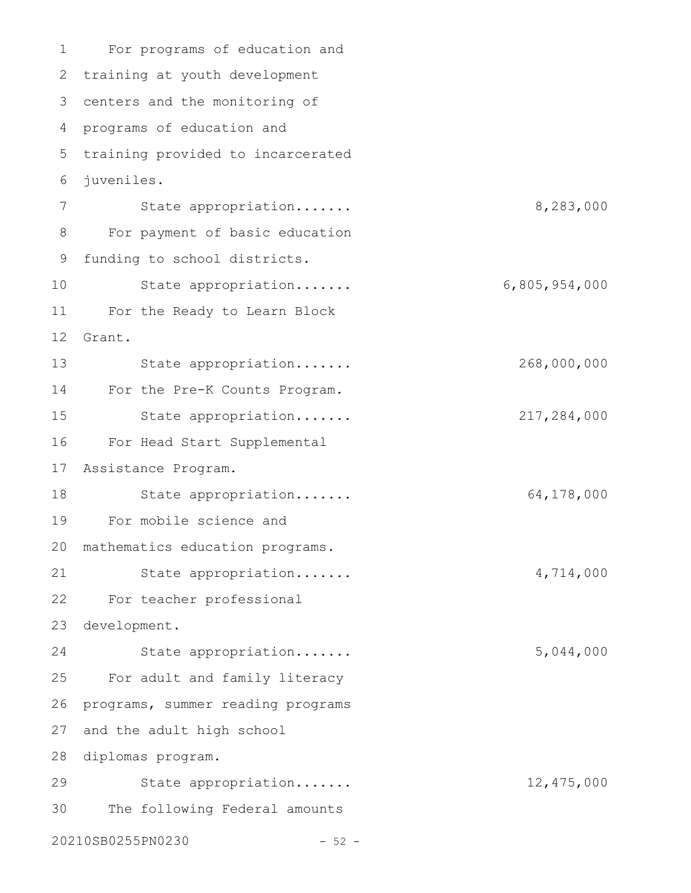For programs of education and 2 training at youth development centers and the monitoring of 3 4 programs of education and 5 training provided to incarcerated juveniles. State appropriation....... 8,283,000 For payment of basic education funding to school districts. State appropriation....... 6,805,954,000 For the Ready to Learn Block 11 Grant. State appropriation....... 268,000,000 For the Pre-K Counts Program. State appropriation....... 217,284,000 For Head Start Supplemental Assistance Program. 17 State appropriation....... 64,178,000 For mobile science and 20 mathematics education programs. State appropriation....... 4,714,000 For teacher professional 23 development. State appropriation....... 5,044,000 For adult and family literacy programs, summer reading programs 27 and the adult high school 28 diplomas program. State appropriation....... 12,475,000 The following Federal amounts 20210SB0255PN0230 - 52 - 1 6 7 8 9 10 12 13 14 15 16 18 19 21 22 24 25 26 29 30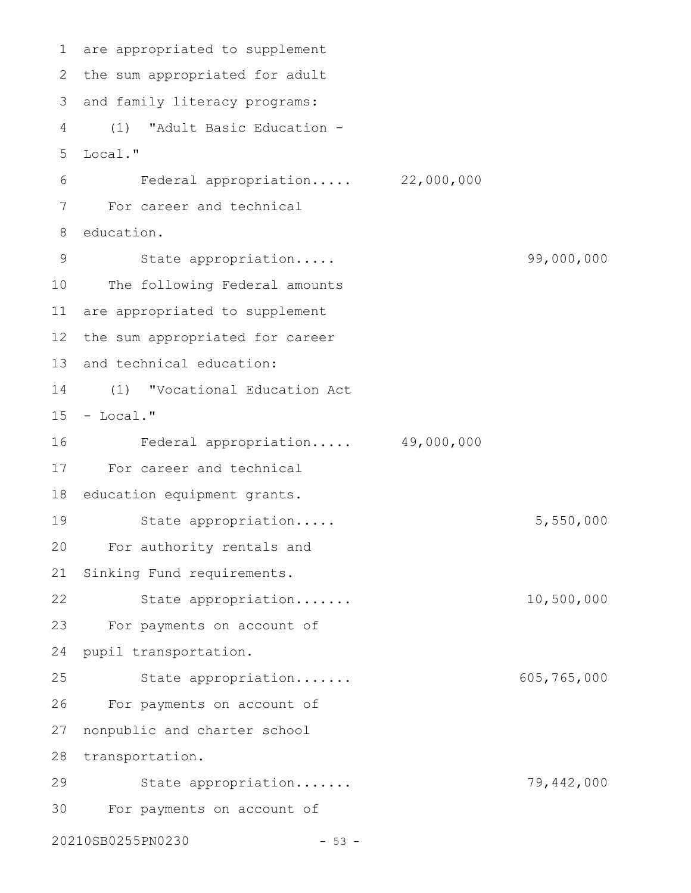are appropriated to supplement 1 2 the sum appropriated for adult 3 and family literacy programs: (1) "Adult Basic Education - Local." Federal appropriation..... 22,000,000 For career and technical 8 education. State appropriation..... 99,000,000 10 The following Federal amounts are appropriated to supplement 11 12 the sum appropriated for career 13 and technical education: (1) "Vocational Education Act  $15 - Local."$ Federal appropriation..... 49,000,000 For career and technical 17 18 education equipment grants. State appropriation..... 5,550,000 For authority rentals and 20 21 Sinking Fund requirements. State appropriation....... 10,500,000 23 For payments on account of pupil transportation. 24 State appropriation....... 605,765,000 26 For payments on account of 27 nonpublic and charter school 28 transportation. State appropriation....... 79,442,000 For payments on account of 3020210SB0255PN0230 - 53 -4 5 6 7 9 14 16 19 22 25 29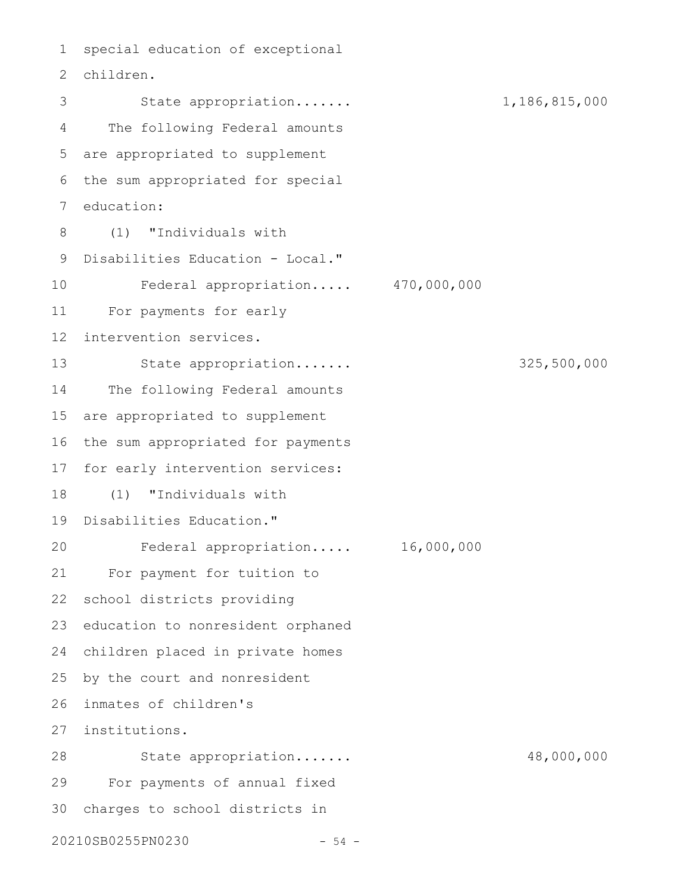1 special education of exceptional children. 2 State appropriation....... 1,186,815,000 The following Federal amounts are appropriated to supplement 5 6 the sum appropriated for special 7 education: (1) "Individuals with 9 Disabilities Education - Local." Federal appropriation..... 470,000,000 For payments for early intervention services. State appropriation....... 325,500,000 The following Federal amounts are appropriated to supplement 16 the sum appropriated for payments 17 for early intervention services: (1) "Individuals with 19 Disabilities Education." Federal appropriation..... 16,000,000 For payment for tuition to 22 school districts providing 23 education to nonresident orphaned children placed in private homes 24 25 by the court and nonresident inmates of children's 26 institutions. 27 State appropriation....... 48,000,000 For payments of annual fixed charges to school districts in 3020210SB0255PN0230 - 54 - 3 4 8 10 11 12 13 14 15 18 20 21 28 29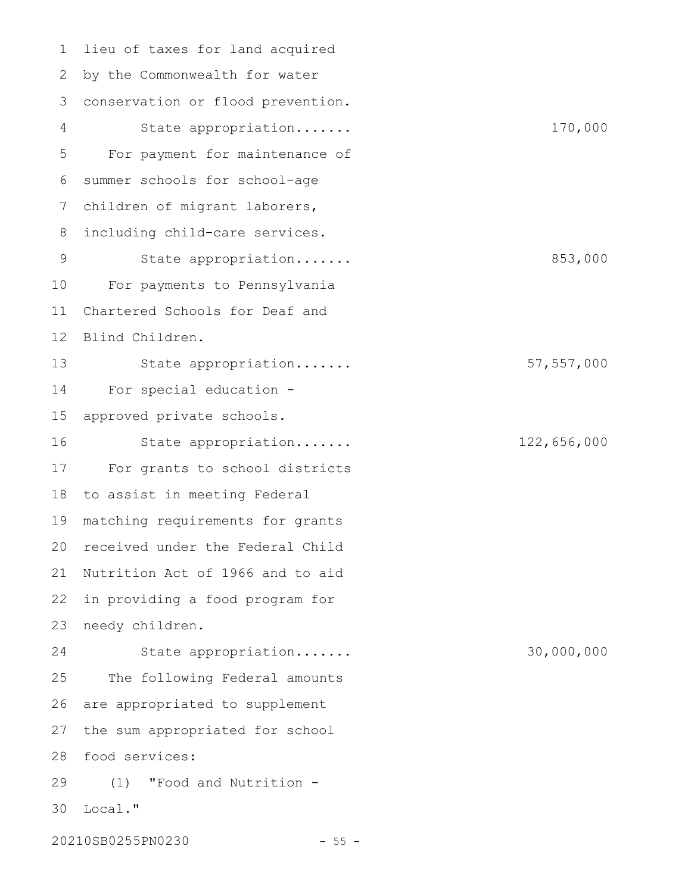lieu of taxes for land acquired by the Commonwealth for water 2 conservation or flood prevention. 3 State appropriation....... 170,000 For payment for maintenance of summer schools for school-age children of migrant laborers, including child-care services. State appropriation....... 853,000 For payments to Pennsylvania Chartered Schools for Deaf and Blind Children. State appropriation....... 57,557,000 For special education approved private schools. State appropriation....... 122,656,000 For grants to school districts to assist in meeting Federal matching requirements for grants 20 received under the Federal Child 21 Nutrition Act of 1966 and to aid in providing a food program for needy children. State appropriation....... 30,000,000 The following Federal amounts are appropriated to supplement the sum appropriated for school food services: 28 (1) "Food and Nutrition - Local." 3020210SB0255PN0230 - 55 -1 4 5 6 7 8 9 10 11 12 13 14 15 16 17 18 19 22 23 24 25 26 27 29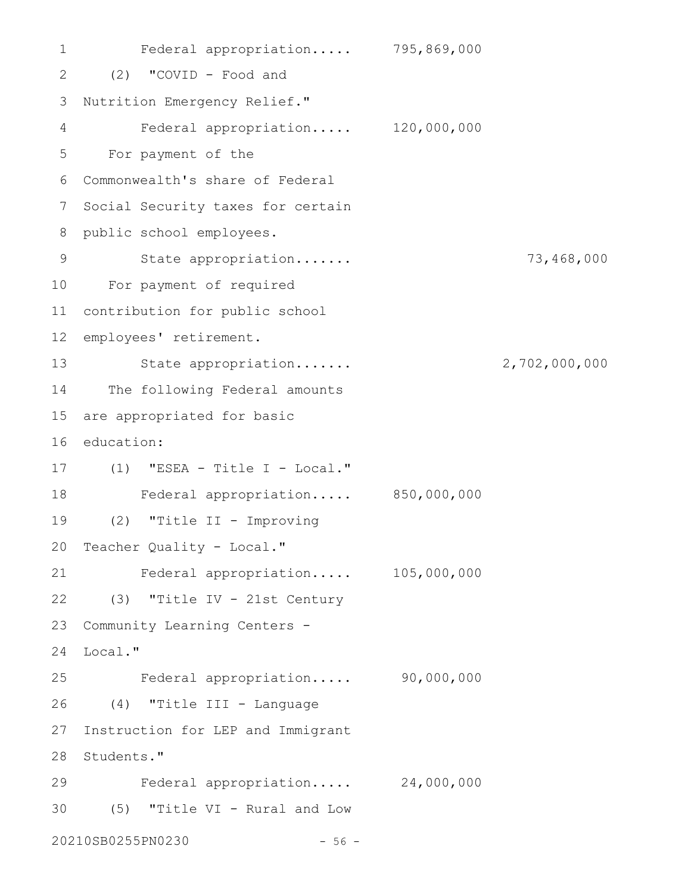Federal appropriation..... 795,869,000 (2) "COVID - Food and 2 3 Nutrition Emergency Relief." Federal appropriation..... 120,000,000 For payment of the Commonwealth's share of Federal 6 7 Social Security taxes for certain 8 public school employees. State appropriation....... 73,468,000 For payment of required 10 contribution for public school 11 12 employees' retirement. State appropriation....... 2,702,000,000 14 The following Federal amounts 15 are appropriated for basic 16 education: (1) "ESEA - Title I - Local." 17 Federal appropriation..... 850,000,000 18 (2) "Title II - Improving 20 Teacher Quality - Local." Federal appropriation..... 105,000,000 (3) "Title IV - 21st Century 22 23 Community Learning Centers -24 Local." Federal appropriation..... 90,000,000 (4) "Title III - Language 26 27 Instruction for LEP and Immigrant 28 Students." Federal appropriation..... 24,000,000 (5) "Title VI - Rural and Low 3020210SB0255PN0230 - 56 - 1 4 5 9 13 19 21 25 29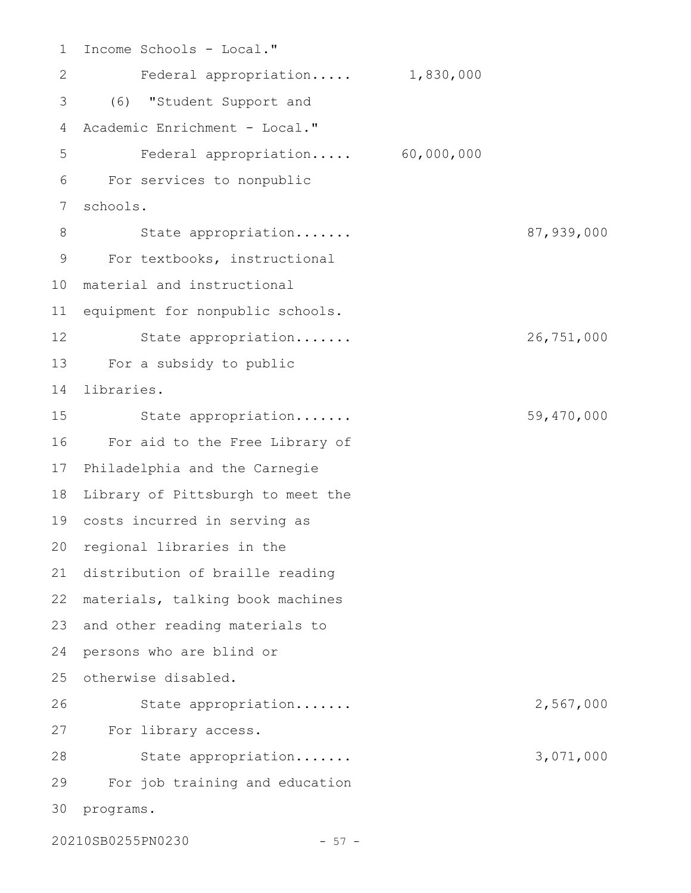Income Schools - Local." Federal appropriation..... 1,830,000 (6) "Student Support and 3 Academic Enrichment - Local." Federal appropriation..... 60,000,000 For services to nonpublic schools. State appropriation....... 87,939,000 For textbooks, instructional material and instructional 10 11 equipment for nonpublic schools. State appropriation....... 26,751,000 For a subsidy to public 13 libraries. State appropriation....... 59,470,000 For aid to the Free Library of 17 Philadelphia and the Carnegie Library of Pittsburgh to meet the 19 costs incurred in serving as 20 regional libraries in the 21 distribution of braille reading materials, talking book machines 22 23 and other reading materials to persons who are blind or 24 25 otherwise disabled. State appropriation....... 2,567,000 For library access. 27 State appropriation....... 3,071,000 For job training and education 30 programs. 1 2 4 5 6 7 8 9 12 14 15 16 18 26 28 29

20210SB0255PN0230 - 57 -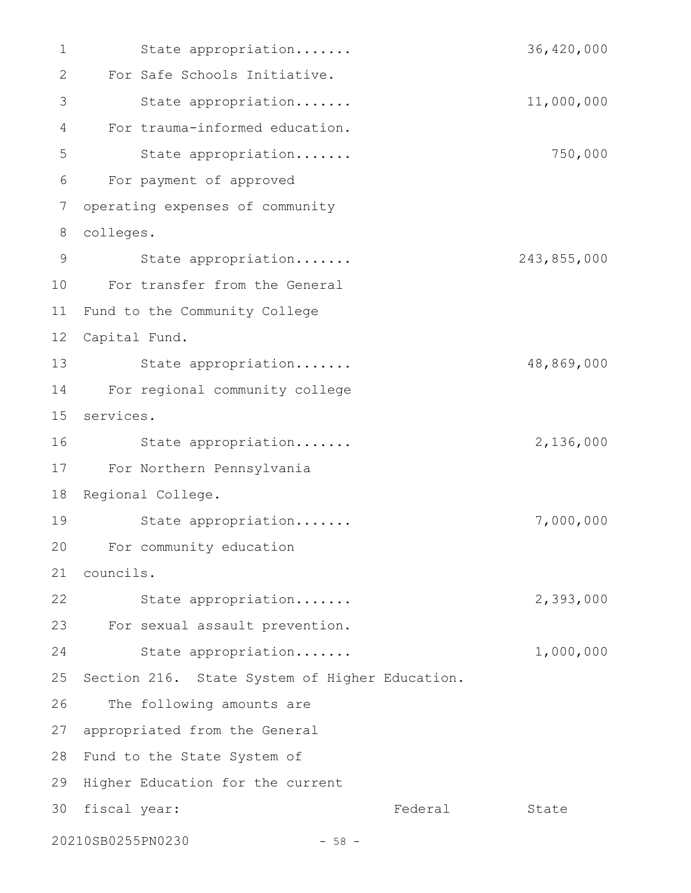State appropriation....... 36,420,000 For Safe Schools Initiative. State appropriation....... 11,000,000 For trauma-informed education. State appropriation....... 750,000 For payment of approved operating expenses of community colleges. State appropriation....... 243,855,000 For transfer from the General 10 11 Fund to the Community College 12 Capital Fund. 13 State appropriation...... 48,869,000 For regional community college 14 services. 15 State appropriation....... 2,136,000 For Northern Pennsylvania 17 18 Regional College. State appropriation....... 7,000,000 For community education 20 councils. 21 State appropriation....... 2,393,000 For sexual assault prevention. 23 State appropriation....... 1,000,000 25 Section 216. State System of Higher Education. The following amounts are 27 appropriated from the General 28 Fund to the State System of 29 Higher Education for the current Federal State 20210SB0255PN0230 - 58 - 1 2 3 4 5 6 7 8 9 16 19 22 24 26 30 fiscal year: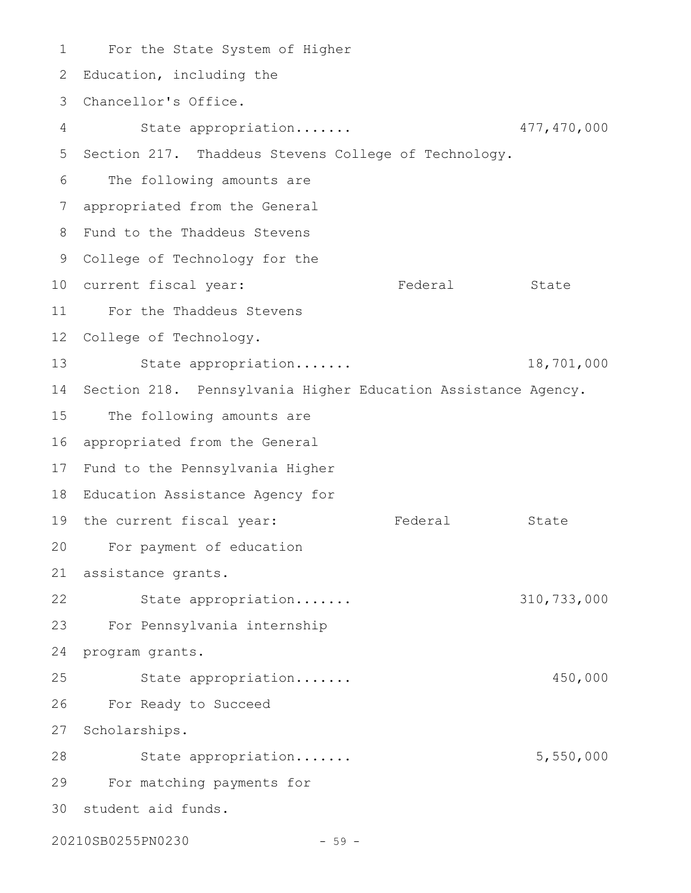For the State System of Higher 1 2 Education, including the Chancellor's Office. 3 State appropriation....... 477,470,000 5 Section 217. Thaddeus Stevens College of Technology. 6 The following amounts are appropriated from the General 7 Fund to the Thaddeus Stevens 8 9 College of Technology for the 10 current fiscal year: Tederal State For the Thaddeus Stevens 11 12 College of Technology. 13 State appropriation...... 18,701,000 14 Section 218. Pennsylvania Higher Education Assistance Agency. 15 The following amounts are 16 appropriated from the General 17 Fund to the Pennsylvania Higher 18 Education Assistance Agency for 19 the current fiscal year: Tederal State For payment of education 20 assistance grants. 21 22 State appropriation...... 310,733,000 For Pennsylvania internship 23 24 program grants. State appropriation....... 450,000 For Ready to Succeed 26 27 Scholarships. 28 State appropriation...... 5,550,000 For matching payments for 29 30 student aid funds. 4 25

20210SB0255PN0230 - 59 -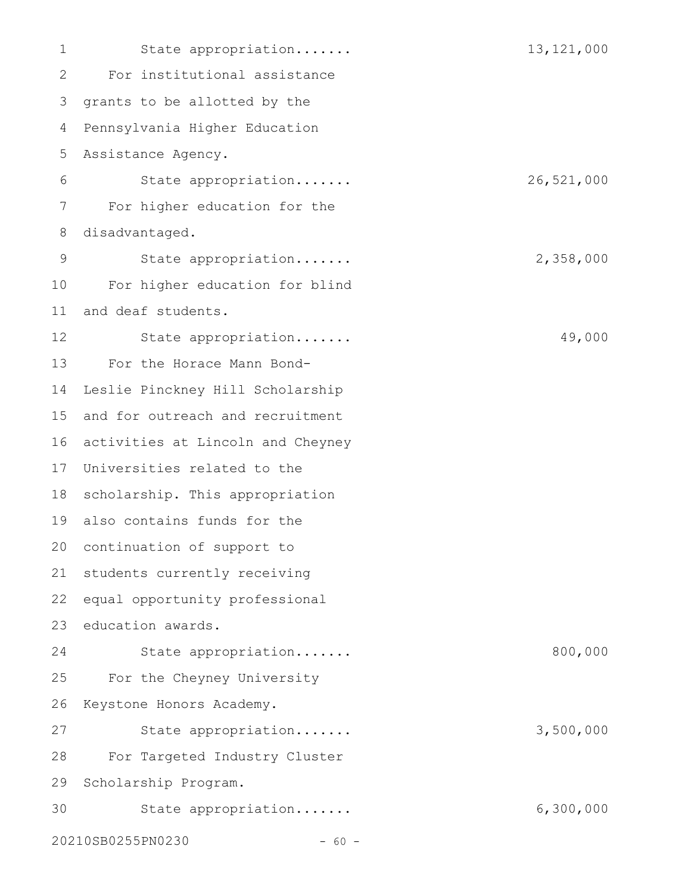State appropriation....... 13,121,000 For institutional assistance 3 grants to be allotted by the Pennsylvania Higher Education Assistance Agency. State appropriation....... 26,521,000 For higher education for the disadvantaged. State appropriation....... 2,358,000 For higher education for blind and deaf students. State appropriation....... 49,000 For the Horace Mann Bond-Leslie Pinckney Hill Scholarship 15 and for outreach and recruitment 16 activities at Lincoln and Cheyney 17 Universities related to the 18 scholarship. This appropriation also contains funds for the 19 20 continuation of support to 21 students currently receiving equal opportunity professional 23 education awards. State appropriation....... 800,000 For the Cheyney University Keystone Honors Academy. State appropriation....... 3,500,000 For Targeted Industry Cluster 29 Scholarship Program. State appropriation....... 6,300,000 20210SB0255PN0230 - 60 -1 2 4 5 6 7 8 9 10 11 12 13 14 22 24 25 26 27 28 30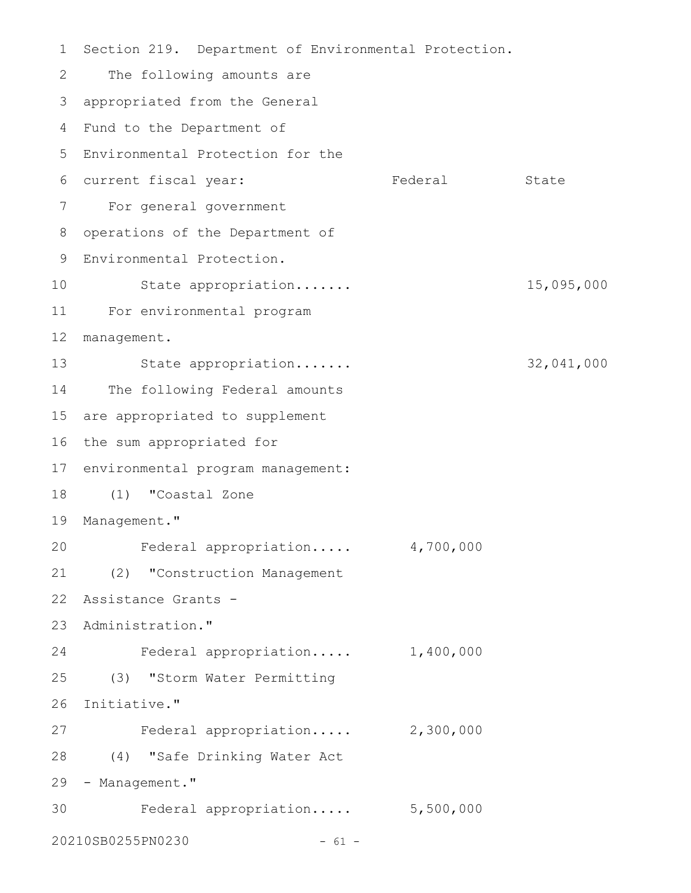Section 219. Department of Environmental Protection. The following amounts are appropriated from the General 3 4 Fund to the Department of 5 Environmental Protection for the Federal State For general government 7 8 operations of the Department of Environmental Protection. 9 State appropriation....... 15,095,000 For environmental program 11 12 management. 13 State appropriation...... 32,041,000 14 The following Federal amounts 15 are appropriated to supplement 16 the sum appropriated for 17 environmental program management: (1) "Coastal Zone 18 19 Management." Federal appropriation..... 4,700,000 (2) "Construction Management 21 Assistance Grants - 22 23 Administration." Federal appropriation..... 1,400,000 (3) "Storm Water Permitting 25 26 Initiative." 27 Federal appropriation..... 2,300,000 (4) "Safe Drinking Water Act 28 29 - Management." 30 Federal appropriation..... 5,500,000 20210SB0255PN0230 - 61 - 1 2 6 current fiscal year: 10 20 24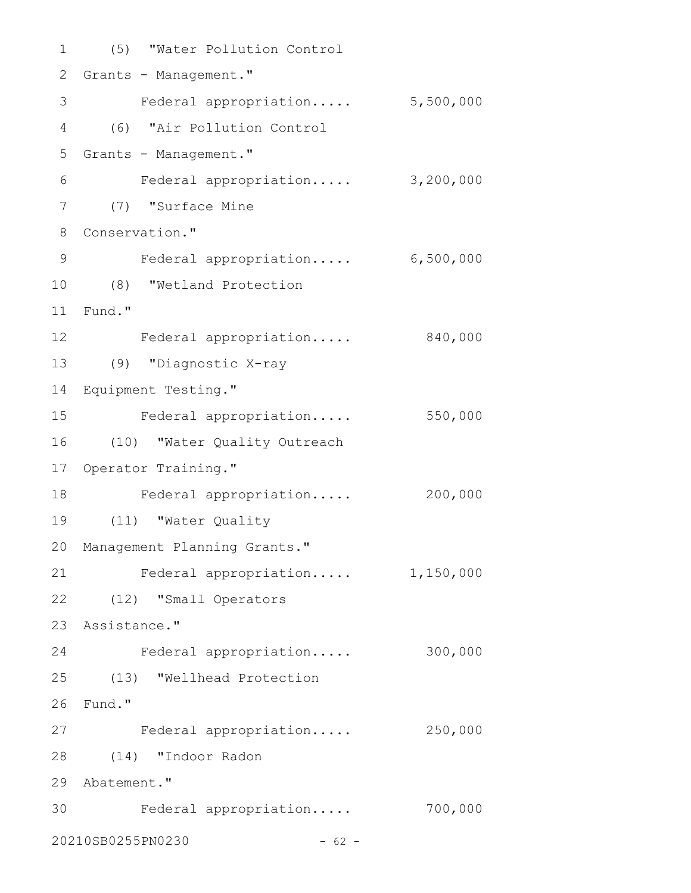(5) "Water Pollution Control 1 2 Grants - Management." 3 Federal appropriation..... 5,500,000 (6) "Air Pollution Control 4 5 Grants - Management." Federal appropriation..... 3,200,000 6 (7) "Surface Mine 7 8 Conservation." 9 Federal appropriation..... 6,500,000 (8) "Wetland Protection 10 Fund." 11 12 Federal appropriation..... 840,000 (9) "Diagnostic X-ray 13 Equipment Testing." 14 Federal appropriation..... 550,000 (10) "Water Quality Outreach 16 17 Operator Training." 18 Federal appropriation..... 200,000 (11) "Water Quality 19 20 Management Planning Grants." 21 Federal appropriation..... 1,150,000 (12) "Small Operators 22 23 Assistance." Federal appropriation..... 300,000 24 (13) "Wellhead Protection 25 26 Fund." 27 Federal appropriation..... 250,000 (14) "Indoor Radon 28 29 Abatement." Federal appropriation..... 700,000 3020210SB0255PN0230 - 62 - 15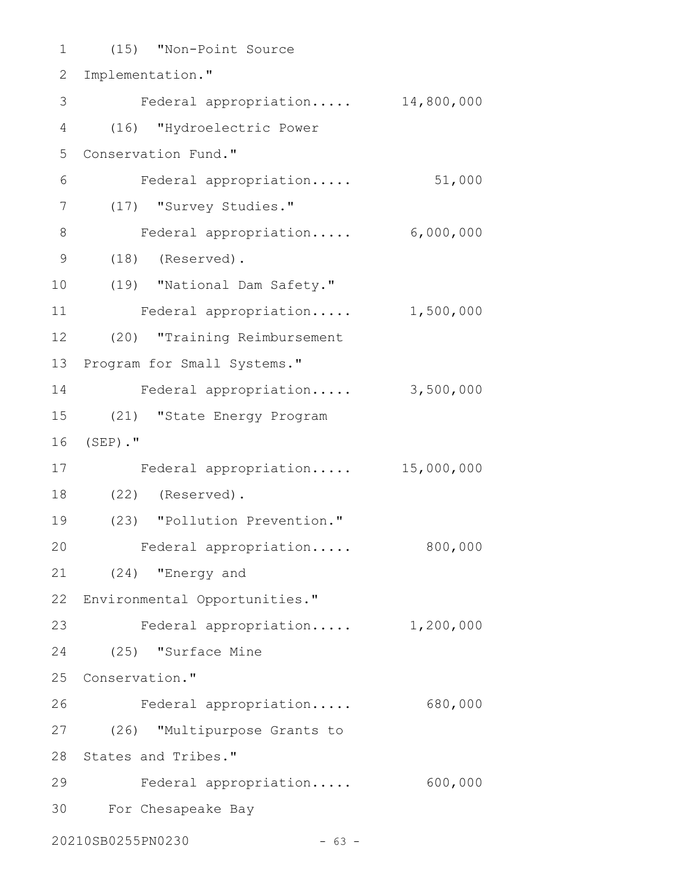| 1              | (15) "Non-Point Source           |            |
|----------------|----------------------------------|------------|
| 2              | Implementation."                 |            |
| 3              | Federal appropriation            | 14,800,000 |
| 4              | (16) "Hydroelectric Power        |            |
| 5              | Conservation Fund."              |            |
| 6              | Federal appropriation            | 51,000     |
| $\overline{7}$ | (17) "Survey Studies."           |            |
| $8\,$          | Federal appropriation            | 6,000,000  |
| $\mathcal{G}$  | $(18)$ (Reserved).               |            |
| 10             | (19) "National Dam Safety."      |            |
| 11             | Federal appropriation            | 1,500,000  |
| 12             | (20) "Training Reimbursement     |            |
| 13             | Program for Small Systems."      |            |
| 14             | Federal appropriation            | 3,500,000  |
| 15             | (21) "State Energy Program       |            |
| 16             | $(SEP)$ ."                       |            |
| 17             | Federal appropriation            | 15,000,000 |
| 18             | (22) (Reserved).                 |            |
| 19             | (23) "Pollution Prevention."     |            |
| 20             | Federal appropriation            | 800,000    |
|                | 21 (24) "Energy and              |            |
|                | 22 Environmental Opportunities." |            |
| 23             | Federal appropriation            | 1,200,000  |
| 24             | (25) "Surface Mine               |            |
| 25             | Conservation."                   |            |
| 26             | Federal appropriation            | 680,000    |
| 27             | (26) "Multipurpose Grants to     |            |
| 28             | States and Tribes."              |            |
| 29             | Federal appropriation            | 600,000    |
| 30             | For Chesapeake Bay               |            |
|                | 20210SB0255PN0230<br>$-63 -$     |            |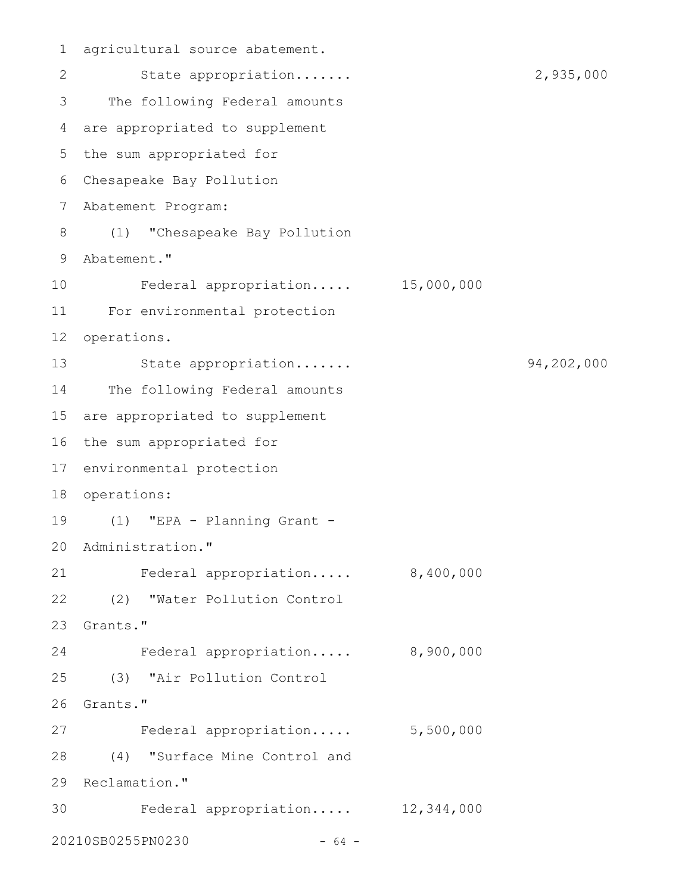agricultural source abatement. 1 2 State appropriation...... 2,935,000 3 The following Federal amounts are appropriated to supplement 4 5 the sum appropriated for Chesapeake Bay Pollution 6 Abatement Program: 7 (1) "Chesapeake Bay Pollution 8 9 Abatement." Federal appropriation..... 15,000,000 For environmental protection 11 12 operations. 13 State appropriation...... 94,202,000 14 The following Federal amounts 15 are appropriated to supplement 16 the sum appropriated for 17 environmental protection 18 operations: (1) "EPA - Planning Grant - 19 20 Administration." 21 Federal appropriation..... 8,400,000 (2) "Water Pollution Control 22 23 Grants." Federal appropriation..... 8,900,000 (3) "Air Pollution Control 25 26 Grants." 27 Federal appropriation..... 5,500,000 (4) "Surface Mine Control and 28 29 Reclamation." Federal appropriation..... 12,344,000 3020210SB0255PN0230 - 64 - 10 24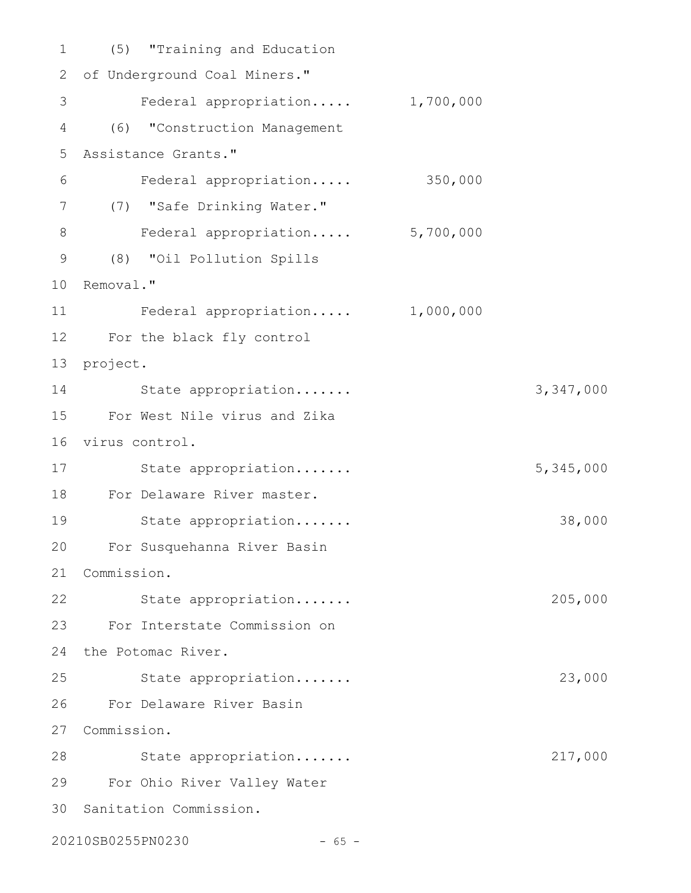(5) "Training and Education 1 2 of Underground Coal Miners." Federal appropriation..... 1,700,000 (6) "Construction Management 4 Assistance Grants." 5 Federal appropriation..... 350,000 (7) "Safe Drinking Water." 7 8 Federal appropriation..... 5,700,000 (8) "Oil Pollution Spills 9 10 Removal." Federal appropriation..... 1,000,000 For the black fly control 12 13 project. 14 State appropriation...... 3,347,000 For West Nile virus and Zika 15 16 virus control. 17 State appropriation...... 5,345,000 18 For Delaware River master. State appropriation....... 38,000 For Susquehanna River Basin 20 21 Commission. 22 State appropriation...... 205,000 For Interstate Commission on 23 24 the Potomac River. State appropriation....... 23,000 For Delaware River Basin 26 27 Commission. 28 State appropriation...... 217,000 For Ohio River Valley Water 29 30 Sanitation Commission. 3 6 11 19 25

20210SB0255PN0230 - 65 -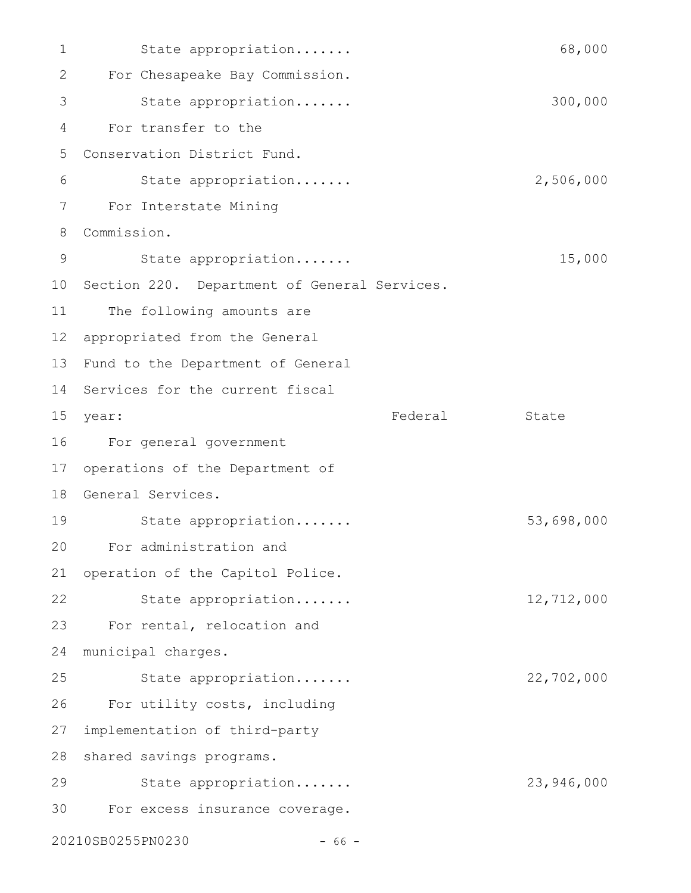State appropriation....... 68,000 For Chesapeake Bay Commission. State appropriation....... 300,000 For transfer to the Conservation District Fund. State appropriation....... 2,506,000 For Interstate Mining Commission. 8 State appropriation....... 15,000 10 Section 220. Department of General Services. The following amounts are appropriated from the General 12 13 Fund to the Department of General 14 Services for the current fiscal Federal State For general government 16 17 operations of the Department of 18 General Services. State appropriation....... 53,698,000 For administration and 20 operation of the Capitol Police. State appropriation....... 12,712,000 23 For rental, relocation and municipal charges. 24 State appropriation....... 22,702,000 For utility costs, including implementation of third-party 28 shared savings programs. State appropriation....... 23,946,000 For excess insurance coverage. 20210SB0255PN0230 - 66 - 1 2 3 4 5 6 7 9 11 15 year: 19 21 22 25 26 27 29 30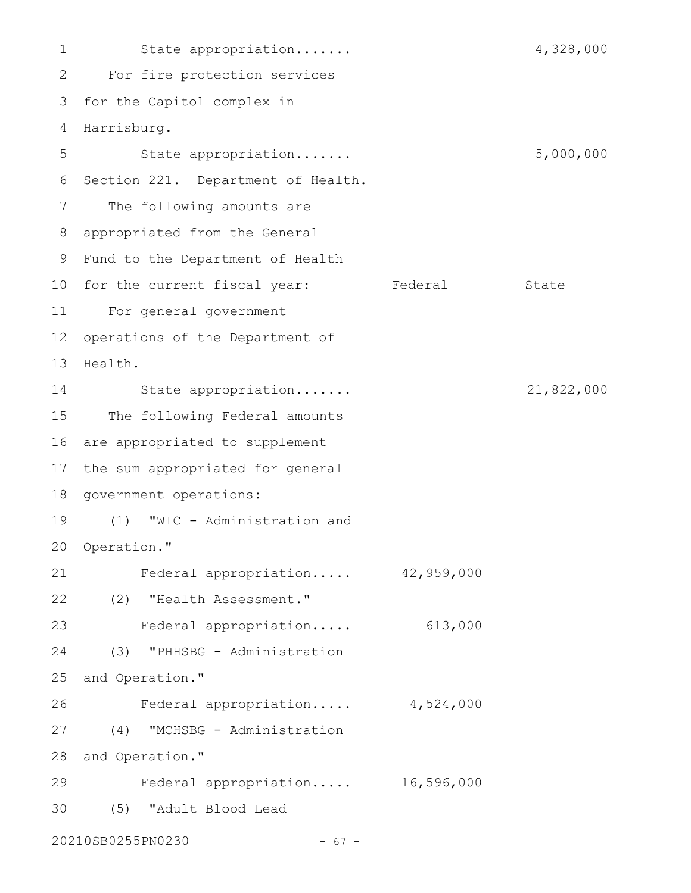State appropriation....... 4,328,000 For fire protection services 2 3 for the Capitol complex in 4 Harrisburg. State appropriation....... 5,000,000 6 Section 221. Department of Health. The following amounts are appropriated from the General 8 9 Fund to the Department of Health 10 for the current fiscal year: Federal State For general government 11 12 operations of the Department of 13 Health. State appropriation....... 21,822,000 15 The following Federal amounts 16 are appropriated to supplement 17 the sum appropriated for general 18 government operations: (1) "WIC - Administration and 19 20 Operation." Federal appropriation..... 42,959,000 (2) "Health Assessment." 22 Federal appropriation..... 613,000 23 (3) "PHHSBG - Administration 25 and Operation." Federal appropriation..... 4,524,000 (4) "MCHSBG - Administration 27 28 and Operation." Federal appropriation..... 16,596,000 (5) "Adult Blood Lead 3020210SB0255PN0230 - 67 - 1 5 7 14 21 24 26 29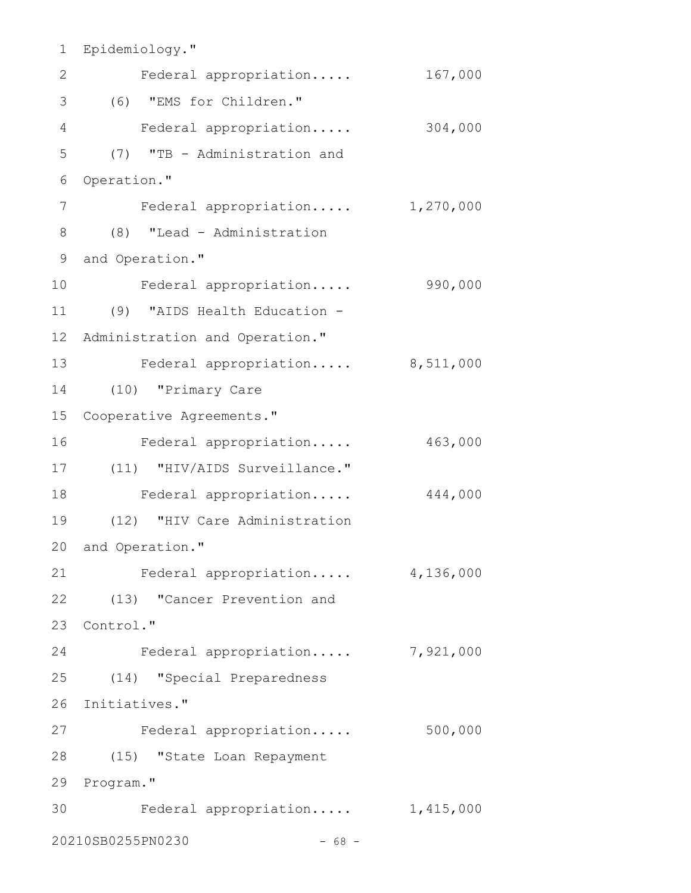```
Epidemiology."
1
2 Federal appropriation..... 167,000
(6) "EMS for Children."
3
   Federal appropriation..... 304,000
     (7) "TB - Administration and
6 Operation."
     Federal appropriation..... 1,270,000
(8) "Lead - Administration
8
9 and Operation."
    Federal appropriation..... 990,000
(9) "AIDS Health Education -
11
12 Administration and Operation."
13 Federal appropriation..... 8,511,000
(10) "Primary Care
14
15 Cooperative Agreements."
    Federal appropriation..... 463,000
(11) "HIV/AIDS Surveillance."
17
18 Federal appropriation..... 444,000
(12) "HIV Care Administration
19
20 and Operation."
   Federal appropriation..... 4,136,000
(13) "Cancer Prevention and
22
23 Control."
    Federal appropriation..... 7,921,000
(14) "Special Preparedness
25
26 Initiatives."
27 Federal appropriation..... 500,000
(15) "State Loan Repayment
28
29 Program."
30 Federal appropriation..... 1,415,000
20210SB0255PN0230 - 68 -
4
5
7
10
16
21
24
```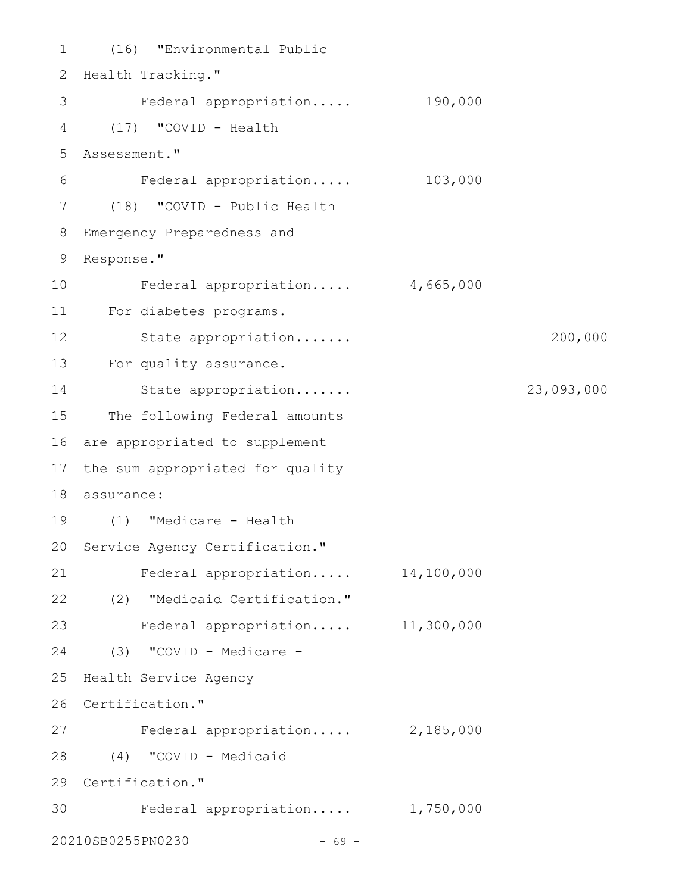```
(16) "Environmental Public
1
2 Health Tracking."
3 Federal appropriation..... 190,000
(17) "COVID - Health
4
Assessment."
5
     Federal appropriation..... 103,000
(18) "COVID - Public Health
7
Emergency Preparedness and
8
Response."
9
        Federal appropriation..... 4,665,000
For diabetes programs.
11
        State appropriation....... 200,000
13 For quality assurance.
        State appropriation....... 23,093,000
15 The following Federal amounts
16 are appropriated to supplement
17 the sum appropriated for quality
assurance:
18
(1) "Medicare - Health
19
20 Service Agency Certification."
    Federal appropriation..... 14,100,000
(2) "Medicaid Certification."
22
Federal appropriation..... 11,300,000
23
(3) "COVID - Medicare -
24
25 Health Service Agency
26 Certification."
27 Federal appropriation..... 2,185,000
(4) "COVID - Medicaid
28
29 Certification."
30 Federal appropriation..... 1,750,000
20210SB0255PN0230 - 69 -
6
10
12
14
21
```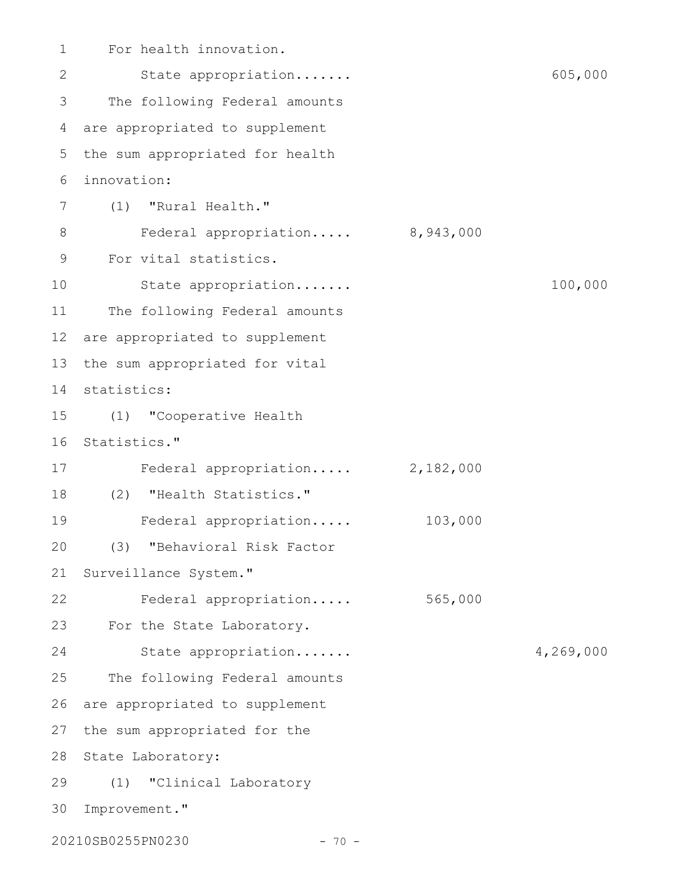For health innovation. State appropriation....... 605,000 The following Federal amounts are appropriated to supplement the sum appropriated for health innovation: (1) "Rural Health." Federal appropriation..... 8,943,000 For vital statistics. State appropriation....... 100,000 The following Federal amounts are appropriated to supplement the sum appropriated for vital 14 statistics: (1) "Cooperative Health 16 Statistics." Federal appropriation..... 2,182,000 (2) "Health Statistics." 18 Federal appropriation..... 103,000 (3) "Behavioral Risk Factor Surveillance System." Federal appropriation..... 565,000 For the State Laboratory. State appropriation....... 4,269,000 The following Federal amounts are appropriated to supplement 27 the sum appropriated for the 28 State Laboratory: (1) "Clinical Laboratory 29 30 Improvement." 20210SB0255PN0230 - 70 -1 2 3 4 5 6 7 8 9 10 11 12 13 15 17 19 20 21 22 23 24 25 26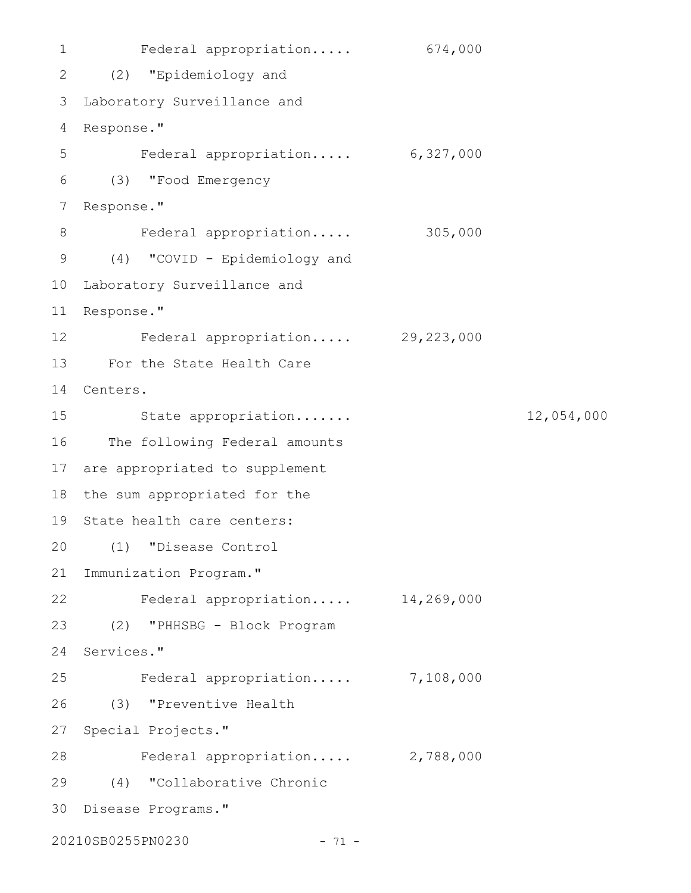```
1 Federal appropriation..... 674,000
(2) "Epidemiology and
2
Laboratory Surveillance and
3
Response."
4
    Federal appropriation..... 6,327,000
(3) "Food Emergency
6
7 Response."
    Federal appropriation..... 305,000
(4) "COVID - Epidemiology and
9
10 Laboratory Surveillance and
11 Response."
Federal appropriation..... 29,223,000
12
For the State Health Care
13
14 Centers.
        State appropriation....... 12,054,000
16 The following Federal amounts
17 are appropriated to supplement
18 the sum appropriated for the
19 State health care centers:
(1) "Disease Control
20
21 Immunization Program."
Federal appropriation..... 14,269,000
22
(2) "PHHSBG - Block Program
23
24 Services."
     Federal appropriation..... 7,108,000
(3) "Preventive Health
26
27 Special Projects."
28 Federal appropriation..... 2,788,000
(4) "Collaborative Chronic
29
30 Disease Programs."
20210SB0255PN0230 - 71 -
5
8
15
25
```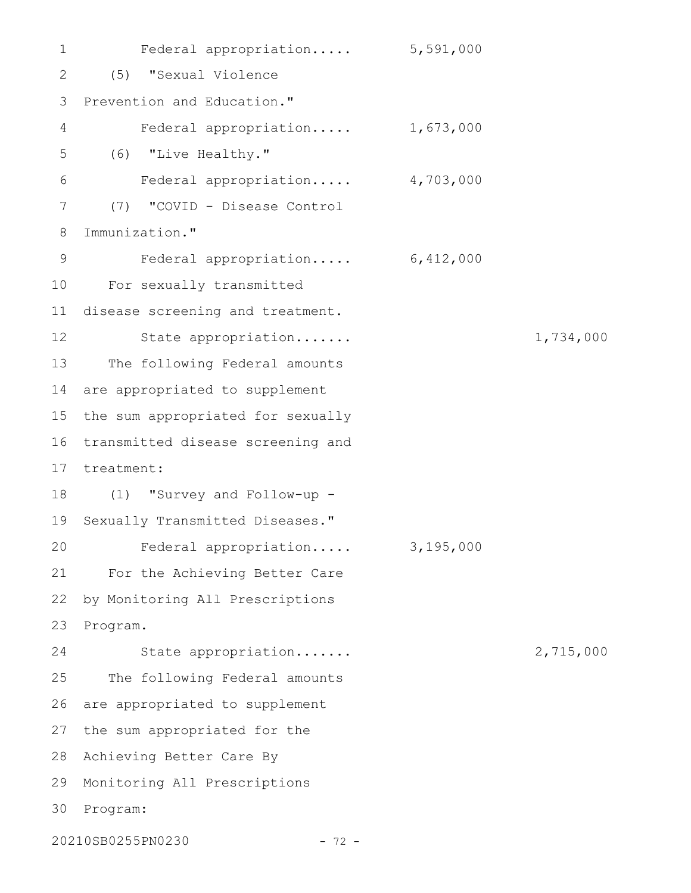Federal appropriation..... 5,591,000 (5) "Sexual Violence Prevention and Education." Federal appropriation..... 1,673,000 (6) "Live Healthy." Federal appropriation..... 4,703,000 (7) "COVID - Disease Control Immunization." Federal appropriation..... 6,412,000 For sexually transmitted 10 disease screening and treatment. State appropriation....... 1,734,000 The following Federal amounts 14 are appropriated to supplement 15 the sum appropriated for sexually 16 transmitted disease screening and 17 treatment: (1) "Survey and Follow-up - 18 19 Sexually Transmitted Diseases." Federal appropriation..... 3,195,000 For the Achieving Better Care 21 by Monitoring All Prescriptions Program. State appropriation....... 2,715,000 The following Federal amounts are appropriated to supplement 27 the sum appropriated for the 28 Achieving Better Care By 29 Monitoring All Prescriptions 30 Program: 20210SB0255PN0230 - 72 - 1 2 3 4 5 6 7 8 9 11 12 13 20 22 23 24 25 26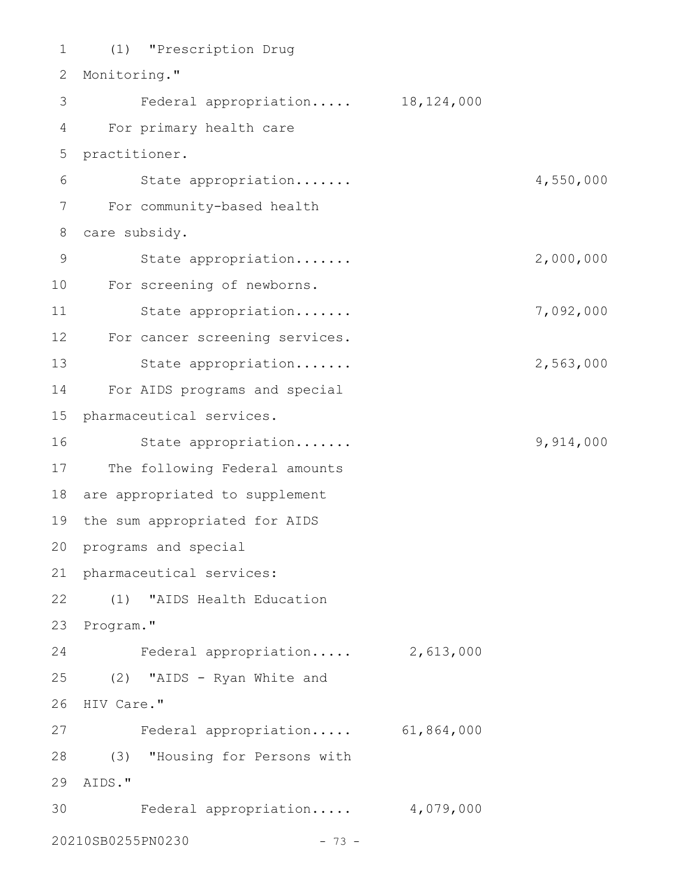(1) "Prescription Drug 1 2 Monitoring." 3 Federal appropriation..... 18,124,000 For primary health care 4 5 practitioner. State appropriation....... 4,550,000 For community-based health 7 care subsidy. 8 State appropriation....... 2,000,000 For screening of newborns. 10 State appropriation....... 7,092,000 For cancer screening services. 12 13 State appropriation...... 2,563,000 For AIDS programs and special 14 15 pharmaceutical services. State appropriation....... 9,914,000 17 The following Federal amounts 18 are appropriated to supplement 19 the sum appropriated for AIDS 20 programs and special 21 pharmaceutical services: (1) "AIDS Health Education 22 23 Program." Federal appropriation..... 2,613,000 (2) "AIDS - Ryan White and 25 26 HIV Care." Federal appropriation..... 61,864,000 27 (3) "Housing for Persons with 28 AIDS." 29 Federal appropriation..... 4,079,000 3020210SB0255PN0230 - 73 -6 9 11 16 24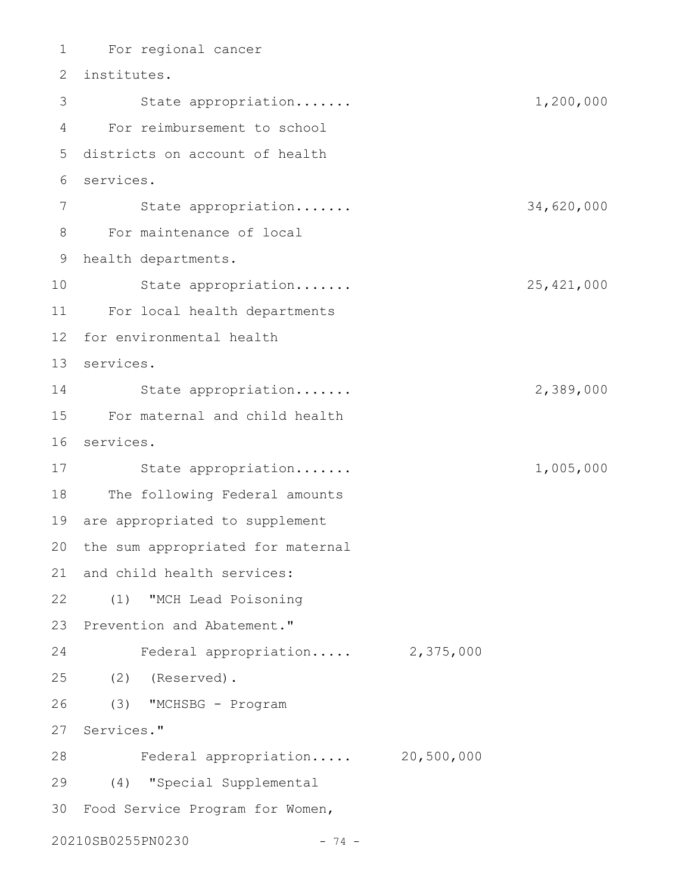For regional cancer 1 2 institutes. 3 State appropriation...... 1,200,000 For reimbursement to school 4 5 districts on account of health services. 6 State appropriation....... 34,620,000 For maintenance of local 8 health departments. 9 State appropriation....... 25,421,000 For local health departments 11 12 for environmental health services. 13 State appropriation....... 2,389,000 For maternal and child health 15 services. 16 17 State appropriation...... 1,005,000 18 The following Federal amounts are appropriated to supplement 19 20 the sum appropriated for maternal 21 and child health services: (1) "MCH Lead Poisoning 22 23 Prevention and Abatement." Federal appropriation..... 2,375,000 (2) (Reserved). 25 (3) "MCHSBG - Program 27 Services." Federal appropriation..... 20,500,000 28 (4) "Special Supplemental 29 Food Service Program for Women, 3020210SB0255PN0230 - 74 - 7 10 14 24 26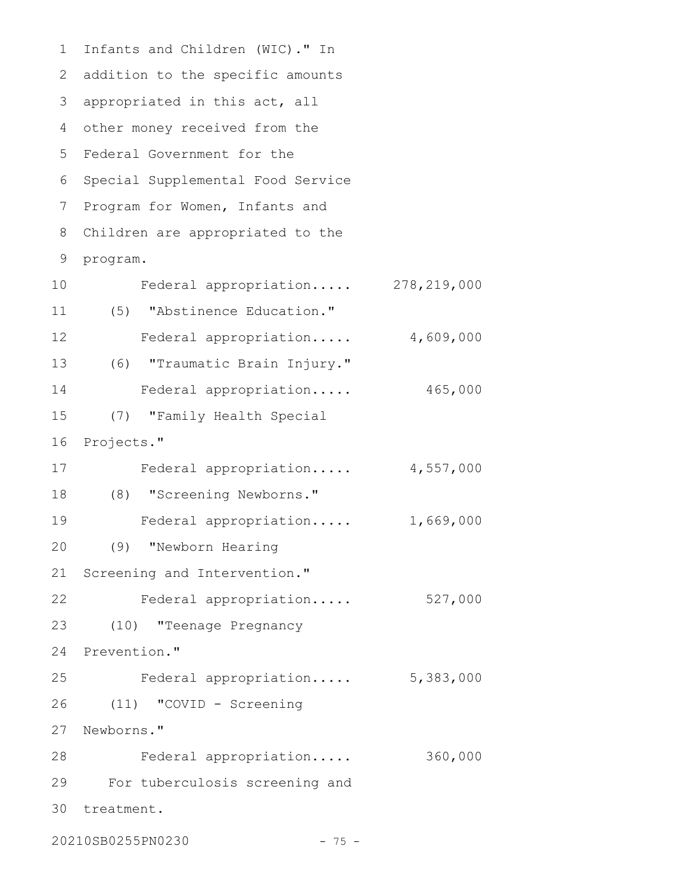Infants and Children (WIC)." In 1 2 addition to the specific amounts 3 appropriated in this act, all other money received from the 4 Federal Government for the 5 6 Special Supplemental Food Service 7 Program for Women, Infants and Children are appropriated to the 9 program. Federal appropriation..... 278,219,000 (5) "Abstinence Education." Federal appropriation..... 4,609,000 (6) "Traumatic Brain Injury." 13 Federal appropriation..... 465,000 (7) "Family Health Special 16 Projects." Federal appropriation..... 4,557,000 (8) "Screening Newborns." 18 Federal appropriation..... 1,669,000 (9) "Newborn Hearing Screening and Intervention." Federal appropriation..... 527,000 (10) "Teenage Pregnancy 24 Prevention." Federal appropriation..... 5,383,000 (11) "COVID - Screening 27 Newborns." Federal appropriation..... 360,000 For tuberculosis screening and 30 treatment. 8 10 11 12 14 15 17 19 20 21 22 23 25 26 28 29

20210SB0255PN0230 - 75 -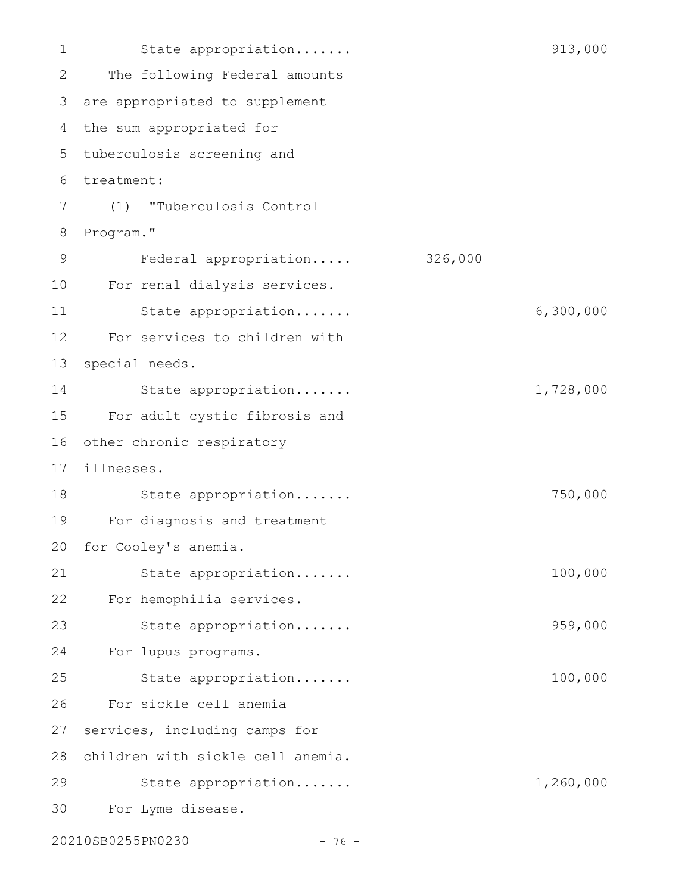State appropriation....... 913,000 The following Federal amounts are appropriated to supplement 3 4 the sum appropriated for tuberculosis screening and 5 treatment: 6 (1) "Tuberculosis Control Program." Federal appropriation..... 326,000 For renal dialysis services. State appropriation....... 6,300,000 For services to children with special needs. State appropriation....... 1,728,000 For adult cystic fibrosis and 16 other chronic respiratory illnesses. 17 State appropriation....... 750,000 For diagnosis and treatment for Cooley's anemia. State appropriation....... 100,000 For hemophilia services. State appropriation....... 959,000 For lupus programs. State appropriation....... 100,000 For sickle cell anemia services, including camps for 28 children with sickle cell anemia. State appropriation....... 1,260,000 For Lyme disease. 1 2 7 8 9 10 11 12 13 14 15 18 19 20 21 22 23 24 25 26 27 29 30

20210SB0255PN0230 - 76 -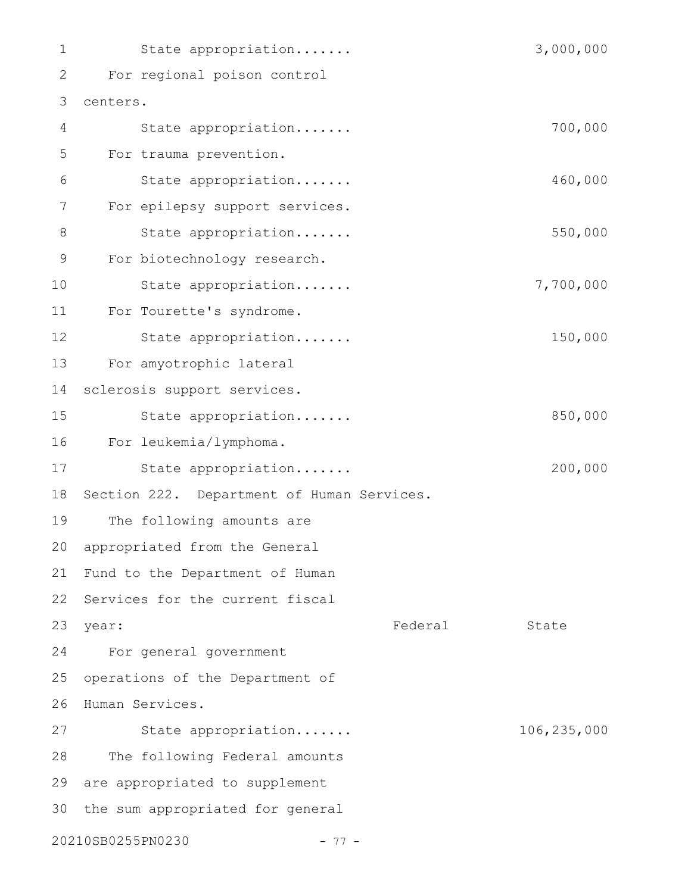| 1              | State appropriation                        |         | 3,000,000   |
|----------------|--------------------------------------------|---------|-------------|
| 2              | For regional poison control                |         |             |
| 3              | centers.                                   |         |             |
| 4              | State appropriation                        |         | 700,000     |
| 5              | For trauma prevention.                     |         |             |
| 6              | State appropriation                        |         | 460,000     |
| $\overline{7}$ | For epilepsy support services.             |         |             |
| $\,8\,$        | State appropriation                        |         | 550,000     |
| 9              | For biotechnology research.                |         |             |
| 10             | State appropriation                        |         | 7,700,000   |
| 11             | For Tourette's syndrome.                   |         |             |
| 12             | State appropriation                        |         | 150,000     |
| 13             | For amyotrophic lateral                    |         |             |
| 14             | sclerosis support services.                |         |             |
| 15             | State appropriation                        |         | 850,000     |
| 16             | For leukemia/lymphoma.                     |         |             |
| 17             | State appropriation                        |         | 200,000     |
| 18             | Section 222. Department of Human Services. |         |             |
| 19             | The following amounts are                  |         |             |
| 20             | appropriated from the General              |         |             |
| 21             | Fund to the Department of Human            |         |             |
| 22             | Services for the current fiscal            |         |             |
| 23             | year:                                      | Federal | State       |
| 24             | For general government                     |         |             |
| 25             | operations of the Department of            |         |             |
| 26             | Human Services.                            |         |             |
| 27             | State appropriation                        |         | 106,235,000 |
| 28             | The following Federal amounts              |         |             |
| 29             | are appropriated to supplement             |         |             |
| 30             | the sum appropriated for general           |         |             |
|                | 20210SB0255PN0230<br>$-77-$                |         |             |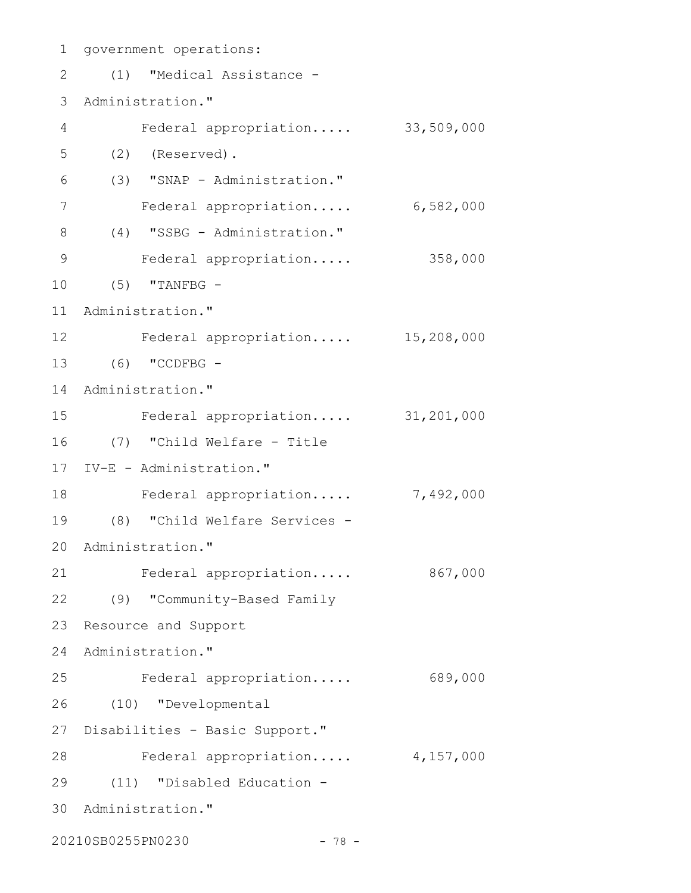1 government operations: (1) "Medical Assistance - 2 3 Administration." Federal appropriation..... 33,509,000 (2) (Reserved). (3) "SNAP - Administration." Federal appropriation..... 6,582,000 (4) "SSBG - Administration." 8 Federal appropriation..... 358,000 (5) "TANFBG - 10 11 Administration." Federal appropriation..... 15,208,000 12 (6) "CCDFBG - 13 14 Administration." Federal appropriation..... 31,201,000 (7) "Child Welfare - Title 16 IV-E - Administration." 17 18 Federal appropriation..... 7,492,000 (8) "Child Welfare Services - 19 20 Administration." 21 Federal appropriation..... 867,000 (9) "Community-Based Family 22 23 Resource and Support 24 Administration." Federal appropriation..... 689,000 (10) "Developmental 26 27 Disabilities - Basic Support." 28 Federal appropriation..... 4,157,000 (11) "Disabled Education - 29 30 Administration." 20210SB0255PN0230 - 78 -4 5 6 7 9 15 25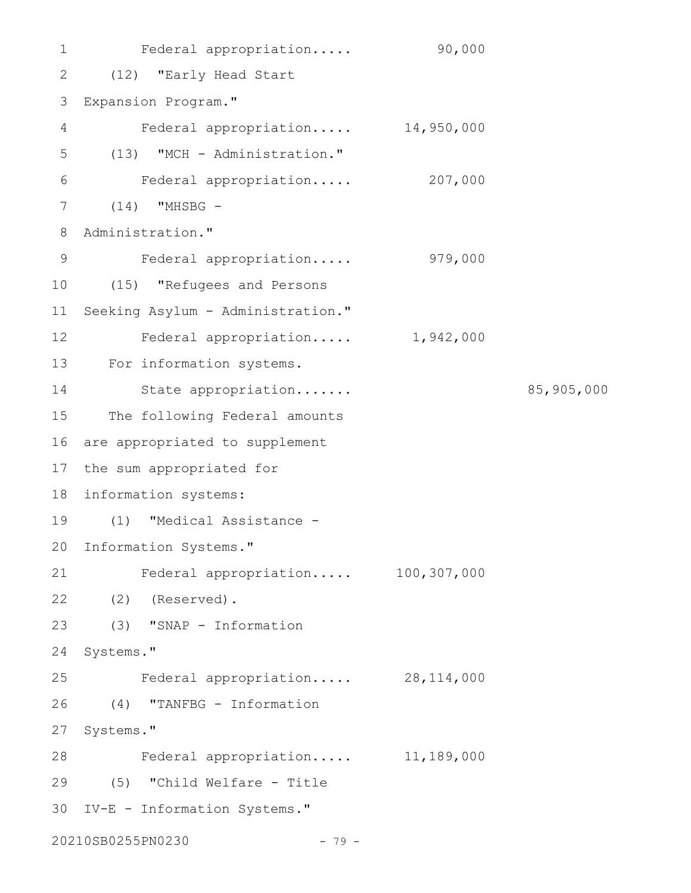Federal appropriation..... 90,000 (12) "Early Head Start Expansion Program." Federal appropriation..... 14,950,000 (13) "MCH - Administration." Federal appropriation..... 207,000 (14) "MHSBG - Administration." Federal appropriation..... 979,000 (15) "Refugees and Persons 10 Seeking Asylum - Administration." Federal appropriation..... 1,942,000 13 For information systems. State appropriation....... 85,905,000 The following Federal amounts 16 are appropriated to supplement 17 the sum appropriated for 18 information systems: (1) "Medical Assistance - 20 Information Systems." Federal appropriation..... 100,307,000 (2) (Reserved). 22 (3) "SNAP - Information 24 Systems." Federal appropriation..... 28,114,000 (4) "TANFBG - Information 27 Systems." Federal appropriation..... 11,189,000 (5) "Child Welfare - Title 29 IV-E - Information Systems." 3020210SB0255PN0230 - 79 - 1 2 3 4 5 6 7 8 9 11 12 14 15 19 21 23 25 26 28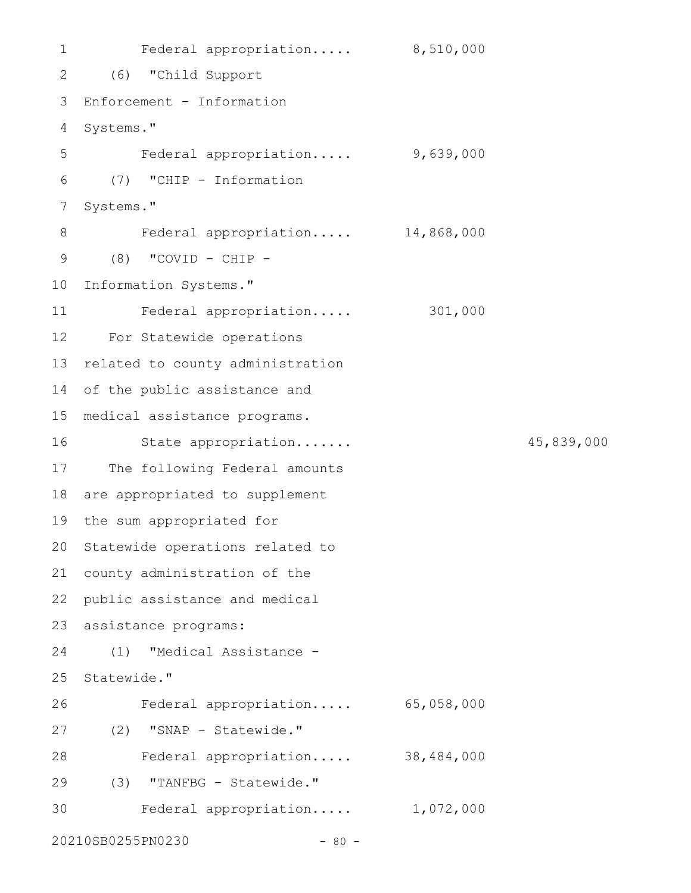```
Federal appropriation..... 8,510,000
 (6) "Child Support
2
 Enforcement - Information
3
 4 Systems."
        Federal appropriation..... 9,639,000
    (7) "CHIP - Information
 7 Systems."
         Federal appropriation..... 14,868,000
      (8) "COVID - CHIP -
10 Information Systems."
        Federal appropriation..... 301,000
For Statewide operations
12
13 related to county administration
14 of the public assistance and
medical assistance programs.
15
         State appropriation....... 45,839,000
17 The following Federal amounts
18 are appropriated to supplement
19 the sum appropriated for
20 Statewide operations related to
21 county administration of the
   public assistance and medical
23 assistance programs:
      (1) "Medical Assistance -
25 Statewide."
        Federal appropriation..... 65,058,000
(2) "SNAP - Statewide."
27
      Federal appropriation..... 38,484,000
(3) "TANFBG - Statewide."
29
         Federal appropriation..... 1,072,000
20210SB0255PN0230 - 80 -
1
5
 6
8
9
11
16
22
24
26
28
30
```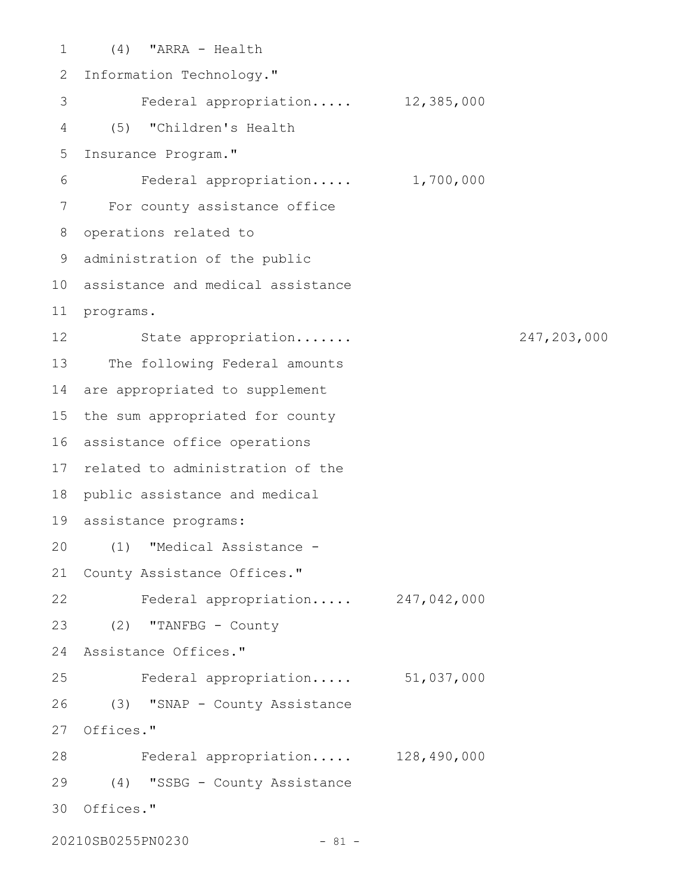(4) "ARRA - Health 1 2 Information Technology." Federal appropriation..... 12,385,000 (5) "Children's Health 4 5 Insurance Program." Federal appropriation..... 1,700,000 For county assistance office 7 8 operations related to administration of the public 9 10 assistance and medical assistance 11 programs. 12 State appropriation...... 247,203,000 13 The following Federal amounts 14 are appropriated to supplement 15 the sum appropriated for county 16 assistance office operations 17 related to administration of the 18 public assistance and medical assistance programs: 19 (1) "Medical Assistance - 20 21 County Assistance Offices." Federal appropriation..... 247,042,000 22 23 (2) "TANFBG - County Assistance Offices." 24 Federal appropriation..... 51,037,000 26 (3) "SNAP - County Assistance 27 Offices." Federal appropriation..... 128,490,000 28 (4) "SSBG - County Assistance 29 30 Offices." 3 6 25

20210SB0255PN0230 - 81 -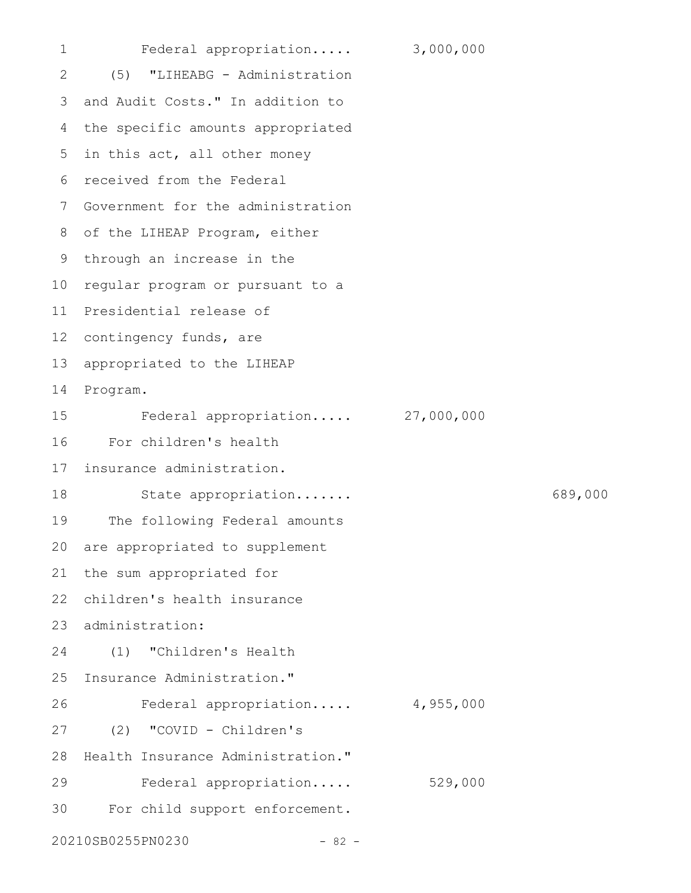Federal appropriation..... 3,000,000 (5) "LIHEABG - Administration 3 and Audit Costs." In addition to the specific amounts appropriated 5 in this act, all other money received from the Federal 6 7 Government for the administration 8 of the LIHEAP Program, either 9 through an increase in the 10 regular program or pursuant to a 11 Presidential release of 12 contingency funds, are 13 appropriated to the LIHEAP Program. Federal appropriation..... 27,000,000 For children's health insurance administration. State appropriation....... 689,000 The following Federal amounts are appropriated to supplement 21 the sum appropriated for 22 children's health insurance 23 administration: (1) "Children's Health 25 Insurance Administration." Federal appropriation..... 4,955,000 (2) "COVID - Children's Health Insurance Administration." Federal appropriation..... 529,000 For child support enforcement. 20210SB0255PN0230 - 82 - 1 2 4 14 15 16 17 18 19 20 24 26 27 28 29 30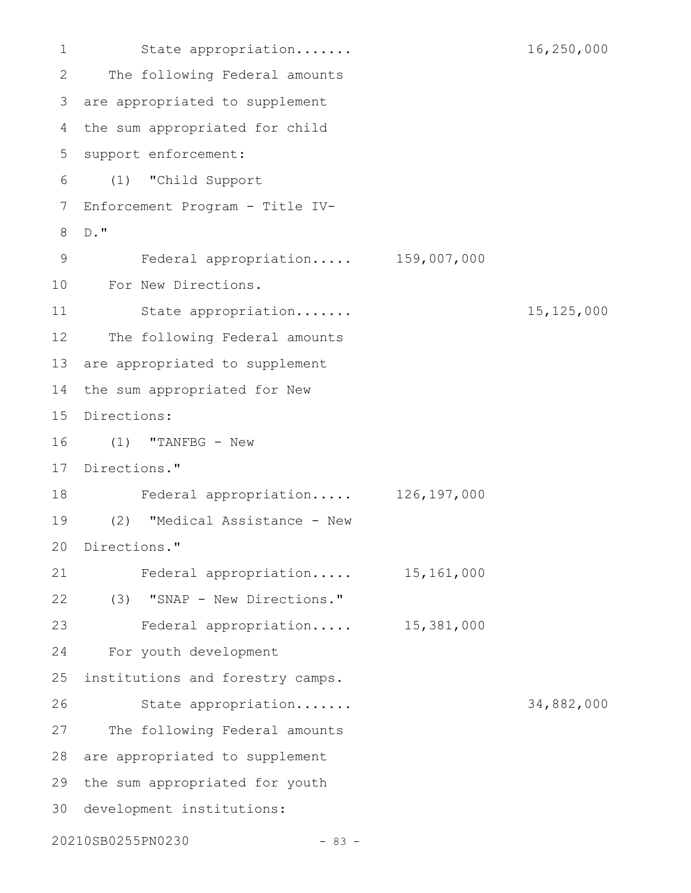State appropriation....... 16,250,000 The following Federal amounts are appropriated to supplement 3 the sum appropriated for child 5 support enforcement: (1) "Child Support 6 Enforcement Program - Title IV-D." Federal appropriation..... 159,007,000 For New Directions. State appropriation....... 15,125,000 The following Federal amounts 13 are appropriated to supplement 14 the sum appropriated for New 15 Directions: (1) "TANFBG - New 17 Directions." Federal appropriation..... 126,197,000 (2) "Medical Assistance - New 20 Directions." Federal appropriation..... 15,161,000 (3) "SNAP - New Directions." Federal appropriation..... 15,381,000 For youth development institutions and forestry camps. State appropriation....... 34,882,000 The following Federal amounts 28 are appropriated to supplement 29 the sum appropriated for youth 30 development institutions: 20210SB0255PN0230 - 83 - 1 2 4 7 8 9 10 11 12 16 18 19 21 22 23 24 25 26 27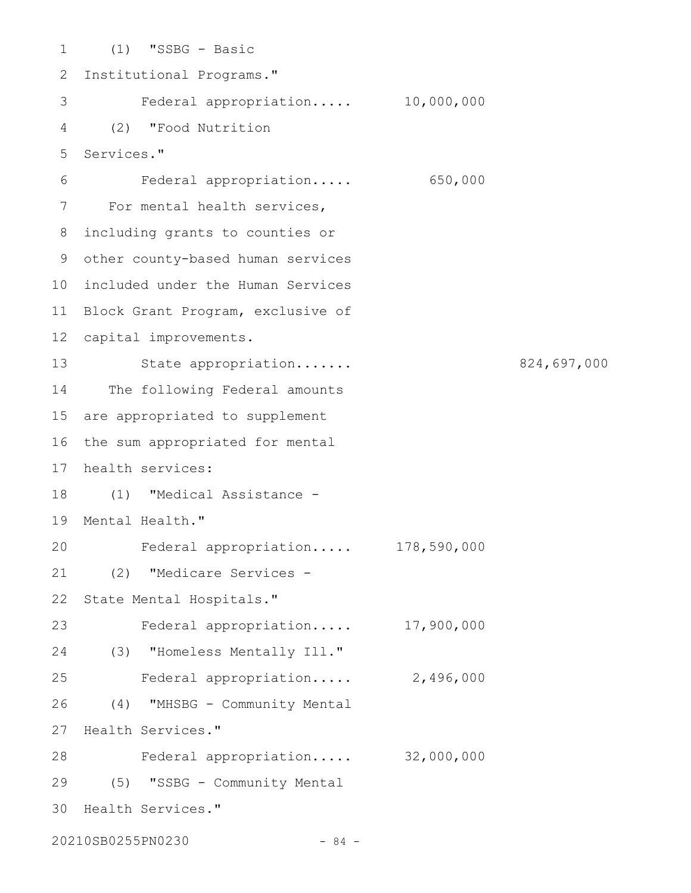(1) "SSBG - Basic 1 2 Institutional Programs." Federal appropriation..... 10,000,000 (2) "Food Nutrition 4 Services." 5 Federal appropriation..... 650,000 For mental health services, including grants to counties or 8 other county-based human services 9 10 included under the Human Services 11 Block Grant Program, exclusive of 12 capital improvements. 13 State appropriation...... 824,697,000 14 The following Federal amounts 15 are appropriated to supplement 16 the sum appropriated for mental 17 health services: (1) "Medical Assistance - 18 19 Mental Health." Federal appropriation..... 178,590,000 (2) "Medicare Services - 21 State Mental Hospitals." Federal appropriation..... 17,900,000 (3) "Homeless Mentally Ill." 24 Federal appropriation..... 2,496,000 (4) "MHSBG - Community Mental 27 Health Services." Federal appropriation..... 32,000,000 (5) "SSBG - Community Mental 29 30 Health Services." 3 6 7 20 22 23 25 26 28

20210SB0255PN0230 - 84 -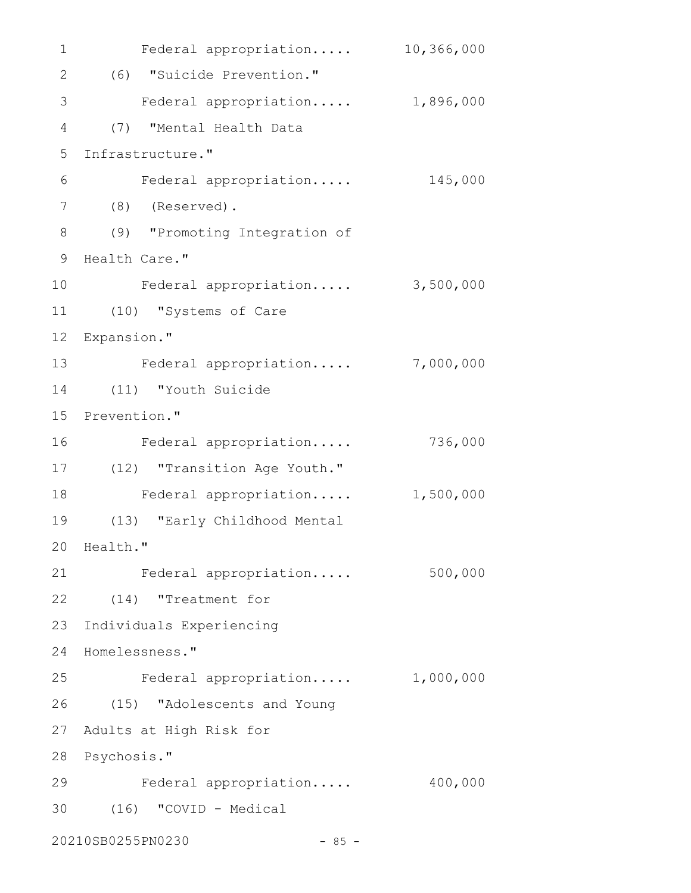| $\mathbf 1$ | Federal appropriation           | 10,366,000 |  |  |
|-------------|---------------------------------|------------|--|--|
| 2           | (6) "Suicide Prevention."       |            |  |  |
| 3           | Federal appropriation 1,896,000 |            |  |  |
| 4           | (7) "Mental Health Data         |            |  |  |
| 5           | Infrastructure."                |            |  |  |
| 6           | Federal appropriation           | 145,000    |  |  |
| 7           | $(8)$ (Reserved).               |            |  |  |
| $8\,$       | (9) "Promoting Integration of   |            |  |  |
| 9           | Health Care."                   |            |  |  |
| 10          | Federal appropriation           | 3,500,000  |  |  |
| 11          | (10) "Systems of Care           |            |  |  |
| 12          | Expansion."                     |            |  |  |
| 13          | Federal appropriation           | 7,000,000  |  |  |
| 14          | (11) "Youth Suicide             |            |  |  |
| 15          | Prevention."                    |            |  |  |
| 16          | Federal appropriation           | 736,000    |  |  |
| 17          | (12) "Transition Age Youth."    |            |  |  |
| 18          | Federal appropriation           | 1,500,000  |  |  |
| 19          | (13) "Early Childhood Mental    |            |  |  |
| 20          | Health."                        |            |  |  |
| 21          | Federal appropriation           | 500,000    |  |  |
| 22          | (14) "Treatment for             |            |  |  |
| 23          | Individuals Experiencing        |            |  |  |
| 24          | Homelessness."                  |            |  |  |
| 25          | Federal appropriation           | 1,000,000  |  |  |
| 26          | (15) "Adolescents and Young     |            |  |  |
| 27          | Adults at High Risk for         |            |  |  |
| 28          | Psychosis."                     |            |  |  |
| 29          | Federal appropriation           | 400,000    |  |  |
| 30          | (16) "COVID - Medical           |            |  |  |
|             | 20210SB0255PN0230<br>$-85 -$    |            |  |  |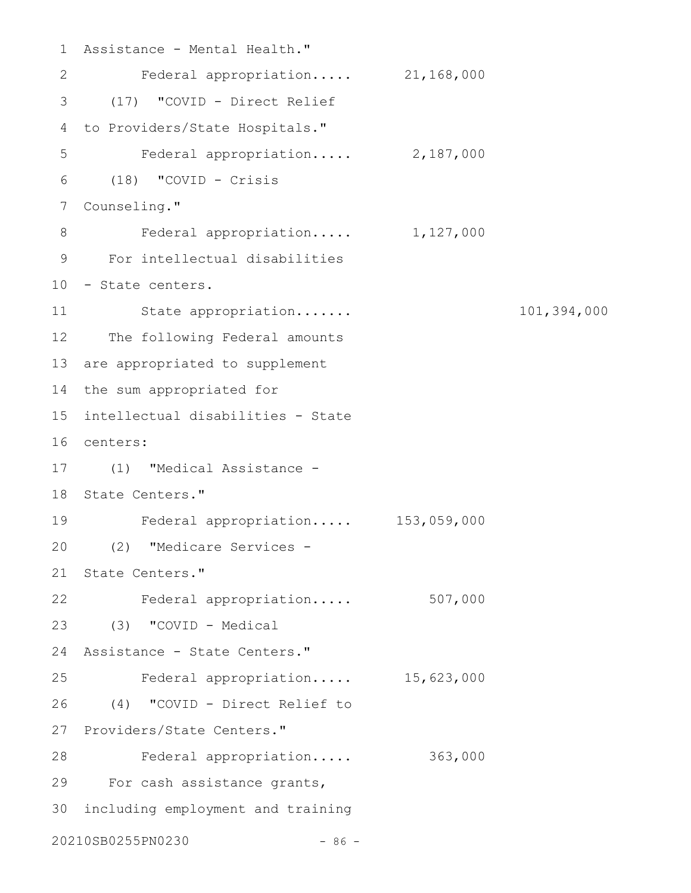```
Assistance - Mental Health."
1
     Federal appropriation..... 21,168,000
 (17) "COVID - Direct Relief
3
 4 to Providers/State Hospitals."
        Federal appropriation..... 2,187,000
    (18) "COVID - Crisis
 7 Counseling."
         Federal appropriation..... 1,127,000
 For intellectual disabilities
9
10 - State centers.
    State appropriation....... 101,394,000
12 The following Federal amounts
13 are appropriated to supplement
14 the sum appropriated for
intellectual disabilities - State
15
centers:
16
(1) "Medical Assistance -
17
18 State Centers."
    Federal appropriation..... 153,059,000
(2) "Medicare Services -
20
21 State Centers."
22 Federal appropriation..... 507,000
(3) "COVID - Medical
23
24 Assistance - State Centers."
     Federal appropriation..... 15,623,000
(4) "COVID - Direct Relief to
26
27 Providers/State Centers."
        Federal appropriation..... 363,000
29 For cash assistance grants,
30 including employment and training
20210SB0255PN0230 - 86 -
2
5
6
8
11
19
25
28
```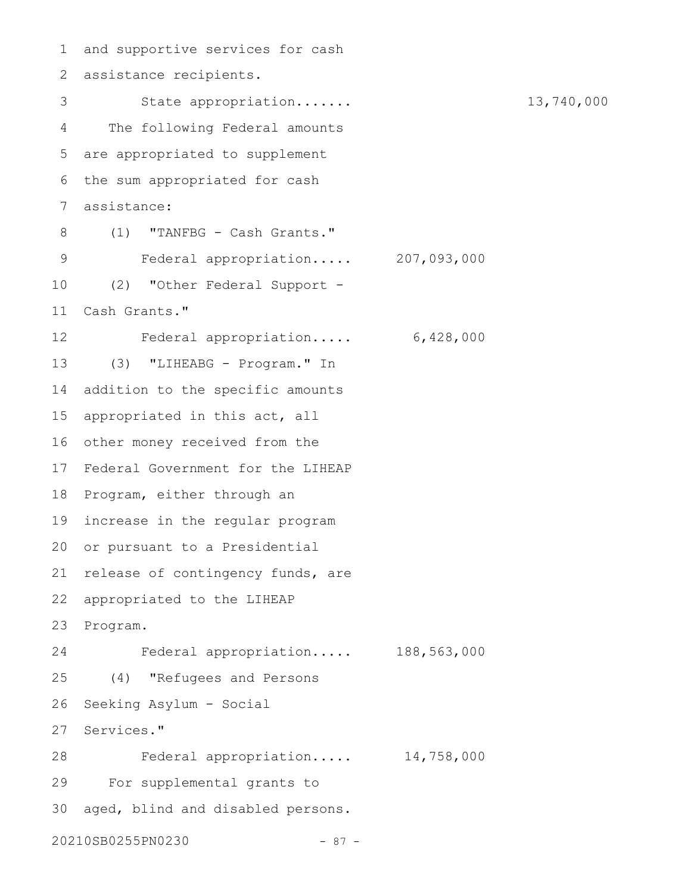and supportive services for cash assistance recipients. 2 State appropriation....... 13,740,000 The following Federal amounts are appropriated to supplement 5 6 the sum appropriated for cash assistance: (1) "TANFBG - Cash Grants." Federal appropriation..... 207,093,000 (2) "Other Federal Support - Cash Grants." Federal appropriation..... 6,428,000 (3) "LIHEABG - Program." In addition to the specific amounts 15 appropriated in this act, all 16 other money received from the 17 Federal Government for the LIHEAP 18 Program, either through an 19 increase in the regular program 20 or pursuant to a Presidential 21 release of contingency funds, are appropriated to the LIHEAP 23 Program. Federal appropriation..... 188,563,000 (4) "Refugees and Persons Seeking Asylum - Social Services." Federal appropriation..... 14,758,000 For supplemental grants to aged, blind and disabled persons. 20210SB0255PN0230 - 87 - 1 3 4 7 8 9 10 11 12 13 14 22 24 25 26 27 28 29 30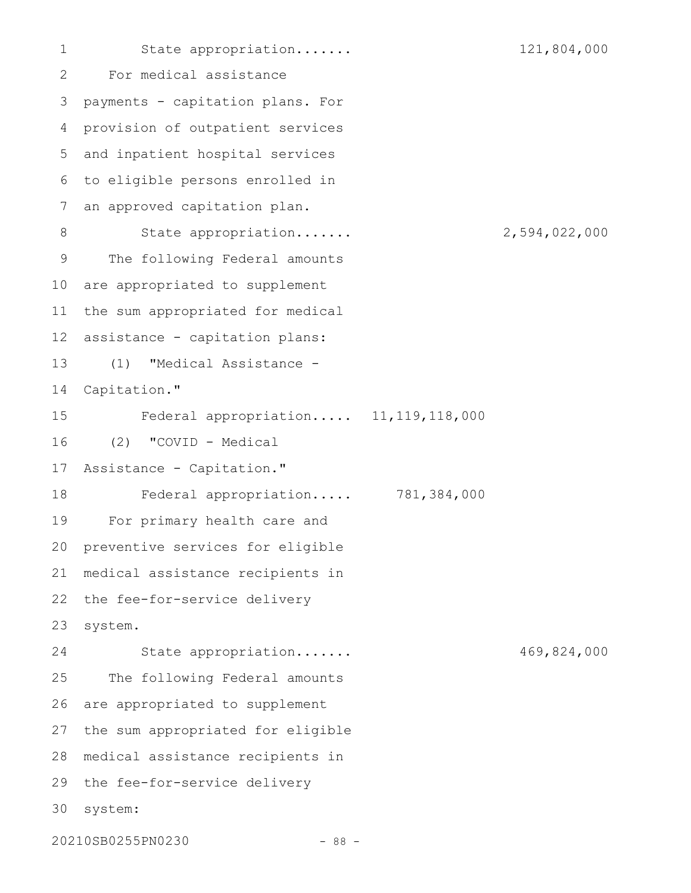State appropriation....... 121,804,000 For medical assistance payments - capitation plans. For provision of outpatient services and inpatient hospital services to eligible persons enrolled in an approved capitation plan. State appropriation....... 2,594,022,000 The following Federal amounts are appropriated to supplement the sum appropriated for medical assistance - capitation plans: (1) "Medical Assistance - Capitation." Federal appropriation..... 11,119,118,000 (2) "COVID - Medical Assistance - Capitation." Federal appropriation..... 781,384,000 For primary health care and preventive services for eligible medical assistance recipients in the fee-for-service delivery system. State appropriation....... 469,824,000 The following Federal amounts are appropriated to supplement the sum appropriated for eligible medical assistance recipients in 28 29 the fee-for-service delivery system: 3020210SB0255PN0230 - 88 - 1 2 3 4 5 6 7 8 9 10 11 12 13 14 15 16 17 18 19 20 21 22 23 24 25 26 27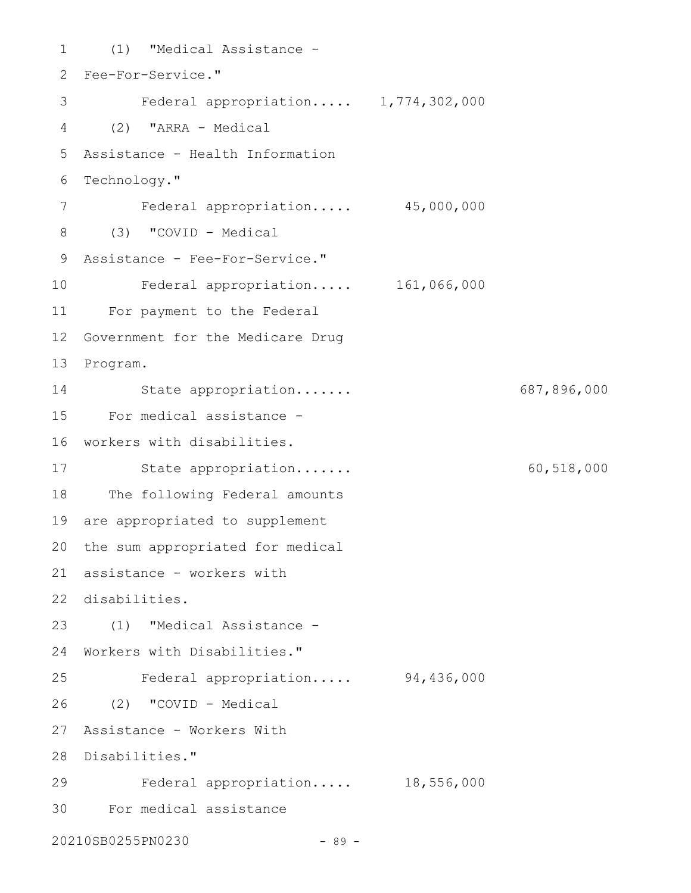```
(1) "Medical Assistance -
1
 Fee-For-Service."
2
    Federal appropriation..... 1,774,302,000
 (2) "ARRA - Medical
4
 Assistance - Health Information
5
 Technology."
6
       Federal appropriation..... 45,000,000
 (3) "COVID - Medical
8
 Assistance - Fee-For-Service."
9
    Federal appropriation..... 161,066,000
For payment to the Federal
11
12 Government for the Medicare Drug
13 Program.
        State appropriation....... 687,896,000
For medical assistance -
15
16 workers with disabilities.
17 State appropriation...... 60,518,000
18 The following Federal amounts
19 are appropriated to supplement
20 the sum appropriated for medical
assistance - workers with
21
disabilities.
22
(1) "Medical Assistance -
23
24 Workers with Disabilities."
    Federal appropriation..... 94,436,000
(2) "COVID - Medical
26
Assistance - Workers With
27
28 Disabilities."
    Federal appropriation..... 18,556,000
For medical assistance
3020210SB0255PN0230 - 89 -
3
7
10
14
25
29
```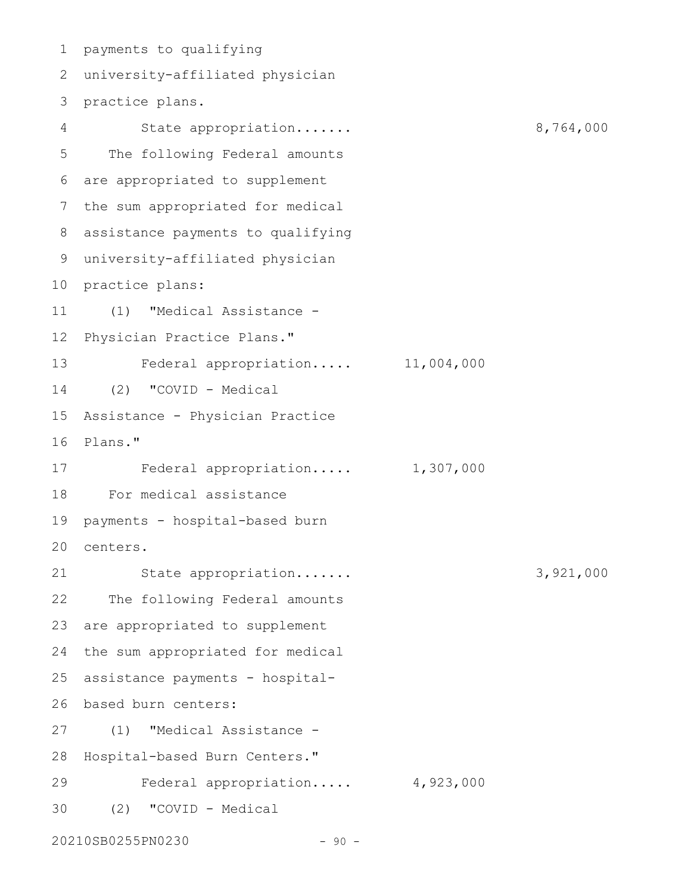payments to qualifying 1 university-affiliated physician 2 3 practice plans. State appropriation....... 8,764,000 The following Federal amounts are appropriated to supplement the sum appropriated for medical assistance payments to qualifying 8 university-affiliated physician 9 10 practice plans: (1) "Medical Assistance - Physician Practice Plans." Federal appropriation..... 11,004,000 (2) "COVID - Medical Assistance - Physician Practice 15 16 Plans." Federal appropriation..... 1,307,000 For medical assistance 18 payments - hospital-based burn centers. 20 State appropriation....... 3,921,000 The following Federal amounts 23 are appropriated to supplement the sum appropriated for medical 25 assistance payments - hospital-26 based burn centers: (1) "Medical Assistance - 28 Hospital-based Burn Centers." Federal appropriation..... 4,923,000 (2) "COVID - Medical 4 5 6 7 11 12 13 14 17 19 21 22 24 27 29 30

20210SB0255PN0230 - 90 -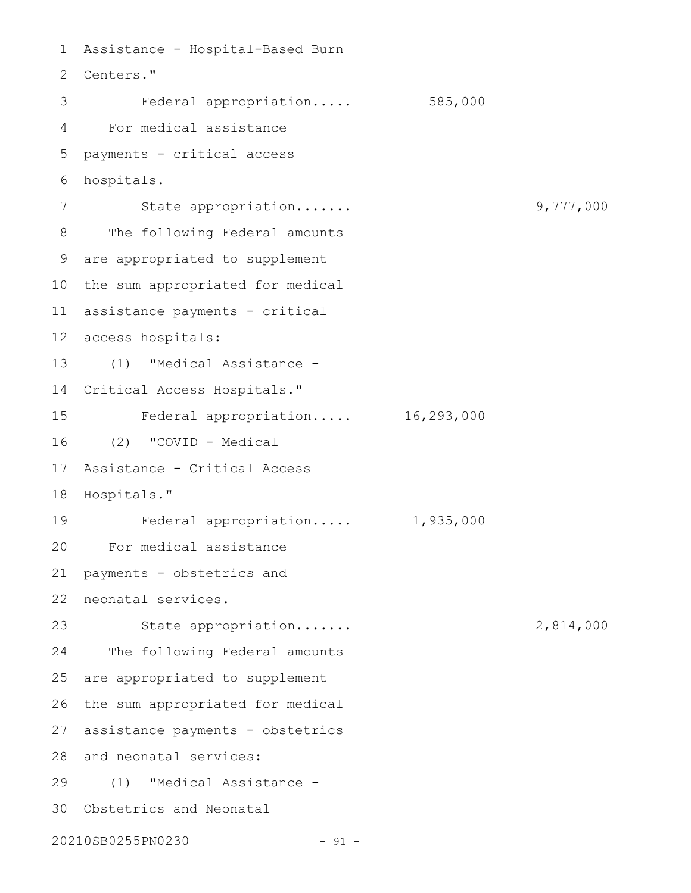```
Assistance - Hospital-Based Burn
 2 Centers."
         Federal appropriation..... 585,000
 For medical assistance
4
   payments - critical access
   hospitals.
          State appropriation....... 9,777,000
      The following Federal amounts
 are appropriated to supplement
9
10 the sum appropriated for medical
assistance payments - critical
11
access hospitals:
12
      (1) "Medical Assistance -
14 Critical Access Hospitals."
         Federal appropriation..... 16,293,000
    (2) "COVID - Medical
Assistance - Critical Access
17
18 Hospitals."
         Federal appropriation..... 1,935,000
For medical assistance
20
   payments - obstetrics and
neonatal services.
22
          State appropriation....... 2,814,000
      The following Federal amounts
25 are appropriated to supplement
26 the sum appropriated for medical
27 assistance payments - obstetrics
28 and neonatal services:
(1) "Medical Assistance -
29
30 Obstetrics and Neonatal
20210SB0255PN0230 - 91 -
1
 3
5
 6
7
8
13
15
16
19
21
23
24
```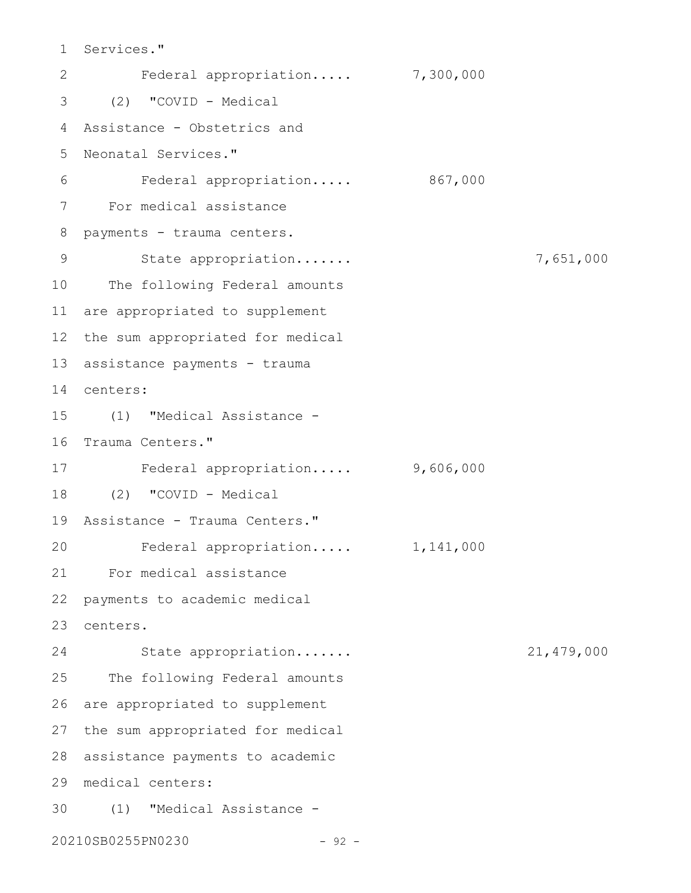Services." 1 Federal appropriation..... 7,300,000 (2) "COVID - Medical 3 Assistance - Obstetrics and 4 Neonatal Services." 5 Federal appropriation..... 867,000 For medical assistance 7 8 payments - trauma centers. State appropriation....... 7,651,000 10 The following Federal amounts are appropriated to supplement 11 12 the sum appropriated for medical 13 assistance payments - trauma centers: 14 (1) "Medical Assistance - 15 16 Trauma Centers." Federal appropriation..... 9,606,000 17 (2) "COVID - Medical 18 19 Assistance - Trauma Centers." Federal appropriation..... 1,141,000 For medical assistance 21 payments to academic medical centers. 23 State appropriation....... 21,479,000 The following Federal amounts 26 are appropriated to supplement 27 the sum appropriated for medical 28 assistance payments to academic medical centers: 29 (1) "Medical Assistance - 3020210SB0255PN0230 - 92 - 2 6 9 20 22 24 25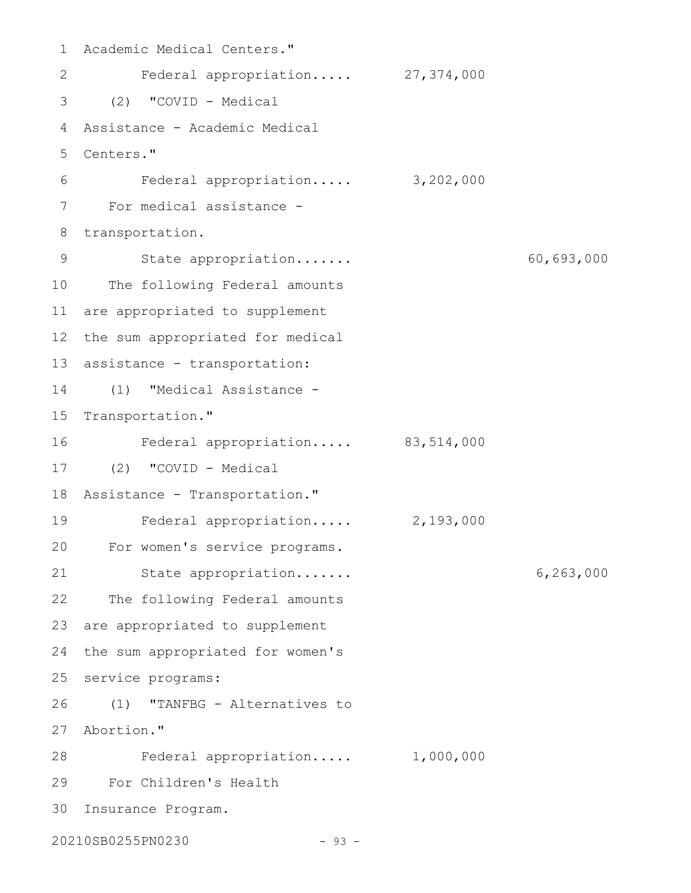1 Academic Medical Centers." Federal appropriation..... 27,374,000 (2) "COVID - Medical 3 Assistance - Academic Medical 4 Centers." 5 Federal appropriation..... 3,202,000 For medical assistance - 8 transportation. State appropriation....... 60,693,000 10 The following Federal amounts are appropriated to supplement 11 12 the sum appropriated for medical 13 assistance - transportation: (1) "Medical Assistance - 14 15 Transportation." Federal appropriation..... 83,514,000 (2) "COVID - Medical 17 18 Assistance - Transportation." Federal appropriation..... 2,193,000 For women's service programs. 20 State appropriation....... 6,263,000 22 The following Federal amounts 23 are appropriated to supplement 24 the sum appropriated for women's 25 service programs: (1) "TANFBG - Alternatives to Abortion." 27 Federal appropriation..... 1,000,000 28 For Children's Health 29 Insurance Program. 3020210SB0255PN0230 - 93 - 2 6 7 9 16 19 21 26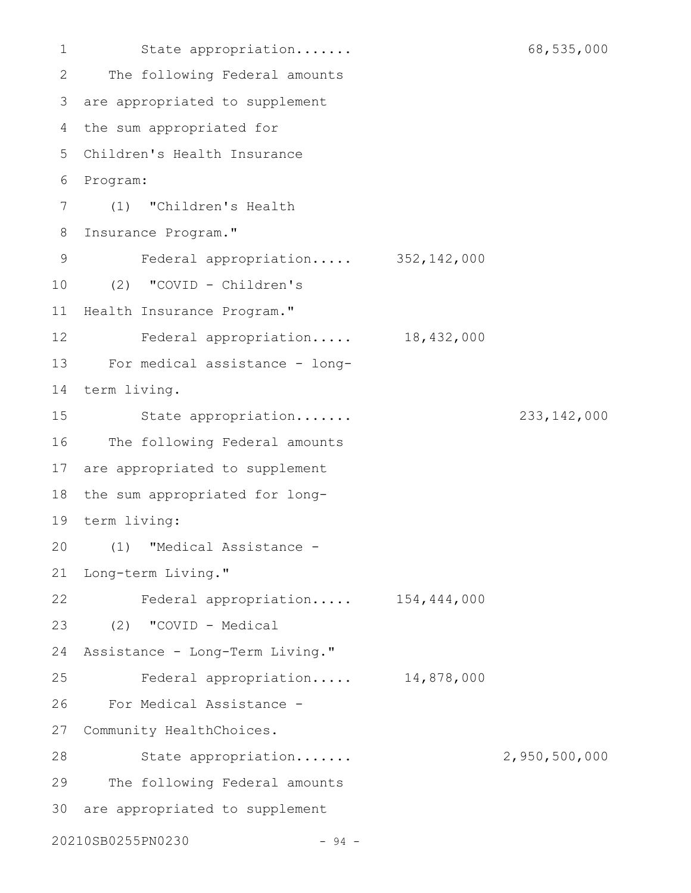```
State appropriation....... 68,535,000
      The following Federal amounts
 are appropriated to supplement
3
 4 the sum appropriated for
 Children's Health Insurance
5
 Program:
6
 (1) "Children's Health
7
   Insurance Program."
         Federal appropriation..... 352,142,000
(2) "COVID - Children's
10
11 Health Insurance Program."
     Federal appropriation..... 18,432,000
For medical assistance - long-
13
14 term living.
         State appropriation....... 233,142,000
      The following Federal amounts
17 are appropriated to supplement
18 the sum appropriated for long-
term living:
19
  (1) "Medical Assistance -
21 Long-term Living."
      Federal appropriation..... 154,444,000
(2) "COVID - Medical
23
24 Assistance - Long-Term Living."
         Federal appropriation..... 14,878,000
      For Medical Assistance -
27 Community HealthChoices.
         State appropriation....... 2,950,500,000
      The following Federal amounts
30 are appropriated to supplement
20210SB0255PN0230 - 94 -
1
2
8
9
12
15
16
20
22
25
26
28
29
```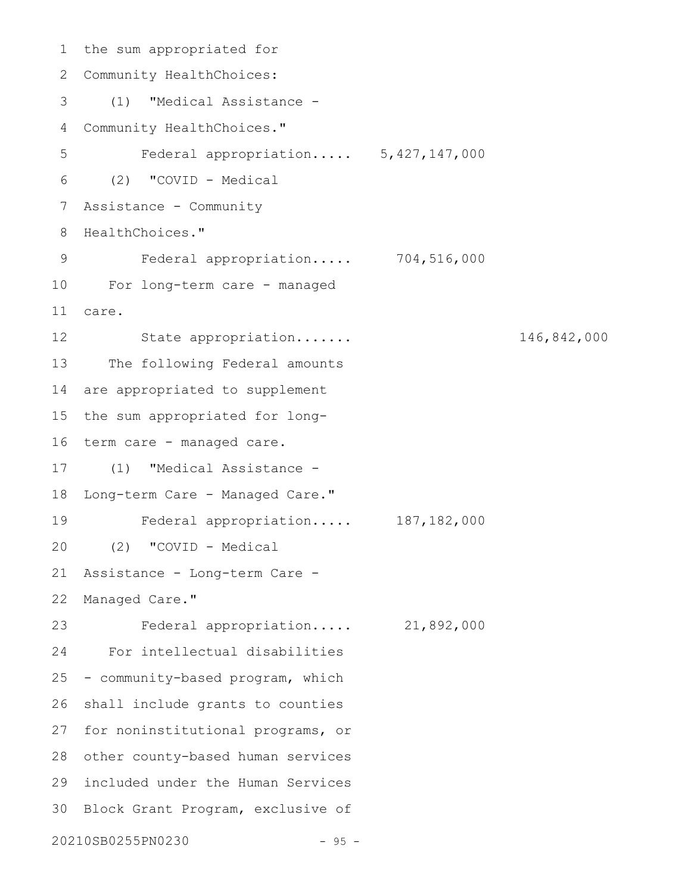```
1 the sum appropriated for
   Community HealthChoices:
      (1) "Medical Assistance -
   Community HealthChoices."
         Federal appropriation..... 5,427,147,000
     (2) "COVID - Medical
   Assistance - Community
 8 HealthChoices."
         Federal appropriation..... 704,516,000
  For long-term care - managed
   care.
         State appropriation....... 146,842,000
      The following Federal amounts
   are appropriated to supplement
  the sum appropriated for long-
16 term care - managed care.
   (1) "Medical Assistance -
18 Long-term Care - Managed Care."
         Federal appropriation..... 187,182,000
     (2) "COVID - Medical
   Assistance - Long-term Care -
22 Managed Care."
          Federal appropriation..... 21,892,000
   For intellectual disabilities
   - community-based program, which
   shall include grants to counties
27 for noninstitutional programs, or
28 other county-based human services
included under the Human Services
29
30 Block Grant Program, exclusive of
20210SB0255PN0230 - 95 -
2
3
 4
5
 6
7
9
10
11
12
13
14
15
17
19
20
21
23
24
25
26
```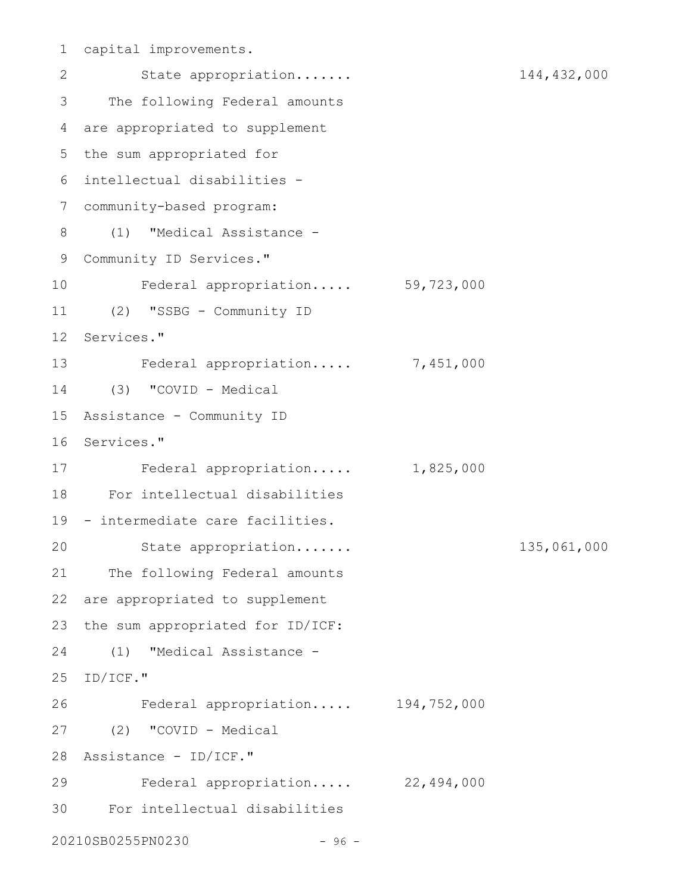```
capital improvements.
1
       State appropriation....... 144,432,000
     The following Federal amounts
 are appropriated to supplement
4
 5 the sum appropriated for
 intellectual disabilities -
6
 community-based program:
7
 (1) "Medical Assistance -
8
 9 Community ID Services."
        Federal appropriation..... 59,723,000
(2) "SSBG - Community ID
11
12 Services."
13 Federal appropriation..... 7,451,000
(3) "COVID - Medical
14
Assistance - Community ID
15
16 Services."
17 Federal appropriation..... 1,825,000
For intellectual disabilities
18
19 - intermediate care facilities.
        State appropriation....... 135,061,000
21 The following Federal amounts
22 are appropriated to supplement
23 the sum appropriated for ID/ICF:
  (1) "Medical Assistance -
25 ID/ICF."
    Federal appropriation..... 194,752,000
(2) "COVID - Medical
27
Assistance - ID/ICF."
28
        Federal appropriation..... 22,494,000
For intellectual disabilities
3020210SB0255PN0230 - 96 -
2
3
10
20
24
26
29
```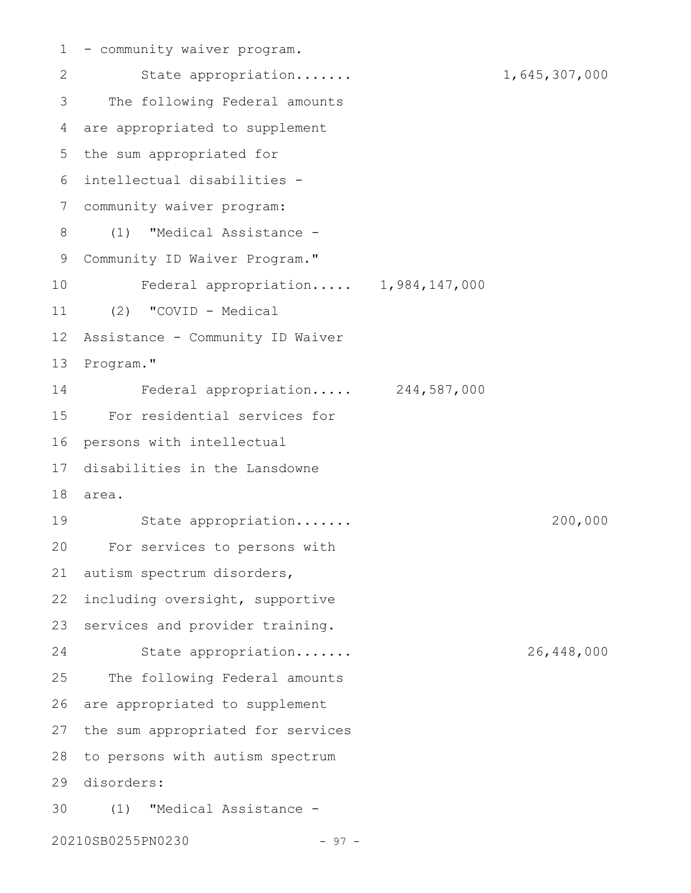1 - community waiver program. State appropriation....... 1,645,307,000 The following Federal amounts are appropriated to supplement 5 the sum appropriated for intellectual disabilities - 6 community waiver program: 7 (1) "Medical Assistance - Community ID Waiver Program." Federal appropriation..... 1,984,147,000 (2) "COVID - Medical Assistance - Community ID Waiver Program." Federal appropriation..... 244,587,000 For residential services for 15 16 persons with intellectual 17 disabilities in the Lansdowne area. 18 State appropriation....... 200,000 For services to persons with autism spectrum disorders, including oversight, supportive services and provider training. State appropriation....... 26,448,000 The following Federal amounts are appropriated to supplement 27 the sum appropriated for services 28 to persons with autism spectrum disorders: 29 (1) "Medical Assistance - 3020210SB0255PN0230 - 97 -2 3 4 8 9 10 11 12 13 14 19 20 21 22 23 24 25 26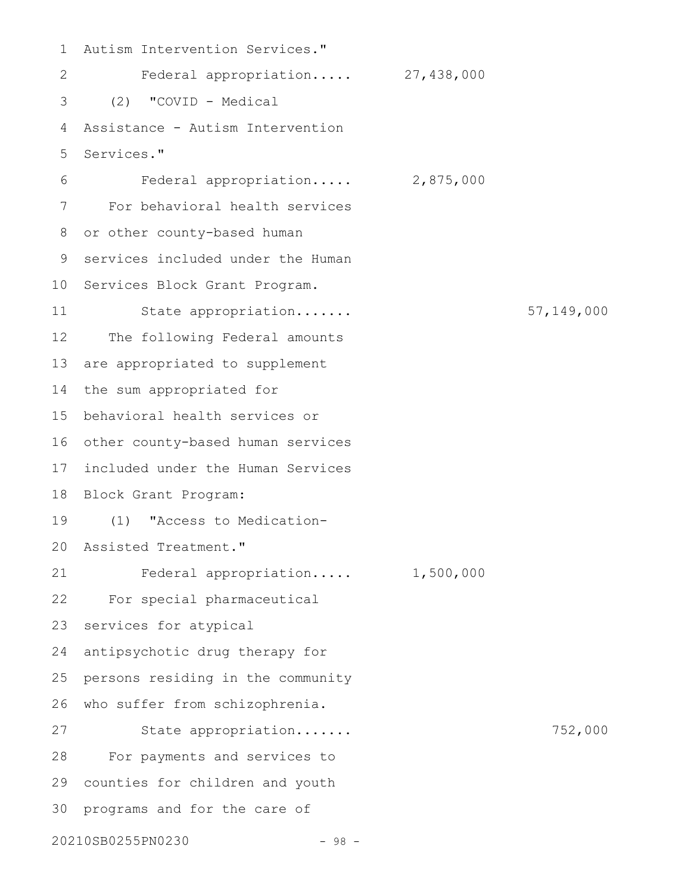Autism Intervention Services." Federal appropriation..... 27,438,000 (2) "COVID - Medical Assistance - Autism Intervention Services." Federal appropriation..... 2,875,000 For behavioral health services or other county-based human services included under the Human 10 Services Block Grant Program. State appropriation....... 57,149,000 The following Federal amounts are appropriated to supplement the sum appropriated for behavioral health services or 15 16 other county-based human services 17 included under the Human Services 18 Block Grant Program: (1) "Access to Medication-Assisted Treatment." 20 Federal appropriation..... 1,500,000 For special pharmaceutical services for atypical antipsychotic drug therapy for persons residing in the community who suffer from schizophrenia. 26 State appropriation....... 752,000 For payments and services to 29 counties for children and youth 30 programs and for the care of 20210SB0255PN0230 - 98 - 1 2 3 4 5 6 7 8 9 11 12 13 14 19 21 22 23 24 25 27 28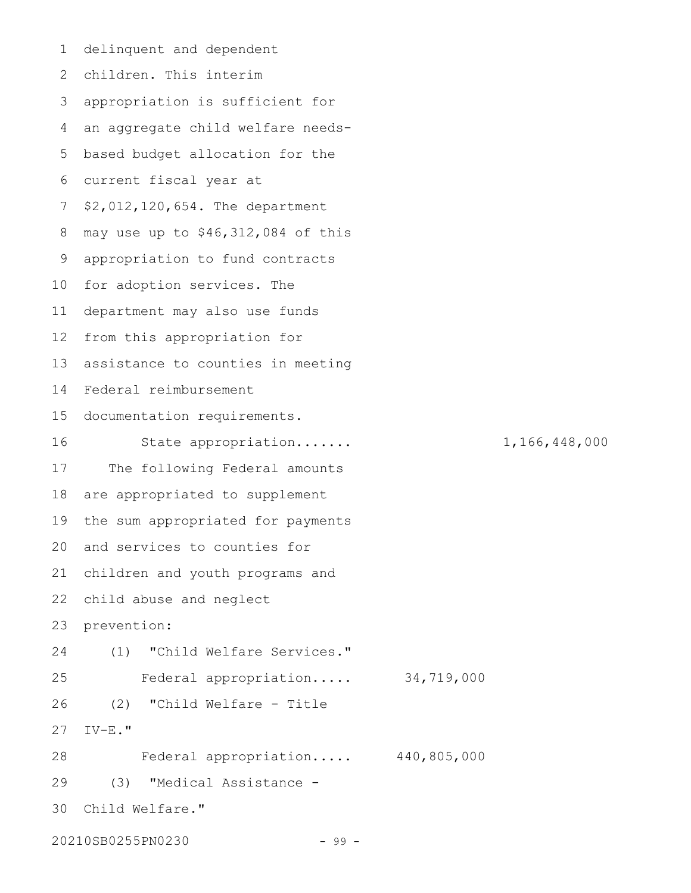delinquent and dependent children. This interim 2 appropriation is sufficient for 3 an aggregate child welfare needs-5 based budget allocation for the 6 current fiscal year at 7 \$2,012,120,654. The department may use up to \$46,312,084 of this appropriation to fund contracts 10 for adoption services. The department may also use funds 11 12 from this appropriation for assistance to counties in meeting Federal reimbursement 14 15 documentation requirements. State appropriation....... 1,166,448,000 The following Federal amounts are appropriated to supplement the sum appropriated for payments 20 and services to counties for 21 children and youth programs and 22 child abuse and neglect prevention: (1) "Child Welfare Services." Federal appropriation..... 34,719,000 (2) "Child Welfare - Title IV-E." Federal appropriation..... 440,805,000 (3) "Medical Assistance - Child Welfare." 3020210SB0255PN0230 - 99 -1 4 8 9 13 16 17 18 19 23 24 25 26 27 28 29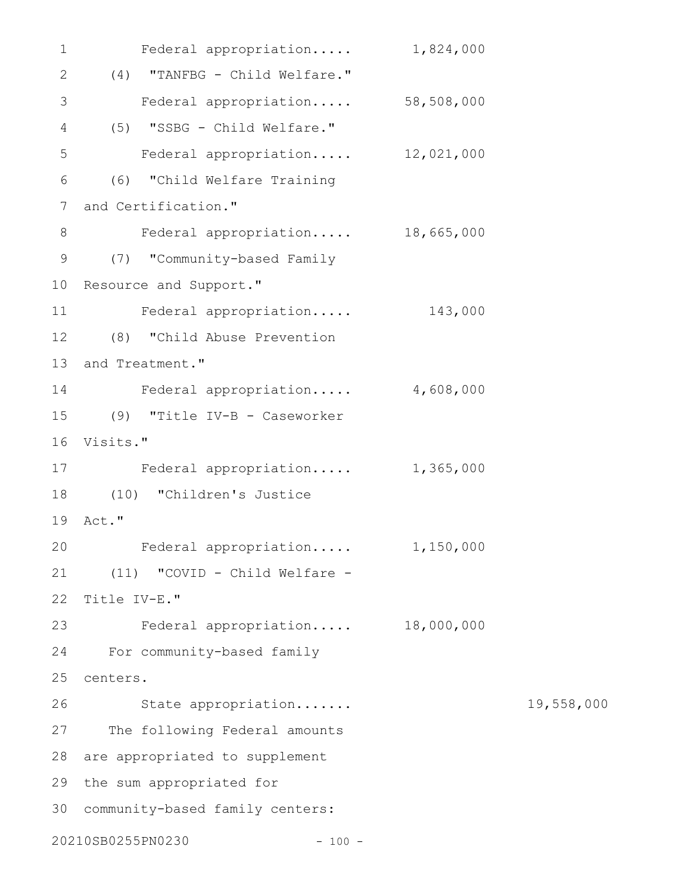| $\mathbf 1$ | Federal appropriation            | 1,824,000 |            |
|-------------|----------------------------------|-----------|------------|
| 2           | (4) "TANFBG - Child Welfare."    |           |            |
| 3           | Federal appropriation 58,508,000 |           |            |
| 4           | (5) "SSBG - Child Welfare."      |           |            |
| 5           | Federal appropriation 12,021,000 |           |            |
| 6           | (6) "Child Welfare Training      |           |            |
| 7           | and Certification."              |           |            |
| 8           | Federal appropriation 18,665,000 |           |            |
| 9           | (7) "Community-based Family      |           |            |
| 10          | Resource and Support."           |           |            |
| 11          | Federal appropriation            | 143,000   |            |
| 12          | (8) "Child Abuse Prevention      |           |            |
| 13          | and Treatment."                  |           |            |
| 14          | Federal appropriation            | 4,608,000 |            |
| 15          | (9) "Title IV-B - Caseworker     |           |            |
| 16          | Visits."                         |           |            |
| 17          | Federal appropriation            | 1,365,000 |            |
| 18          | (10) "Children's Justice         |           |            |
| 19          | Act."                            |           |            |
|             | 20 Federal appropriation         | 1,150,000 |            |
| 21          | (11) "COVID - Child Welfare -    |           |            |
| 22          | Title IV-E."                     |           |            |
| 23          | Federal appropriation 18,000,000 |           |            |
| 24          | For community-based family       |           |            |
| 25          | centers.                         |           |            |
| 26          | State appropriation              |           | 19,558,000 |
| 27          | The following Federal amounts    |           |            |
| 28          | are appropriated to supplement   |           |            |
| 29          | the sum appropriated for         |           |            |
| 30          | community-based family centers:  |           |            |
|             | 20210SB0255PN0230<br>$-100 -$    |           |            |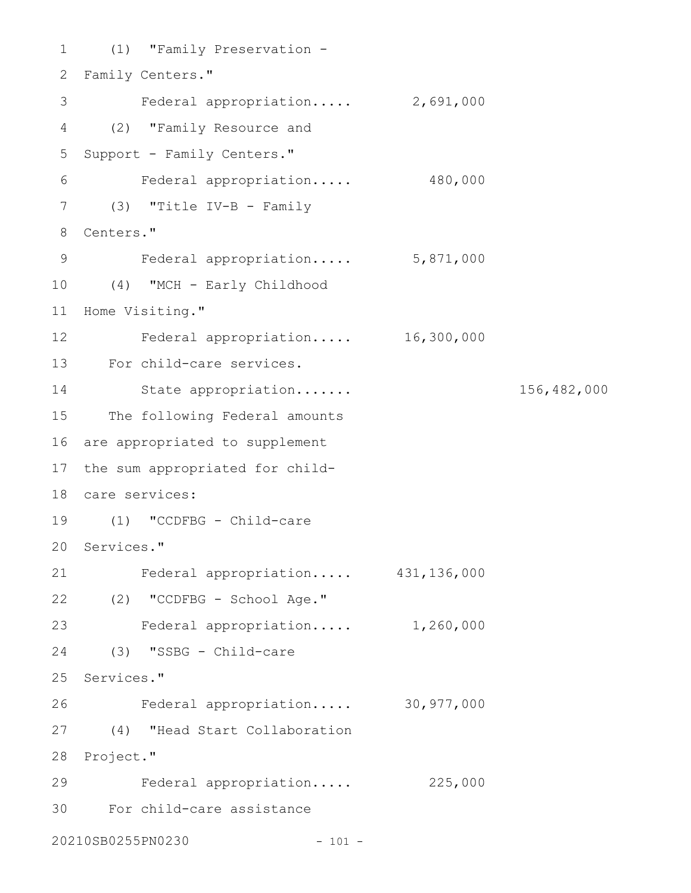```
(1) "Family Preservation -
1
2 Family Centers."
3 Federal appropriation..... 2,691,000
(2) "Family Resource and
4
5 Support - Family Centers."
    Federal appropriation..... 480,000
(3) "Title IV-B - Family
7
Centers."
8
   Federal appropriation..... 5,871,000
(4) "MCH - Early Childhood
10
11 Home Visiting."
Federal appropriation..... 16,300,000
12
For child-care services.
13
       State appropriation....... 156,482,000
15 The following Federal amounts
16 are appropriated to supplement
17 the sum appropriated for child-
care services:
18
(1) "CCDFBG - Child-care
19
20 Services."
Federal appropriation..... 431,136,000
21
(2) "CCDFBG - School Age."
22
Federal appropriation..... 1,260,000
23
(3) "SSBG - Child-care
24
25 Services."
    Federal appropriation..... 30,977,000
(4) "Head Start Collaboration
27
28 Project."
   Federal appropriation..... 225,000
For child-care assistance
3020210SB0255PN0230 - 101 -
6
9
14
26
29
```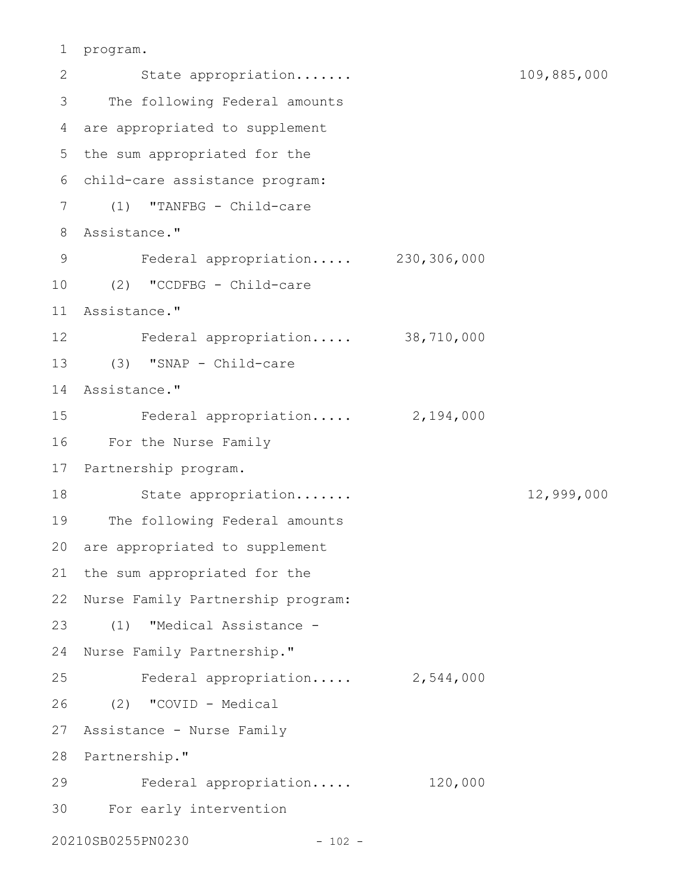```
program.
1
```
2 State appropriation...... 109,885,000 The following Federal amounts are appropriated to supplement 4 5 the sum appropriated for the child-care assistance program: 6 (1) "TANFBG - Child-care 7 Assistance." 8 Federal appropriation..... 230,306,000 (2) "CCDFBG - Child-care 10 Assistance." 11 Federal appropriation..... 38,710,000 12 (3) "SNAP - Child-care 13 Assistance." 14 Federal appropriation..... 2,194,000 For the Nurse Family 16 17 Partnership program. State appropriation....... 12,999,000 19 The following Federal amounts 20 are appropriated to supplement 21 the sum appropriated for the 22 Nurse Family Partnership program: (1) "Medical Assistance - 24 Nurse Family Partnership." Federal appropriation..... 2,544,000 (2) "COVID - Medical 26 27 Assistance - Nurse Family 28 Partnership." Federal appropriation..... 120,000 For early intervention 3020210SB0255PN0230 - 102 - 3 9 15 18 23 25 29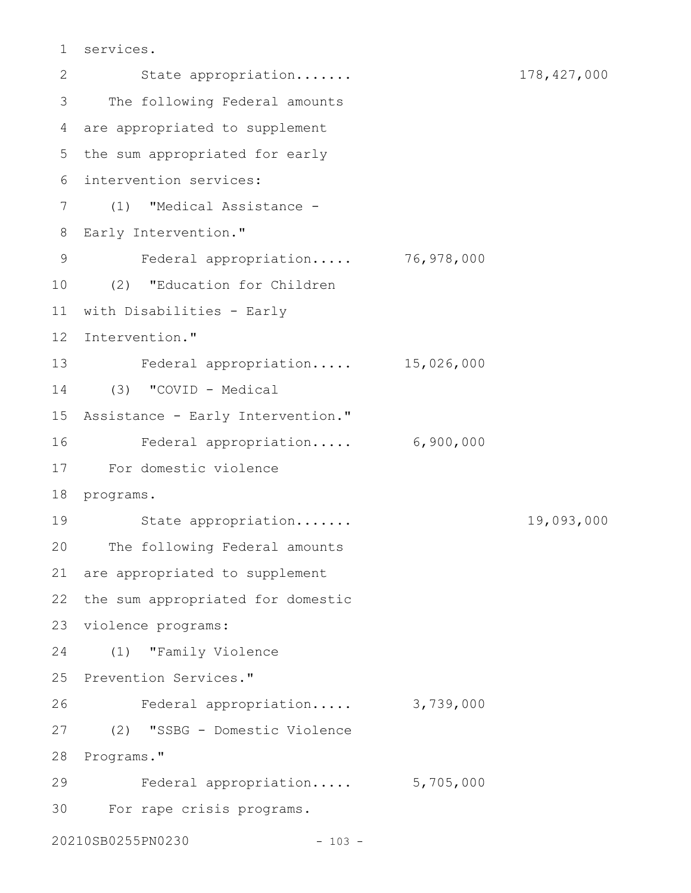```
services.
1
```
State appropriation....... 178,427,000 The following Federal amounts are appropriated to supplement 4 5 the sum appropriated for early intervention services: 6 (1) "Medical Assistance - 7 8 Early Intervention." Federal appropriation..... 76,978,000 (2) "Education for Children 10 11 with Disabilities - Early 12 Intervention." Federal appropriation..... 15,026,000 13 (3) "COVID - Medical 14 15 Assistance - Early Intervention." Federal appropriation..... 6,900,000 For domestic violence 17 18 programs. State appropriation....... 19,093,000 20 The following Federal amounts 21 are appropriated to supplement 22 the sum appropriated for domestic 23 violence programs: (1) "Family Violence 24 25 Prevention Services." Federal appropriation..... 3,739,000 (2) "SSBG - Domestic Violence 27 28 Programs." Federal appropriation..... 5,705,000 For rape crisis programs. 3020210SB0255PN0230 - 103 - 2 3 9 16 19 26 29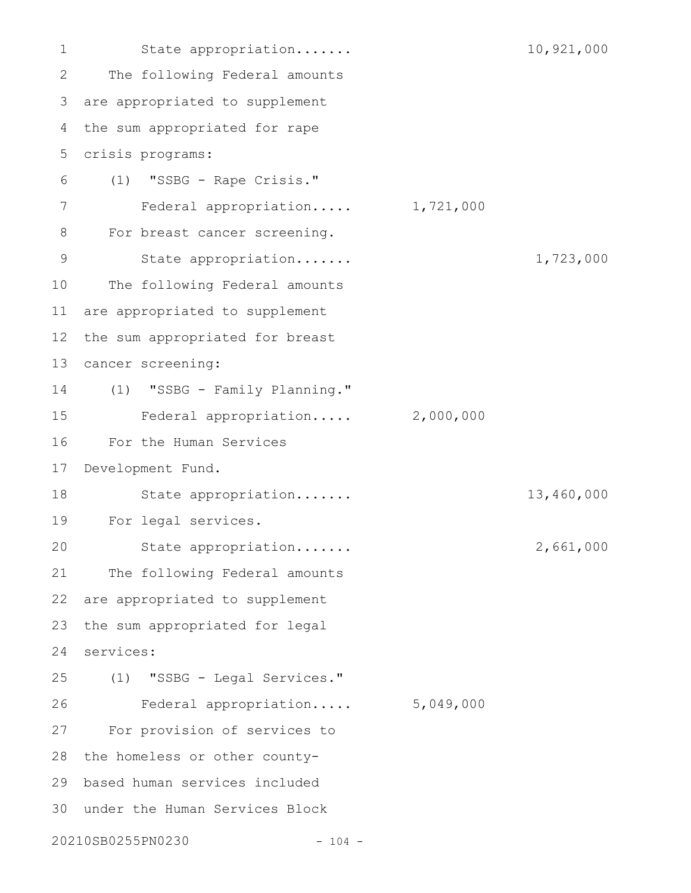State appropriation....... 10,921,000 The following Federal amounts are appropriated to supplement the sum appropriated for rape crisis programs: (1) "SSBG - Rape Crisis." Federal appropriation..... 1,721,000 For breast cancer screening. State appropriation....... 1,723,000 The following Federal amounts are appropriated to supplement the sum appropriated for breast cancer screening: (1) "SSBG - Family Planning." Federal appropriation..... 2,000,000 For the Human Services Development Fund. State appropriation....... 13,460,000 For legal services. State appropriation....... 2,661,000 The following Federal amounts are appropriated to supplement the sum appropriated for legal services: (1) "SSBG - Legal Services." Federal appropriation..... 5,049,000 For provision of services to 28 the homeless or other countybased human services included under the Human Services Block 3020210SB0255PN0230 - 104 - 1 2 3 4 5 6 7 8 9 10 11 12 13 14 15 16 17 18 19 20 21 22 23 24 25 26 27 29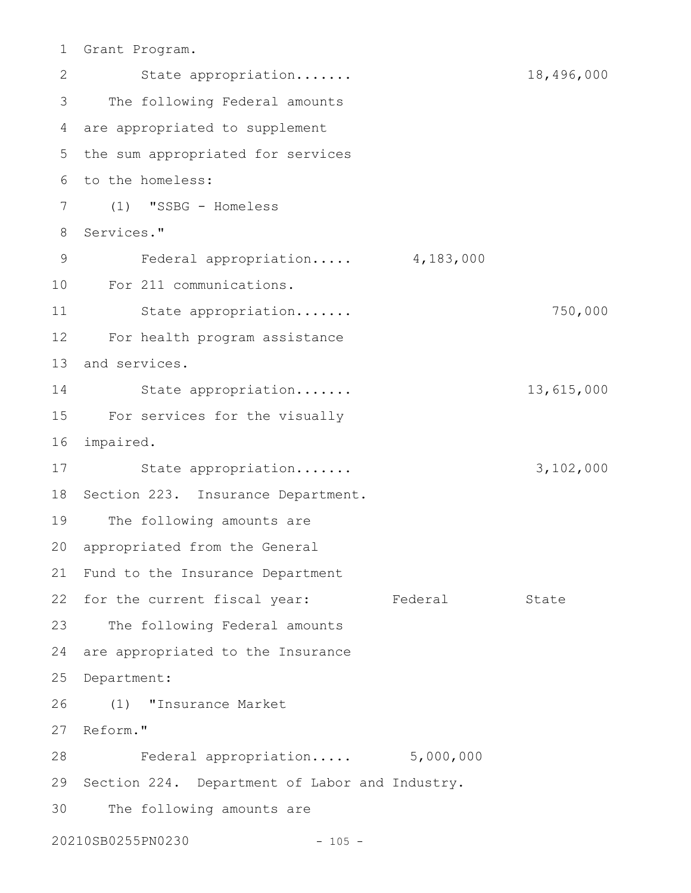Grant Program. 1

State appropriation....... 18,496,000 The following Federal amounts are appropriated to supplement 4 5 the sum appropriated for services 6 to the homeless: (1) "SSBG - Homeless 7 8 Services." Federal appropriation..... 4,183,000 For 211 communications. 10 State appropriation....... 750,000 For health program assistance 12 13 and services. State appropriation....... 13,615,000 For services for the visually 15 16 impaired. State appropriation....... 3,102,000 18 Section 223. Insurance Department. The following amounts are 20 appropriated from the General 21 Fund to the Insurance Department 22 for the current fiscal year: Federal State 23 The following Federal amounts 24 are appropriated to the Insurance 25 Department: (1) "Insurance Market 26 27 Reform." Federal appropriation..... 5,000,000 28 29 Section 224. Department of Labor and Industry. The following amounts are 20210SB0255PN0230 - 105 -2 3 9 11 14 17 19 30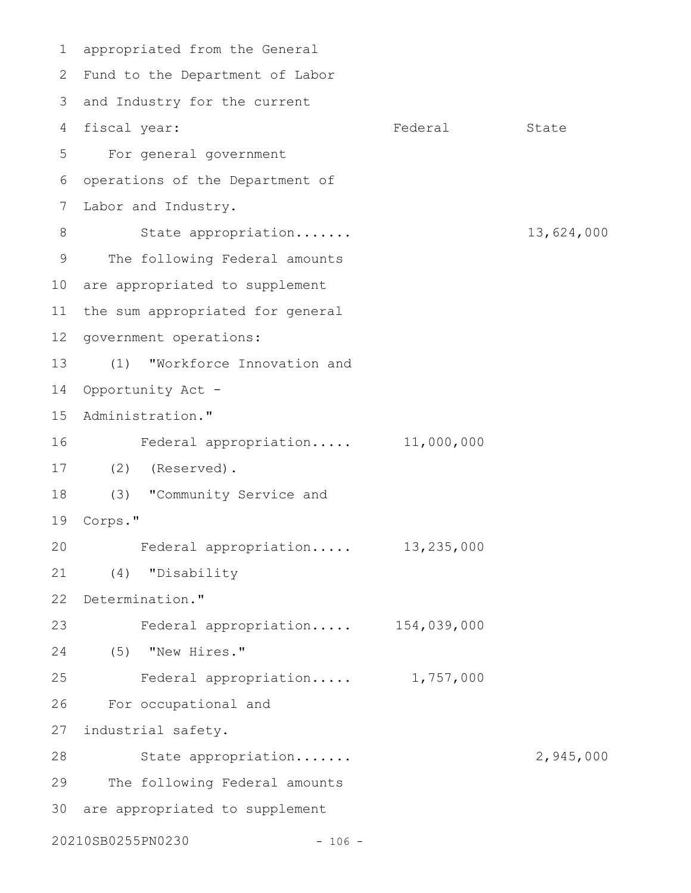appropriated from the General 1 Fund to the Department of Labor 2 3 and Industry for the current 4 fiscal year: Tederal State For general government operations of the Department of Labor and Industry. State appropriation....... 13,624,000 The following Federal amounts 10 are appropriated to supplement 11 the sum appropriated for general 12 government operations: (1) "Workforce Innovation and 14 Opportunity Act -15 Administration." Federal appropriation..... 11,000,000 (2) (Reserved). 17 (3) "Community Service and Corps." 19 Federal appropriation..... 13,235,000 (4) "Disability 22 Determination." Federal appropriation..... 154,039,000 (5) "New Hires." 24 Federal appropriation..... 1,757,000 For occupational and 27 industrial safety. State appropriation....... 2,945,000 The following Federal amounts 30 are appropriated to supplement 20210SB0255PN0230 - 106 - 5 6 7 8 9 13 16 18 20 21 23 25 26 28 29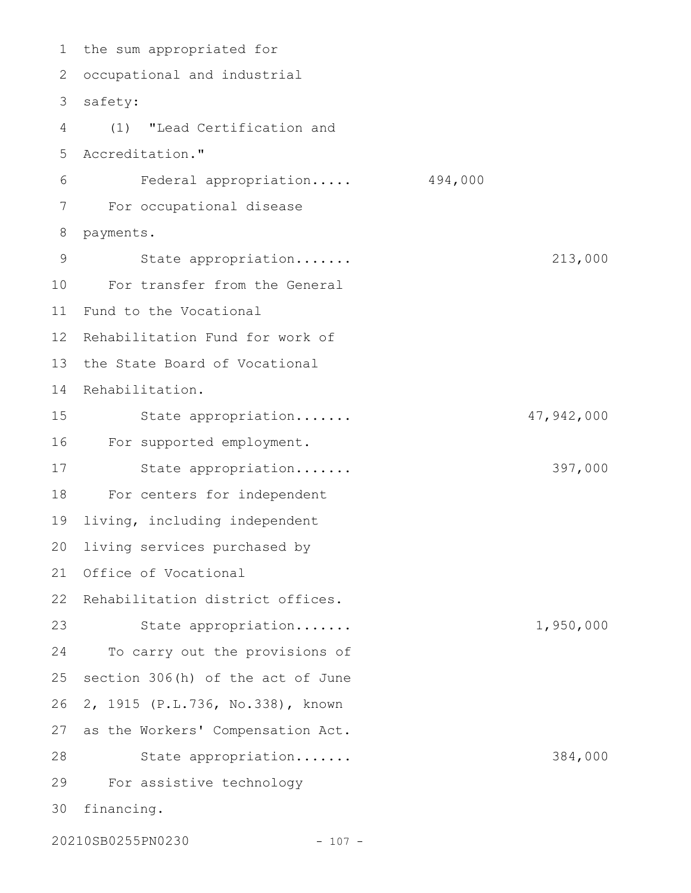1 the sum appropriated for 2 occupational and industrial 3 safety: (1) "Lead Certification and Accreditation." Federal appropriation..... 494,000 For occupational disease payments. State appropriation....... 213,000 For transfer from the General Fund to the Vocational 12 Rehabilitation Fund for work of 13 the State Board of Vocational 14 Rehabilitation. State appropriation....... 47,942,000 For supported employment. State appropriation....... 397,000 For centers for independent living, including independent living services purchased by Office of Vocational 22 Rehabilitation district offices. State appropriation....... 1,950,000 To carry out the provisions of section 306(h) of the act of June 2, 1915 (P.L.736, No.338), known as the Workers' Compensation Act. State appropriation....... 384,000 For assistive technology financing. 20210SB0255PN0230 - 107 - 4 5 6 7 8 9 10 11 15 16 17 18 19 20 21 23 24 25 26 27 28 29 30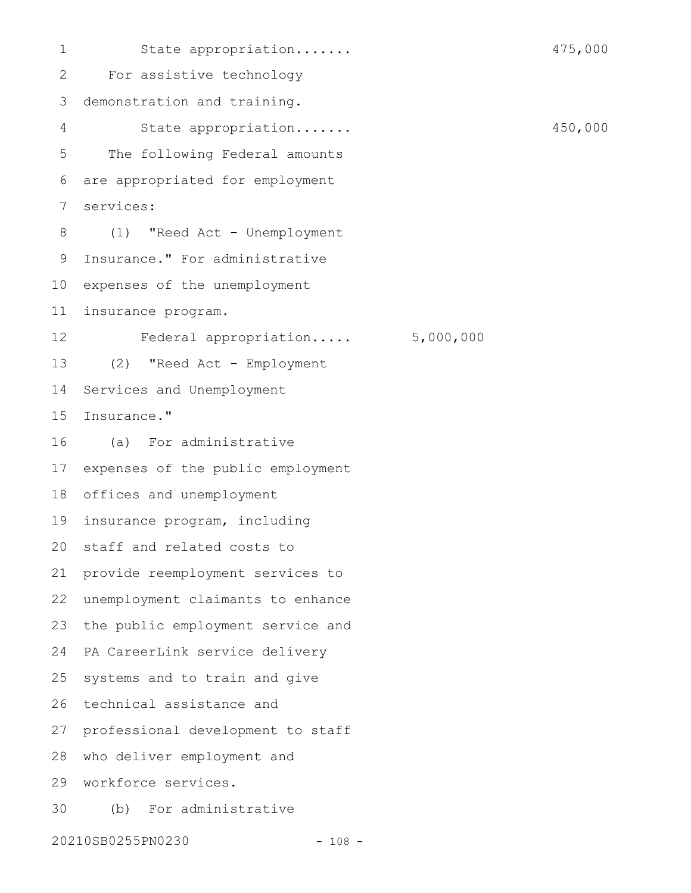State appropriation....... 475,000 For assistive technology demonstration and training. State appropriation....... 450,000 The following Federal amounts are appropriated for employment services: (1) "Reed Act - Unemployment Insurance." For administrative 10 expenses of the unemployment insurance program. Federal appropriation..... 5,000,000 (2) "Reed Act - Employment Services and Unemployment Insurance." (a) For administrative expenses of the public employment 18 offices and unemployment insurance program, including 20 staff and related costs to provide reemployment services to unemployment claimants to enhance the public employment service and PA CareerLink service delivery systems and to train and give technical assistance and professional development to staff 28 who deliver employment and workforce services. 29 (b) For administrative 1 2 3 4 5 6 7 8 9 11 12 13 14 15 16 17 19 21 22 23 24 25 26 27 30

20210SB0255PN0230 - 108 -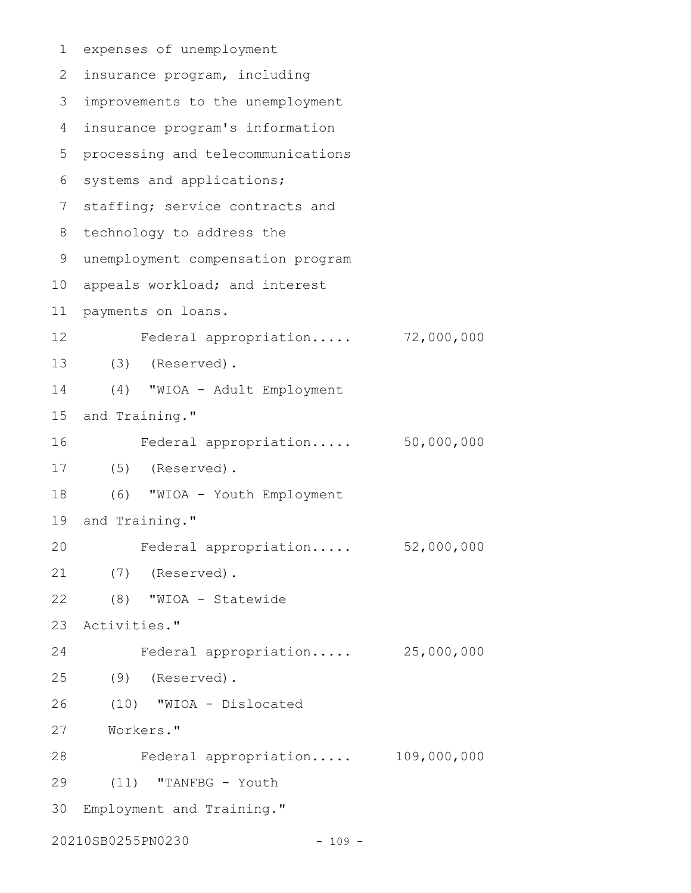```
expenses of unemployment
 2 insurance program, including
 improvements to the unemployment
3
   insurance program's information
 5 processing and telecommunications
 6 systems and applications;
 7 staffing; service contracts and
 8 technology to address the
 unemployment compensation program
9
10 appeals workload; and interest
   payments on loans.
          Federal appropriation..... 72,000,000
   (3) (Reserved).
      (4) "WIOA - Adult Employment
15 and Training."
         Federal appropriation..... 50,000,000
      (5) (Reserved).
      (6) "WIOA - Youth Employment
19 and Training."
         Federal appropriation..... 52,000,000
    (7) (Reserved).
      (8) "WIOA - Statewide
   Activities."
          Federal appropriation..... 25,000,000
      (9) (Reserved).
     (10) "WIOA - Dislocated
Workers."
27
          Federal appropriation..... 109,000,000
      (11) "TANFBG - Youth
Employment and Training."
3020210SB0255PN0230 - 109 -
1
4
11
12
13
14
16
17
18
20
21
22
23
24
25
26
28
29
```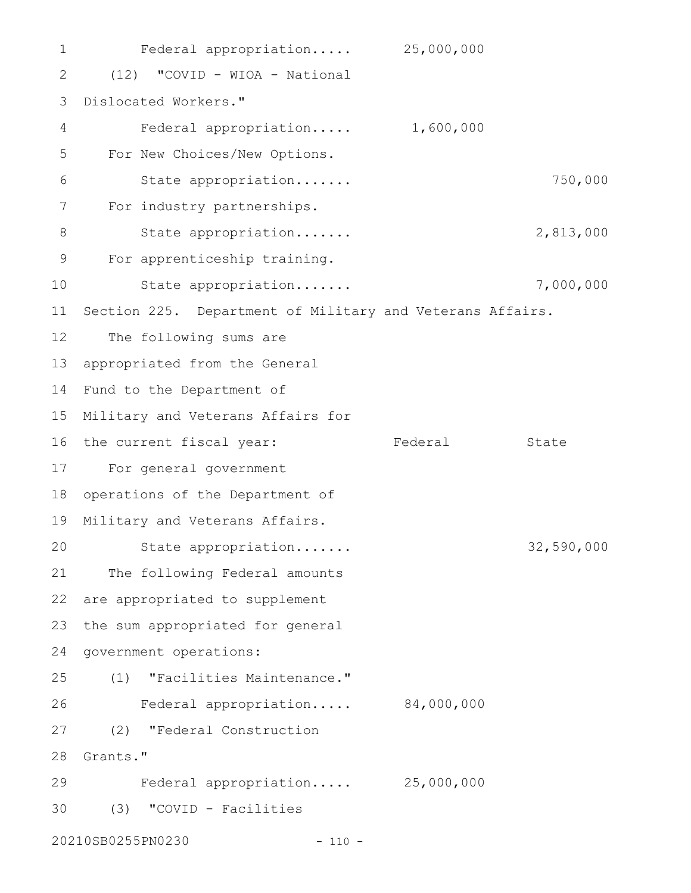Federal appropriation..... 25,000,000 (12) "COVID - WIOA - National Dislocated Workers." 3 Federal appropriation..... 1,600,000 For New Choices/New Options. State appropriation....... 750,000 For industry partnerships. State appropriation....... 2,813,000 For apprenticeship training. State appropriation....... 7,000,000 11 Section 225. Department of Military and Veterans Affairs. The following sums are 13 appropriated from the General 14 Fund to the Department of 15 Military and Veterans Affairs for 16 the current fiscal year: Tederal State For general government 17 18 operations of the Department of 19 Military and Veterans Affairs. State appropriation....... 32,590,000 21 The following Federal amounts 22 are appropriated to supplement 23 the sum appropriated for general 24 government operations: (1) "Facilities Maintenance." Federal appropriation..... 84,000,000 (2) "Federal Construction 28 Grants." Federal appropriation..... 25,000,000 (3) "COVID - Facilities 3020210SB0255PN0230 - 110 - 1 2 4 5 6 7 8 9 10 12 20 25 26 27 29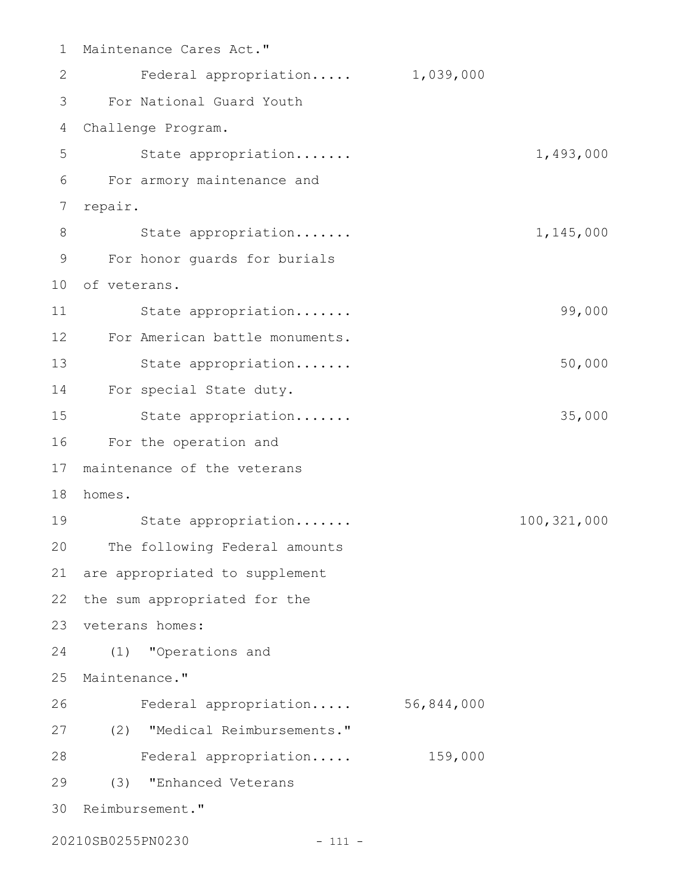| $\mathbf 1$ | Maintenance Cares Act."        |            |             |
|-------------|--------------------------------|------------|-------------|
| 2           | Federal appropriation          | 1,039,000  |             |
| 3           | For National Guard Youth       |            |             |
| 4           | Challenge Program.             |            |             |
| 5           | State appropriation            |            | 1,493,000   |
| 6           | For armory maintenance and     |            |             |
| 7           | repair.                        |            |             |
| 8           | State appropriation            |            | 1,145,000   |
| 9           | For honor guards for burials   |            |             |
| 10          | of veterans.                   |            |             |
| 11          | State appropriation            |            | 99,000      |
| 12          | For American battle monuments. |            |             |
| 13          | State appropriation            |            | 50,000      |
| 14          | For special State duty.        |            |             |
| 15          | State appropriation            |            | 35,000      |
| 16          | For the operation and          |            |             |
| 17          | maintenance of the veterans    |            |             |
| 18          | homes.                         |            |             |
| 19          | State appropriation            |            | 100,321,000 |
| 20          | The following Federal amounts  |            |             |
| 21          | are appropriated to supplement |            |             |
| 22          | the sum appropriated for the   |            |             |
| 23          | veterans homes:                |            |             |
| 24          | (1) "Operations and            |            |             |
| 25          | Maintenance."                  |            |             |
| 26          | Federal appropriation          | 56,844,000 |             |
| 27          | (2) "Medical Reimbursements."  |            |             |
| 28          | Federal appropriation          | 159,000    |             |
| 29          | "Enhanced Veterans<br>(3)      |            |             |
| 30          | Reimbursement."                |            |             |
|             |                                |            |             |

20210SB0255PN0230 - 111 -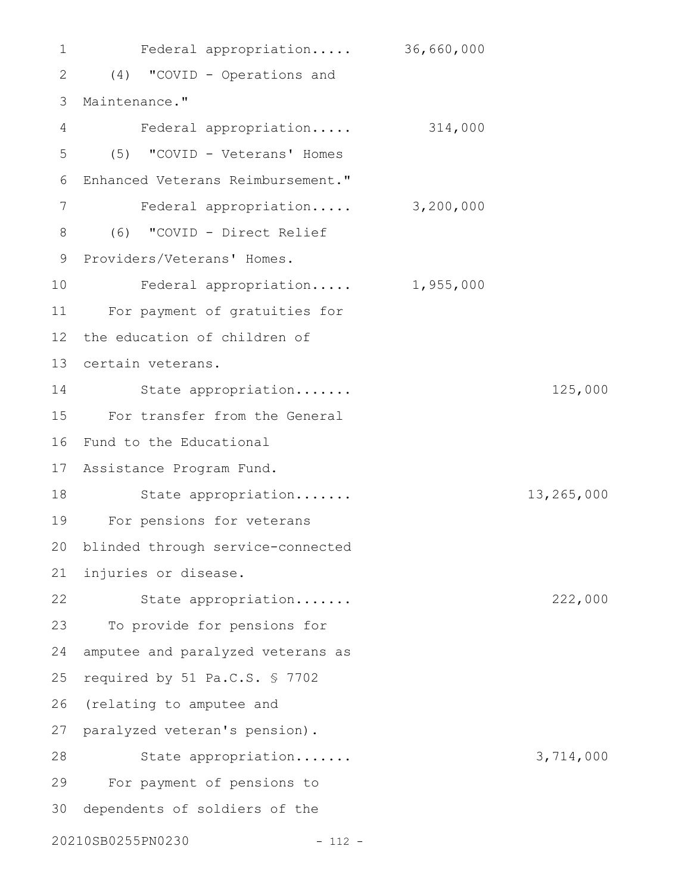Federal appropriation..... 36,660,000 (4) "COVID - Operations and 2 3 Maintenance." Federal appropriation..... 314,000 (5) "COVID - Veterans' Homes Enhanced Veterans Reimbursement." Federal appropriation..... 3,200,000 (6) "COVID - Direct Relief 9 Providers/Veterans' Homes. Federal appropriation..... 1,955,000 For payment of gratuities for the education of children of 13 certain veterans. State appropriation....... 125,000 For transfer from the General Fund to the Educational 17 Assistance Program Fund. State appropriation....... 13,265,000 For pensions for veterans blinded through service-connected injuries or disease. State appropriation....... 222,000 To provide for pensions for amputee and paralyzed veterans as required by 51 Pa.C.S. § 7702 26 (relating to amputee and 27 paralyzed veteran's pension). State appropriation....... 3,714,000 For payment of pensions to 30 dependents of soldiers of the 20210SB0255PN0230 - 112 - 1 4 5 6 7 8 10 11 12 14 15 16 18 19 20 21 22 23 24 25 28 29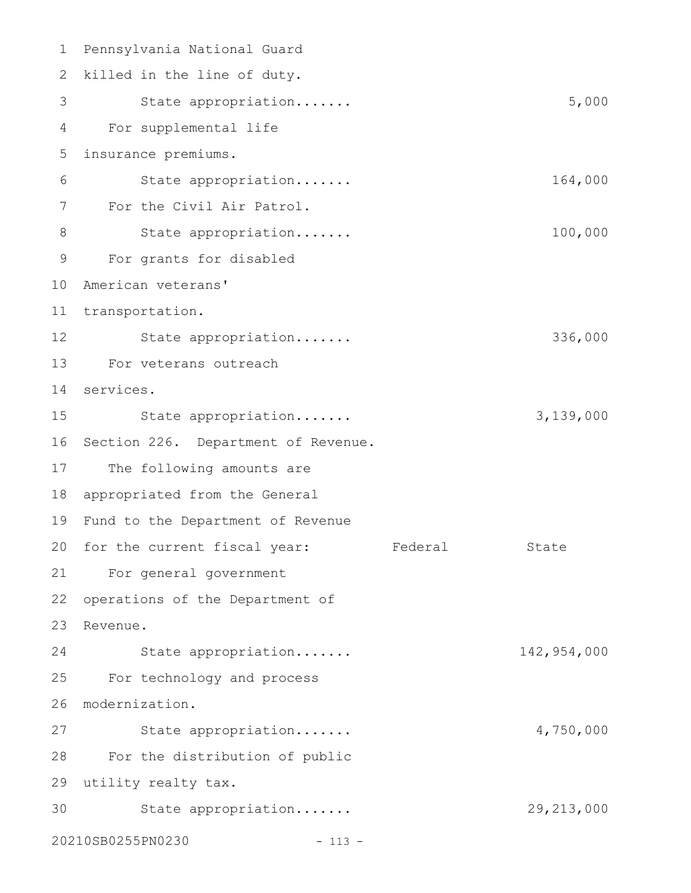Pennsylvania National Guard 1 2 killed in the line of duty. State appropriation....... 5,000 For supplemental life 4 insurance premiums. 5 State appropriation....... 164,000 For the Civil Air Patrol. 7 State appropriation....... 100,000 For grants for disabled 9 American veterans' 10 11 transportation. 12 State appropriation...... 336,000 13 For veterans outreach services. 14 State appropriation....... 3,139,000 16 Section 226. Department of Revenue. 17 The following amounts are 18 appropriated from the General 19 Fund to the Department of Revenue 20 for the current fiscal year: Federal State For general government 21 22 operations of the Department of 23 Revenue. State appropriation....... 142,954,000 For technology and process modernization. 26 State appropriation....... 4,750,000 For the distribution of public 28 utility realty tax. 29 State appropriation....... 29,213,000 3020210SB0255PN0230 - 113 - 3 6 8 15 24 25 27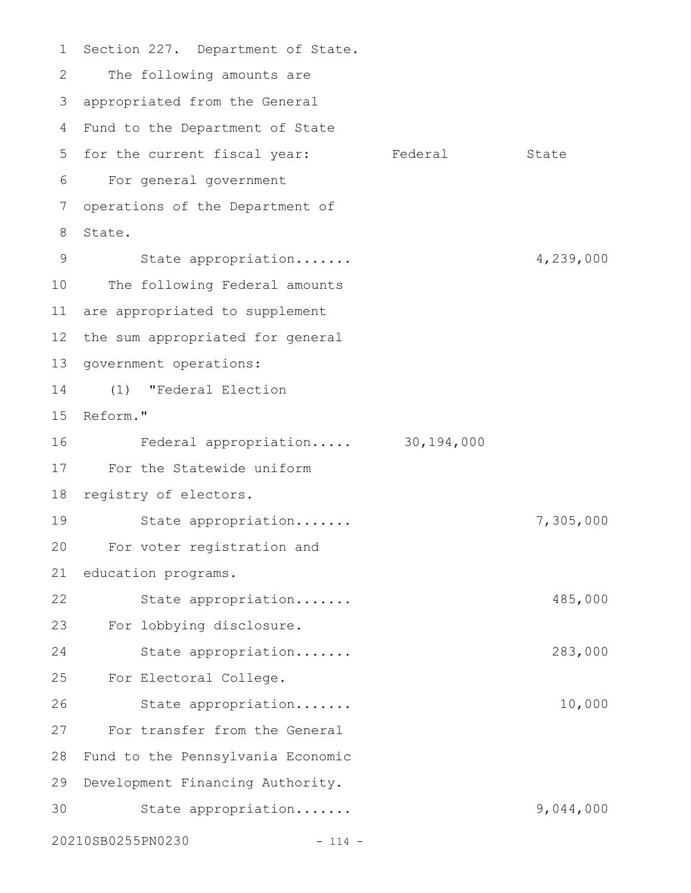Section 227. Department of State. The following amounts are appropriated from the General 3 Fund to the Department of State 4 5 for the current fiscal year: Federal State For general government 6 operations of the Department of State. State appropriation....... 4,239,000 The following Federal amounts are appropriated to supplement 12 the sum appropriated for general 13 government operations: (1) "Federal Election 14 15 Reform." Federal appropriation..... 30,194,000 For the Statewide uniform 17 18 registry of electors. State appropriation....... 7,305,000 For voter registration and education programs. State appropriation....... 485,000 For lobbying disclosure. State appropriation....... 283,000 For Electoral College. State appropriation....... 10,000 For transfer from the General Fund to the Pennsylvania Economic 29 Development Financing Authority. State appropriation....... 9,044,000 20210SB0255PN0230 - 114 - 1 2 7 8 9 10 11 16 19 20 21 22 23 24 25 26 27 28 30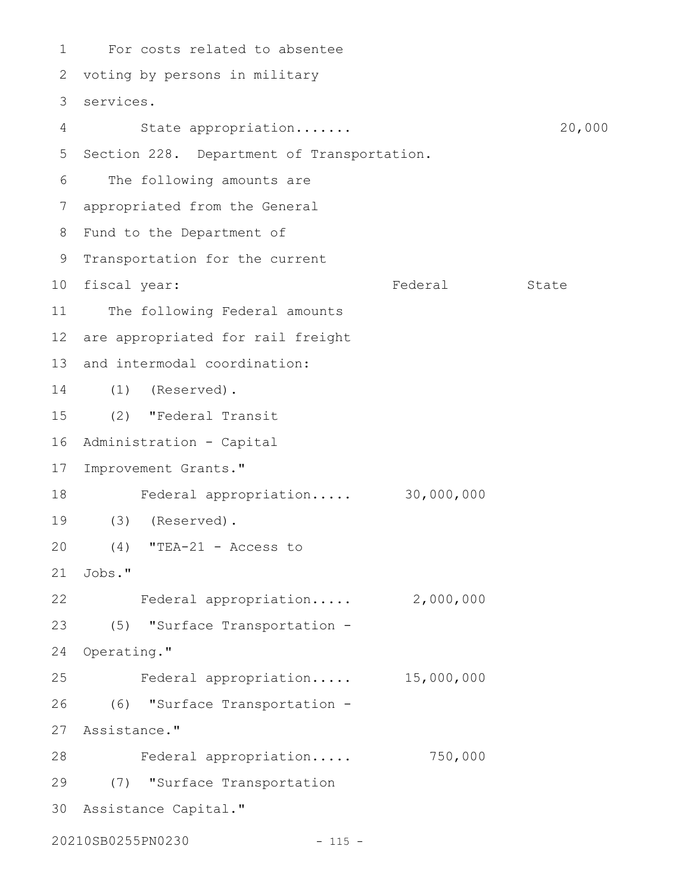For costs related to absentee 1 2 voting by persons in military services. 3 State appropriation....... 20,000 5 Section 228. Department of Transportation. The following amounts are appropriated from the General 7 8 Fund to the Department of 9 Transportation for the current 10 fiscal year: Tederal State 11 The following Federal amounts 12 are appropriated for rail freight 13 and intermodal coordination: (1) (Reserved). 14 (2) "Federal Transit Administration - Capital 16 17 Improvement Grants." Federal appropriation..... 30,000,000 (3) (Reserved). 19 (4) "TEA-21 - Access to 20 Jobs." 21 Federal appropriation..... 2,000,000 (5) "Surface Transportation - 24 Operating." Federal appropriation..... 15,000,000 (6) "Surface Transportation - 27 Assistance." 28 Federal appropriation..... 750,000 (7) "Surface Transportation 29 Assistance Capital." 304 6 15 18 22 23 25 26

20210SB0255PN0230 - 115 -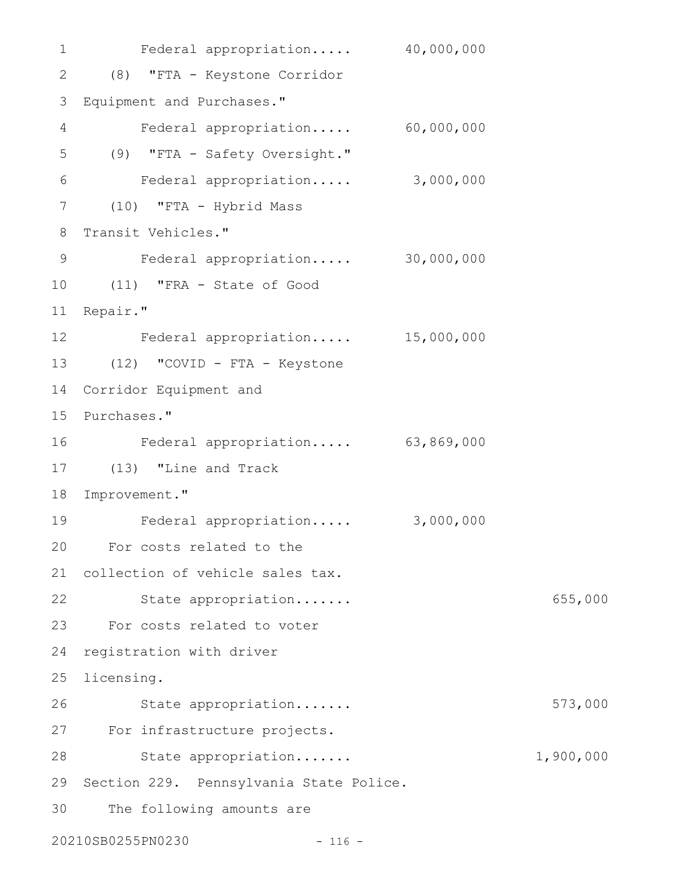Federal appropriation..... 40,000,000 (8) "FTA - Keystone Corridor 2 Equipment and Purchases." 3 Federal appropriation..... 60,000,000 (9) "FTA - Safety Oversight." Federal appropriation..... 3,000,000 (10) "FTA - Hybrid Mass 7 Transit Vehicles." Federal appropriation..... 30,000,000 (11) "FRA - State of Good 10 11 Repair." Federal appropriation..... 15,000,000 12 (12) "COVID - FTA - Keystone 13 14 Corridor Equipment and 15 Purchases." Federal appropriation..... 63,869,000 (13) "Line and Track 17 18 Improvement." Federal appropriation..... 3,000,000 For costs related to the 20 21 collection of vehicle sales tax. 22 State appropriation...... 655,000 For costs related to voter 23 24 registration with driver 25 licensing. State appropriation....... 573,000 For infrastructure projects. 27 State appropriation....... 1,900,000 29 Section 229. Pennsylvania State Police. The following amounts are 20210SB0255PN0230 - 116 - 1 4 5 6 8 9 16 19 26 28 30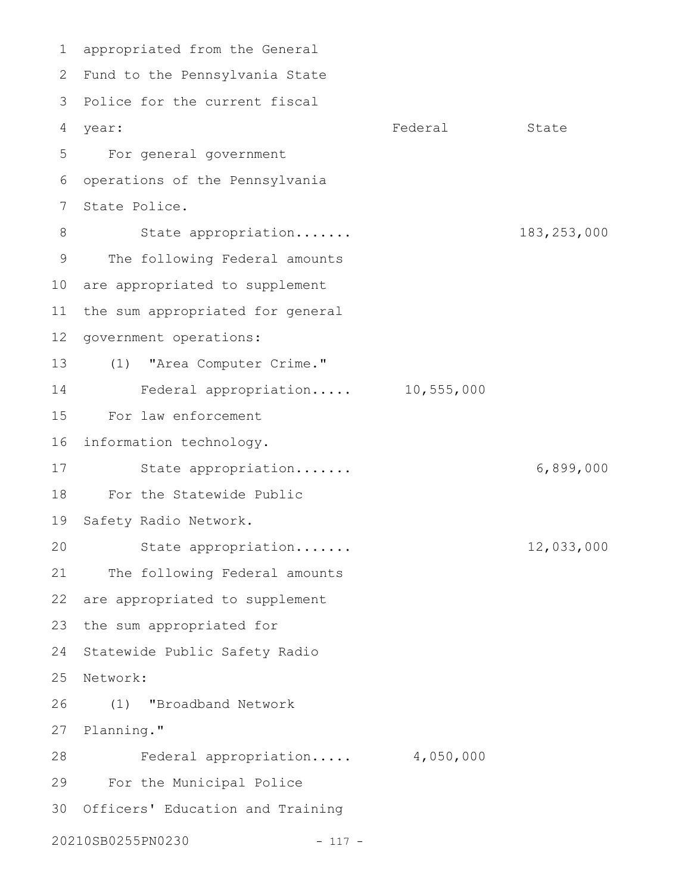appropriated from the General 1 2 Fund to the Pennsylvania State 3 Police for the current fiscal year: State State State State State State State State State State State State State State State State State State For general government 5 operations of the Pennsylvania State Police. State appropriation....... 183,253,000 The following Federal amounts 10 are appropriated to supplement the sum appropriated for general 12 government operations: (1) "Area Computer Crime." Federal appropriation..... 10,555,000 For law enforcement 16 information technology. State appropriation....... 6,899,000 For the Statewide Public 19 Safety Radio Network. State appropriation....... 12,033,000 The following Federal amounts 22 are appropriated to supplement 23 the sum appropriated for 24 Statewide Public Safety Radio 25 Network: (1) "Broadband Network 27 Planning." Federal appropriation..... 4,050,000 For the Municipal Police 30 Officers' Education and Training 20210SB0255PN0230 - 117 - 4 year: 6 7 8 9 11 13 14 15 17 18 20 21 26 28 29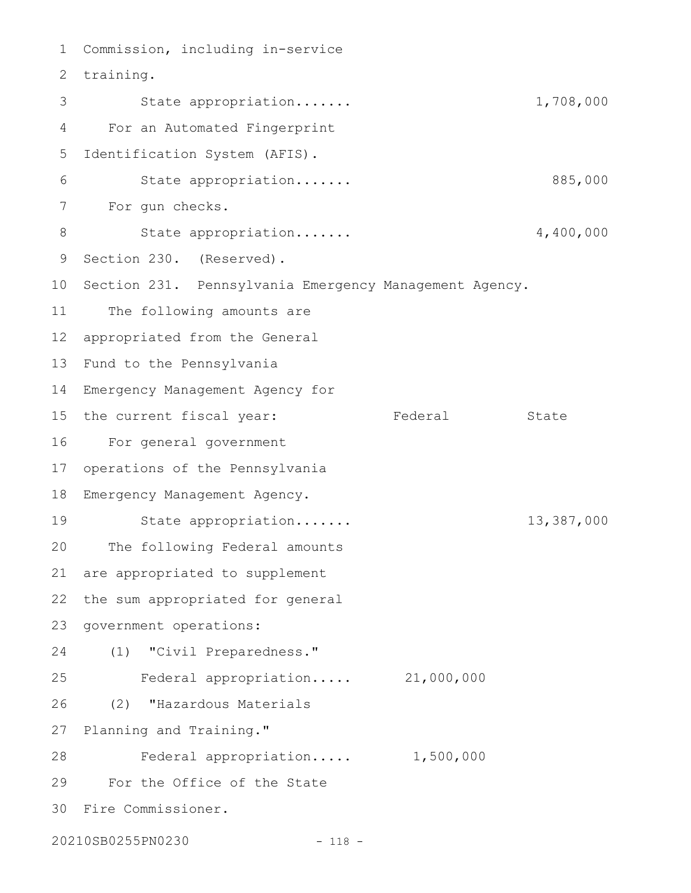Commission, including in-service 1 2 training. State appropriation....... 1,708,000 For an Automated Fingerprint Identification System (AFIS). State appropriation....... 885,000 For gun checks. State appropriation....... 4,400,000 9 Section 230. (Reserved). 10 Section 231. Pennsylvania Emergency Management Agency. The following amounts are appropriated from the General 12 13 Fund to the Pennsylvania Emergency Management Agency for 14 15 the current fiscal year: Tederal State For general government operations of the Pennsylvania Emergency Management Agency. State appropriation....... 13,387,000 The following Federal amounts are appropriated to supplement the sum appropriated for general government operations: (1) "Civil Preparedness." Federal appropriation..... 21,000,000 (2) "Hazardous Materials 27 Planning and Training." Federal appropriation..... 1,500,000 For the Office of the State Fire Commissioner. 303 4 5 6 7 8 11 16 17 18 19 20 21 22 23 24 25 26 28 29

20210SB0255PN0230 - 118 -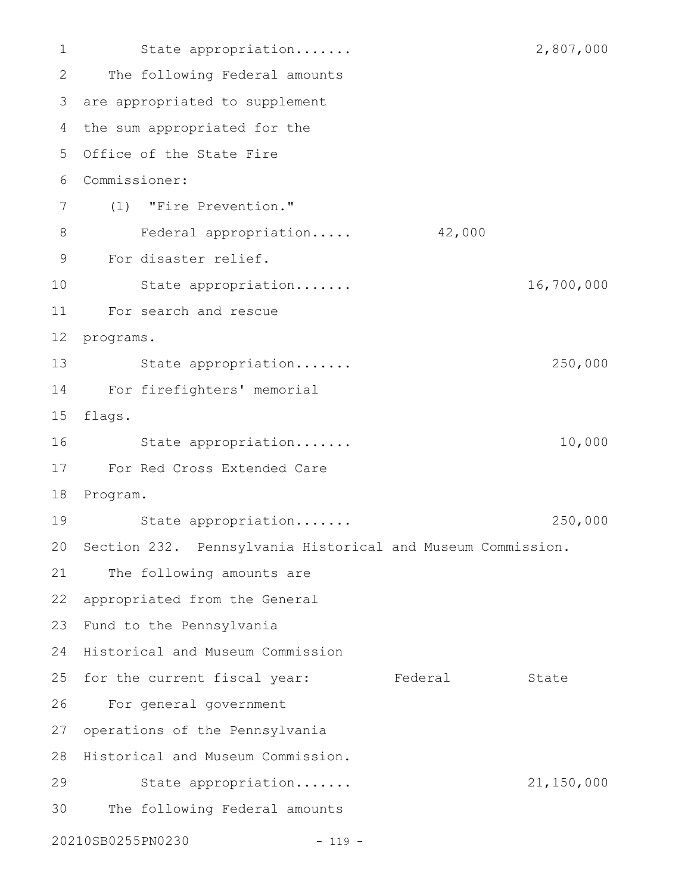State appropriation....... 2,807,000 The following Federal amounts are appropriated to supplement 3 4 the sum appropriated for the 5 Office of the State Fire Commissioner: 6 (1) "Fire Prevention." Federal appropriation..... 42,000 For disaster relief. State appropriation....... 16,700,000 For search and rescue 12 programs. State appropriation....... 250,000 For firefighters' memorial 14 15 flags. State appropriation....... 10,000 For Red Cross Extended Care 17 18 Program. State appropriation....... 250,000 20 Section 232. Pennsylvania Historical and Museum Commission. The following amounts are 22 appropriated from the General 23 Fund to the Pennsylvania 24 Historical and Museum Commission 25 for the current fiscal year: Federal State For general government 26 27 operations of the Pennsylvania 28 Historical and Museum Commission. State appropriation....... 21,150,000 The following Federal amounts 20210SB0255PN0230 - 119 - 1 2 7 8 9 10 11 13 16 19 21 29 30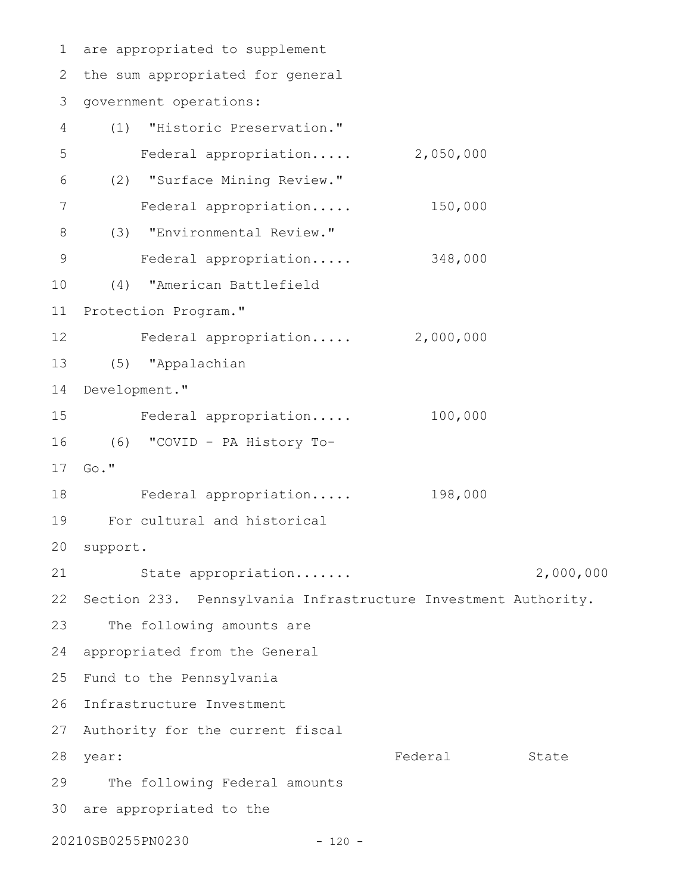are appropriated to supplement 1 2 the sum appropriated for general 3 government operations: (1) "Historic Preservation." Federal appropriation..... 2,050,000 (2) "Surface Mining Review." Federal appropriation..... 150,000 (3) "Environmental Review." Federal appropriation..... 348,000 (4) "American Battlefield 11 Protection Program." Federal appropriation..... 2,000,000 (5) "Appalachian 13 14 Development." Federal appropriation..... 100,000 (6) "COVID - PA History To-16 17 Go." Federal appropriation..... 198,000 For cultural and historical 19 20 support. State appropriation....... 2,000,000 22 Section 233. Pennsylvania Infrastructure Investment Authority. The following amounts are 24 appropriated from the General 25 Fund to the Pennsylvania 26 Infrastructure Investment 27 Authority for the current fiscal Federal State 29 The following Federal amounts 30 are appropriated to the 20210SB0255PN0230 - 120 - 4 5 6 7 8 9 10 12 15 18 21 23 28 year: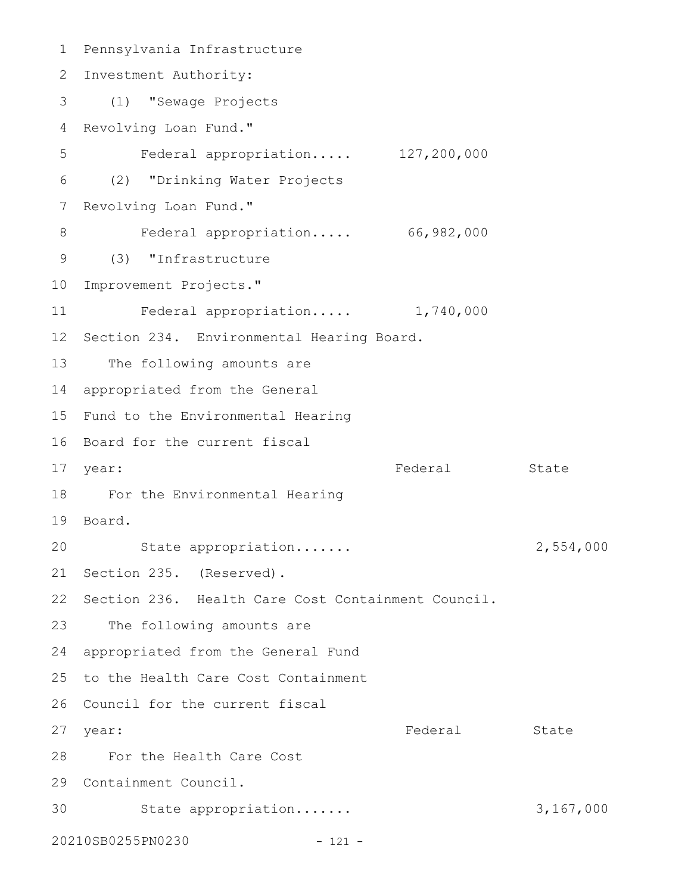Pennsylvania Infrastructure 1 2 Investment Authority: (1) "Sewage Projects 3 4 Revolving Loan Fund." Federal appropriation..... 127,200,000 (2) "Drinking Water Projects 6 7 Revolving Loan Fund." 8 Federal appropriation..... 66,982,000 (3) "Infrastructure 9 10 Improvement Projects." Federal appropriation..... 1,740,000 12 Section 234. Environmental Hearing Board. 13 The following amounts are appropriated from the General 14 15 Fund to the Environmental Hearing 16 Board for the current fiscal Federal State For the Environmental Hearing 18 19 Board. 20 State appropriation...... 2,554,000 21 Section 235. (Reserved). 22 Section 236. Health Care Cost Containment Council. 23 The following amounts are 24 appropriated from the General Fund 25 to the Health Care Cost Containment 26 Council for the current fiscal Federal State For the Health Care Cost 28 29 Containment Council. 30 State appropriation...... 3,167,000 20210SB0255PN0230 - 121 - 5 11 17 year: 27 year: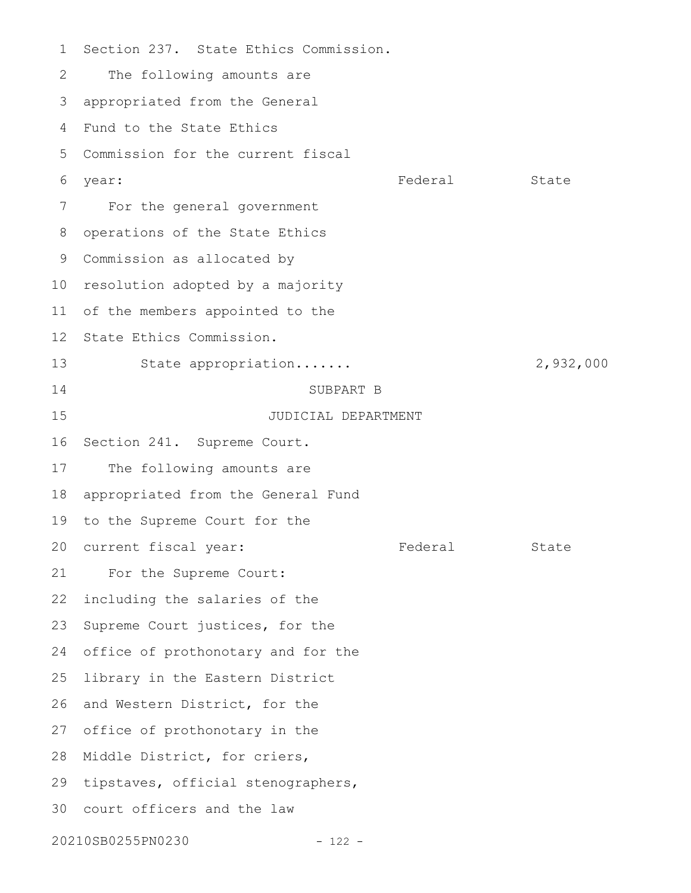Section 237. State Ethics Commission. The following amounts are appropriated from the General Fund to the State Ethics 5 Commission for the current fiscal year: State State State State State State State State State State State State State For the general government operations of the State Ethics 9 Commission as allocated by 10 resolution adopted by a majority of the members appointed to the State Ethics Commission. State appropriation....... 2,932,000 SUBPART B JUDICIAL DEPARTMENT Section 241. Supreme Court. The following amounts are appropriated from the General Fund 19 to the Supreme Court for the 20 current fiscal year: Tederal State For the Supreme Court: including the salaries of the Supreme Court justices, for the 24 office of prothonotary and for the library in the Eastern District 26 and Western District, for the 27 office of prothonotary in the 28 Middle District, for criers, 29 tipstaves, official stenographers, 30 court officers and the law 20210SB0255PN0230 - 122 - 1 2 3 4 6 7 8 11 12 13 14 15 16 17 18 21 22 23 25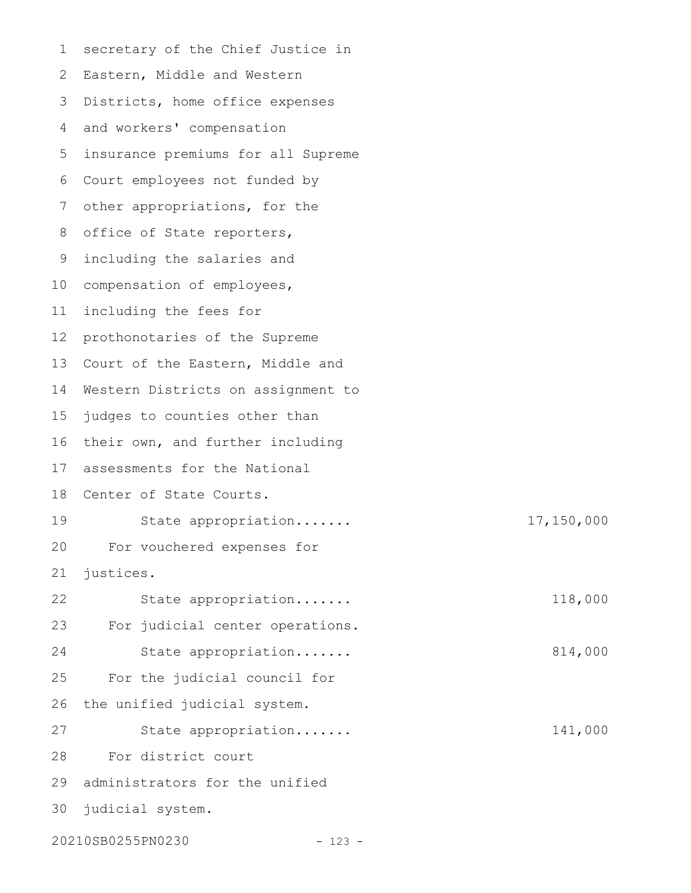secretary of the Chief Justice in 2 Eastern, Middle and Western 3 Districts, home office expenses and workers' compensation 4 5 insurance premiums for all Supreme Court employees not funded by 6 other appropriations, for the office of State reporters, including the salaries and 10 compensation of employees, including the fees for prothonotaries of the Supreme 13 Court of the Eastern, Middle and 14 Western Districts on assignment to judges to counties other than 16 their own, and further including assessments for the National 18 Center of State Courts. State appropriation....... 17,150,000 For vouchered expenses for justices. State appropriation....... 118,000 For judicial center operations. State appropriation....... 814,000 For the judicial council for the unified judicial system. State appropriation....... 141,000 For district court administrators for the unified judicial system. 20210SB0255PN0230 - 123 - 1 7 8 9 11 12 15 17 19 20 21 22 23 24 25 26 27 28 29 30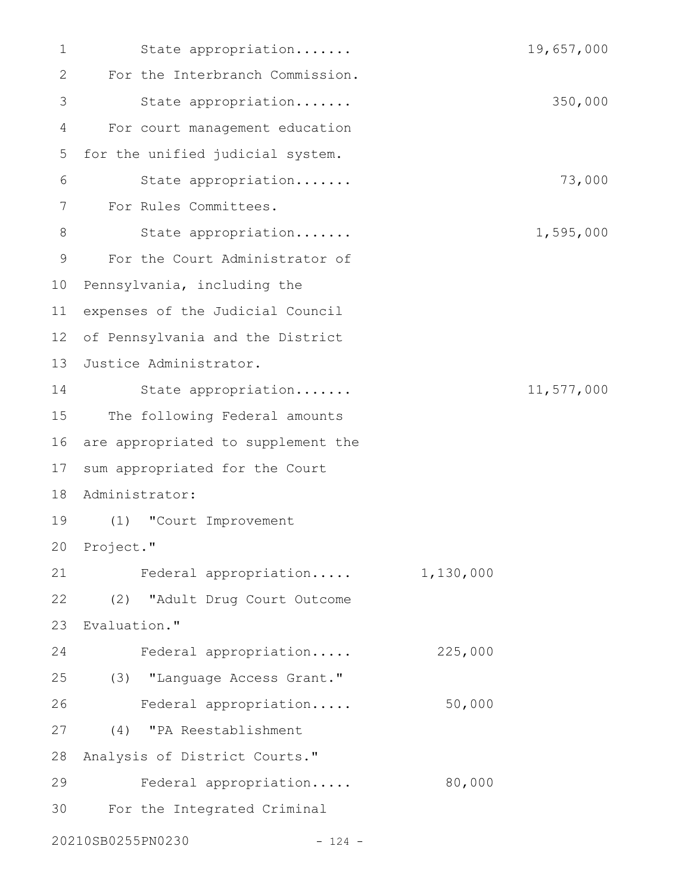| 1  | State appropriation                |           | 19,657,000 |
|----|------------------------------------|-----------|------------|
| 2  | For the Interbranch Commission.    |           |            |
| 3  | State appropriation                |           | 350,000    |
| 4  | For court management education     |           |            |
| 5  | for the unified judicial system.   |           |            |
| 6  | State appropriation                |           | 73,000     |
| 7  | For Rules Committees.              |           |            |
| 8  | State appropriation                |           | 1,595,000  |
| 9  | For the Court Administrator of     |           |            |
| 10 | Pennsylvania, including the        |           |            |
| 11 | expenses of the Judicial Council   |           |            |
| 12 | of Pennsylvania and the District   |           |            |
| 13 | Justice Administrator.             |           |            |
| 14 | State appropriation                |           | 11,577,000 |
| 15 | The following Federal amounts      |           |            |
| 16 | are appropriated to supplement the |           |            |
| 17 | sum appropriated for the Court     |           |            |
| 18 | Administrator:                     |           |            |
| 19 | (1)<br>"Court Improvement          |           |            |
|    | 20 Project."                       |           |            |
| 21 | Federal appropriation              | 1,130,000 |            |
| 22 | (2) "Adult Drug Court Outcome      |           |            |
| 23 | Evaluation."                       |           |            |
| 24 | Federal appropriation              | 225,000   |            |
| 25 | (3) "Language Access Grant."       |           |            |
| 26 | Federal appropriation              | 50,000    |            |
| 27 | (4) "PA Reestablishment            |           |            |
| 28 | Analysis of District Courts."      |           |            |
| 29 | Federal appropriation              | 80,000    |            |
| 30 | For the Integrated Criminal        |           |            |
|    | 20210SB0255PN0230<br>$-124 -$      |           |            |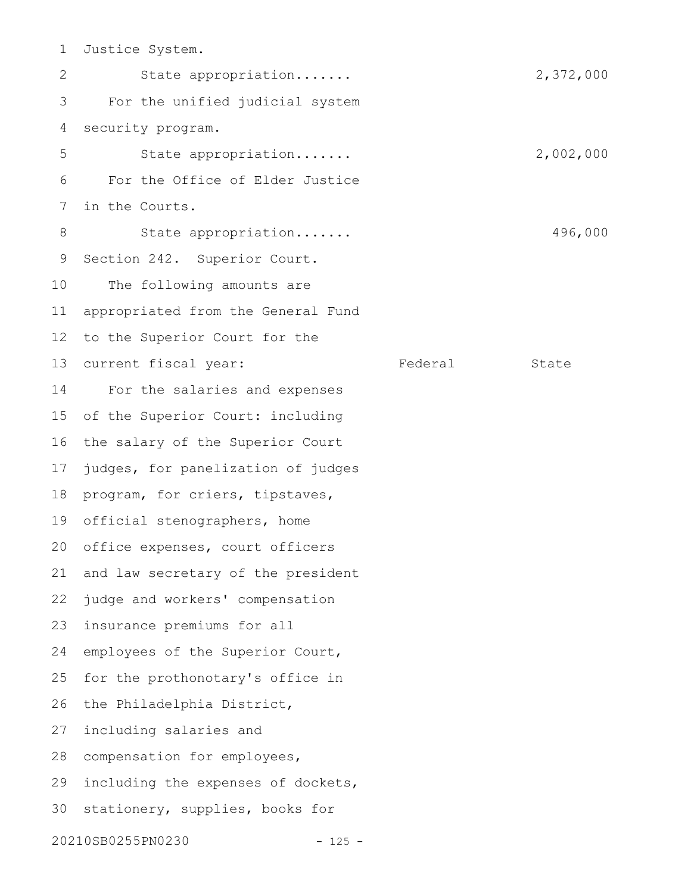Justice System. 1

State appropriation....... 2,372,000 For the unified judicial system security program. State appropriation....... 2,002,000 For the Office of Elder Justice in the Courts. State appropriation....... 496,000 Section 242. Superior Court. The following amounts are appropriated from the General Fund to the Superior Court for the current fiscal year: Federal State For the salaries and expenses of the Superior Court: including the salary of the Superior Court judges, for panelization of judges program, for criers, tipstaves, 19 official stenographers, home 20 office expenses, court officers and law secretary of the president judge and workers' compensation insurance premiums for all employees of the Superior Court, for the prothonotary's office in the Philadelphia District, including salaries and 28 compensation for employees, including the expenses of dockets, 30 stationery, supplies, books for 20210SB0255PN0230 - 125 - 2 3 4 5 6 7 8 9 10 11 12 13 14 15 16 17 18 21 22 23 24 25 26 27 29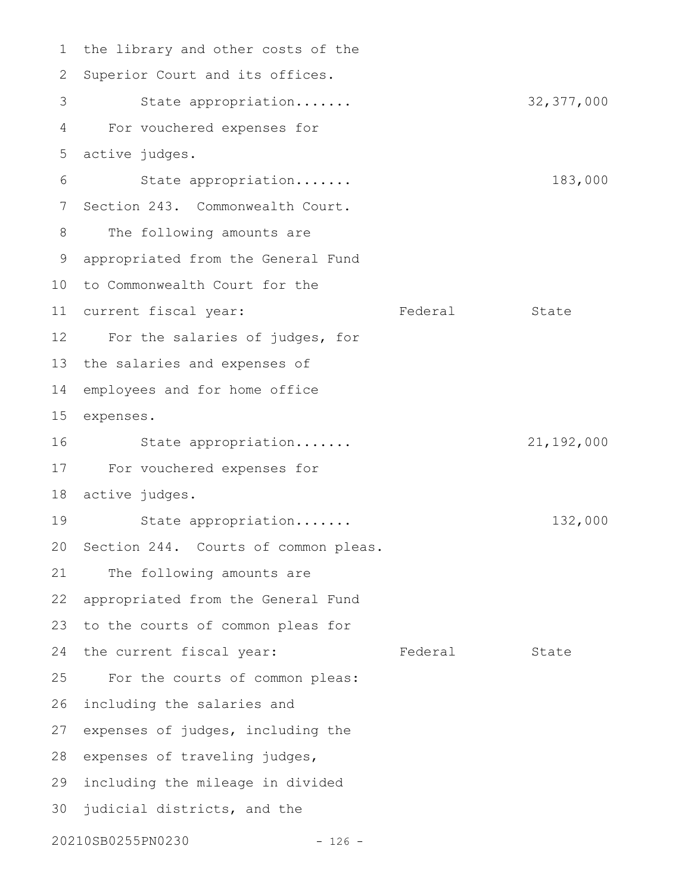1 the library and other costs of the 2 Superior Court and its offices. State appropriation....... 32,377,000 For vouchered expenses for active judges. State appropriation....... 183,000 7 Section 243. Commonwealth Court. The following amounts are appropriated from the General Fund 9 10 to Commonwealth Court for the 11 current fiscal year: Tederal State For the salaries of judges, for 13 the salaries and expenses of employees and for home office expenses. 15 State appropriation....... 21,192,000 For vouchered expenses for 17 18 active judges. State appropriation....... 132,000 20 Section 244. Courts of common pleas. The following amounts are appropriated from the General Fund 23 to the courts of common pleas for 24 the current fiscal year: Tederal State For the courts of common pleas: including the salaries and 27 expenses of judges, including the 28 expenses of traveling judges, 29 including the mileage in divided 30 judicial districts, and the 20210SB0255PN0230 - 126 - 3 4 5 6 8 12 14 16 19 21 22 25 26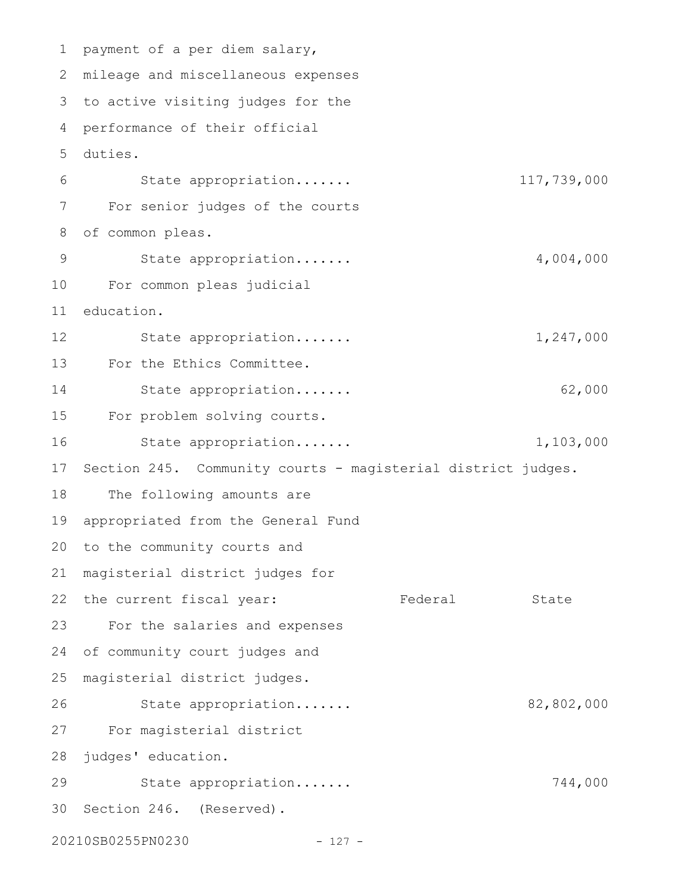1 payment of a per diem salary, mileage and miscellaneous expenses 2 3 to active visiting judges for the performance of their official 4 duties. 5 State appropriation....... 117,739,000 For senior judges of the courts of common pleas. State appropriation....... 4,004,000 For common pleas judicial education. State appropriation....... 1,247,000 For the Ethics Committee. State appropriation....... 62,000 For problem solving courts. State appropriation....... 1,103,000 Section 245. Community courts - magisterial district judges. The following amounts are appropriated from the General Fund 20 to the community courts and magisterial district judges for 21 22 the current fiscal year: Tederal State For the salaries and expenses of community court judges and magisterial district judges. State appropriation....... 82,802,000 For magisterial district 27 28 judges' education. State appropriation....... 744,000 30 Section 246. (Reserved). 20210SB0255PN0230 - 127 - 6 7 8 9 10 11 12 13 14 15 16 17 18 19 23 24 25 26 29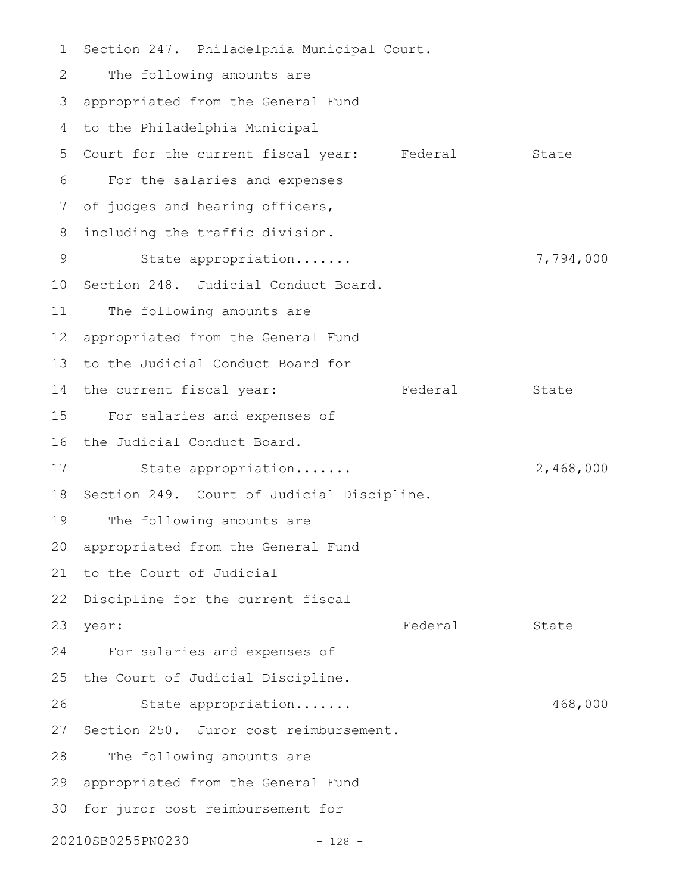Section 247. Philadelphia Municipal Court. The following amounts are appropriated from the General Fund 3 4 to the Philadelphia Municipal 5 Court for the current fiscal year: Federal State For the salaries and expenses of judges and hearing officers, including the traffic division. State appropriation....... 7,794,000 10 Section 248. Judicial Conduct Board. The following amounts are appropriated from the General Fund 12 13 to the Judicial Conduct Board for 14 the current fiscal year: Tederal State For salaries and expenses of 15 16 the Judicial Conduct Board. State appropriation....... 2,468,000 18 Section 249. Court of Judicial Discipline. The following amounts are 20 appropriated from the General Fund 21 to the Court of Judicial 22 Discipline for the current fiscal year: State State State State State State State State State State State State State State State State State State For salaries and expenses of 25 the Court of Judicial Discipline. State appropriation....... 468,000 27 Section 250. Juror cost reimbursement. The following amounts are appropriated from the General Fund 29 30 for juror cost reimbursement for 20210SB0255PN0230 - 128 - 1 2 6 7 8 9 11 17 19 23 year: 24 26 28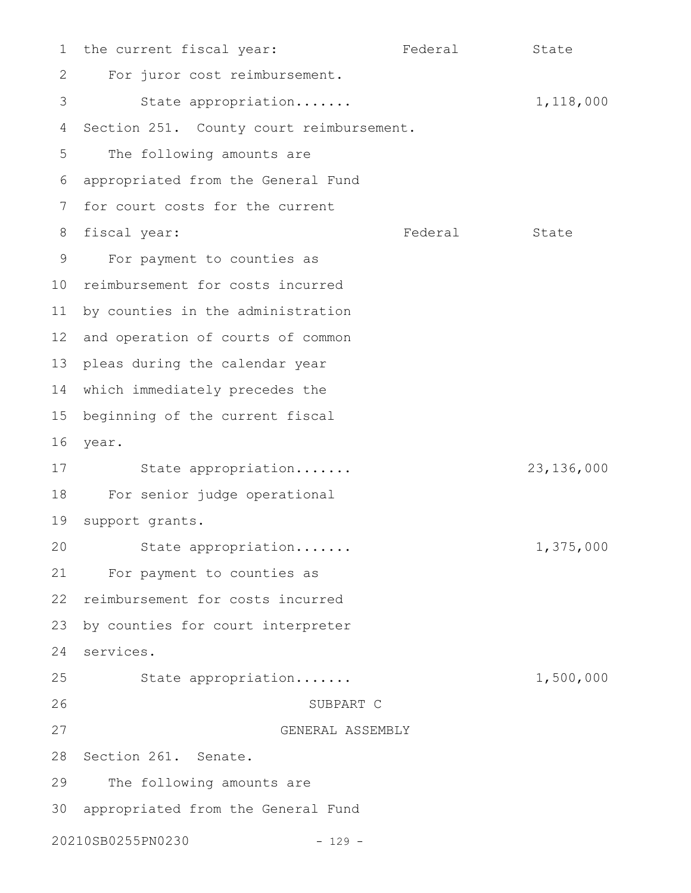the current fiscal year: Tederal State For juror cost reimbursement. State appropriation....... 1,118,000 Section 251. County court reimbursement. The following amounts are appropriated from the General Fund for court costs for the current Federal State For payment to counties as 10 reimbursement for costs incurred 11 by counties in the administration 12 and operation of courts of common 13 pleas during the calendar year which immediately precedes the 14 15 beginning of the current fiscal year. 16 State appropriation....... 23,136,000 For senior judge operational 19 support grants. State appropriation....... 1,375,000 For payment to counties as 22 reimbursement for costs incurred by counties for court interpreter services. 24 State appropriation....... 1,500,000 SUBPART C GENERAL ASSEMBLY 28 Section 261. Senate. The following amounts are appropriated from the General Fund 3020210SB0255PN0230 - 129 - 1 2 3 4 5 6 7 8 fiscal year: 9 17 18 20 21 23 25 26 27 29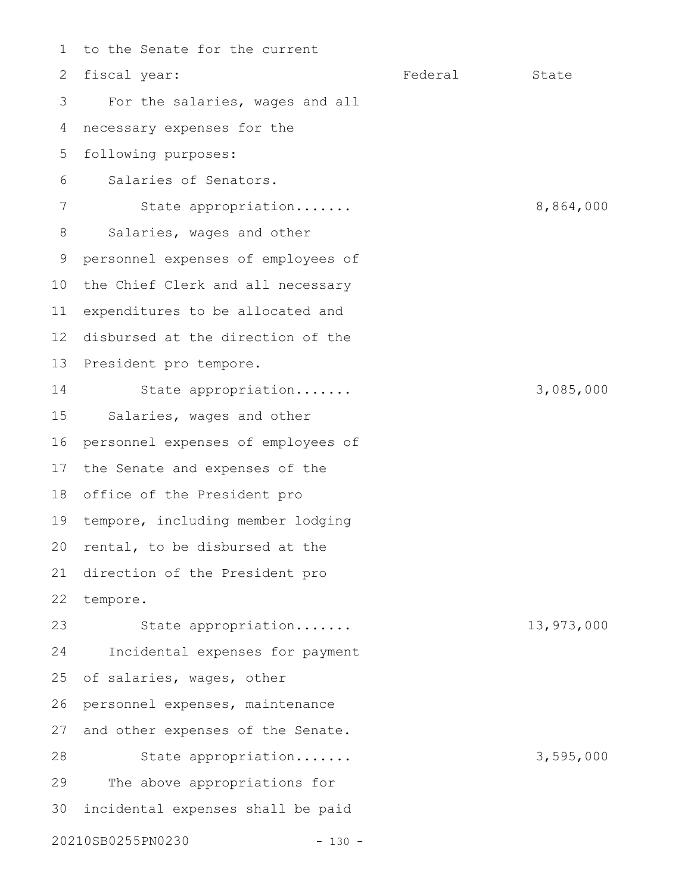to the Senate for the current fiscal year: The State State State State State State State State State State For the salaries, wages and all necessary expenses for the following purposes: Salaries of Senators. State appropriation....... 8,864,000 Salaries, wages and other personnel expenses of employees of the Chief Clerk and all necessary expenditures to be allocated and disbursed at the direction of the President pro tempore. State appropriation....... 3,085,000 Salaries, wages and other personnel expenses of employees of the Senate and expenses of the office of the President pro 18 19 tempore, including member lodging 20 rental, to be disbursed at the direction of the President pro tempore. State appropriation....... 13,973,000 Incidental expenses for payment of salaries, wages, other personnel expenses, maintenance and other expenses of the Senate. State appropriation....... 3,595,000 The above appropriations for incidental expenses shall be paid 20210SB0255PN0230 - 130 - 1 2 3 4 5 6 7 8 9 10 11 12 13 14 15 16 17 21 22 23 24 25 26 27 28 29 30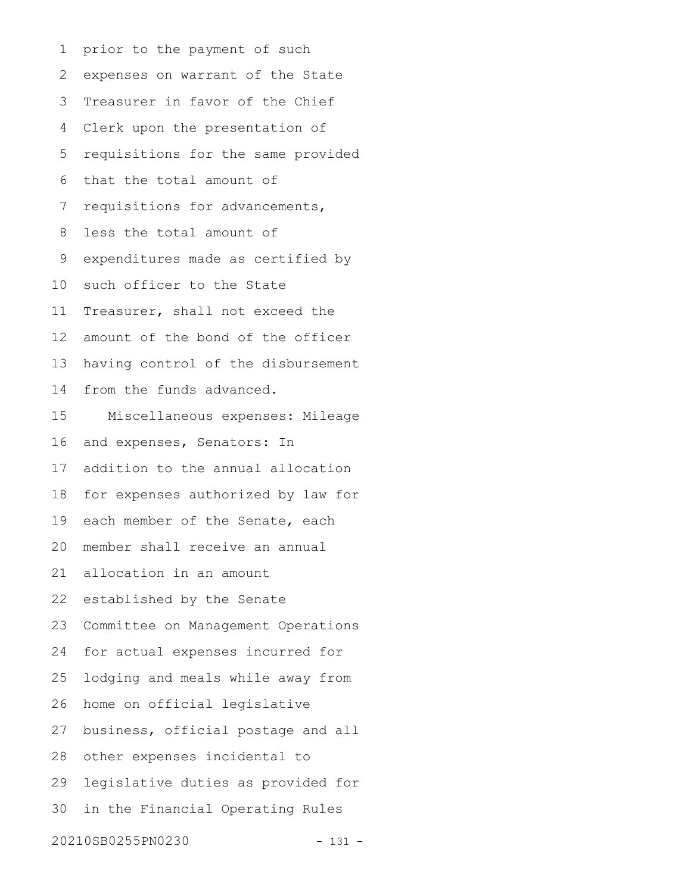prior to the payment of such expenses on warrant of the State Treasurer in favor of the Chief Clerk upon the presentation of requisitions for the same provided that the total amount of requisitions for advancements, less the total amount of expenditures made as certified by such officer to the State Treasurer, shall not exceed the amount of the bond of the officer having control of the disbursement from the funds advanced. Miscellaneous expenses: Mileage and expenses, Senators: In addition to the annual allocation for expenses authorized by law for each member of the Senate, each member shall receive an annual allocation in an amount established by the Senate Committee on Management Operations for actual expenses incurred for lodging and meals while away from home on official legislative business, official postage and all 28 other expenses incidental to legislative duties as provided for in the Financial Operating Rules 20210SB0255PN0230 - 131 - 1 2 3 4 5 6 7 8 9 10 11 12 13 14 15 16 17 18 19 20 21 22 23 24 25 26 27 29 30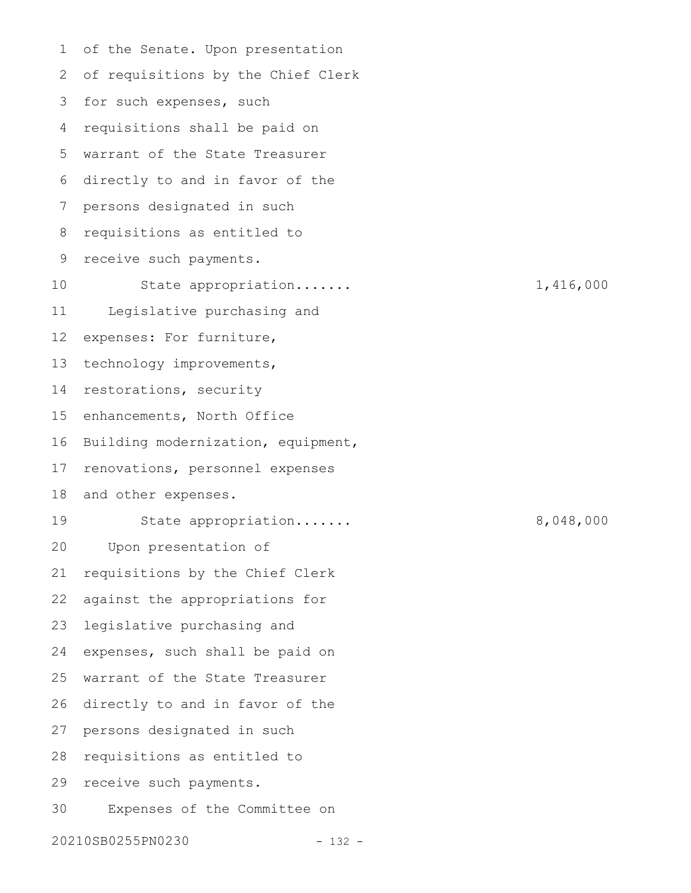of the Senate. Upon presentation of requisitions by the Chief Clerk 3 for such expenses, such requisitions shall be paid on warrant of the State Treasurer directly to and in favor of the persons designated in such requisitions as entitled to receive such payments. State appropriation....... 1,416,000 Legislative purchasing and expenses: For furniture, technology improvements, restorations, security enhancements, North Office Building modernization, equipment, renovations, personnel expenses and other expenses. State appropriation....... 8,048,000 Upon presentation of requisitions by the Chief Clerk against the appropriations for legislative purchasing and expenses, such shall be paid on warrant of the State Treasurer directly to and in favor of the persons designated in such requisitions as entitled to receive such payments. Expenses of the Committee on 1 2 4 5 6 7 8 9 10 11 12 13 14 15 16 17 18 19 20 21 22 23 24 25 26 27 28 29 30

20210SB0255PN0230 - 132 -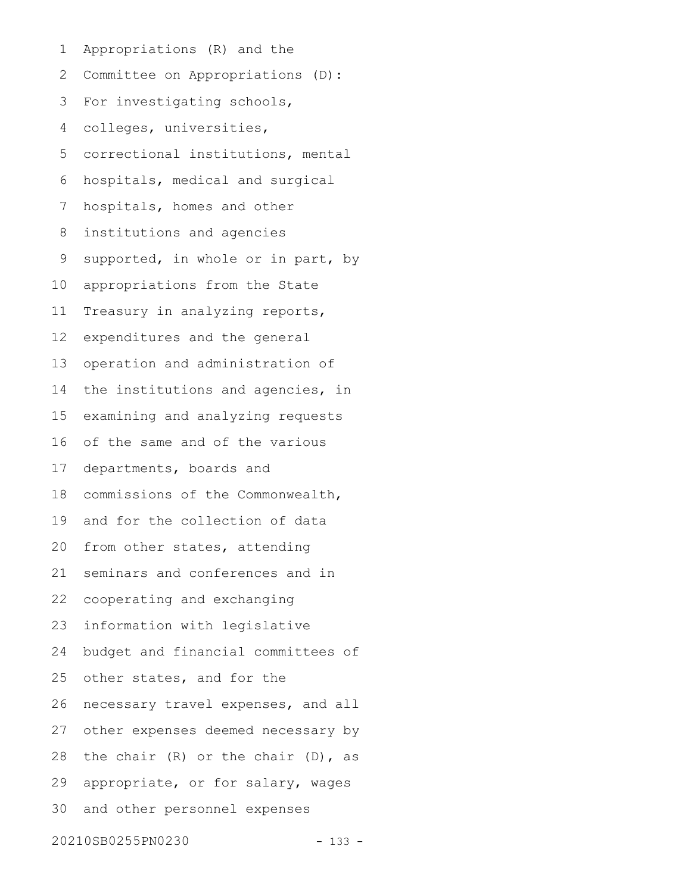Appropriations (R) and the Committee on Appropriations (D): For investigating schools, colleges, universities, correctional institutions, mental hospitals, medical and surgical hospitals, homes and other institutions and agencies supported, in whole or in part, by appropriations from the State Treasury in analyzing reports, expenditures and the general operation and administration of the institutions and agencies, in examining and analyzing requests of the same and of the various departments, boards and commissions of the Commonwealth, and for the collection of data from other states, attending seminars and conferences and in cooperating and exchanging information with legislative budget and financial committees of other states, and for the necessary travel expenses, and all other expenses deemed necessary by the chair (R) or the chair (D), as appropriate, or for salary, wages and other personnel expenses 20210SB0255PN0230 - 133 - 1 2 3 4 5 6 7 8 9 10 11 12 13 14 15 16 17 18 19 20 21 22 23 24 25 26 27 28 29 30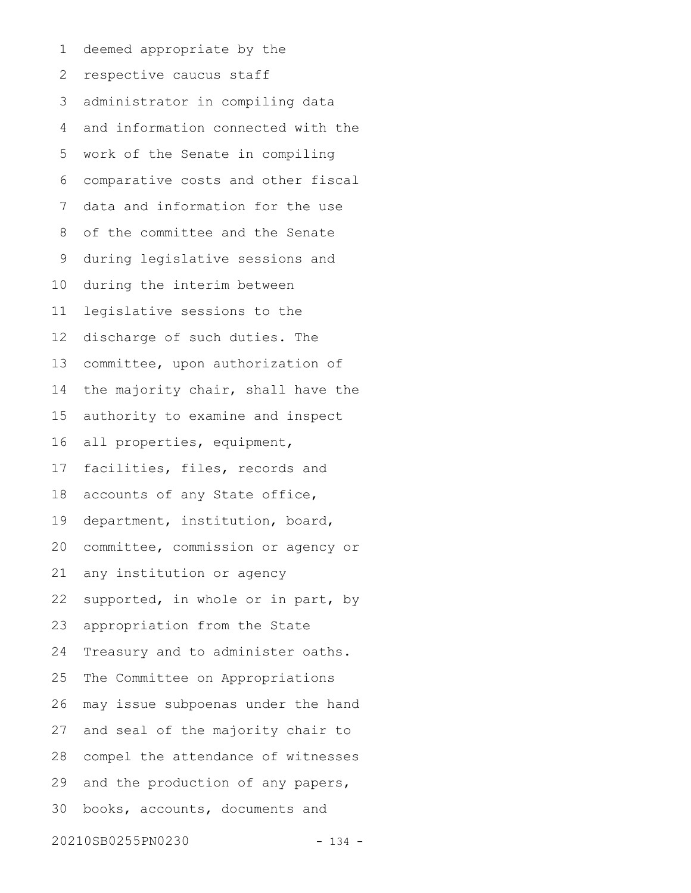deemed appropriate by the respective caucus staff administrator in compiling data and information connected with the work of the Senate in compiling comparative costs and other fiscal data and information for the use of the committee and the Senate during legislative sessions and during the interim between legislative sessions to the discharge of such duties. The committee, upon authorization of the majority chair, shall have the authority to examine and inspect all properties, equipment, facilities, files, records and accounts of any State office, department, institution, board, committee, commission or agency or any institution or agency supported, in whole or in part, by appropriation from the State Treasury and to administer oaths. The Committee on Appropriations may issue subpoenas under the hand and seal of the majority chair to compel the attendance of witnesses and the production of any papers, books, accounts, documents and 1 2 3 4 5 6 7 8 9 10 11 12 13 14 15 16 17 18 19 20 21 22 23 24 25 26 27 28 29 30

20210SB0255PN0230 - 134 -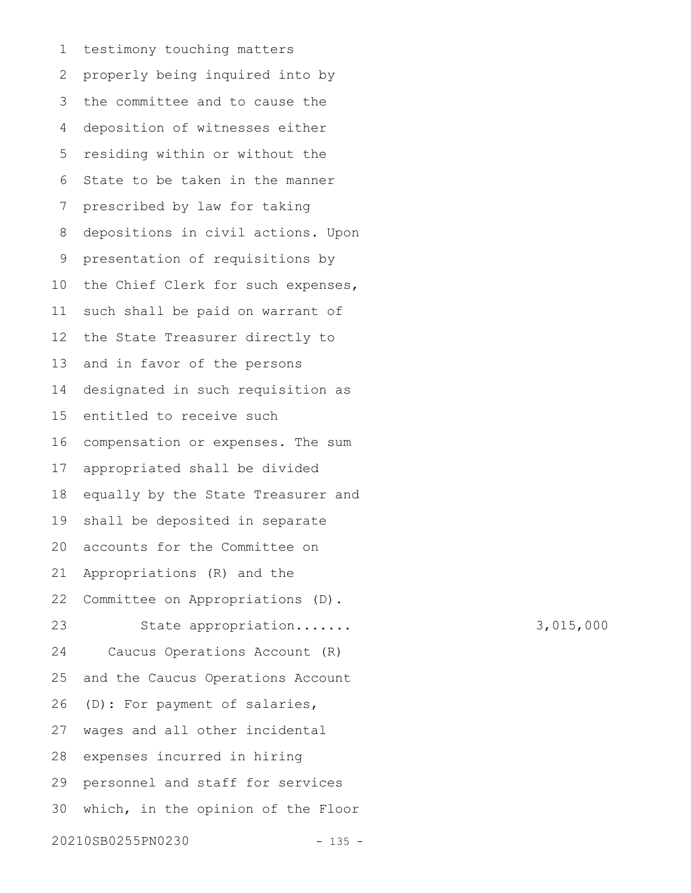testimony touching matters properly being inquired into by the committee and to cause the deposition of witnesses either residing within or without the State to be taken in the manner prescribed by law for taking depositions in civil actions. Upon presentation of requisitions by the Chief Clerk for such expenses, such shall be paid on warrant of the State Treasurer directly to and in favor of the persons designated in such requisition as entitled to receive such compensation or expenses. The sum appropriated shall be divided equally by the State Treasurer and shall be deposited in separate accounts for the Committee on Appropriations (R) and the Committee on Appropriations (D). State appropriation....... 3,015,000 Caucus Operations Account (R) and the Caucus Operations Account (D): For payment of salaries, wages and all other incidental expenses incurred in hiring personnel and staff for services which, in the opinion of the Floor 20210SB0255PN0230 - 135 - 1 2 3 4 5 6 7 8 9 10 11 12 13 14 15 16 17 18 19 20 21 22 23 24 25 26 27 28 29 30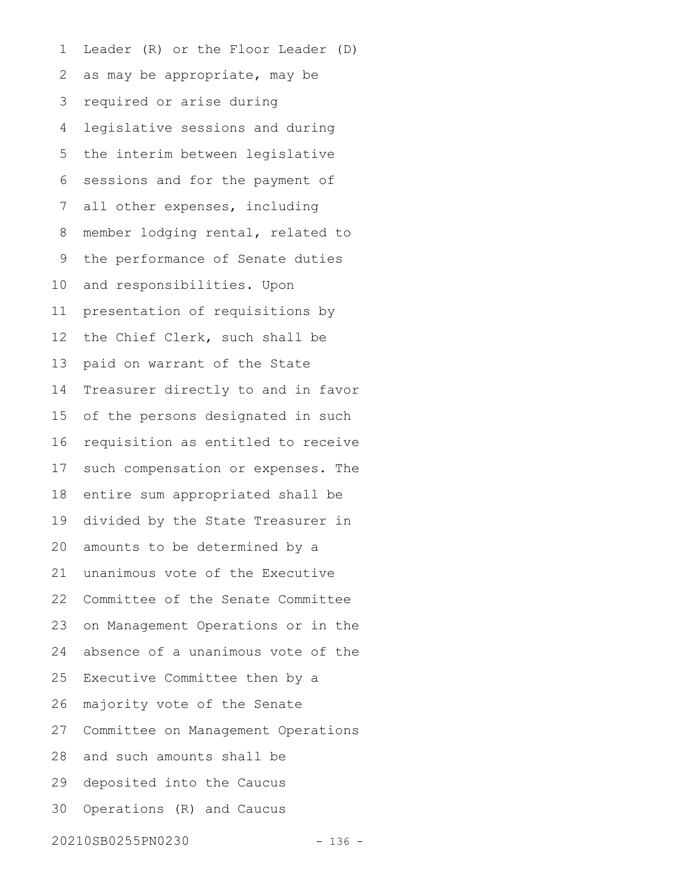Leader (R) or the Floor Leader (D) as may be appropriate, may be required or arise during legislative sessions and during the interim between legislative sessions and for the payment of all other expenses, including member lodging rental, related to the performance of Senate duties and responsibilities. Upon presentation of requisitions by the Chief Clerk, such shall be paid on warrant of the State Treasurer directly to and in favor of the persons designated in such requisition as entitled to receive such compensation or expenses. The entire sum appropriated shall be divided by the State Treasurer in amounts to be determined by a unanimous vote of the Executive Committee of the Senate Committee on Management Operations or in the absence of a unanimous vote of the Executive Committee then by a majority vote of the Senate Committee on Management Operations and such amounts shall be deposited into the Caucus Operations (R) and Caucus 1 2 3 4 5 6 7 8 9 10 11 12 13 14 15 16 17 18 19 20 21 22 23 24 25 26 27 28 29 30

20210SB0255PN0230 - 136 -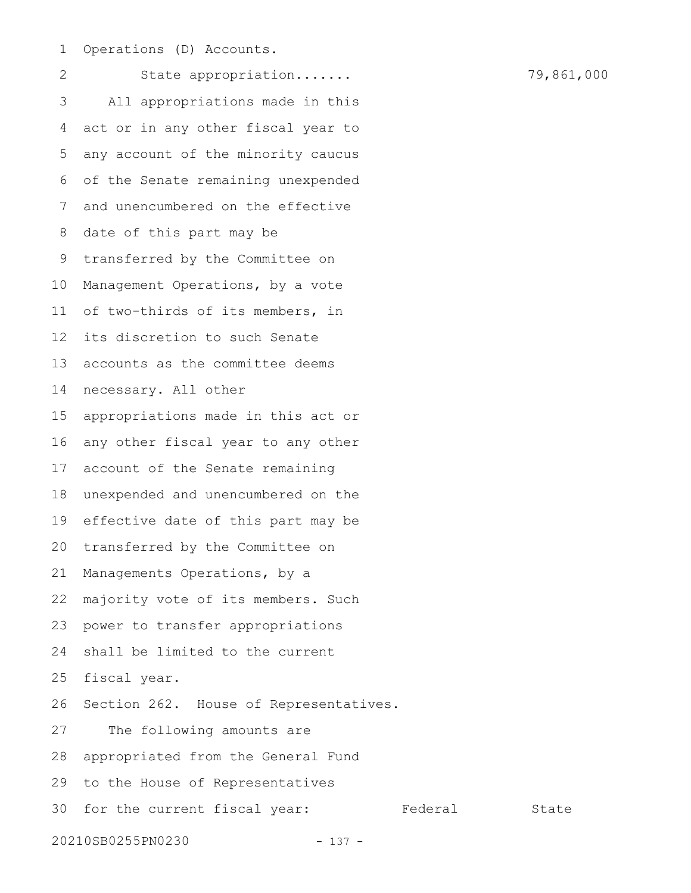Operations (D) Accounts. 1

State appropriation....... 79,861,000 All appropriations made in this act or in any other fiscal year to any account of the minority caucus of the Senate remaining unexpended and unencumbered on the effective date of this part may be transferred by the Committee on Management Operations, by a vote of two-thirds of its members, in its discretion to such Senate accounts as the committee deems necessary. All other appropriations made in this act or any other fiscal year to any other account of the Senate remaining unexpended and unencumbered on the effective date of this part may be transferred by the Committee on Managements Operations, by a majority vote of its members. Such power to transfer appropriations shall be limited to the current fiscal year. Section 262. House of Representatives. The following amounts are appropriated from the General Fund to the House of Representatives 30 for the current fiscal year: Federal State 20210SB0255PN0230 - 137 - 2 3 4 5 6 7 8 9 10 11 12 13 14 15 16 17 18 19 20 21 22 23 24 25 26 27 28 29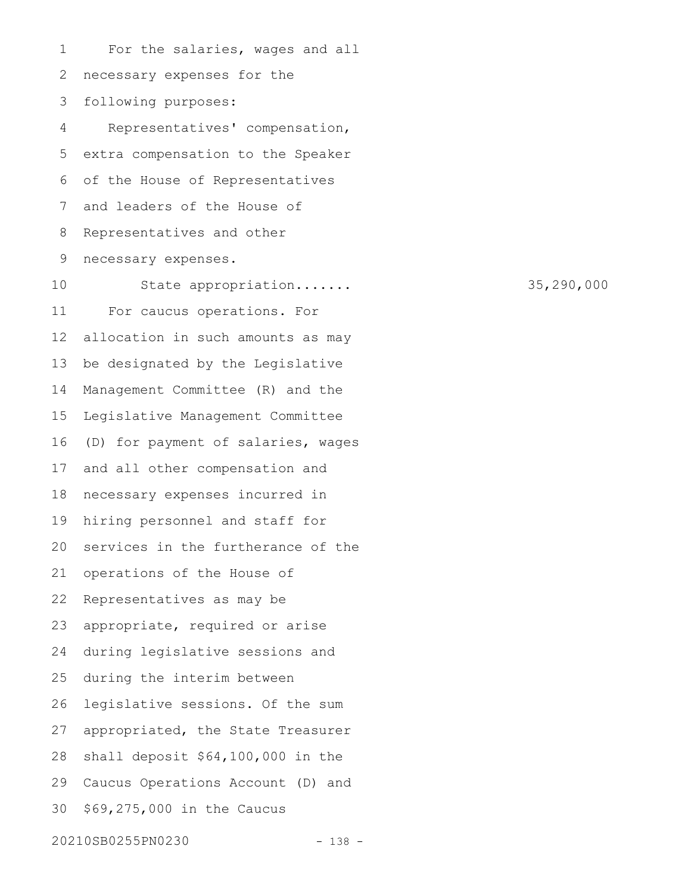For the salaries, wages and all necessary expenses for the following purposes: Representatives' compensation, extra compensation to the Speaker of the House of Representatives and leaders of the House of Representatives and other necessary expenses. State appropriation....... 35,290,000 For caucus operations. For allocation in such amounts as may be designated by the Legislative Management Committee (R) and the Legislative Management Committee (D) for payment of salaries, wages and all other compensation and necessary expenses incurred in hiring personnel and staff for services in the furtherance of the operations of the House of Representatives as may be appropriate, required or arise during legislative sessions and during the interim between legislative sessions. Of the sum appropriated, the State Treasurer shall deposit \$64,100,000 in the Caucus Operations Account (D) and \$69,275,000 in the Caucus 20210SB0255PN0230 - 138 - 1 2 3 4 5 6 7 8 9 10 11 12 13 14 15 16 17 18 19 20 21 22 23 24 25 26 27 28 29 30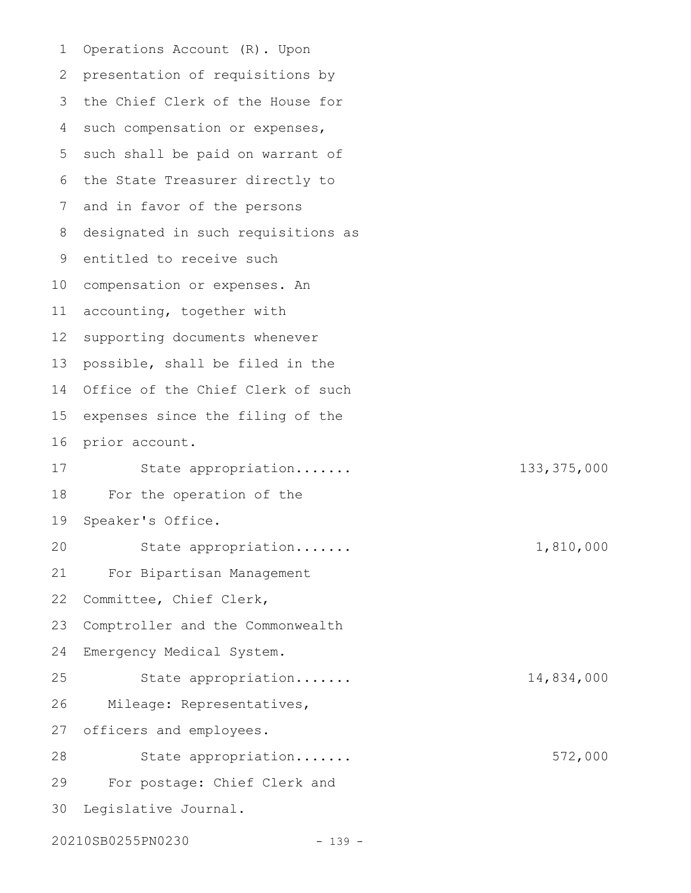Operations Account (R). Upon presentation of requisitions by 3 the Chief Clerk of the House for 4 such compensation or expenses, 5 such shall be paid on warrant of 6 the State Treasurer directly to and in favor of the persons designated in such requisitions as 9 entitled to receive such 10 compensation or expenses. An accounting, together with supporting documents whenever possible, shall be filed in the Office of the Chief Clerk of such expenses since the filing of the prior account. State appropriation....... 133,375,000 For the operation of the Speaker's Office. State appropriation....... 1,810,000 For Bipartisan Management Committee, Chief Clerk, Comptroller and the Commonwealth Emergency Medical System. State appropriation....... 14,834,000 Mileage: Representatives, officers and employees. State appropriation....... 572,000 For postage: Chief Clerk and Legislative Journal. 20210SB0255PN0230 - 139 - 1 2 7 8 11 12 13 14 15 16 17 18 19 20 21 22 23 24 25 26 27 28 29 30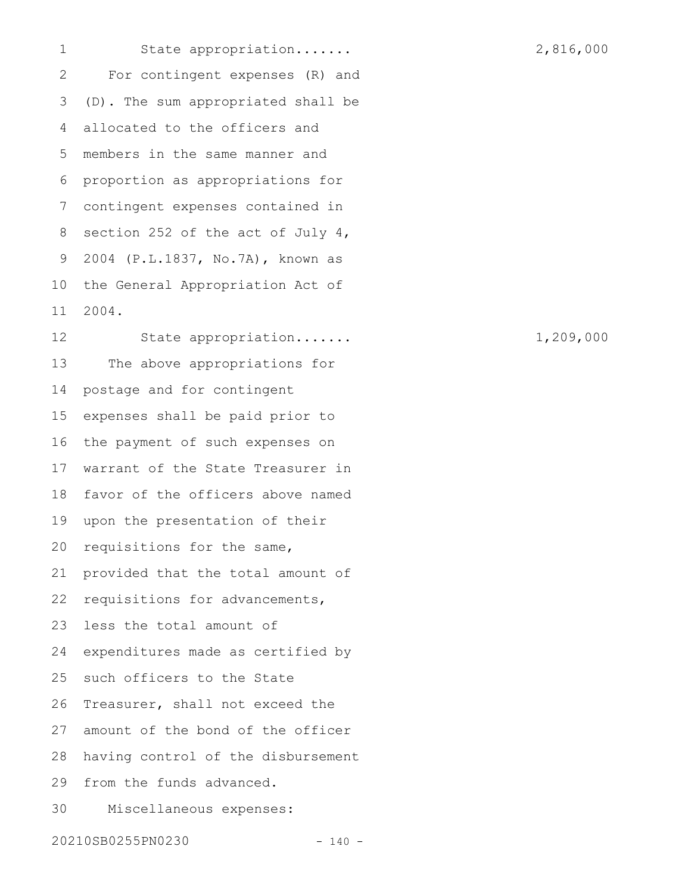State appropriation....... 2,816,000 For contingent expenses (R) and (D). The sum appropriated shall be allocated to the officers and members in the same manner and proportion as appropriations for contingent expenses contained in section 252 of the act of July 4, 2004 (P.L.1837, No.7A), known as the General Appropriation Act of 2004. 1 2 3 4 5 6 7 8 9 10 11

State appropriation....... 1,209,000 The above appropriations for postage and for contingent expenses shall be paid prior to the payment of such expenses on warrant of the State Treasurer in favor of the officers above named upon the presentation of their requisitions for the same, provided that the total amount of requisitions for advancements, less the total amount of expenditures made as certified by such officers to the State Treasurer, shall not exceed the amount of the bond of the officer having control of the disbursement from the funds advanced. Miscellaneous expenses: 12 13 14 15 16 17 18 19 20 21 22 23 24 25 26 27 28 29 30

20210SB0255PN0230 - 140 -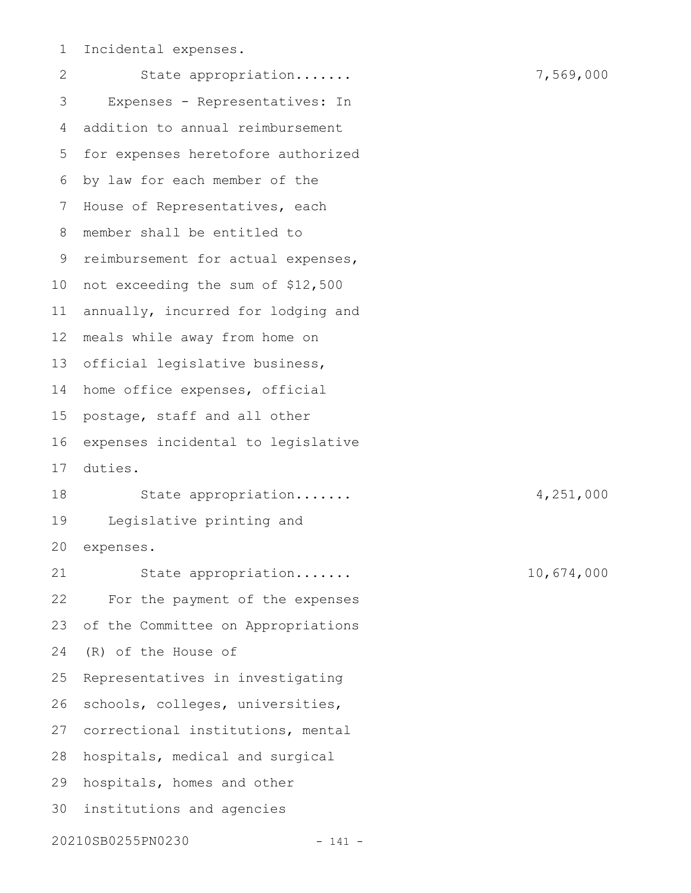Incidental expenses. 1

State appropriation....... 7,569,000 Expenses - Representatives: In addition to annual reimbursement for expenses heretofore authorized by law for each member of the House of Representatives, each member shall be entitled to 9 reimbursement for actual expenses, 10 not exceeding the sum of \$12,500 annually, incurred for lodging and meals while away from home on official legislative business, home office expenses, official postage, staff and all other expenses incidental to legislative duties. State appropriation....... 4,251,000 Legislative printing and expenses. State appropriation....... 10,674,000 For the payment of the expenses of the Committee on Appropriations (R) of the House of Representatives in investigating schools, colleges, universities, 27 correctional institutions, mental 28 hospitals, medical and surgical hospitals, homes and other institutions and agencies 3020210SB0255PN0230 - 141 - 2 3 4 5 6 7 8 11 12 13 14 15 16 17 18 19 20 21 22 23 24 25 26 29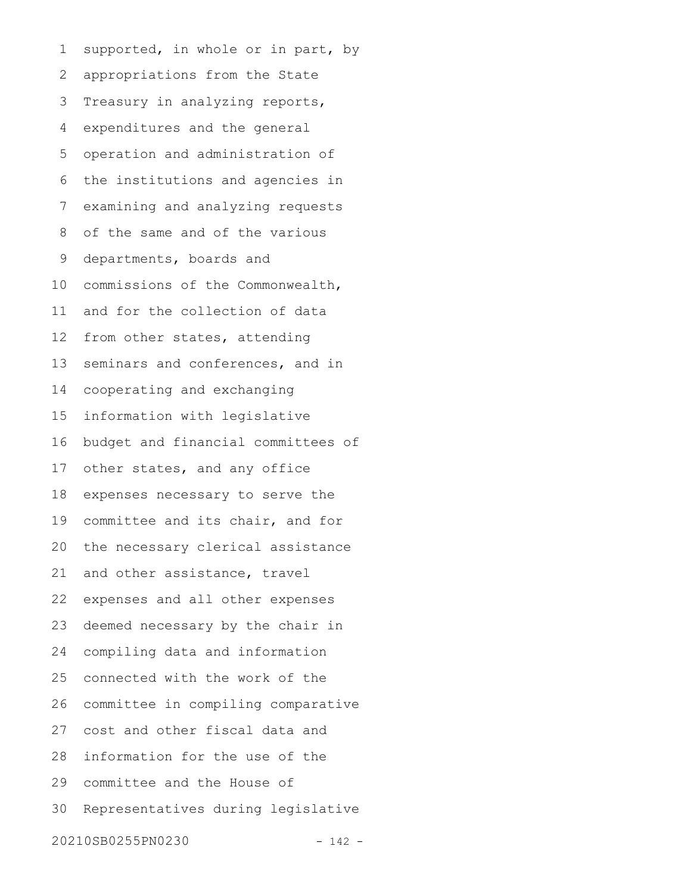supported, in whole or in part, by appropriations from the State Treasury in analyzing reports, expenditures and the general operation and administration of the institutions and agencies in examining and analyzing requests of the same and of the various departments, boards and commissions of the Commonwealth, and for the collection of data from other states, attending seminars and conferences, and in cooperating and exchanging information with legislative budget and financial committees of other states, and any office expenses necessary to serve the committee and its chair, and for the necessary clerical assistance and other assistance, travel expenses and all other expenses deemed necessary by the chair in compiling data and information connected with the work of the committee in compiling comparative cost and other fiscal data and information for the use of the committee and the House of Representatives during legislative 20210SB0255PN0230 - 142 - 1 2 3 4 5 6 7 8 9 10 11 12 13 14 15 16 17 18 19 20 21 22 23 24 25 26 27 28 29 30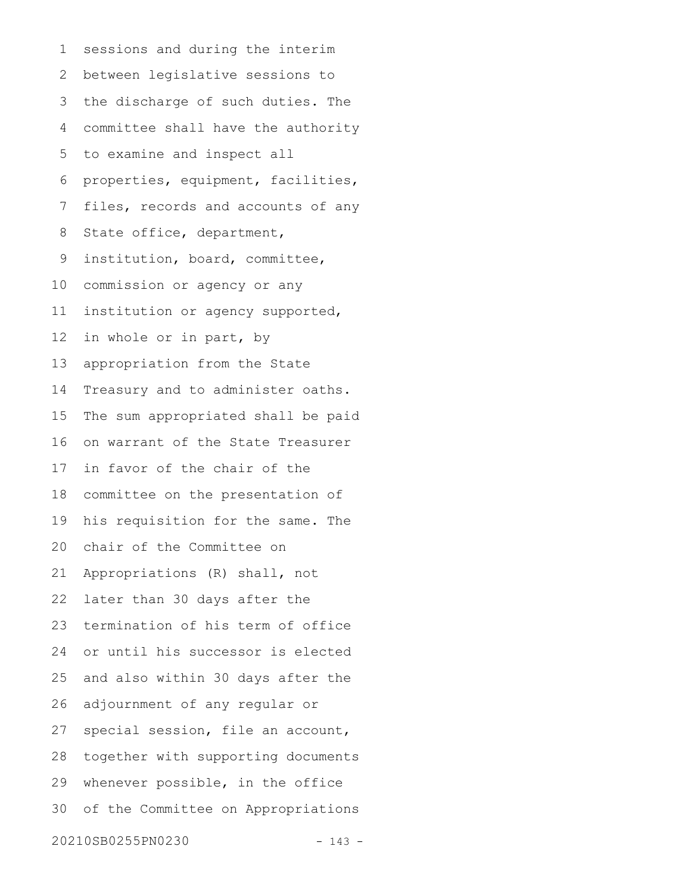sessions and during the interim between legislative sessions to the discharge of such duties. The committee shall have the authority to examine and inspect all properties, equipment, facilities, files, records and accounts of any State office, department, institution, board, committee, commission or agency or any institution or agency supported, in whole or in part, by appropriation from the State Treasury and to administer oaths. The sum appropriated shall be paid on warrant of the State Treasurer in favor of the chair of the committee on the presentation of his requisition for the same. The chair of the Committee on Appropriations (R) shall, not later than 30 days after the termination of his term of office or until his successor is elected and also within 30 days after the adjournment of any regular or special session, file an account, together with supporting documents whenever possible, in the office of the Committee on Appropriations 20210SB0255PN0230 - 143 - 1 2 3 4 5 6 7 8 9 10 11 12 13 14 15 16 17 18 19 20 21 22 23 24 25 26 27 28 29 30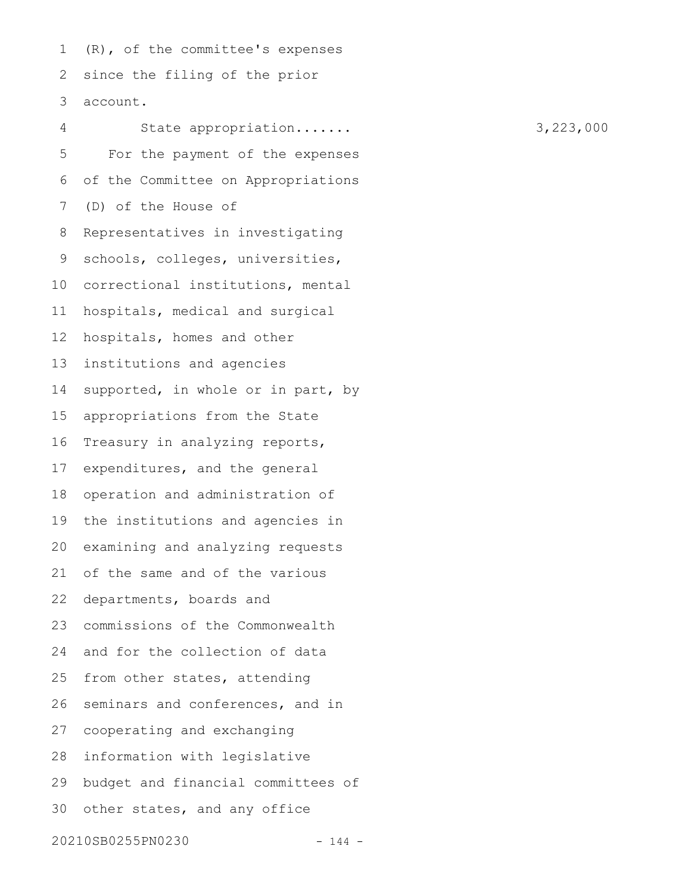(R), of the committee's expenses since the filing of the prior account. 1 2 3

State appropriation....... 3,223,000 For the payment of the expenses of the Committee on Appropriations (D) of the House of Representatives in investigating schools, colleges, universities, correctional institutions, mental hospitals, medical and surgical hospitals, homes and other institutions and agencies supported, in whole or in part, by appropriations from the State Treasury in analyzing reports, expenditures, and the general operation and administration of the institutions and agencies in examining and analyzing requests of the same and of the various departments, boards and commissions of the Commonwealth and for the collection of data from other states, attending seminars and conferences, and in cooperating and exchanging information with legislative budget and financial committees of other states, and any office 20210SB0255PN0230 - 144 - 4 5 6 7 8 9 10 11 12 13 14 15 16 17 18 19 20 21 22 23 24 25 26 27 28 29 30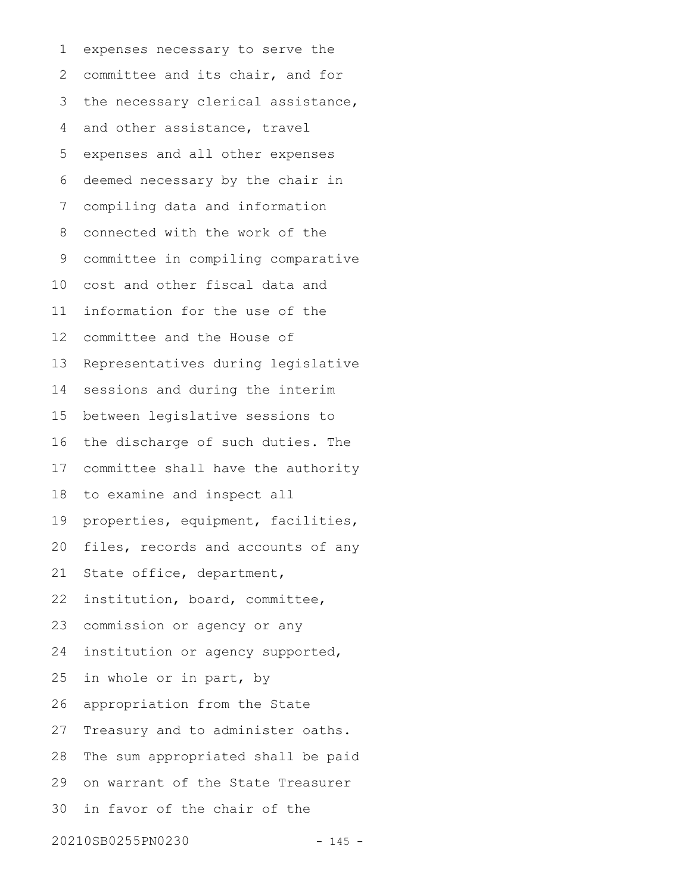expenses necessary to serve the committee and its chair, and for the necessary clerical assistance, and other assistance, travel expenses and all other expenses deemed necessary by the chair in compiling data and information connected with the work of the committee in compiling comparative cost and other fiscal data and information for the use of the committee and the House of Representatives during legislative sessions and during the interim between legislative sessions to the discharge of such duties. The committee shall have the authority to examine and inspect all properties, equipment, facilities, files, records and accounts of any State office, department, institution, board, committee, commission or agency or any institution or agency supported, in whole or in part, by appropriation from the State Treasury and to administer oaths. The sum appropriated shall be paid on warrant of the State Treasurer in favor of the chair of the 20210SB0255PN0230 - 145 - 1 2 3 4 5 6 7 8 9 10 11 12 13 14 15 16 17 18 19 20 21 22 23 24 25 26 27 28 29 30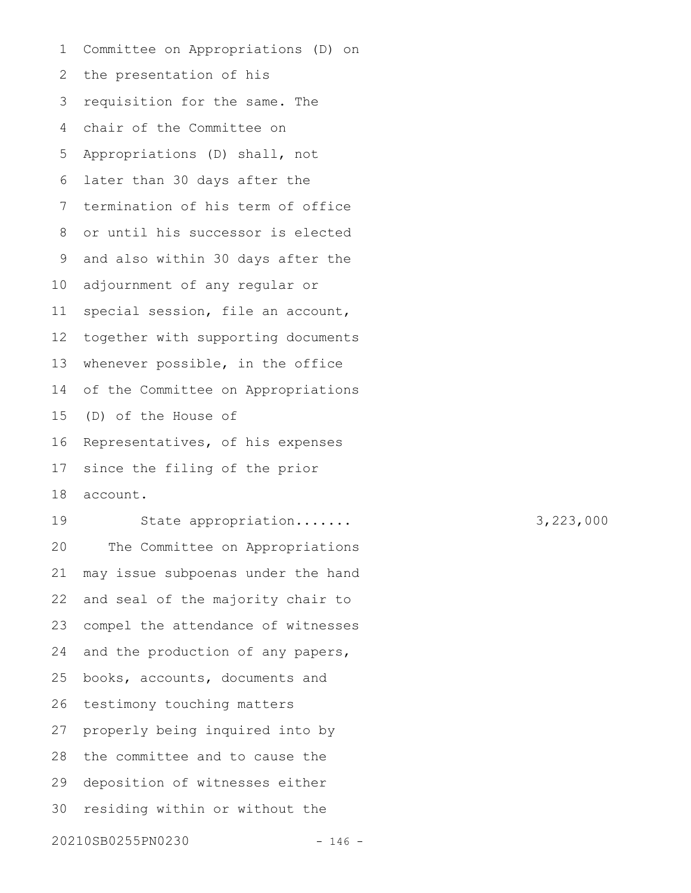Committee on Appropriations (D) on the presentation of his requisition for the same. The chair of the Committee on Appropriations (D) shall, not later than 30 days after the termination of his term of office or until his successor is elected and also within 30 days after the adjournment of any regular or special session, file an account, together with supporting documents whenever possible, in the office of the Committee on Appropriations (D) of the House of Representatives, of his expenses since the filing of the prior account. State appropriation....... 3,223,000 1 2 3 4 5 6 7 8 9 10 11 12 13 14 15 16 17 18 19

The Committee on Appropriations may issue subpoenas under the hand and seal of the majority chair to compel the attendance of witnesses and the production of any papers, books, accounts, documents and testimony touching matters properly being inquired into by the committee and to cause the deposition of witnesses either residing within or without the 20210SB0255PN0230 - 146 - 20 21 22 23 24 25 26 27 28 29 30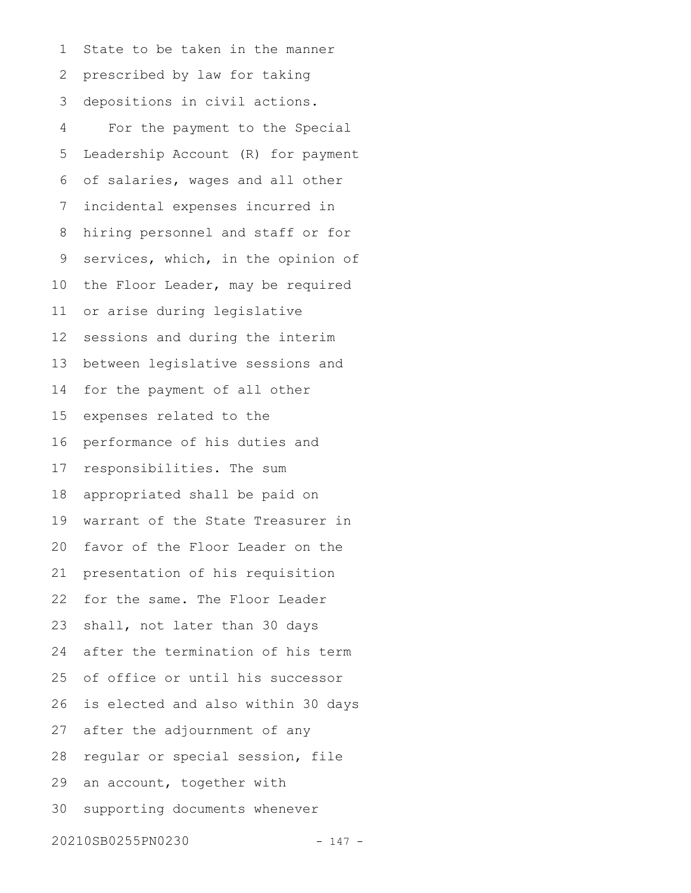State to be taken in the manner prescribed by law for taking depositions in civil actions. For the payment to the Special Leadership Account (R) for payment of salaries, wages and all other incidental expenses incurred in hiring personnel and staff or for services, which, in the opinion of the Floor Leader, may be required or arise during legislative sessions and during the interim between legislative sessions and for the payment of all other expenses related to the performance of his duties and responsibilities. The sum appropriated shall be paid on warrant of the State Treasurer in favor of the Floor Leader on the presentation of his requisition for the same. The Floor Leader shall, not later than 30 days after the termination of his term of office or until his successor is elected and also within 30 days after the adjournment of any regular or special session, file an account, together with supporting documents whenever 20210SB0255PN0230 - 147 - 1 2 3 4 5 6 7 8 9 10 11 12 13 14 15 16 17 18 19 20 21 22 23 24 25 26 27 28 29 30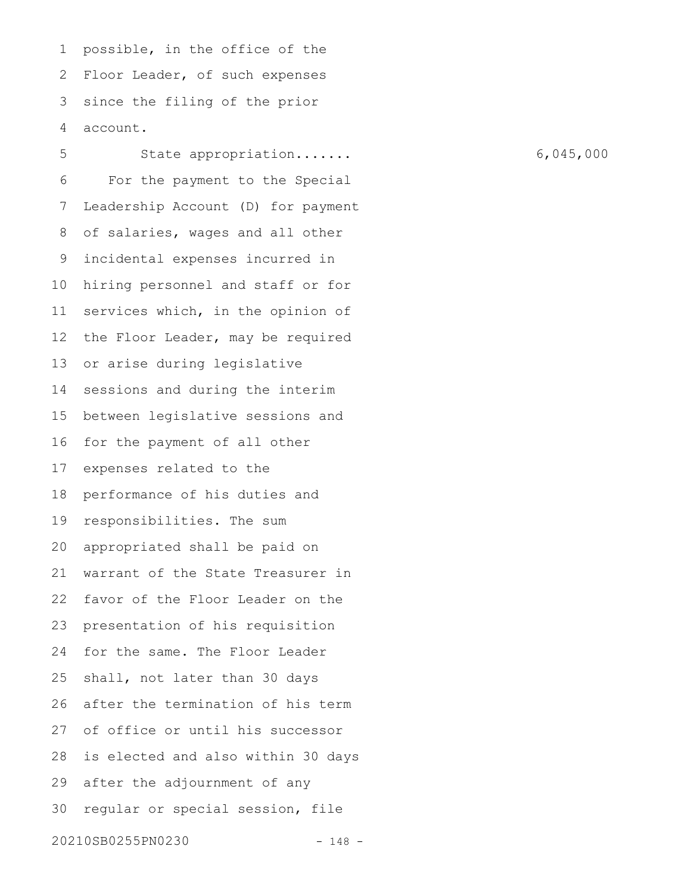possible, in the office of the Floor Leader, of such expenses since the filing of the prior account. 1 2 3 4

State appropriation....... 6,045,000 For the payment to the Special Leadership Account (D) for payment of salaries, wages and all other incidental expenses incurred in hiring personnel and staff or for services which, in the opinion of the Floor Leader, may be required or arise during legislative sessions and during the interim between legislative sessions and for the payment of all other expenses related to the performance of his duties and responsibilities. The sum appropriated shall be paid on warrant of the State Treasurer in favor of the Floor Leader on the presentation of his requisition for the same. The Floor Leader shall, not later than 30 days after the termination of his term of office or until his successor is elected and also within 30 days after the adjournment of any regular or special session, file 20210SB0255PN0230 - 148 - 5 6 7 8 9 10 11 12 13 14 15 16 17 18 19 20 21 22 23 24 25 26 27 28 29 30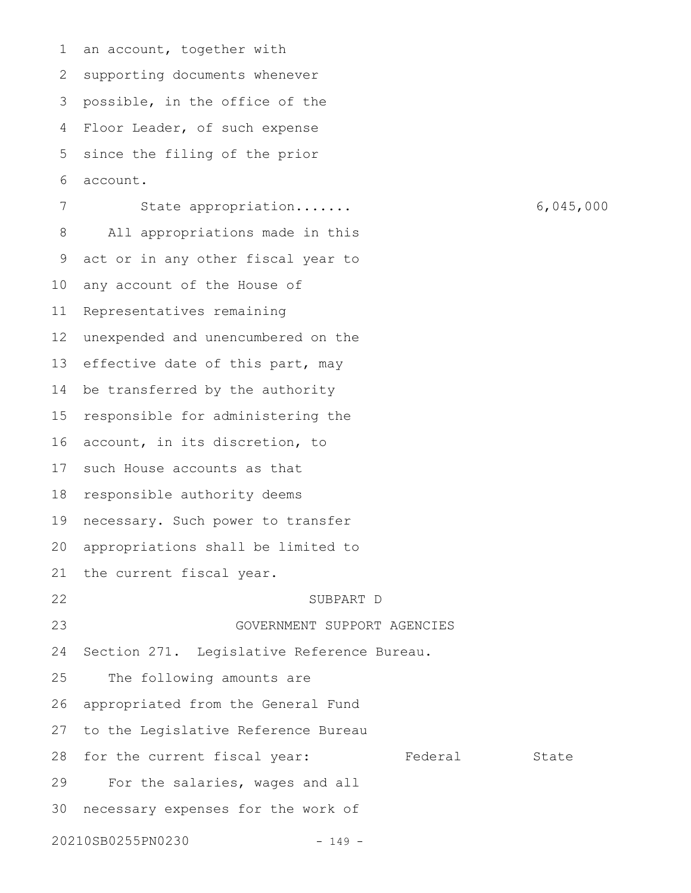an account, together with supporting documents whenever possible, in the office of the Floor Leader, of such expense since the filing of the prior account. State appropriation....... 6,045,000 All appropriations made in this act or in any other fiscal year to any account of the House of Representatives remaining unexpended and unencumbered on the effective date of this part, may be transferred by the authority responsible for administering the account, in its discretion, to such House accounts as that responsible authority deems necessary. Such power to transfer appropriations shall be limited to the current fiscal year. SUBPART D GOVERNMENT SUPPORT AGENCIES Section 271. Legislative Reference Bureau. The following amounts are appropriated from the General Fund to the Legislative Reference Bureau for the current fiscal year: Federal State For the salaries, wages and all necessary expenses for the work of 20210SB0255PN0230 - 149 - 1 2 3 4 5 6 7 8 9 10 11 12 13 14 15 16 17 18 19 20 21 22 23 24 25 26 27 28 29 30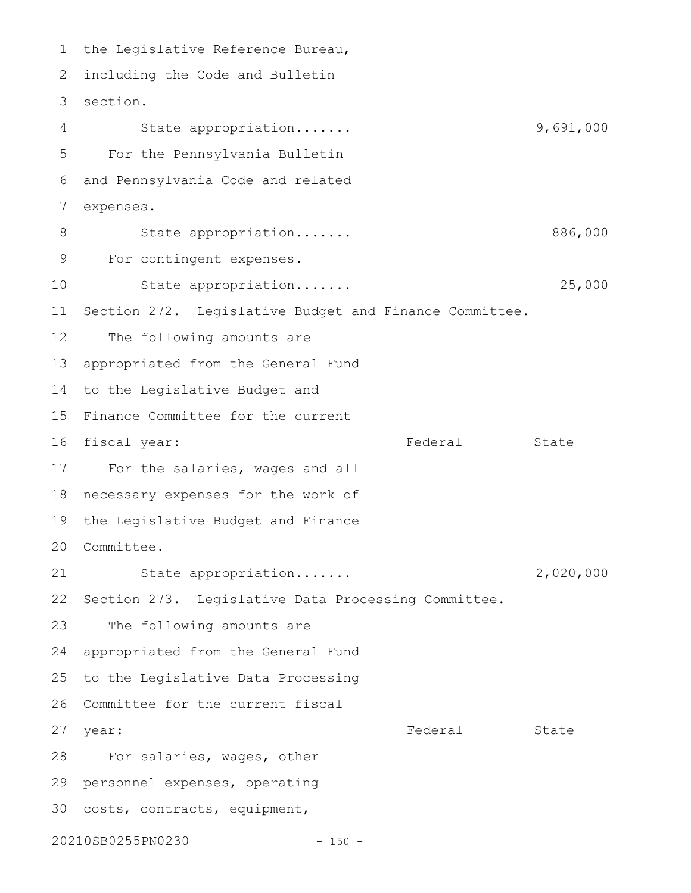1 the Legislative Reference Bureau, 2 including the Code and Bulletin 3 section. State appropriation....... 9,691,000 For the Pennsylvania Bulletin and Pennsylvania Code and related expenses. State appropriation....... 886,000 For contingent expenses. State appropriation....... 25,000 Section 272. Legislative Budget and Finance Committee. The following amounts are appropriated from the General Fund 14 to the Legislative Budget and 15 Finance Committee for the current Federal State 17 For the salaries, wages and all 18 necessary expenses for the work of the Legislative Budget and Finance Committee. 20 State appropriation....... 2,020,000 22 Section 273. Legislative Data Processing Committee. The following amounts are appropriated from the General Fund 25 to the Legislative Data Processing 26 Committee for the current fiscal Federal State 28 For salaries, wages, other 29 personnel expenses, operating 30 costs, contracts, equipment, 20210SB0255PN0230 - 150 - 4 5 6 7 8 9 10 11 12 13 16 fiscal year: 19 21 23 24 27 year: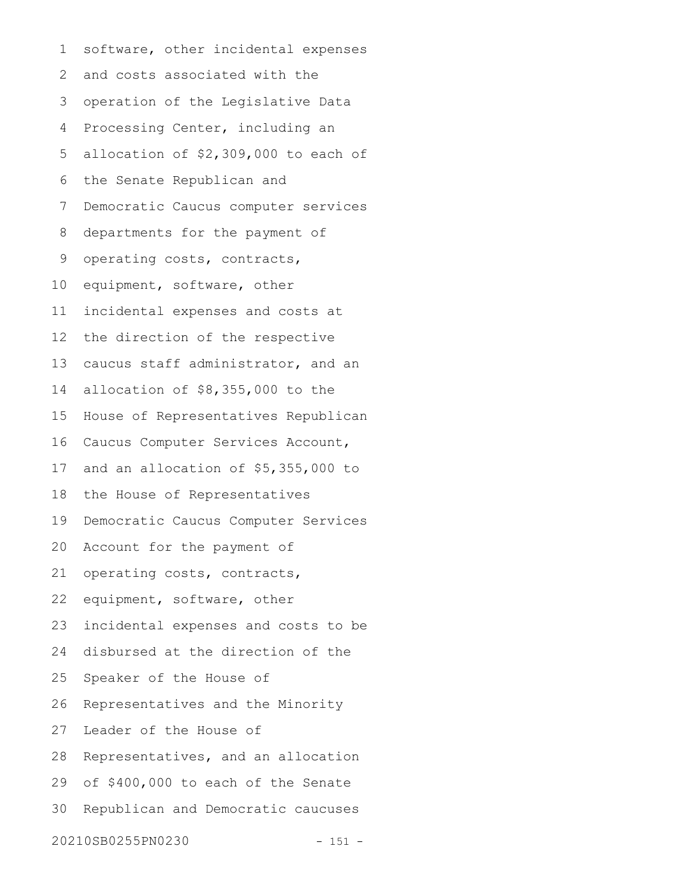software, other incidental expenses and costs associated with the operation of the Legislative Data Processing Center, including an allocation of \$2,309,000 to each of the Senate Republican and Democratic Caucus computer services departments for the payment of operating costs, contracts, equipment, software, other incidental expenses and costs at the direction of the respective caucus staff administrator, and an allocation of \$8,355,000 to the House of Representatives Republican Caucus Computer Services Account, and an allocation of \$5,355,000 to the House of Representatives Democratic Caucus Computer Services Account for the payment of operating costs, contracts, equipment, software, other incidental expenses and costs to be disbursed at the direction of the Speaker of the House of Representatives and the Minority Leader of the House of Representatives, and an allocation of \$400,000 to each of the Senate Republican and Democratic caucuses 20210SB0255PN0230 - 151 - 1 2 3 4 5 6 7 8 9 10 11 12 13 14 15 16 17 18 19 20 21 22 23 24 25 26 27 28 29 30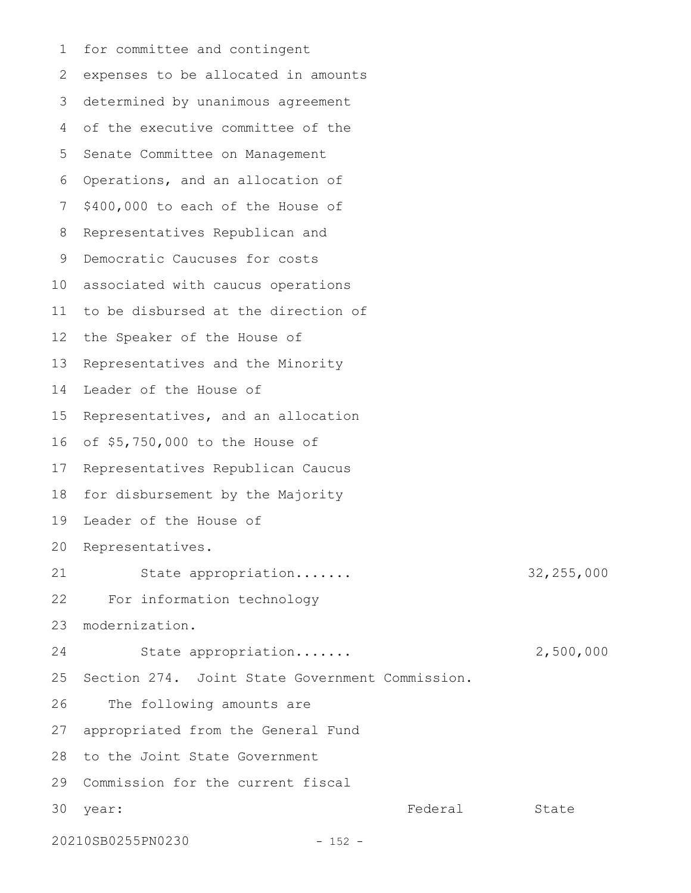for committee and contingent expenses to be allocated in amounts determined by unanimous agreement of the executive committee of the Senate Committee on Management Operations, and an allocation of \$400,000 to each of the House of Representatives Republican and Democratic Caucuses for costs 10 associated with caucus operations to be disbursed at the direction of the Speaker of the House of Representatives and the Minority Leader of the House of Representatives, and an allocation of \$5,750,000 to the House of 16 17 Representatives Republican Caucus 18 for disbursement by the Majority 19 Leader of the House of 20 Representatives. State appropriation....... 32,255,000 For information technology modernization. State appropriation....... 2,500,000 Section 274. Joint State Government Commission. The following amounts are appropriated from the General Fund 28 to the Joint State Government 29 Commission for the current fiscal Federal State 20210SB0255PN0230 - 152 - 1 2 3 4 5 6 7 8 9 11 12 13 14 15 21 22 23 24 25 26 27 30 year: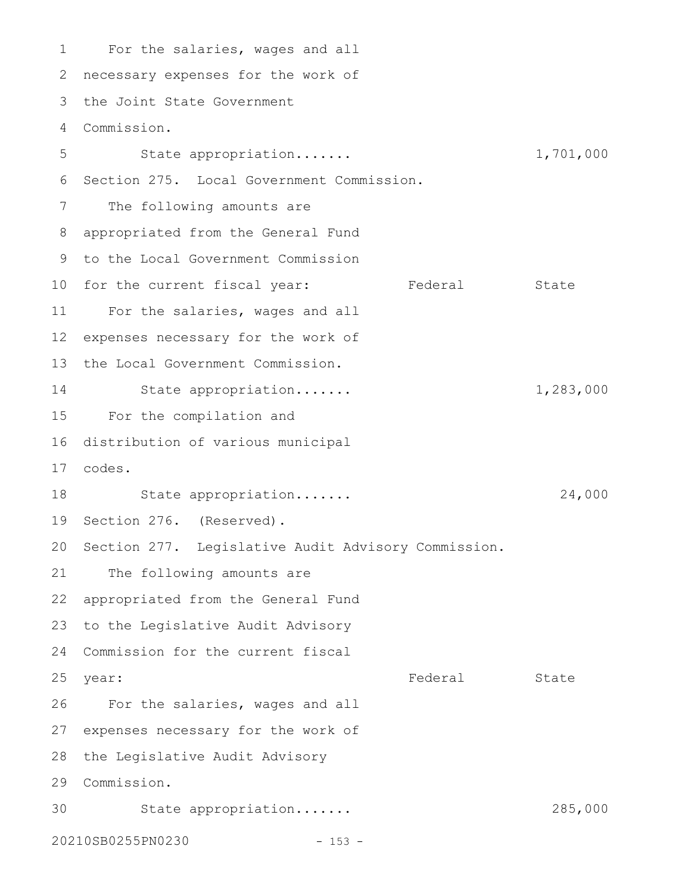For the salaries, wages and all 1 2 necessary expenses for the work of the Joint State Government 3 Commission. 4 State appropriation....... 1,701,000 6 Section 275. Local Government Commission. The following amounts are appropriated from the General Fund 8 9 to the Local Government Commission 10 for the current fiscal year: Tederal State 11 For the salaries, wages and all 12 expenses necessary for the work of 13 the Local Government Commission. State appropriation....... 1,283,000 For the compilation and 15 16 distribution of various municipal codes. 17 18 State appropriation...... 24,000 19 Section 276. (Reserved). 20 Section 277. Legislative Audit Advisory Commission. 21 The following amounts are 22 appropriated from the General Fund 23 to the Legislative Audit Advisory 24 Commission for the current fiscal Federal State 26 For the salaries, wages and all 27 expenses necessary for the work of 28 the Legislative Audit Advisory Commission. 29 30 State appropriation...... 285,000 20210SB0255PN0230 - 153 - 5 7 14 25 year: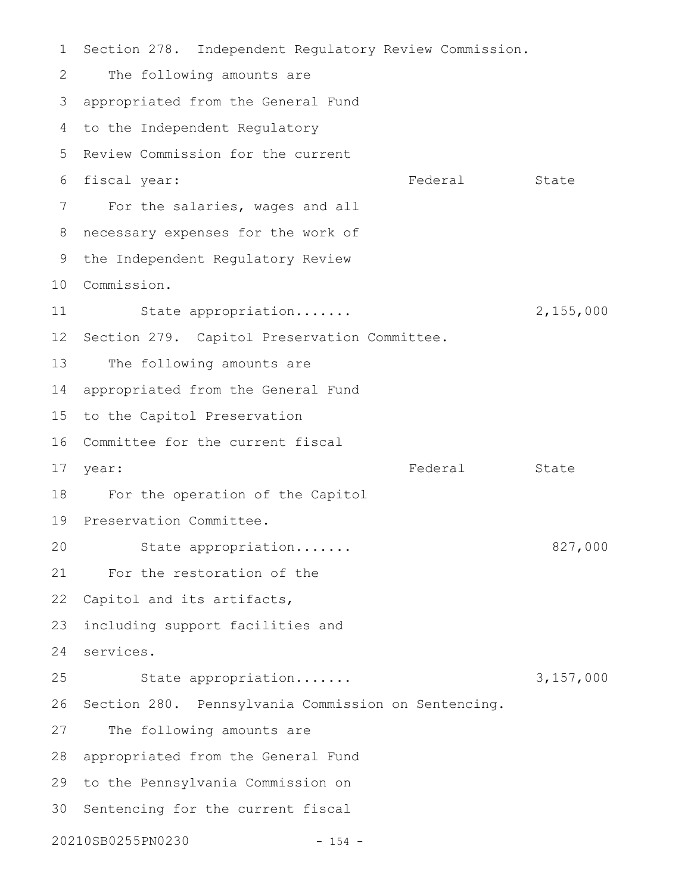Section 278. Independent Regulatory Review Commission. The following amounts are appropriated from the General Fund 3 4 to the Independent Regulatory 5 Review Commission for the current Federal State For the salaries, wages and all 8 necessary expenses for the work of 9 the Independent Regulatory Review Commission. 10 State appropriation....... 2,155,000 12 Section 279. Capitol Preservation Committee. The following amounts are 14 appropriated from the General Fund 15 to the Capitol Preservation 16 Committee for the current fiscal Federal State 18 For the operation of the Capitol 19 Preservation Committee. State appropriation....... 827,000 For the restoration of the 22 Capitol and its artifacts, including support facilities and services. 24 State appropriation....... 3,157,000 26 Section 280. Pennsylvania Commission on Sentencing. The following amounts are 28 appropriated from the General Fund 29 to the Pennsylvania Commission on 30 Sentencing for the current fiscal 20210SB0255PN0230 - 154 - 1 2 6 fiscal year: 7 11 13 17 year: 20 21 23 25 27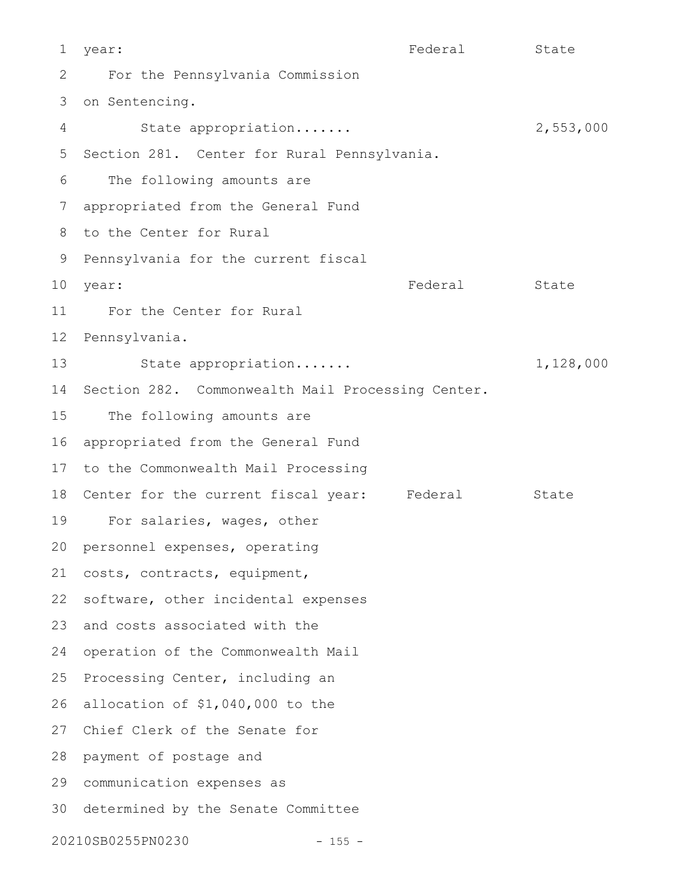year: State State State State State State State State State State State State State For the Pennsylvania Commission 3 on Sentencing. State appropriation....... 2,553,000 5 Section 281. Center for Rural Pennsylvania. The following amounts are appropriated from the General Fund 7 8 to the Center for Rural 9 Pennsylvania for the current fiscal Federal State For the Center for Rural 12 Pennsylvania. State appropriation....... 1,128,000 14 Section 282. Commonwealth Mail Processing Center. The following amounts are appropriated from the General Fund 17 to the Commonwealth Mail Processing 18 Center for the current fiscal year: Federal State For salaries, wages, other 20 personnel expenses, operating 21 costs, contracts, equipment, 22 software, other incidental expenses 23 and costs associated with the 24 operation of the Commonwealth Mail 25 Processing Center, including an 26 allocation of \$1,040,000 to the 27 Chief Clerk of the Senate for 28 payment of postage and communication expenses as 29 30 determined by the Senate Committee 20210SB0255PN0230 - 155 - 1 2 4 6 10 year: 11 13 15 16 19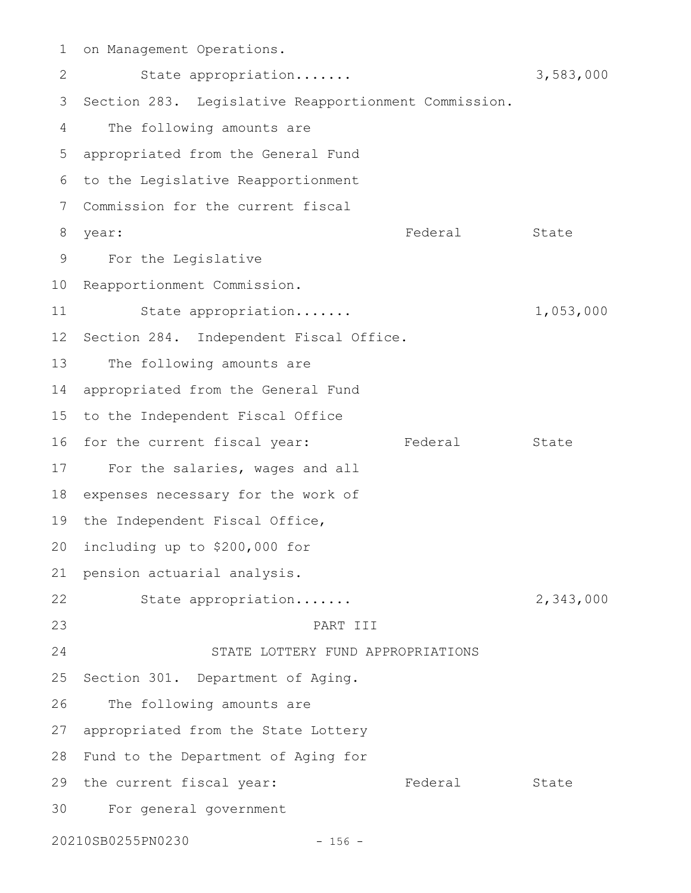on Management Operations. State appropriation....... 3,583,000 3 Section 283. Legislative Reapportionment Commission. The following amounts are appropriated from the General Fund 5 6 to the Legislative Reapportionment 7 Commission for the current fiscal Federal State For the Legislative 9 10 Reapportionment Commission. State appropriation....... 1,053,000 12 Section 284. Independent Fiscal Office. The following amounts are 14 appropriated from the General Fund 15 to the Independent Fiscal Office 16 for the current fiscal year: Tederal State 17 For the salaries, wages and all 18 expenses necessary for the work of 19 the Independent Fiscal Office, 20 including up to \$200,000 for 21 pension actuarial analysis. State appropriation....... 2,343,000 PART III STATE LOTTERY FUND APPROPRIATIONS 25 Section 301. Department of Aging. 26 The following amounts are appropriated from the State Lottery 27 28 Fund to the Department of Aging for 29 the current fiscal year: Tederal State For general government 3020210SB0255PN0230 - 156 - 1 2 4 8 year: 11 13 22 23 24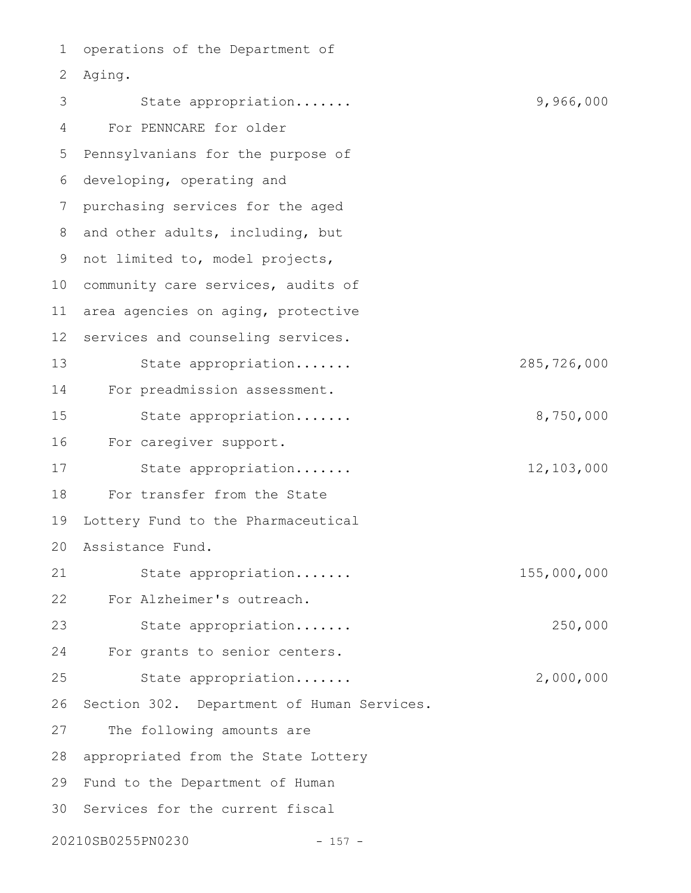operations of the Department of Aging. 2 State appropriation....... 9,966,000 For PENNCARE for older Pennsylvanians for the purpose of 6 developing, operating and purchasing services for the aged 8 and other adults, including, but 9 not limited to, model projects, 10 community care services, audits of area agencies on aging, protective services and counseling services. State appropriation....... 285,726,000 For preadmission assessment. State appropriation....... 8,750,000 For caregiver support. State appropriation....... 12,103,000 For transfer from the State Lottery Fund to the Pharmaceutical Assistance Fund. 20 State appropriation....... 155,000,000 For Alzheimer's outreach. State appropriation....... 250,000 For grants to senior centers. State appropriation....... 2,000,000 Section 302. Department of Human Services. The following amounts are appropriated from the State Lottery 29 Fund to the Department of Human 30 Services for the current fiscal 20210SB0255PN0230 - 157 - 1 3 4 5 7 11 12 13 14 15 16 17 18 19 21 22 23 24 25 26 27 28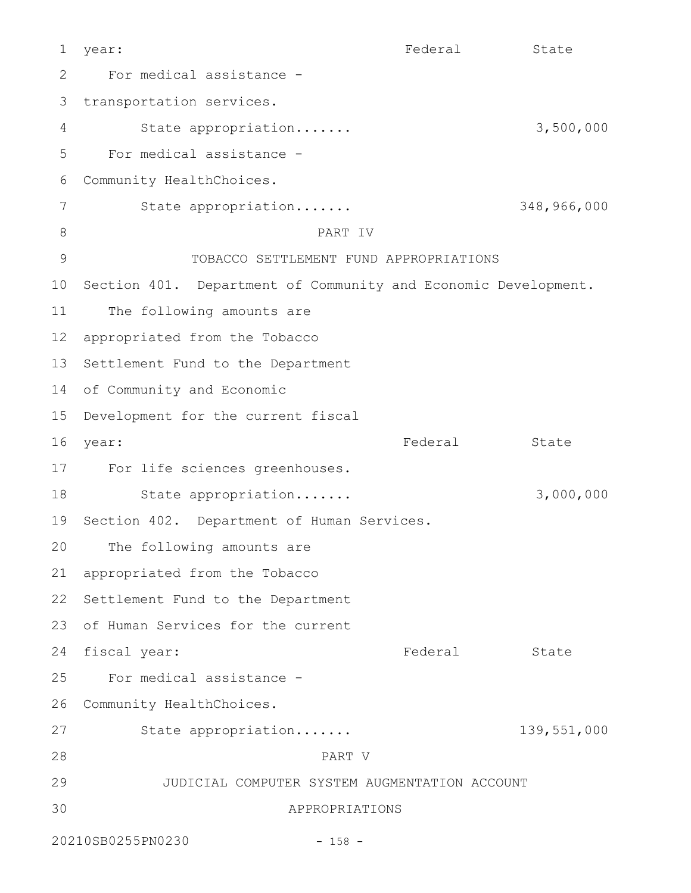year: State State State State State State State State State State State State State For medical assistance transportation services. State appropriation....... 3,500,000 For medical assistance - Community HealthChoices. State appropriation....... 348,966,000 PART IV TOBACCO SETTLEMENT FUND APPROPRIATIONS 10 Section 401. Department of Community and Economic Development. The following amounts are appropriated from the Tobacco 12 13 Settlement Fund to the Department 14 of Community and Economic 15 Development for the current fiscal Federal State For life sciences greenhouses. State appropriation....... 3,000,000 19 Section 402. Department of Human Services. The following amounts are 21 appropriated from the Tobacco 22 Settlement Fund to the Department 23 of Human Services for the current 24 fiscal year: The Rederal State For medical assistance - 26 Community HealthChoices. State appropriation....... 139,551,000 PART V JUDICIAL COMPUTER SYSTEM AUGMENTATION ACCOUNT APPROPRIATIONS 20210SB0255PN0230 - 158 - 1 2 3 4 5 6 7 8 9 11 16 year: 17 18 20 25 27 28 29 30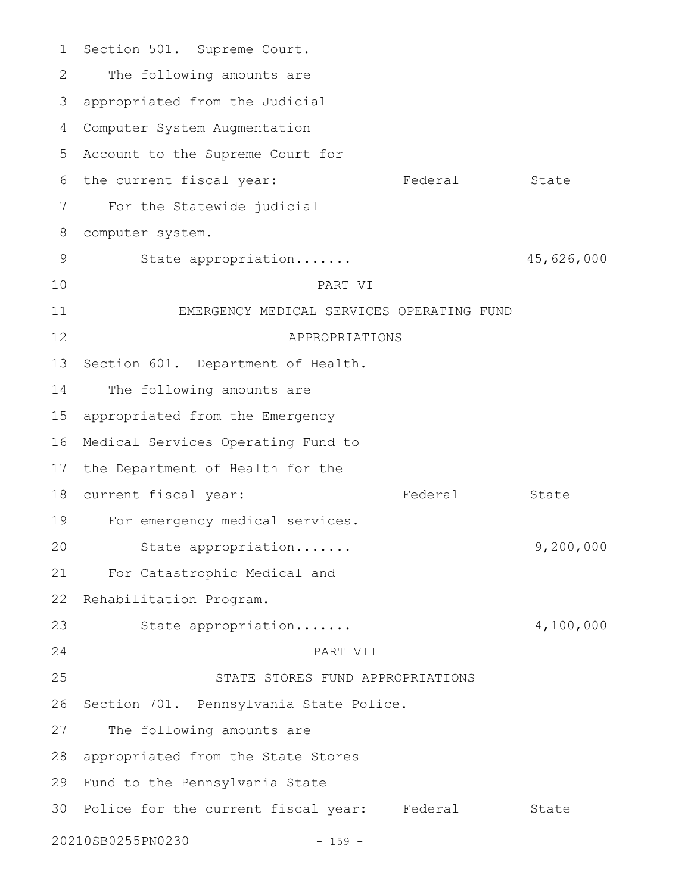Section 501. Supreme Court. The following amounts are appropriated from the Judicial Computer System Augmentation 4 5 Account to the Supreme Court for 6 the current fiscal year: Tederal State For the Statewide judicial computer system. State appropriation....... 45,626,000 PART VI EMERGENCY MEDICAL SERVICES OPERATING FUND APPROPRIATIONS Section 601. Department of Health. The following amounts are appropriated from the Emergency 16 Medical Services Operating Fund to 17 the Department of Health for the 18 current fiscal year: The Federal State For emergency medical services. State appropriation....... 9,200,000 For Catastrophic Medical and Rehabilitation Program. State appropriation....... 4,100,000 PART VII STATE STORES FUND APPROPRIATIONS 26 Section 701. Pennsylvania State Police. The following amounts are 28 appropriated from the State Stores 29 Fund to the Pennsylvania State 30 Police for the current fiscal year: Federal State 20210SB0255PN0230 - 159 - 1 2 3 7 8 9 10 11 12 13 14 15 19 20 21 22 23 24 25 27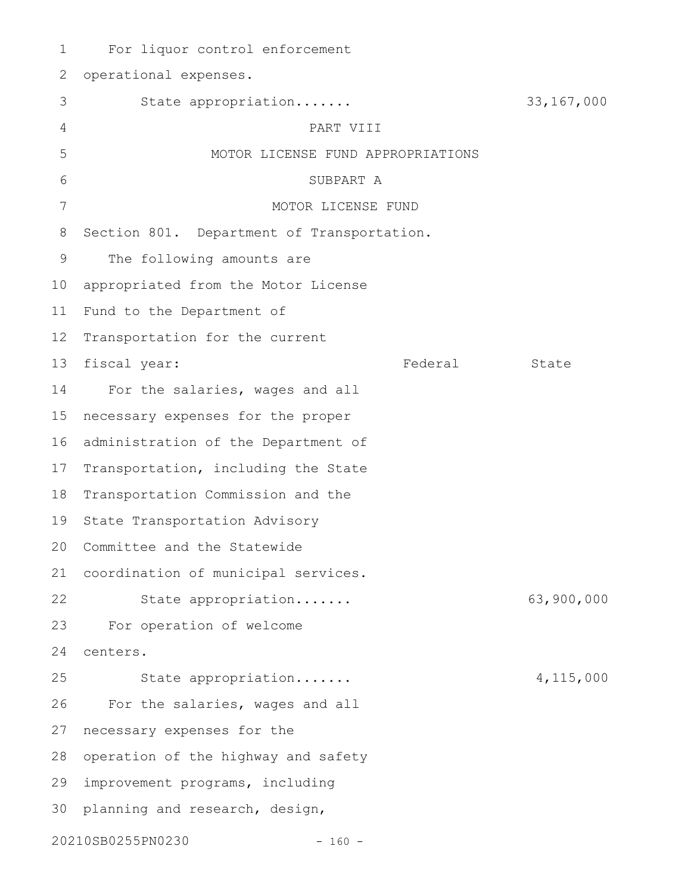For liquor control enforcement operational expenses. State appropriation....... 33,167,000 PART VIII MOTOR LICENSE FUND APPROPRIATIONS SUBPART A MOTOR LICENSE FUND Section 801. Department of Transportation. The following amounts are appropriated from the Motor License Fund to the Department of Transportation for the current fiscal year: The State State State State State State For the salaries, wages and all necessary expenses for the proper 16 administration of the Department of 17 Transportation, including the State 18 Transportation Commission and the State Transportation Advisory 20 Committee and the Statewide coordination of municipal services. 21 State appropriation....... 63,900,000 For operation of welcome centers. State appropriation....... 4,115,000 For the salaries, wages and all necessary expenses for the 28 operation of the highway and safety improvement programs, including 30 planning and research, design, 20210SB0255PN0230 - 160 - 1 2 3 4 5 6 7 8 9 10 11 12 13 14 15 19 22 23 24 25 26 27 29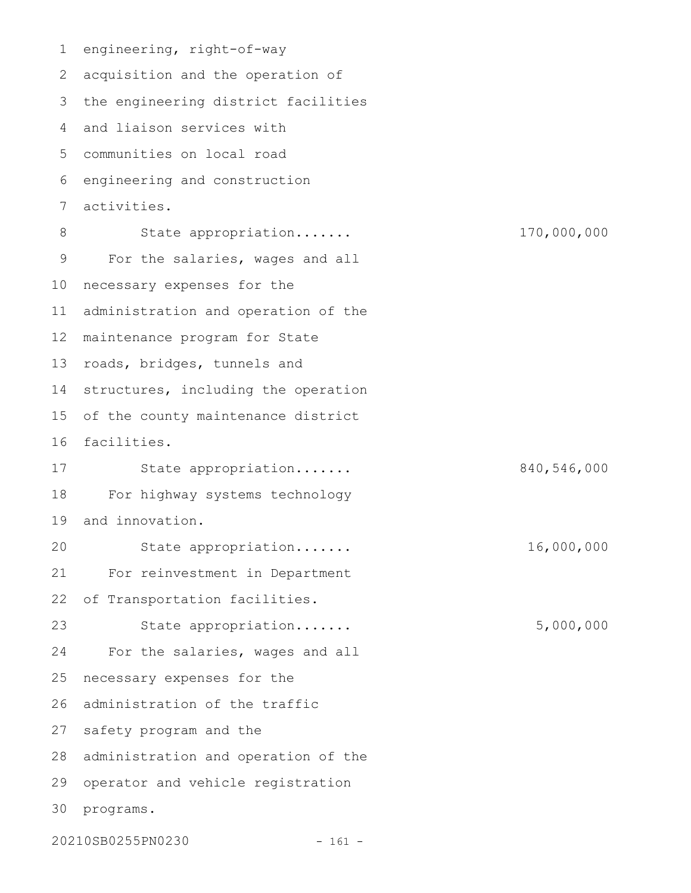engineering, right-of-way 2 acquisition and the operation of 3 the engineering district facilities 4 and liaison services with communities on local road 5 6 engineering and construction activities. State appropriation....... 170,000,000 For the salaries, wages and all 10 necessary expenses for the administration and operation of the 12 maintenance program for State 13 roads, bridges, tunnels and 14 structures, including the operation 15 of the county maintenance district 16 facilities. State appropriation....... 840,546,000 For highway systems technology and innovation. State appropriation....... 16,000,000 For reinvestment in Department of Transportation facilities. State appropriation....... 5,000,000 For the salaries, wages and all necessary expenses for the 26 administration of the traffic 27 safety program and the 28 administration and operation of the 29 operator and vehicle registration 30 programs. 20210SB0255PN0230 - 161 - 1 7 8 9 11 17 18 19 20 21 22 23 24 25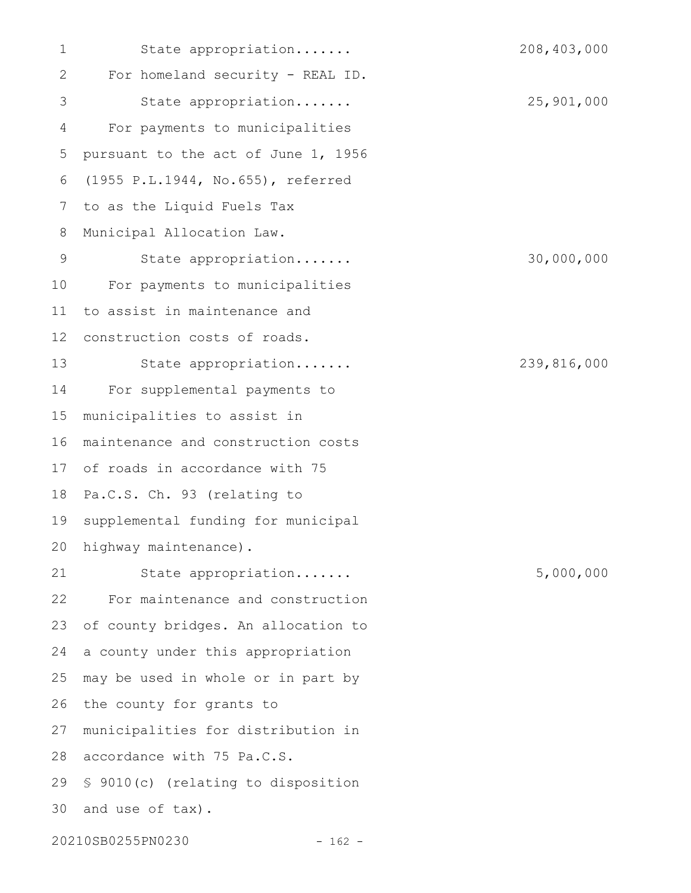State appropriation....... 208,403,000 For homeland security - REAL ID. State appropriation....... 25,901,000 For payments to municipalities pursuant to the act of June 1, 1956 (1955 P.L.1944, No.655), referred to as the Liquid Fuels Tax Municipal Allocation Law. State appropriation....... 30,000,000 For payments to municipalities to assist in maintenance and construction costs of roads. State appropriation....... 239,816,000 For supplemental payments to municipalities to assist in maintenance and construction costs of roads in accordance with 75 17 18 Pa.C.S. Ch. 93 (relating to supplemental funding for municipal highway maintenance). State appropriation....... 5,000,000 For maintenance and construction of county bridges. An allocation to a county under this appropriation may be used in whole or in part by the county for grants to municipalities for distribution in 28 accordance with 75 Pa.C.S. 29 \$ 9010(c) (relating to disposition 30 and use of tax). 20210SB0255PN0230 - 162 - 1 2 3 4 5 6 7 8 9 10 11 12 13 14 15 16 19 20 21 22 23 24 25 26 27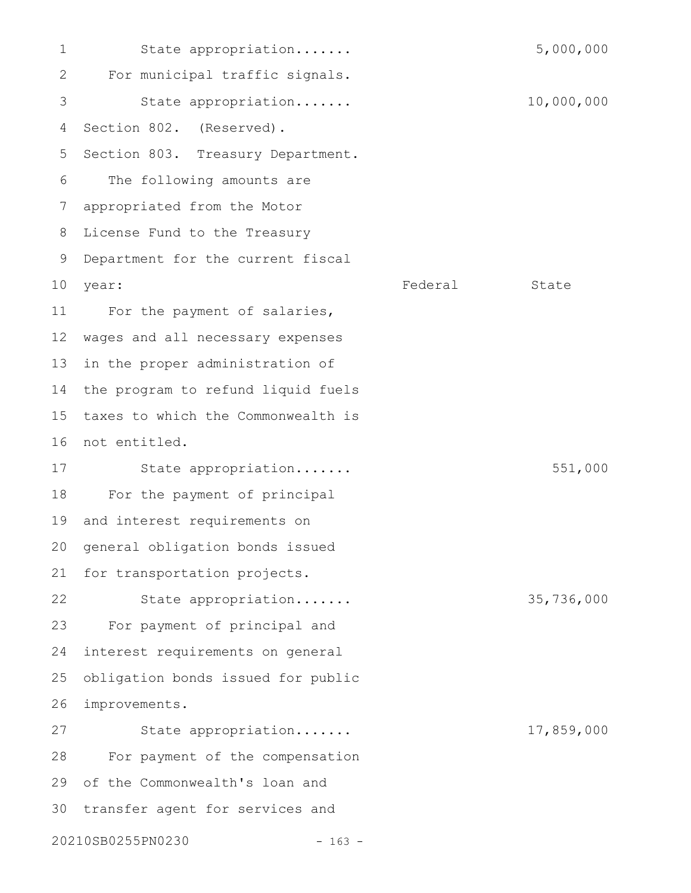State appropriation....... 5,000,000 For municipal traffic signals. State appropriation....... 10,000,000 Section 802. (Reserved). Section 803. Treasury Department. The following amounts are appropriated from the Motor License Fund to the Treasury Department for the current fiscal Federal State For the payment of salaries, wages and all necessary expenses in the proper administration of the program to refund liquid fuels taxes to which the Commonwealth is 16 not entitled. State appropriation....... 551,000 For the payment of principal and interest requirements on general obligation bonds issued for transportation projects. State appropriation....... 35,736,000 For payment of principal and interest requirements on general obligation bonds issued for public improvements. State appropriation....... 17,859,000 For payment of the compensation of the Commonwealth's loan and transfer agent for services and 1 2 3 4 5 6 7 8 9 10 year: 11 12 13 14 15 17 18 19 20 21 22 23 24 25 26 27 28 29 30

20210SB0255PN0230 - 163 -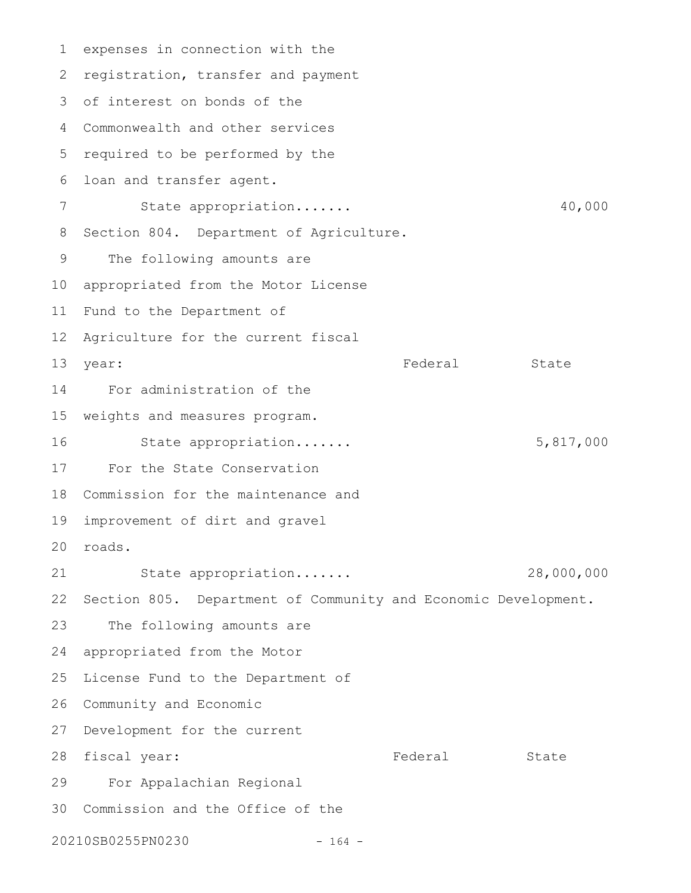expenses in connection with the 2 registration, transfer and payment 3 of interest on bonds of the Commonwealth and other services 4 5 required to be performed by the loan and transfer agent. State appropriation....... 40,000 8 Section 804. Department of Agriculture. The following amounts are appropriated from the Motor License Fund to the Department of 12 Agriculture for the current fiscal year: State State State State State State State State State State State State State State State State State State For administration of the weights and measures program. State appropriation....... 5,817,000 For the State Conservation Commission for the maintenance and 18 improvement of dirt and gravel roads. 20 State appropriation....... 28,000,000 Section 805. Department of Community and Economic Development. The following amounts are appropriated from the Motor 25 License Fund to the Department of 26 Community and Economic 27 Development for the current 28 fiscal year: Tederal State For Appalachian Regional Commission and the Office of the 3020210SB0255PN0230 - 164 - 1 6 7 9 10 11 13 14 15 16 17 19 21 22 23 24 29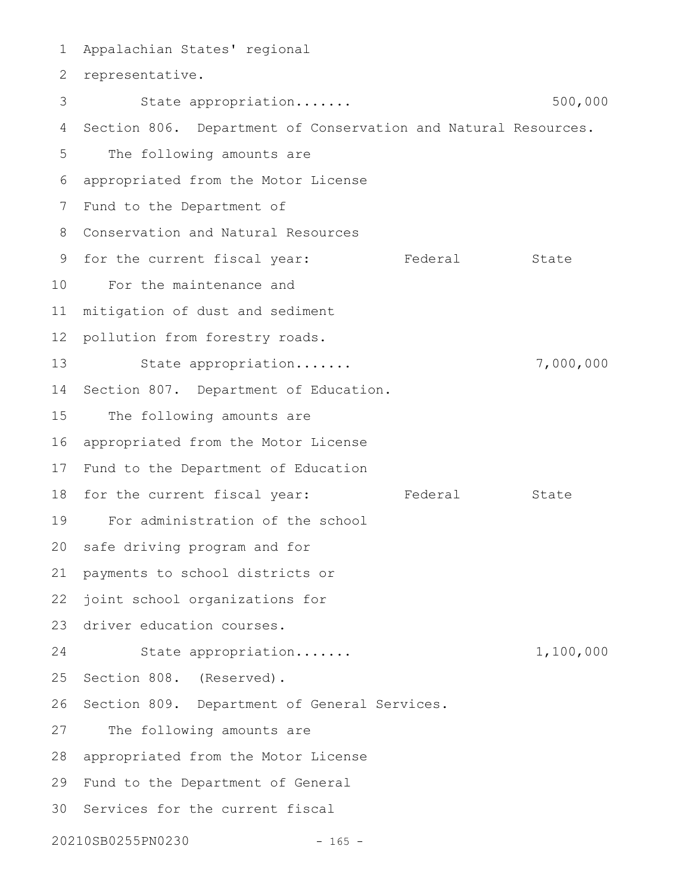Appalachian States' regional 2 representative. State appropriation....... 500,000 4 Section 806. Department of Conservation and Natural Resources. The following amounts are appropriated from the Motor License 6 7 Fund to the Department of Conservation and Natural Resources 8 9 for the current fiscal year: Tederal State For the maintenance and 10 mitigation of dust and sediment pollution from forestry roads. State appropriation....... 7,000,000 14 Section 807. Department of Education. The following amounts are appropriated from the Motor License 16 17 Fund to the Department of Education 18 for the current fiscal year: Tederal State For administration of the school 19 20 safe driving program and for payments to school districts or joint school organizations for 23 driver education courses. State appropriation....... 1,100,000 25 Section 808. (Reserved). 26 Section 809. Department of General Services. 27 The following amounts are 28 appropriated from the Motor License 29 Fund to the Department of General 30 Services for the current fiscal 20210SB0255PN0230 - 165 - 1 3 5 11 12 13 15 21 22 24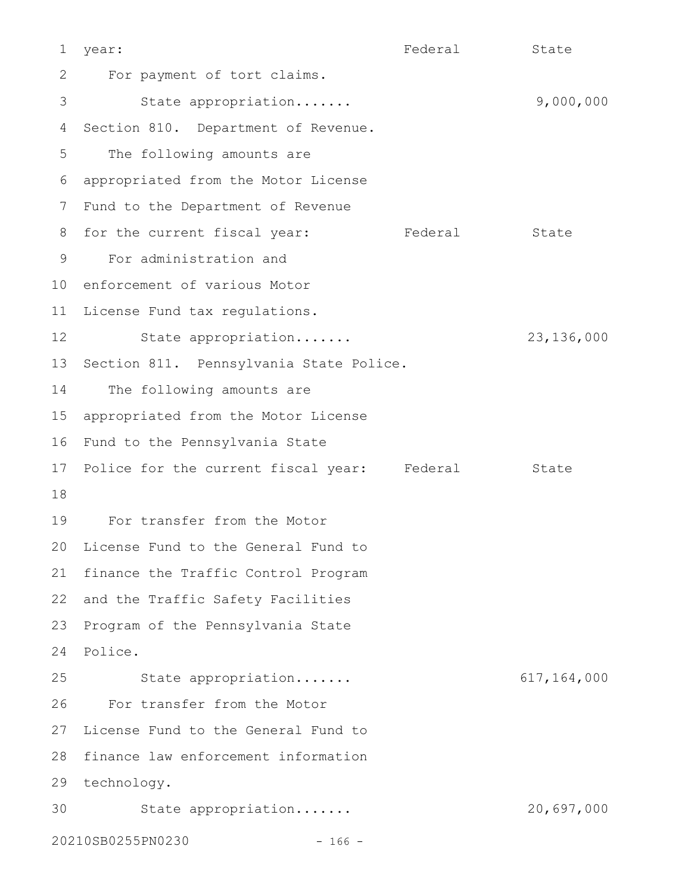Federal State 2 For payment of tort claims. State appropriation....... 9,000,000 4 Section 810. Department of Revenue. The following amounts are appropriated from the Motor License 6 7 Fund to the Department of Revenue 8 for the current fiscal year: Tederal State For administration and 9 10 enforcement of various Motor 11 License Fund tax regulations. State appropriation....... 23,136,000 13 Section 811. Pennsylvania State Police. The following amounts are appropriated from the Motor License 15 16 Fund to the Pennsylvania State 17 Police for the current fiscal year: Federal State For transfer from the Motor 19 20 License Fund to the General Fund to 21 finance the Traffic Control Program 22 and the Traffic Safety Facilities 23 Program of the Pennsylvania State 24 Police. State appropriation....... 617,164,000 For transfer from the Motor 27 License Fund to the General Fund to 28 finance law enforcement information 29 technology. State appropriation....... 20,697,000 20210SB0255PN0230 - 166 - 1 year: 3 5 12 14 18 25 26 30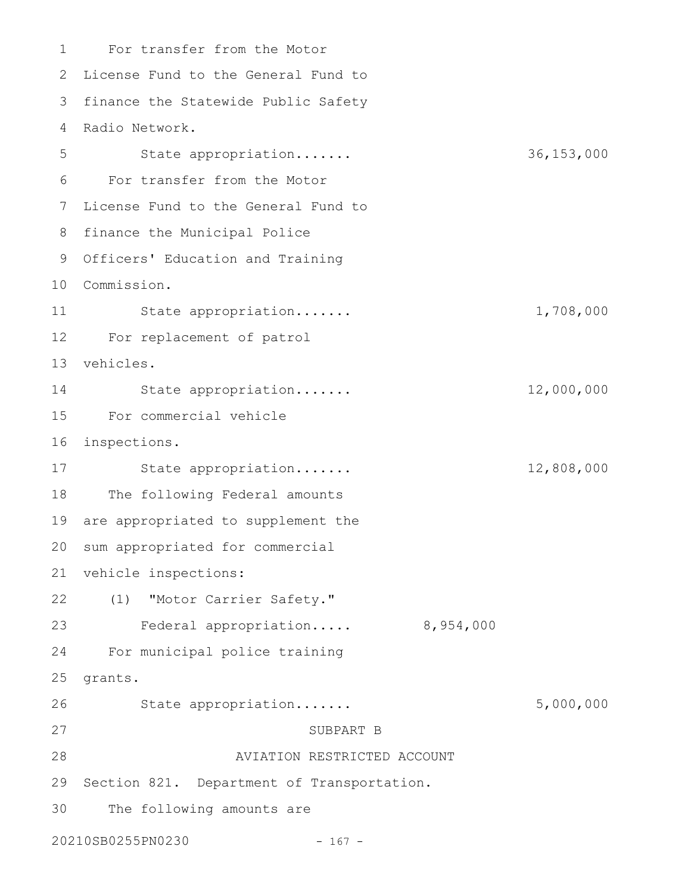For transfer from the Motor 1 2 License Fund to the General Fund to 3 finance the Statewide Public Safety 4 Radio Network. State appropriation....... 36,153,000 For transfer from the Motor 7 License Fund to the General Fund to 8 finance the Municipal Police 9 Officers' Education and Training Commission. 10 State appropriation....... 1,708,000 For replacement of patrol 12 vehicles. 13 State appropriation....... 12,000,000 For commercial vehicle 15 16 inspections. State appropriation....... 12,808,000 The following Federal amounts 19 are appropriated to supplement the 20 sum appropriated for commercial 21 vehicle inspections: (1) "Motor Carrier Safety." 22 Federal appropriation..... 8,954,000 For municipal police training 25 grants. State appropriation....... 5,000,000 SUBPART B AVIATION RESTRICTED ACCOUNT 29 Section 821. Department of Transportation. The following amounts are 20210SB0255PN0230 - 167 - 5 6 11 14 17 18 23 24 26 27 28 30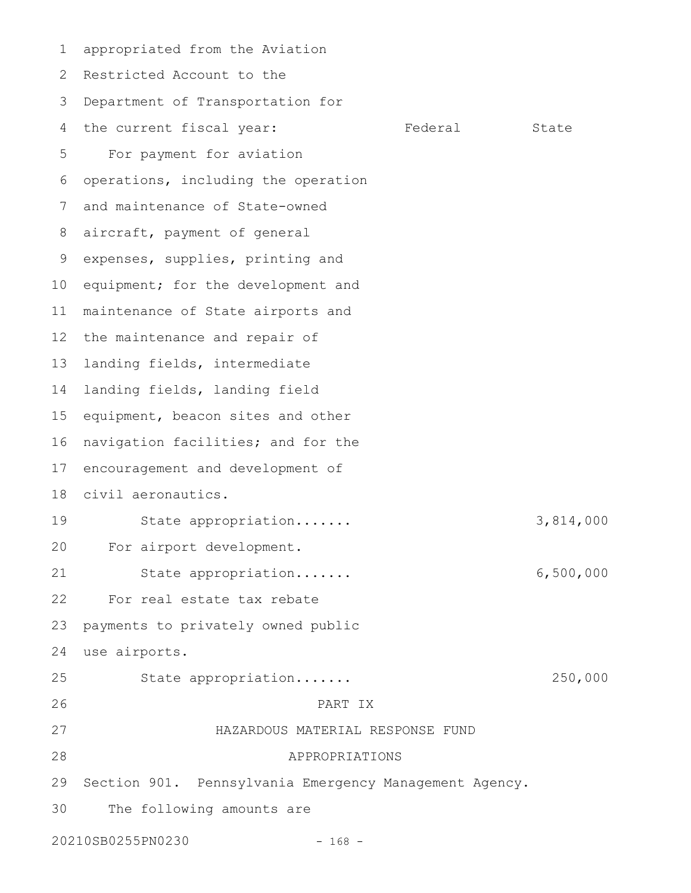appropriated from the Aviation 2 Restricted Account to the Department of Transportation for the current fiscal year: Federal State For payment for aviation operations, including the operation and maintenance of State-owned aircraft, payment of general expenses, supplies, printing and 10 equipment; for the development and maintenance of State airports and 12 the maintenance and repair of landing fields, intermediate landing fields, landing field equipment, beacon sites and other navigation facilities; and for the encouragement and development of civil aeronautics. State appropriation....... 3,814,000 For airport development. State appropriation....... 6,500,000 For real estate tax rebate payments to privately owned public use airports. State appropriation....... 250,000 PART IX HAZARDOUS MATERIAL RESPONSE FUND APPROPRIATIONS Section 901. Pennsylvania Emergency Management Agency. The following amounts are 1 3 4 5 6 7 8 9 11 13 14 15 16 17 18 19 20 21 22 23 24 25 26 27 28 29 30

20210SB0255PN0230 - 168 -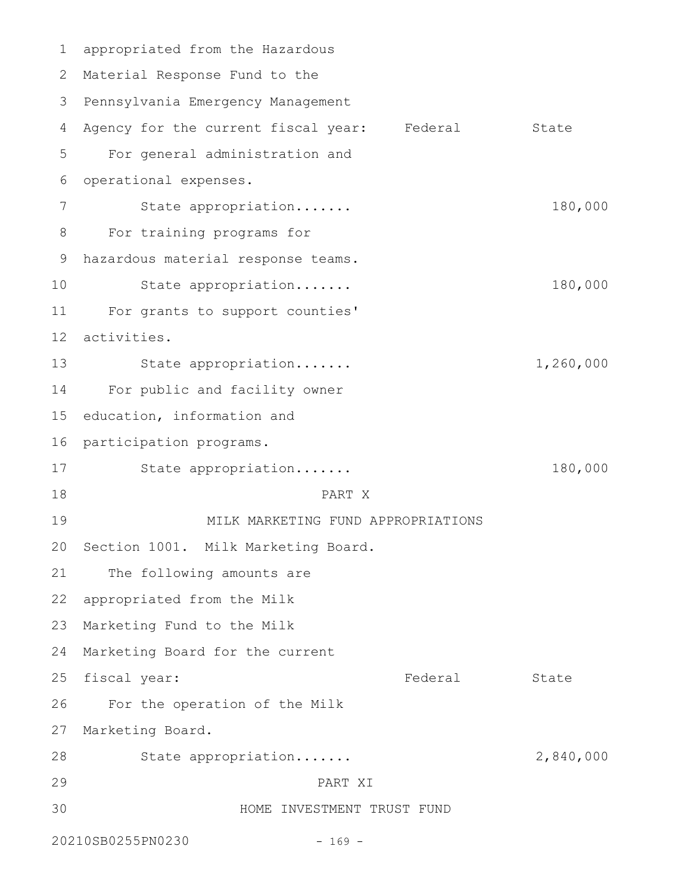appropriated from the Hazardous 1 2 Material Response Fund to the 3 Pennsylvania Emergency Management Agency for the current fiscal year: Federal State For general administration and operational expenses. State appropriation....... 180,000 For training programs for hazardous material response teams. State appropriation....... 180,000 For grants to support counties' activities. State appropriation....... 1,260,000 For public and facility owner 15 education, information and 16 participation programs. State appropriation....... 180,000 PART X MILK MARKETING FUND APPROPRIATIONS 20 Section 1001. Milk Marketing Board. The following amounts are 22 appropriated from the Milk 23 Marketing Fund to the Milk 24 Marketing Board for the current 25 fiscal year: The State State State State State For the operation of the Milk 27 Marketing Board. State appropriation....... 2,840,000 PART XI HOME INVESTMENT TRUST FUND 20210SB0255PN0230 - 169 - 4 5 6 7 8 9 10 11 12 13 14 17 18 19 21 26 28 29 30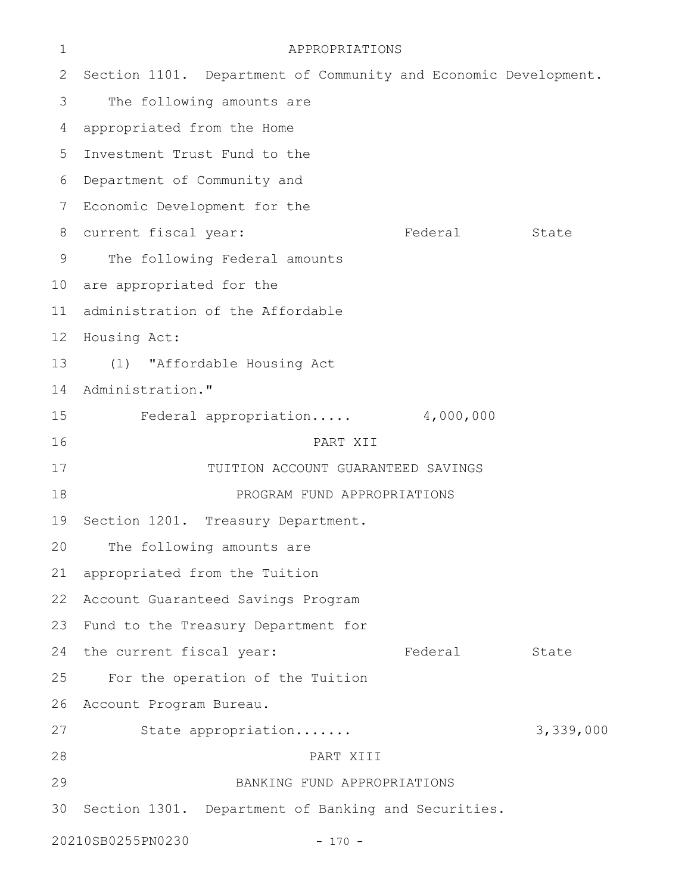| $\mathbf 1$                   | APPROPRIATIONS                                                  |           |           |  |  |
|-------------------------------|-----------------------------------------------------------------|-----------|-----------|--|--|
| 2                             | Section 1101. Department of Community and Economic Development. |           |           |  |  |
| 3                             | The following amounts are                                       |           |           |  |  |
| 4                             | appropriated from the Home                                      |           |           |  |  |
| 5                             | Investment Trust Fund to the                                    |           |           |  |  |
| 6                             | Department of Community and                                     |           |           |  |  |
| 7                             | Economic Development for the                                    |           |           |  |  |
| 8                             | current fiscal year:                                            | Federal   | State     |  |  |
| 9                             | The following Federal amounts                                   |           |           |  |  |
| 10 <sub>o</sub>               | are appropriated for the                                        |           |           |  |  |
| 11                            | administration of the Affordable                                |           |           |  |  |
| 12                            | Housing Act:                                                    |           |           |  |  |
| 13                            | (1) "Affordable Housing Act                                     |           |           |  |  |
| 14                            | Administration."                                                |           |           |  |  |
| 15                            | Federal appropriation                                           | 4,000,000 |           |  |  |
| 16                            | PART XII                                                        |           |           |  |  |
| 17                            | TUITION ACCOUNT GUARANTEED SAVINGS                              |           |           |  |  |
| 18                            | PROGRAM FUND APPROPRIATIONS                                     |           |           |  |  |
| 19                            | Section 1201. Treasury Department.                              |           |           |  |  |
| 20                            | The following amounts are                                       |           |           |  |  |
| 21                            | appropriated from the Tuition                                   |           |           |  |  |
| 22                            | Account Guaranteed Savings Program                              |           |           |  |  |
| 23                            | Fund to the Treasury Department for                             |           |           |  |  |
| 24                            | the current fiscal year:                                        | Federal   | State     |  |  |
| 25                            | For the operation of the Tuition                                |           |           |  |  |
| 26                            | Account Program Bureau.                                         |           |           |  |  |
| 27                            | State appropriation                                             |           | 3,339,000 |  |  |
| 28                            | PART XIII                                                       |           |           |  |  |
| 29                            | BANKING FUND APPROPRIATIONS                                     |           |           |  |  |
| 30                            | Section 1301. Department of Banking and Securities.             |           |           |  |  |
| 20210SB0255PN0230<br>$-170 -$ |                                                                 |           |           |  |  |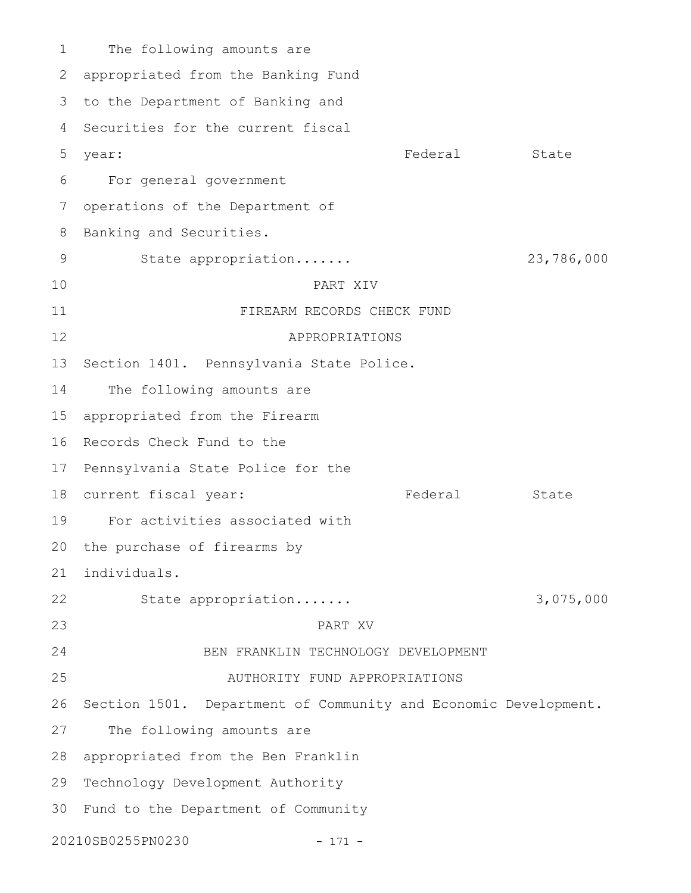The following amounts are appropriated from the Banking Fund 2 3 to the Department of Banking and 4 Securities for the current fiscal Federal State For general government operations of the Department of Banking and Securities. State appropriation....... 23,786,000 PART XIV FIREARM RECORDS CHECK FUND APPROPRIATIONS Section 1401. Pennsylvania State Police. The following amounts are appropriated from the Firearm 16 Records Check Fund to the 17 Pennsylvania State Police for the 18 current fiscal year: Tederal State For activities associated with 20 the purchase of firearms by individuals. State appropriation....... 3,075,000 PART XV BEN FRANKLIN TECHNOLOGY DEVELOPMENT AUTHORITY FUND APPROPRIATIONS 26 Section 1501. Department of Community and Economic Development. The following amounts are 28 appropriated from the Ben Franklin Technology Development Authority 30 Fund to the Department of Community 20210SB0255PN0230 - 171 - 1 5 year: 6 7 8 9 10 11 12 13 14 15 19 21 22 23 24 25 27 29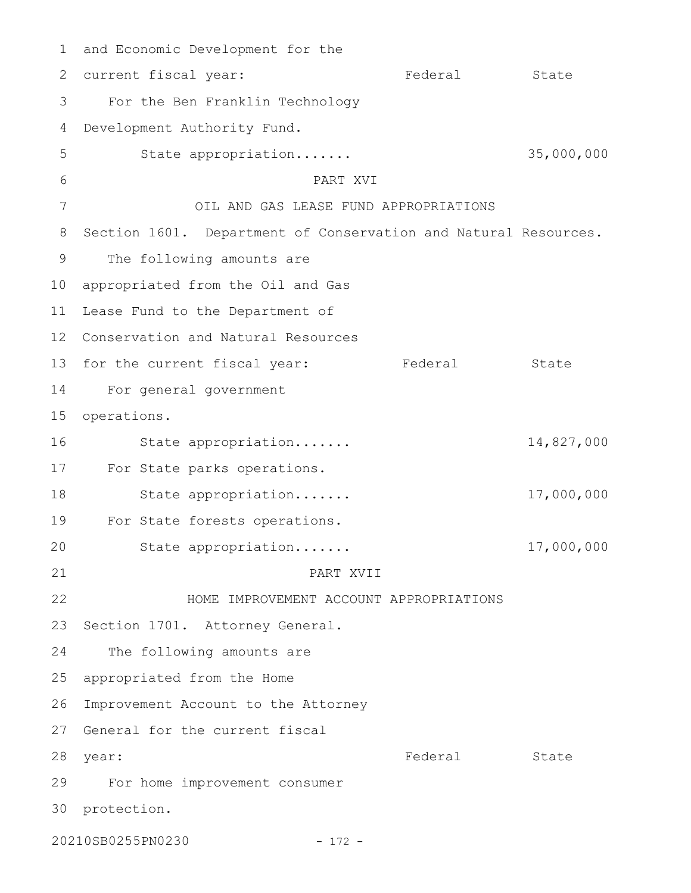1 and Economic Development for the Federal State For the Ben Franklin Technology Development Authority Fund. State appropriation....... 35,000,000 PART XVI OIL AND GAS LEASE FUND APPROPRIATIONS 8 Section 1601. Department of Conservation and Natural Resources. The following amounts are 10 appropriated from the Oil and Gas Lease Fund to the Department of Conservation and Natural Resources 12 13 for the current fiscal year: Tederal State For general government 14 operations. State appropriation....... 14,827,000 17 For State parks operations. State appropriation....... 17,000,000 For State forests operations. 19 State appropriation....... 17,000,000 PART XVII HOME IMPROVEMENT ACCOUNT APPROPRIATIONS Section 1701. Attorney General. The following amounts are appropriated from the Home 26 Improvement Account to the Attorney 27 General for the current fiscal Federal State For home improvement consumer 30 protection. 20210SB0255PN0230 - 172 - 2 current fiscal year: 3 4 5 6 7 9 11 15 16 18 20 21 22 23 24 25 28 year: 29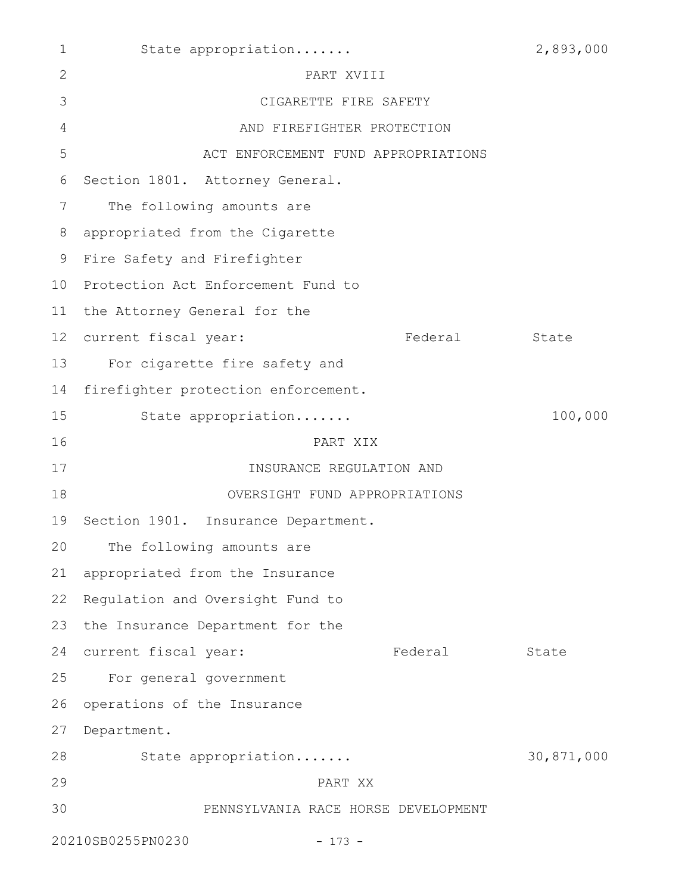| $\mathbf{1}$    | State appropriation                 |         | 2,893,000  |
|-----------------|-------------------------------------|---------|------------|
| $\mathbf{2}$    | PART XVIII                          |         |            |
| 3               | CIGARETTE FIRE SAFETY               |         |            |
| $\overline{4}$  | AND FIREFIGHTER PROTECTION          |         |            |
| 5               | ACT ENFORCEMENT FUND APPROPRIATIONS |         |            |
| 6               | Section 1801. Attorney General.     |         |            |
| 7               | The following amounts are           |         |            |
| 8               | appropriated from the Cigarette     |         |            |
| 9               | Fire Safety and Firefighter         |         |            |
| 10 <sub>o</sub> | Protection Act Enforcement Fund to  |         |            |
| 11              | the Attorney General for the        |         |            |
| 12 <sup>°</sup> | current fiscal year:                | Federal | State      |
| 13              | For cigarette fire safety and       |         |            |
| 14              | firefighter protection enforcement. |         |            |
| 15              | State appropriation                 |         | 100,000    |
| 16              | PART XIX                            |         |            |
| 17              | INSURANCE REGULATION AND            |         |            |
| 18              | OVERSIGHT FUND APPROPRIATIONS       |         |            |
| 19              | Section 1901. Insurance Department. |         |            |
|                 | 20 The following amounts are        |         |            |
| 21              | appropriated from the Insurance     |         |            |
| 22              | Regulation and Oversight Fund to    |         |            |
| 23              | the Insurance Department for the    |         |            |
| 24              | current fiscal year:                | Federal | State      |
| 25              | For general government              |         |            |
| 26              | operations of the Insurance         |         |            |
| 27              | Department.                         |         |            |
| 28              | State appropriation                 |         | 30,871,000 |
| 29              | PART XX                             |         |            |
| 30              | PENNSYLVANIA RACE HORSE DEVELOPMENT |         |            |
|                 | 20210SB0255PN0230<br>$-173 -$       |         |            |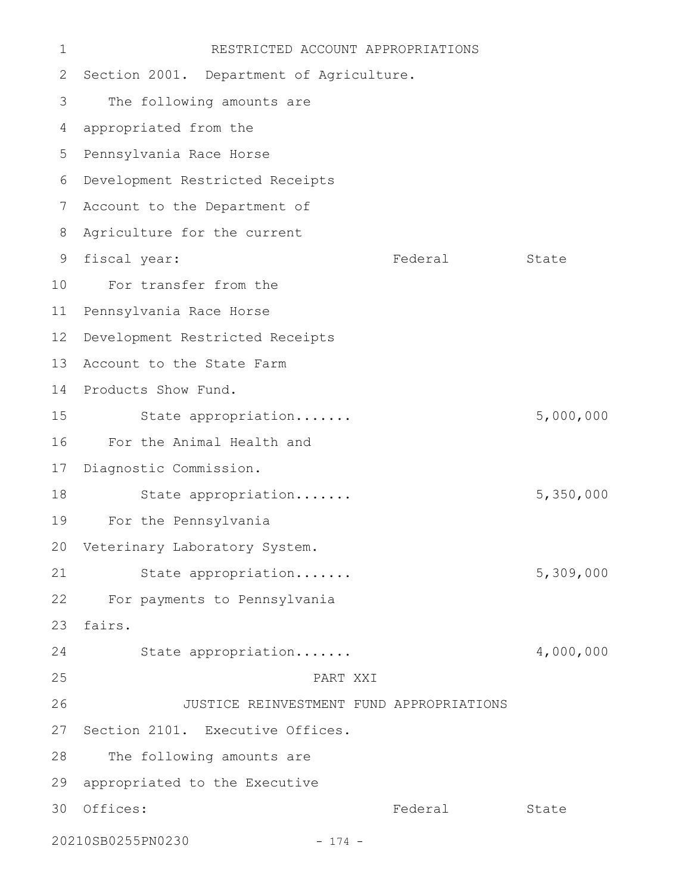| 1  | RESTRICTED ACCOUNT APPROPRIATIONS        |         |           |
|----|------------------------------------------|---------|-----------|
| 2  | Section 2001. Department of Agriculture. |         |           |
| 3  | The following amounts are                |         |           |
| 4  | appropriated from the                    |         |           |
| 5  | Pennsylvania Race Horse                  |         |           |
| 6  | Development Restricted Receipts          |         |           |
| 7  | Account to the Department of             |         |           |
| 8  | Agriculture for the current              |         |           |
| 9  | fiscal year:                             | Federal | State     |
| 10 | For transfer from the                    |         |           |
| 11 | Pennsylvania Race Horse                  |         |           |
| 12 | Development Restricted Receipts          |         |           |
| 13 | Account to the State Farm                |         |           |
| 14 | Products Show Fund.                      |         |           |
| 15 | State appropriation                      |         | 5,000,000 |
| 16 | For the Animal Health and                |         |           |
| 17 | Diagnostic Commission.                   |         |           |
| 18 | State appropriation                      |         | 5,350,000 |
| 19 | For the Pennsylvania                     |         |           |
|    | 20 Veterinary Laboratory System.         |         |           |
| 21 | State appropriation                      |         | 5,309,000 |
| 22 | For payments to Pennsylvania             |         |           |
| 23 | fairs.                                   |         |           |
| 24 | State appropriation                      |         | 4,000,000 |
| 25 | PART XXI                                 |         |           |
| 26 | JUSTICE REINVESTMENT FUND APPROPRIATIONS |         |           |
| 27 | Section 2101. Executive Offices.         |         |           |
| 28 | The following amounts are                |         |           |
| 29 | appropriated to the Executive            |         |           |
| 30 | Offices:                                 | Federal | State     |
|    | 20210SB0255PN0230<br>$-174 -$            |         |           |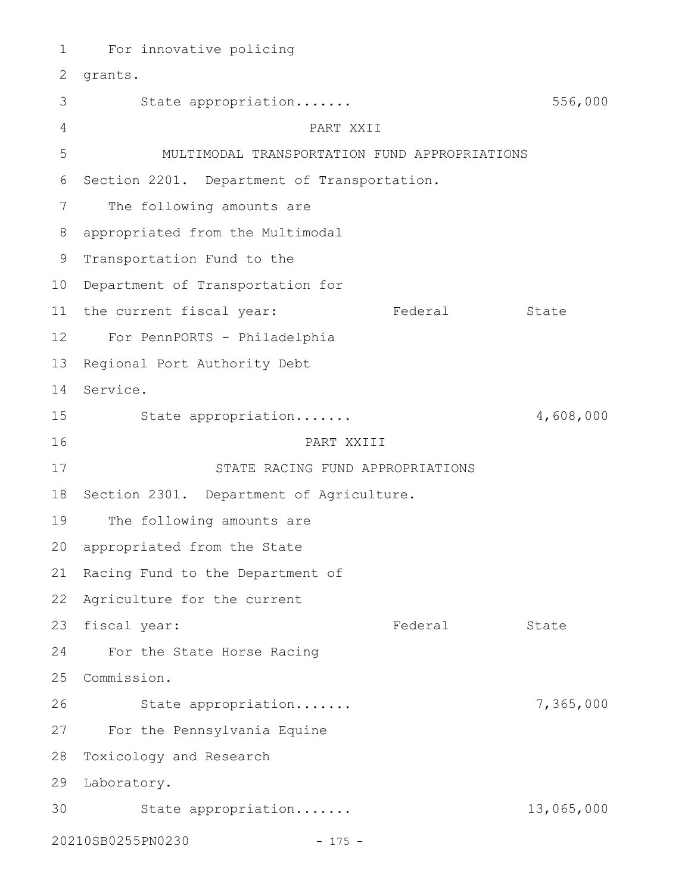For innovative policing 1 2 grants. State appropriation....... 556,000 PART XXII MULTIMODAL TRANSPORTATION FUND APPROPRIATIONS 6 Section 2201. Department of Transportation. The following amounts are appropriated from the Multimodal 8 9 Transportation Fund to the 10 Department of Transportation for 11 the current fiscal year: Tederal State For PennPORTS - Philadelphia 12 13 Regional Port Authority Debt 14 Service. State appropriation....... 4,608,000 PART XXIII STATE RACING FUND APPROPRIATIONS 18 Section 2301. Department of Agriculture. The following amounts are 20 appropriated from the State 21 Racing Fund to the Department of 22 Agriculture for the current 23 fiscal year: Tederal State For the State Horse Racing 25 Commission. State appropriation....... 7,365,000 For the Pennsylvania Equine 27 28 Toxicology and Research 29 Laboratory. State appropriation....... 13,065,000 3020210SB0255PN0230 - 175 - 3 4 5 7 15 16 17 19 24 26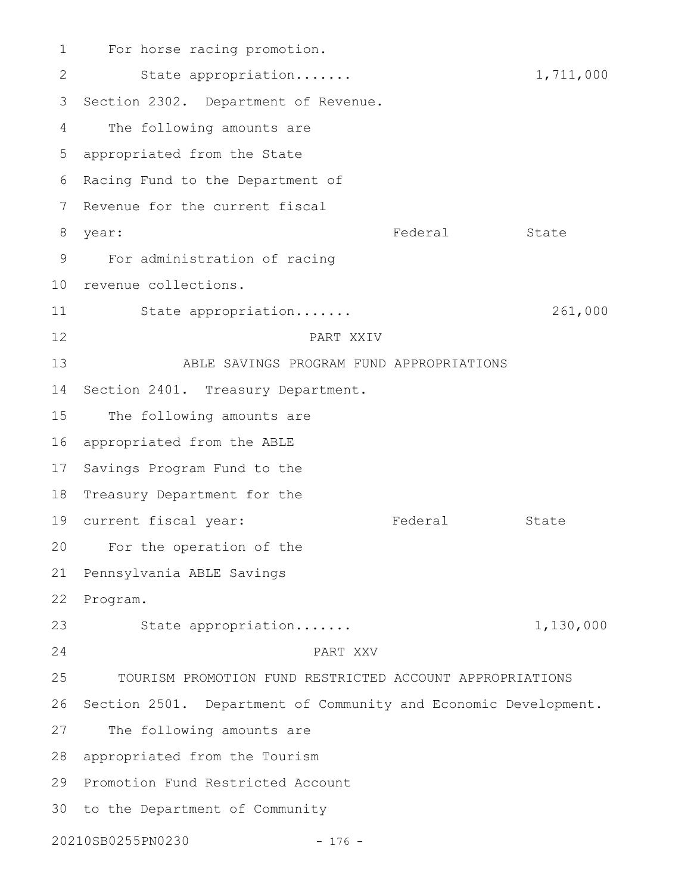For horse racing promotion. State appropriation....... 1,711,000 3 Section 2302. Department of Revenue. The following amounts are appropriated from the State 5 6 Racing Fund to the Department of 7 Revenue for the current fiscal Federal State For administration of racing 9 10 revenue collections. State appropriation....... 261,000 PART XXIV ABLE SAVINGS PROGRAM FUND APPROPRIATIONS 14 Section 2401. Treasury Department. The following amounts are 16 appropriated from the ABLE 17 Savings Program Fund to the 18 Treasury Department for the 19 current fiscal year: Tederal State 20 For the operation of the 21 Pennsylvania ABLE Savings 22 Program. State appropriation....... 1,130,000 PART XXV TOURISM PROMOTION FUND RESTRICTED ACCOUNT APPROPRIATIONS 26 Section 2501. Department of Community and Economic Development. The following amounts are appropriated from the Tourism 28 29 Promotion Fund Restricted Account 30 to the Department of Community 20210SB0255PN0230 - 176 - 1 2 4 8 year: 11 12 13 15 23 24 25 27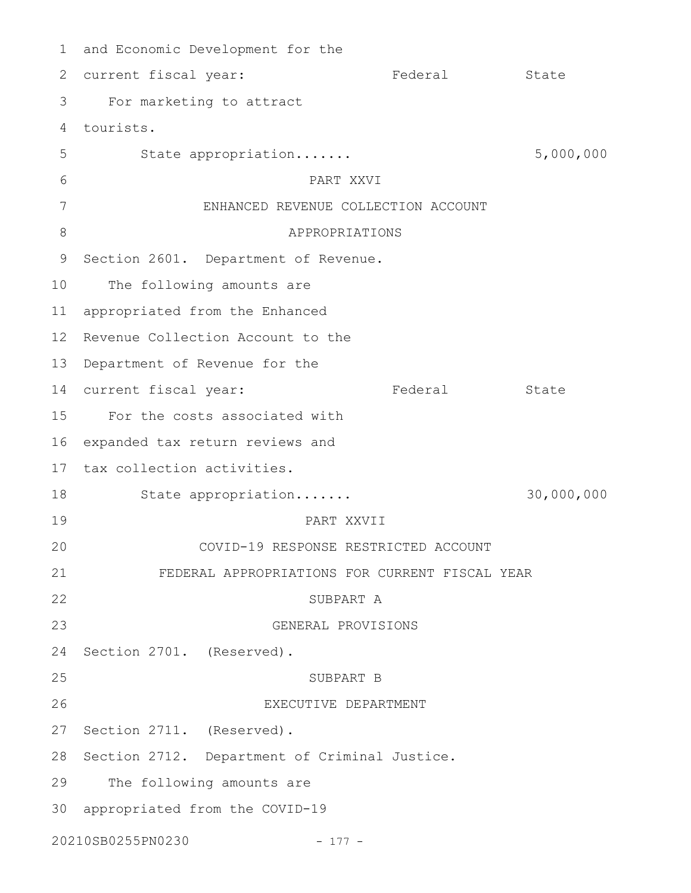1 and Economic Development for the Federal State For marketing to attract tourists. 4 State appropriation....... 5,000,000 PART XXVI ENHANCED REVENUE COLLECTION ACCOUNT APPROPRIATIONS 9 Section 2601. Department of Revenue. The following amounts are appropriated from the Enhanced 11 12 Revenue Collection Account to the 13 Department of Revenue for the 14 current fiscal year: Tederal State For the costs associated with 15 16 expanded tax return reviews and 17 tax collection activities. State appropriation....... 30,000,000 PART XXVII COVID-19 RESPONSE RESTRICTED ACCOUNT FEDERAL APPROPRIATIONS FOR CURRENT FISCAL YEAR SUBPART A GENERAL PROVISIONS 24 Section 2701. (Reserved). SUBPART B EXECUTIVE DEPARTMENT 27 Section 2711. (Reserved). 28 Section 2712. Department of Criminal Justice. The following amounts are appropriated from the COVID-19 3020210SB0255PN0230 - 177 - 2 current fiscal year: 3 5 6 7 8 10 18 19 20 21 22 23 25 26 29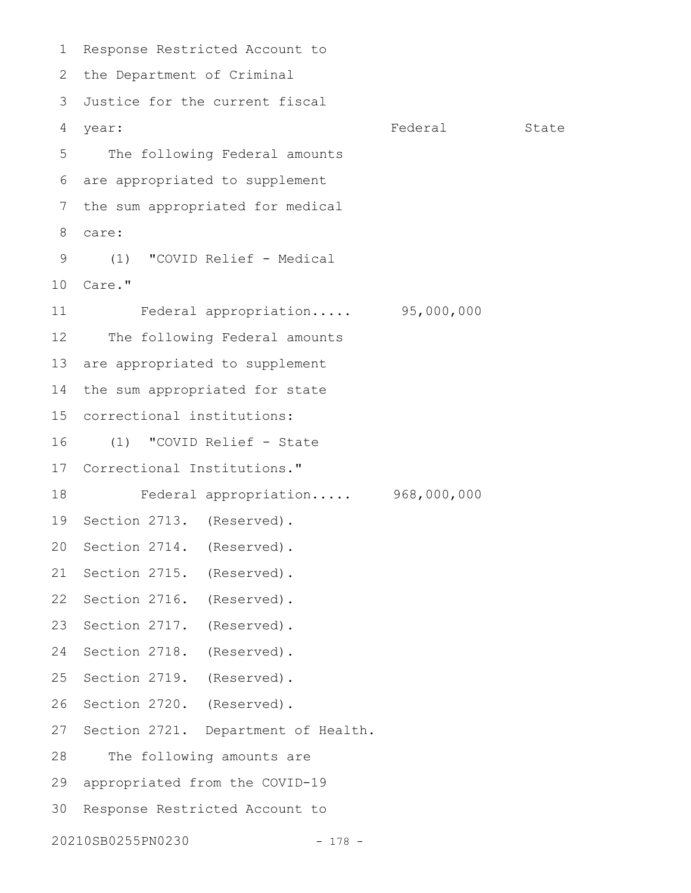Response Restricted Account to 2 the Department of Criminal Justice for the current fiscal 3 year: State State State State State State State State State State State State State State State State State State The following Federal amounts are appropriated to supplement the sum appropriated for medical care: (1) "COVID Relief - Medical Care." 10 Federal appropriation..... 95,000,000 The following Federal amounts are appropriated to supplement the sum appropriated for state correctional institutions: 15 (1) "COVID Relief - State 17 Correctional Institutions." Federal appropriation..... 968,000,000 19 Section 2713. (Reserved). 20 Section 2714. (Reserved). 21 Section 2715. (Reserved). 22 Section 2716. (Reserved). 23 Section 2717. (Reserved). 24 Section 2718. (Reserved). 25 Section 2719. (Reserved). 26 Section 2720. (Reserved). 27 Section 2721. Department of Health. The following amounts are appropriated from the COVID-19 29 30 Response Restricted Account to 20210SB0255PN0230 - 178 - 1 4 year: 5 6 7 8 9 11 12 13 14 16 18 28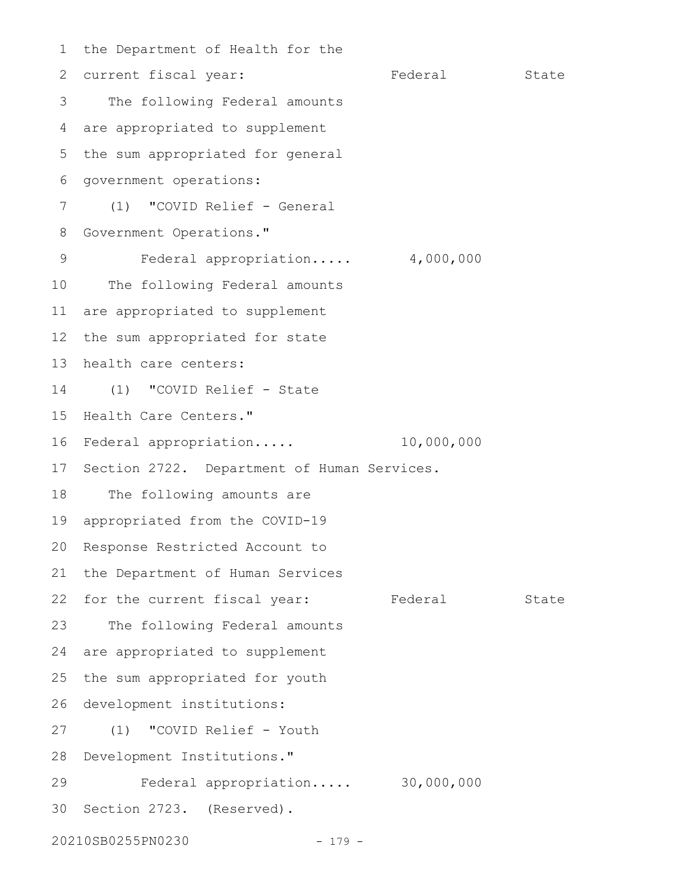the Department of Health for the 2 current fiscal year: Tederal State The following Federal amounts are appropriated to supplement 5 the sum appropriated for general government operations: (1) "COVID Relief - General Government Operations." Federal appropriation..... 4,000,000 The following Federal amounts are appropriated to supplement the sum appropriated for state health care centers: (1) "COVID Relief - State 15 Health Care Centers." Federal appropriation..... 10,000,000 16 17 Section 2722. Department of Human Services. The following amounts are appropriated from the COVID-19 19 20 Response Restricted Account to 21 the Department of Human Services 22 for the current fiscal year: Federal State The following Federal amounts are appropriated to supplement the sum appropriated for youth 26 development institutions: (1) "COVID Relief - Youth 28 Development Institutions." Federal appropriation..... 30,000,000 30 Section 2723. (Reserved). 20210SB0255PN0230 - 179 - 1 3 4 6 7 8 9 10 11 12 13 14 18 23 24 25 27 29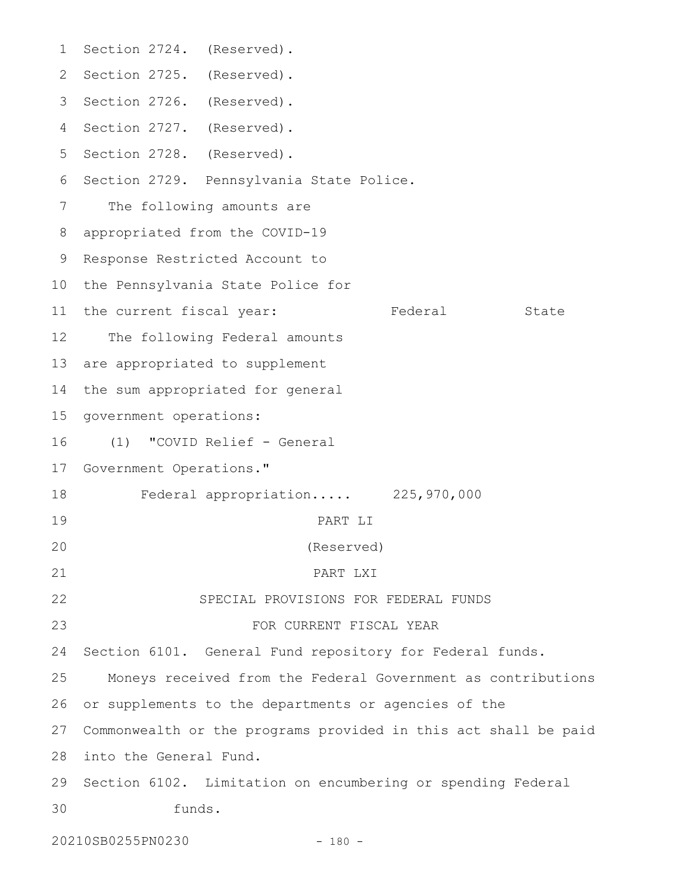1 Section 2724. (Reserved). 2 Section 2725. (Reserved). 3 Section 2726. (Reserved). 4 Section 2727. (Reserved). 5 Section 2728. (Reserved). 6 Section 2729. Pennsylvania State Police. The following amounts are appropriated from the COVID-19 8 9 Response Restricted Account to 10 the Pennsylvania State Police for 11 the current fiscal year: Tederal State The following Federal amounts 13 are appropriated to supplement 14 the sum appropriated for general 15 government operations: (1) "COVID Relief - General 17 Government Operations." Federal appropriation..... 225,970,000 PART LI (Reserved) PART LXI SPECIAL PROVISIONS FOR FEDERAL FUNDS FOR CURRENT FISCAL YEAR Section 6101. General Fund repository for Federal funds. Moneys received from the Federal Government as contributions or supplements to the departments or agencies of the Commonwealth or the programs provided in this act shall be paid 27 28 into the General Fund. 29 Section 6102. Limitation on encumbering or spending Federal funds. 7 12 16 18 19 20 21 22 23 24 25 26 30

20210SB0255PN0230 - 180 -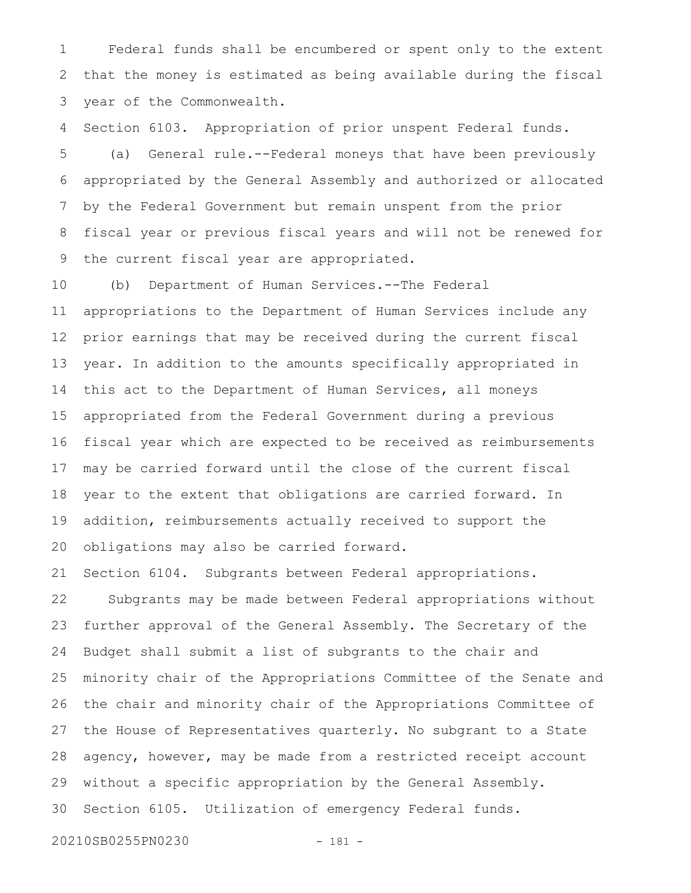Federal funds shall be encumbered or spent only to the extent that the money is estimated as being available during the fiscal year of the Commonwealth. 1 2 3

Section 6103. Appropriation of prior unspent Federal funds. (a) General rule.--Federal moneys that have been previously appropriated by the General Assembly and authorized or allocated by the Federal Government but remain unspent from the prior fiscal year or previous fiscal years and will not be renewed for the current fiscal year are appropriated. 4 5 6 7 8 9

(b) Department of Human Services.--The Federal appropriations to the Department of Human Services include any prior earnings that may be received during the current fiscal year. In addition to the amounts specifically appropriated in this act to the Department of Human Services, all moneys appropriated from the Federal Government during a previous fiscal year which are expected to be received as reimbursements may be carried forward until the close of the current fiscal year to the extent that obligations are carried forward. In addition, reimbursements actually received to support the obligations may also be carried forward. 10 11 12 13 14 15 16 17 18 19 20

Section 6104. Subgrants between Federal appropriations. Subgrants may be made between Federal appropriations without further approval of the General Assembly. The Secretary of the Budget shall submit a list of subgrants to the chair and minority chair of the Appropriations Committee of the Senate and the chair and minority chair of the Appropriations Committee of the House of Representatives quarterly. No subgrant to a State agency, however, may be made from a restricted receipt account without a specific appropriation by the General Assembly. Section 6105. Utilization of emergency Federal funds. 21 22 23 24 25 26 27 28 29 30

20210SB0255PN0230 - 181 -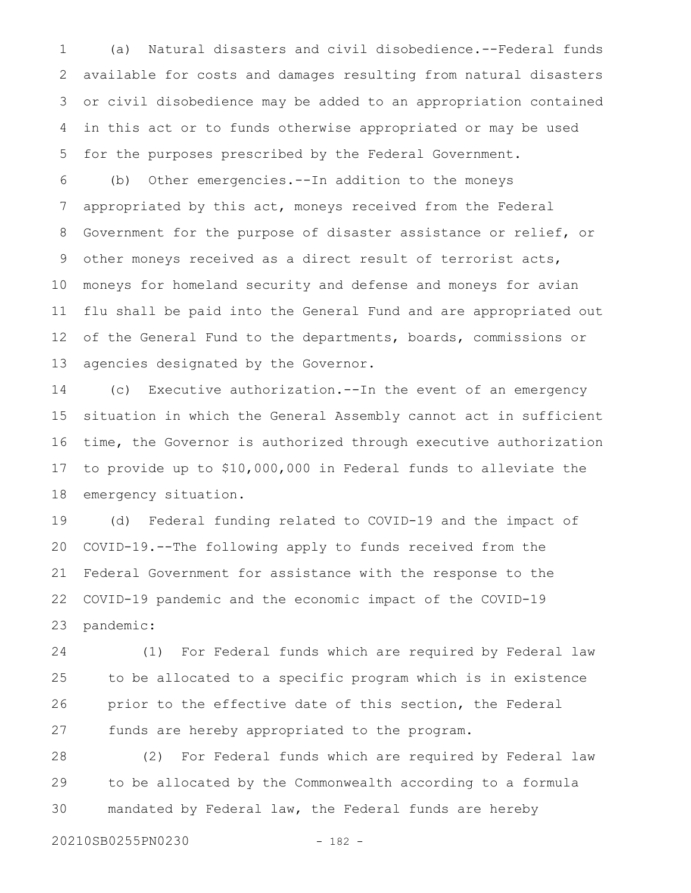(a) Natural disasters and civil disobedience.--Federal funds available for costs and damages resulting from natural disasters or civil disobedience may be added to an appropriation contained in this act or to funds otherwise appropriated or may be used for the purposes prescribed by the Federal Government. 1 2 3 4 5

(b) Other emergencies.--In addition to the moneys appropriated by this act, moneys received from the Federal Government for the purpose of disaster assistance or relief, or other moneys received as a direct result of terrorist acts, moneys for homeland security and defense and moneys for avian flu shall be paid into the General Fund and are appropriated out of the General Fund to the departments, boards, commissions or agencies designated by the Governor. 6 7 8 9 10 11 12 13

(c) Executive authorization.--In the event of an emergency situation in which the General Assembly cannot act in sufficient time, the Governor is authorized through executive authorization to provide up to \$10,000,000 in Federal funds to alleviate the emergency situation. 14 15 16 17 18

(d) Federal funding related to COVID-19 and the impact of COVID-19.--The following apply to funds received from the Federal Government for assistance with the response to the COVID-19 pandemic and the economic impact of the COVID-19 pandemic: 19 20 21 22 23

(1) For Federal funds which are required by Federal law to be allocated to a specific program which is in existence prior to the effective date of this section, the Federal funds are hereby appropriated to the program. 24 25 26 27

(2) For Federal funds which are required by Federal law to be allocated by the Commonwealth according to a formula mandated by Federal law, the Federal funds are hereby 28 29 30

20210SB0255PN0230 - 182 -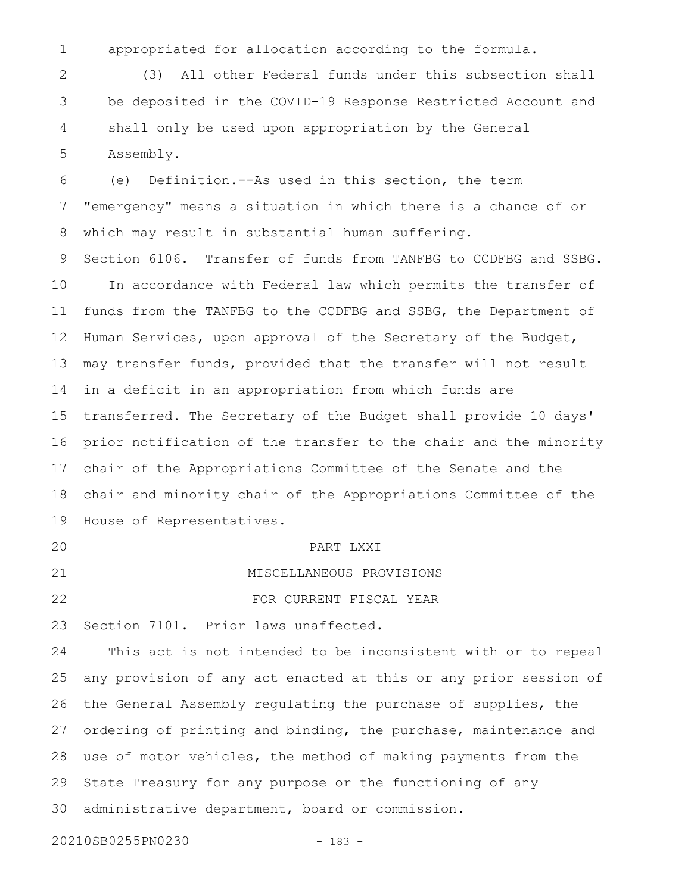appropriated for allocation according to the formula. 1

(3) All other Federal funds under this subsection shall be deposited in the COVID-19 Response Restricted Account and shall only be used upon appropriation by the General Assembly. 2 3 4 5

(e) Definition.--As used in this section, the term "emergency" means a situation in which there is a chance of or which may result in substantial human suffering. 6 7 8

Section 6106. Transfer of funds from TANFBG to CCDFBG and SSBG. In accordance with Federal law which permits the transfer of funds from the TANFBG to the CCDFBG and SSBG, the Department of Human Services, upon approval of the Secretary of the Budget, may transfer funds, provided that the transfer will not result in a deficit in an appropriation from which funds are transferred. The Secretary of the Budget shall provide 10 days' prior notification of the transfer to the chair and the minority chair of the Appropriations Committee of the Senate and the chair and minority chair of the Appropriations Committee of the House of Representatives. 9 10 11 12 13 14 15 16 17 18 19

20

PART LXXI

FOR CURRENT FISCAL YEAR

MISCELLANEOUS PROVISIONS 21

22

23

Section 7101. Prior laws unaffected.

This act is not intended to be inconsistent with or to repeal any provision of any act enacted at this or any prior session of the General Assembly regulating the purchase of supplies, the ordering of printing and binding, the purchase, maintenance and use of motor vehicles, the method of making payments from the State Treasury for any purpose or the functioning of any administrative department, board or commission. 24 25 26 27 28 29 30

20210SB0255PN0230 - 183 -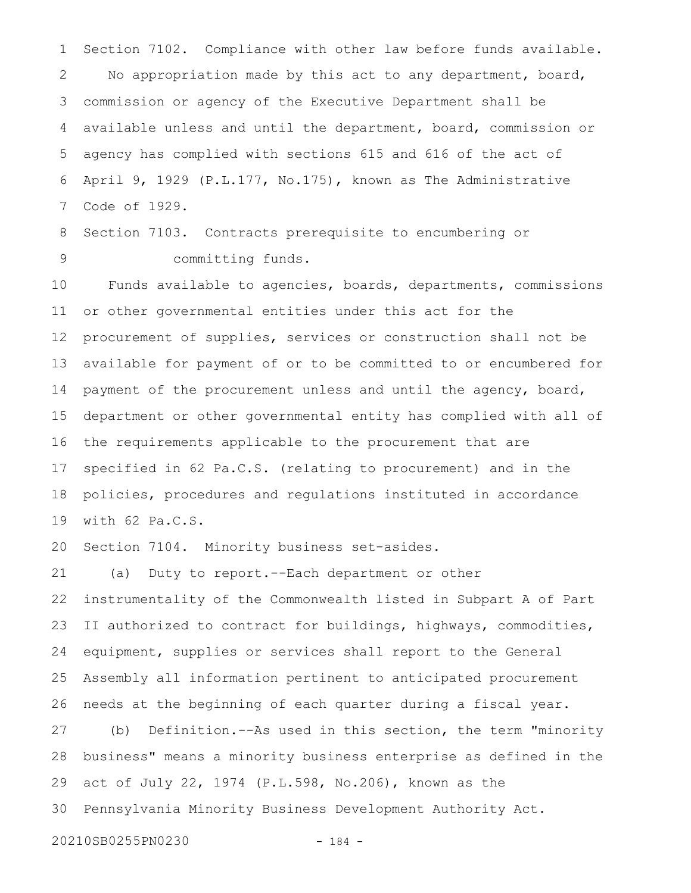Section 7102. Compliance with other law before funds available. No appropriation made by this act to any department, board, commission or agency of the Executive Department shall be available unless and until the department, board, commission or agency has complied with sections 615 and 616 of the act of April 9, 1929 (P.L.177, No.175), known as The Administrative Code of 1929. 1 2 3 4 5 6 7

Section 7103. Contracts prerequisite to encumbering or committing funds. 8 9

Funds available to agencies, boards, departments, commissions or other governmental entities under this act for the procurement of supplies, services or construction shall not be available for payment of or to be committed to or encumbered for payment of the procurement unless and until the agency, board, department or other governmental entity has complied with all of the requirements applicable to the procurement that are specified in 62 Pa.C.S. (relating to procurement) and in the policies, procedures and regulations instituted in accordance with 62 Pa.C.S. 10 11 12 13 14 15 16 17 18 19

Section 7104. Minority business set-asides. 20

(a) Duty to report.--Each department or other instrumentality of the Commonwealth listed in Subpart A of Part II authorized to contract for buildings, highways, commodities, equipment, supplies or services shall report to the General Assembly all information pertinent to anticipated procurement needs at the beginning of each quarter during a fiscal year. 21 22 23 24 25 26

(b) Definition.--As used in this section, the term "minority business" means a minority business enterprise as defined in the act of July 22, 1974 (P.L.598, No.206), known as the Pennsylvania Minority Business Development Authority Act. 27 28 29 30

20210SB0255PN0230 - 184 -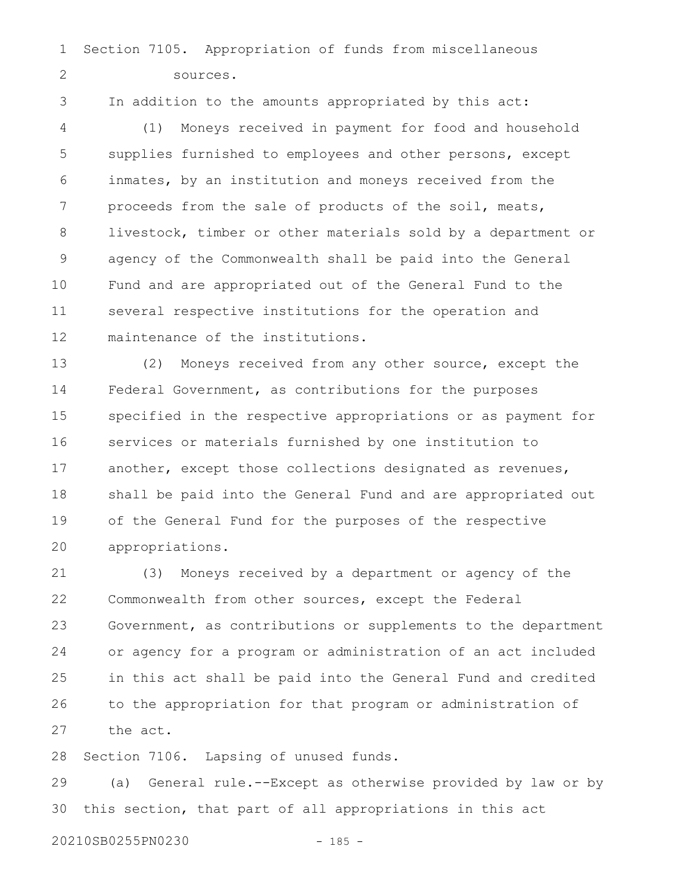Section 7105. Appropriation of funds from miscellaneous sources. 1 2

3

In addition to the amounts appropriated by this act:

(1) Moneys received in payment for food and household supplies furnished to employees and other persons, except inmates, by an institution and moneys received from the proceeds from the sale of products of the soil, meats, livestock, timber or other materials sold by a department or agency of the Commonwealth shall be paid into the General Fund and are appropriated out of the General Fund to the several respective institutions for the operation and maintenance of the institutions. 4 5 6 7 8 9 10 11 12

(2) Moneys received from any other source, except the Federal Government, as contributions for the purposes specified in the respective appropriations or as payment for services or materials furnished by one institution to another, except those collections designated as revenues, shall be paid into the General Fund and are appropriated out of the General Fund for the purposes of the respective appropriations. 13 14 15 16 17 18 19 20

(3) Moneys received by a department or agency of the Commonwealth from other sources, except the Federal Government, as contributions or supplements to the department or agency for a program or administration of an act included in this act shall be paid into the General Fund and credited to the appropriation for that program or administration of the act. 21 22 23 24 25 26 27

Section 7106. Lapsing of unused funds. 28

(a) General rule.--Except as otherwise provided by law or by this section, that part of all appropriations in this act 29 30

20210SB0255PN0230 - 185 -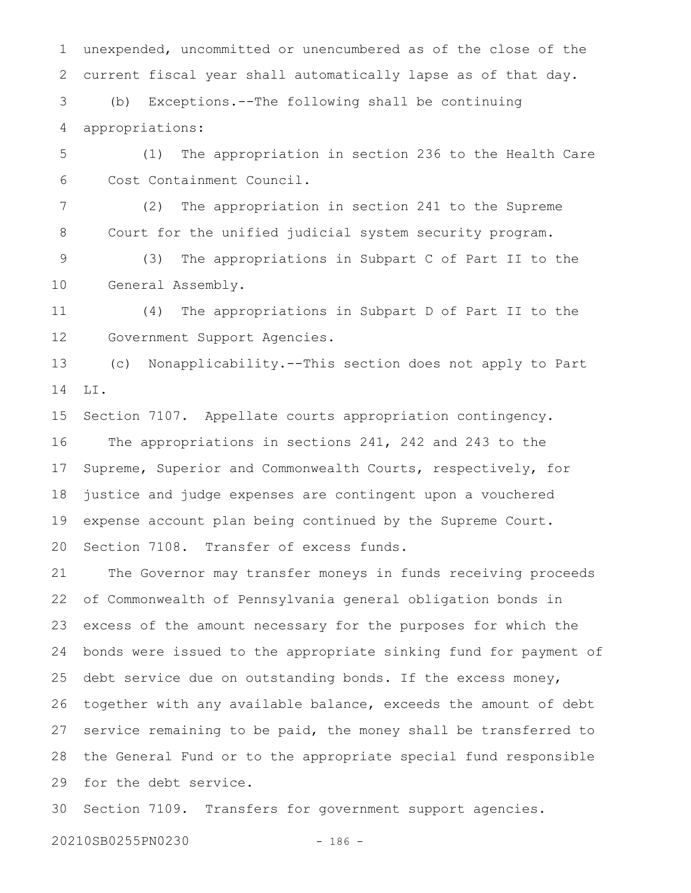unexpended, uncommitted or unencumbered as of the close of the current fiscal year shall automatically lapse as of that day. (b) Exceptions.--The following shall be continuing appropriations: 1 2 3 4

(1) The appropriation in section 236 to the Health Care Cost Containment Council. 5 6

(2) The appropriation in section 241 to the Supreme Court for the unified judicial system security program. 7 8

(3) The appropriations in Subpart C of Part II to the General Assembly. 9 10

(4) The appropriations in Subpart D of Part II to the Government Support Agencies. 11 12

(c) Nonapplicability.--This section does not apply to Part LI. 13 14

Section 7107. Appellate courts appropriation contingency. The appropriations in sections 241, 242 and 243 to the Supreme, Superior and Commonwealth Courts, respectively, for justice and judge expenses are contingent upon a vouchered expense account plan being continued by the Supreme Court. Section 7108. Transfer of excess funds. 15 16 17 18 19 20

The Governor may transfer moneys in funds receiving proceeds of Commonwealth of Pennsylvania general obligation bonds in excess of the amount necessary for the purposes for which the bonds were issued to the appropriate sinking fund for payment of debt service due on outstanding bonds. If the excess money, together with any available balance, exceeds the amount of debt service remaining to be paid, the money shall be transferred to the General Fund or to the appropriate special fund responsible for the debt service. 21 22 23 24 25 26 27 28 29

Section 7109. Transfers for government support agencies. 30

20210SB0255PN0230 - 186 -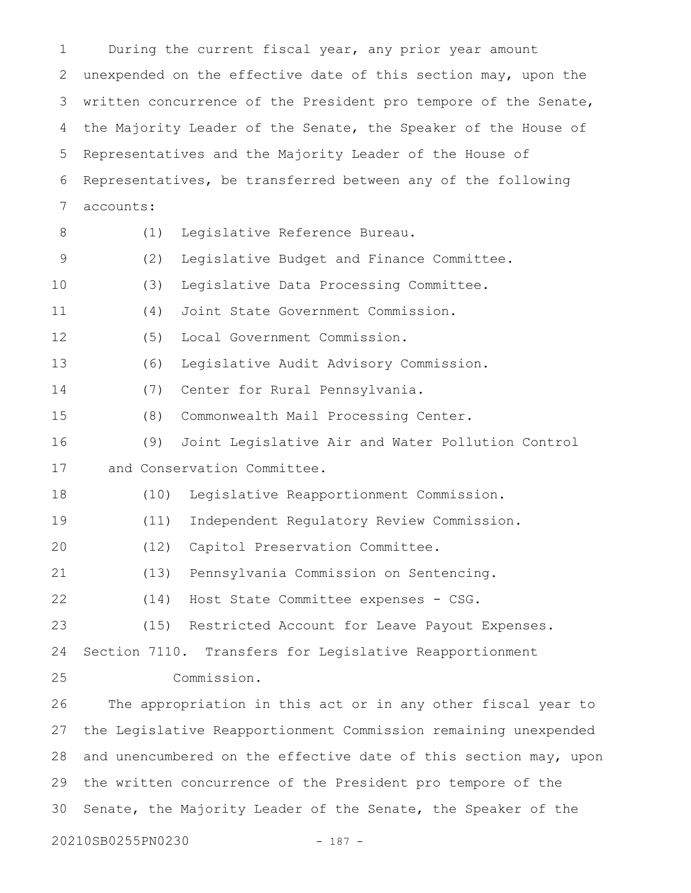During the current fiscal year, any prior year amount unexpended on the effective date of this section may, upon the written concurrence of the President pro tempore of the Senate, the Majority Leader of the Senate, the Speaker of the House of Representatives and the Majority Leader of the House of Representatives, be transferred between any of the following accounts: (1) Legislative Reference Bureau. (2) Legislative Budget and Finance Committee. (3) Legislative Data Processing Committee. (4) Joint State Government Commission. (5) Local Government Commission. (6) Legislative Audit Advisory Commission. (7) Center for Rural Pennsylvania. (8) Commonwealth Mail Processing Center. (9) Joint Legislative Air and Water Pollution Control and Conservation Committee. (10) Legislative Reapportionment Commission. (11) Independent Regulatory Review Commission. (12) Capitol Preservation Committee. (13) Pennsylvania Commission on Sentencing. (14) Host State Committee expenses - CSG. (15) Restricted Account for Leave Payout Expenses. Section 7110. Transfers for Legislative Reapportionment Commission. The appropriation in this act or in any other fiscal year to the Legislative Reapportionment Commission remaining unexpended and unencumbered on the effective date of this section may, upon the written concurrence of the President pro tempore of the Senate, the Majority Leader of the Senate, the Speaker of the 20210SB0255PN0230 - 187 - 1 2 3 4 5 6 7 8 9 10 11 12 13 14 15 16 17 18 19 20 21 22 23 24 25 26 27 28 29 30